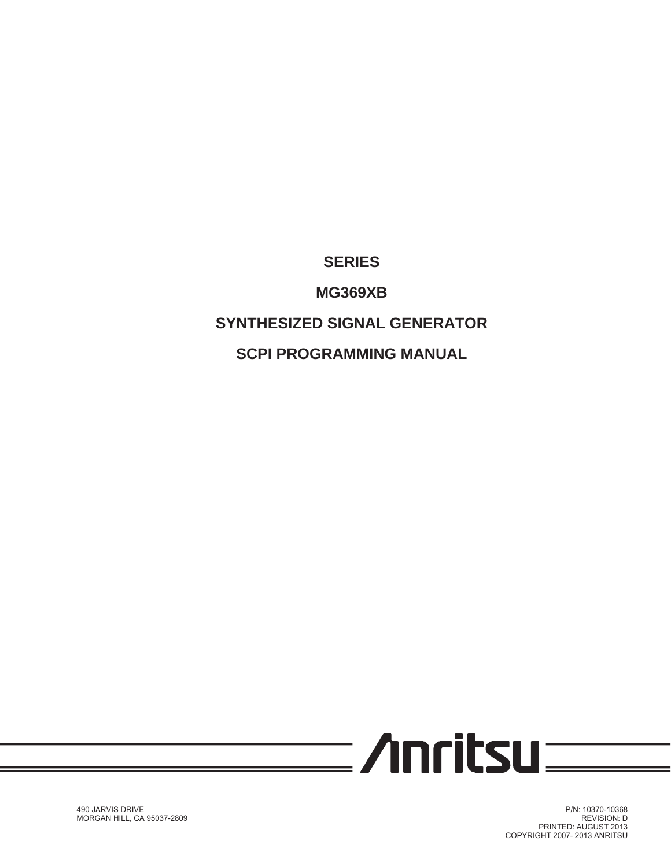### **SERIES**

**MG369XB**

## **SYNTHESIZED SIGNAL GENERATOR**

**SCPI PROGRAMMING MANUAL**



P/N: 10370-10368 REVISION: D PRINTED: AUGUST 2013 COPYRIGHT 2007- 2013 ANRITSU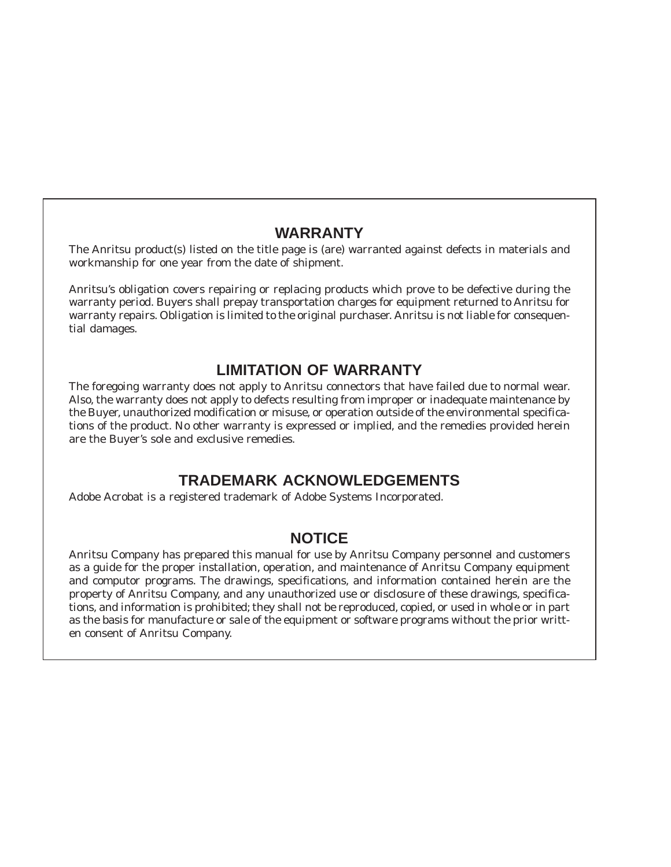### **WARRANTY**

The Anritsu product(s) listed on the title page is (are) warranted against defects in materials and workmanship for one year from the date of shipment.

Anritsu's obligation covers repairing or replacing products which prove to be defective during the warranty period. Buyers shall prepay transportation charges for equipment returned to Anritsu for warranty repairs. Obligation is limited to the original purchaser. Anritsu is not liable for consequential damages.

### **LIMITATION OF WARRANTY**

The foregoing warranty does not apply to Anritsu connectors that have failed due to normal wear. Also, the warranty does not apply to defects resulting from improper or inadequate maintenance by the Buyer, unauthorized modification or misuse, or operation outside of the environmental specifications of the product. No other warranty is expressed or implied, and the remedies provided herein are the Buyer's sole and exclusive remedies.

### **TRADEMARK ACKNOWLEDGEMENTS**

Adobe Acrobat is a registered trademark of Adobe Systems Incorporated.

### **NOTICE**

Anritsu Company has prepared this manual for use by Anritsu Company personnel and customers as a guide for the proper installation, operation, and maintenance of Anritsu Company equipment and computor programs. The drawings, specifications, and information contained herein are the property of Anritsu Company, and any unauthorized use or disclosure of these drawings, specifications, and information is prohibited; they shall not be reproduced, copied, or used in whole or in part as the basis for manufacture or sale of the equipment or software programs without the prior written consent of Anritsu Company.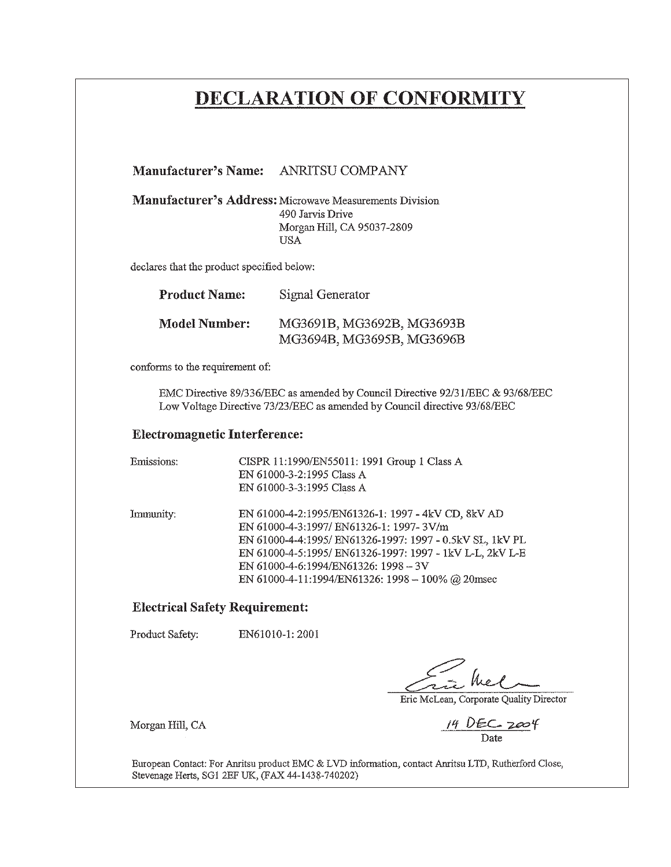# DECLARATION OF CONFORMITY

Manufacturer's Address: Microwave Measurements Division 490 Jarvis Drive Morgan Hill, CA 95037-2809 **USA** 

declares that the product specified below:

| <b>Product Name:</b> | Signal Generator          |
|----------------------|---------------------------|
| Model Number:        | MG3691B, MG3692B, MG3693B |
|                      | MG3694B, MG3695B, MG3696B |

conforms to the requirement of:

EMC Directive 89/336/EEC as amended by Council Directive 92/31/EEC & 93/68/EEC Low Voltage Directive 73/23/EEC as amended by Council directive 93/68/EEC

#### **Electromagnetic Interference:**

| Emissions: | CISPR 11:1990/EN55011: 1991 Group 1 Class A<br>EN 61000-3-2:1995 Class A<br>EN 61000-3-3:1995 Class A                                                                                                                                                                                                             |
|------------|-------------------------------------------------------------------------------------------------------------------------------------------------------------------------------------------------------------------------------------------------------------------------------------------------------------------|
| Immunity:  | EN 61000-4-2:1995/EN61326-1: 1997 - 4kV CD, 8kV AD<br>EN 61000-4-3:1997/ EN61326-1: 1997-3V/m<br>EN 61000-4-4:1995/ EN61326-1997: 1997 - 0.5kV SL, 1kV PL<br>EN 61000-4-5:1995/ EN61326-1997: 1997 - 1kV L-L, 2kV L-E<br>EN 61000-4-6:1994/EN61326: 1998 - 3V<br>EN 61000-4-11:1994/EN61326: 1998 - 100% @ 20msec |

#### **Electrical Safety Requirement:**

Product Safety: EN61010-1:2001

Morgan Hill, CA

Fine hel

Eric McLean, Corporate Quality Director

 $14$  DEC  $2004$ 

European Contact: For Anritsu product EMC & LVD information, contact Anritsu LTD, Rutherford Close, Stevenage Herts, SG1 2EF UK, (FAX 44-1438-740202)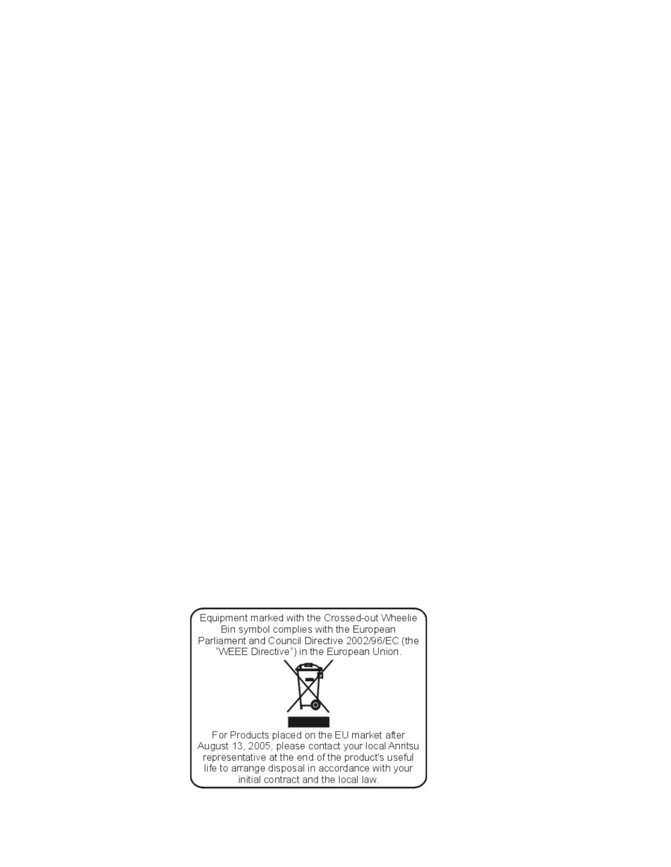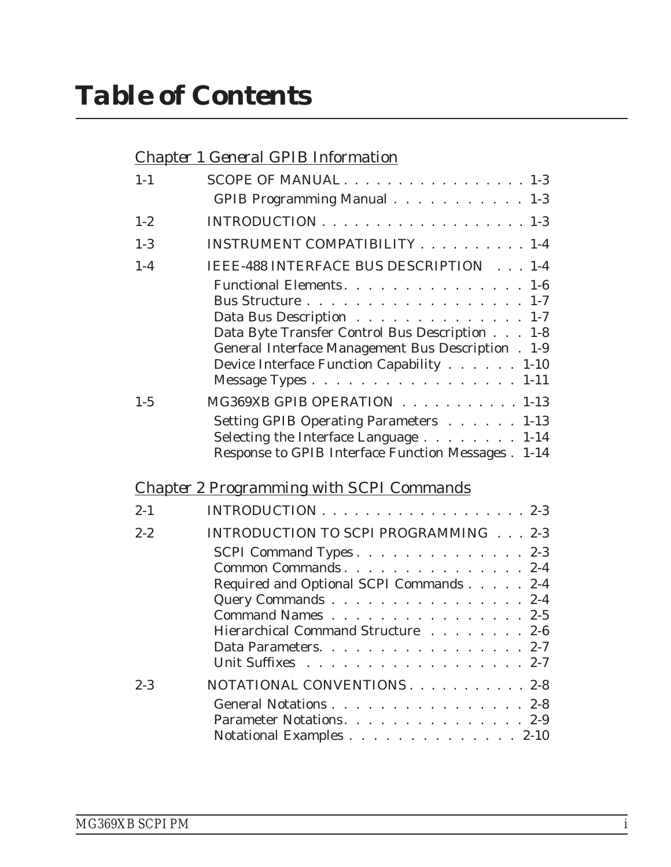## *[Chapter 1 General GPIB Information](#page-10-0)*

| $1 - 1$ | SCOPE OF MANUAL $\ldots$ 1-3                                                      |
|---------|-----------------------------------------------------------------------------------|
|         | GPIB Programming Manual 1-3                                                       |
| $1 - 2$ |                                                                                   |
| $1 - 3$ | INSTRUMENT COMPATIBILITY 1-4                                                      |
| $1-4$   | IEEE-488 INTERFACE BUS DESCRIPTION 1-4                                            |
|         | Functional Elements. 1-6                                                          |
|         | $1 - 7$                                                                           |
|         | Data Bus Description<br>$1 - 7$<br>Data Byte Transfer Control Bus Description 1-8 |
|         | General Interface Management Bus Description . 1-9                                |
|         | Device Interface Function Capability 1-10                                         |
|         | Message Types 1-11                                                                |
| $1 - 5$ | MG369XB GPIB OPERATION 1-13                                                       |
|         | Setting GPIB Operating Parameters 1-13                                            |
|         | Selecting the Interface Language 1-14                                             |
|         | Response to GPIB Interface Function Messages . 1-14                               |
|         | <b>Chapter 2 Programming with SCPI Commands</b>                                   |
| $2 - 1$ | INTRODUCTION $\ldots$ , , , , , , , , , , , , , , , , 2-3                         |
| $2 - 2$ | INTRODUCTION TO SCPI PROGRAMMING 2-3                                              |
|         | SCPI Command Types. 2-3                                                           |
|         | Common Commands 2-4                                                               |
|         | Required and Optional SCPI Commands 2-4                                           |
|         | Query Commands 2-4<br>Command Names 2-5                                           |
|         | Hierarchical Command Structure 2-6                                                |
|         | Data Parameters. 2-7                                                              |
|         | Unit Suffixes 2-7                                                                 |
| $2 - 3$ | NOTATIONAL CONVENTIONS 2-8                                                        |
|         | General Notations 2-8                                                             |
|         | Parameter Notations. 2-9                                                          |
|         | Notational Examples $\ldots \ldots \ldots \ldots \ldots 2-10$                     |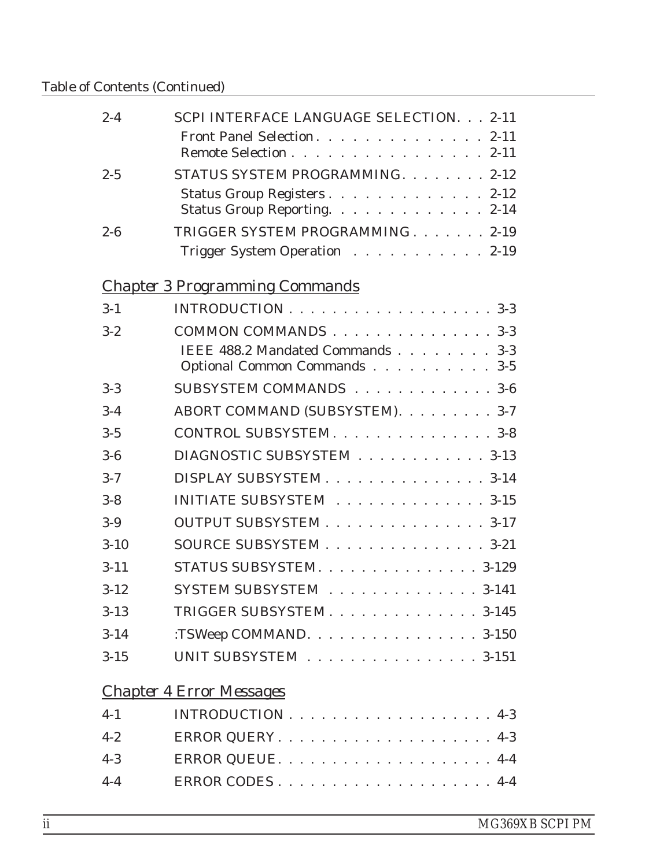### Table of Contents (Continued)

| $2 - 4$ | SCPI INTERFACE LANGUAGE SELECTION. 2-11                    |
|---------|------------------------------------------------------------|
|         | Front Panel Selection. 2-11<br>Remote Selection 2-11       |
| $2 - 5$ | STATUS SYSTEM PROGRAMMING. 2-12                            |
|         | Status Group Registers2-12<br>Status Group Reporting. 2-14 |
| $2 - 6$ | TRIGGER SYSTEM PROGRAMMING. 2-19                           |
|         | Trigger System Operation 2-19                              |

# *[Chapter 3 Programming Commands](#page-44-0)*

| $3-1$    |                                                                  |
|----------|------------------------------------------------------------------|
| $3 - 2$  | COMMON COMMANDS 3-3                                              |
|          | IEEE 488.2 Mandated Commands 3-3<br>Optional Common Commands 3-5 |
| $3-3$    | SUBSYSTEM COMMANDS 3-6                                           |
| $3 - 4$  | ABORT COMMAND (SUBSYSTEM). 3-7                                   |
| $3 - 5$  | CONTROL SUBSYSTEM. 3-8                                           |
| $3-6$    | DIAGNOSTIC SUBSYSTEM 3-13                                        |
| $3 - 7$  | DISPLAY SUBSYSTEM 3-14                                           |
| $3 - 8$  | INITIATE SUBSYSTEM 3-15                                          |
| $3-9$    | OUTPUT SUBSYSTEM 3-17                                            |
| $3-10$   | SOURCE SUBSYSTEM 3-21                                            |
| $3 - 11$ | STATUS SUBSYSTEM. 3-129                                          |
| $3 - 12$ | SYSTEM SUBSYSTEM 3-141                                           |
| $3 - 13$ | TRIGGER SUBSYSTEM 3-145                                          |
| $3 - 14$ | :TSWeep COMMAND. 3-150                                           |
| $3 - 15$ | UNIT SUBSYSTEM 3-151                                             |
|          |                                                                  |

# *[Chapter 4 Error Messages](#page-196-0)*

|       | $4-1$ INTRODUCTION 4-3    |
|-------|---------------------------|
| $4-2$ | ERROR QUERY. $\ldots$ 4-3 |
| $4-3$ |                           |
| $4-4$ | ERROR CODES4-4            |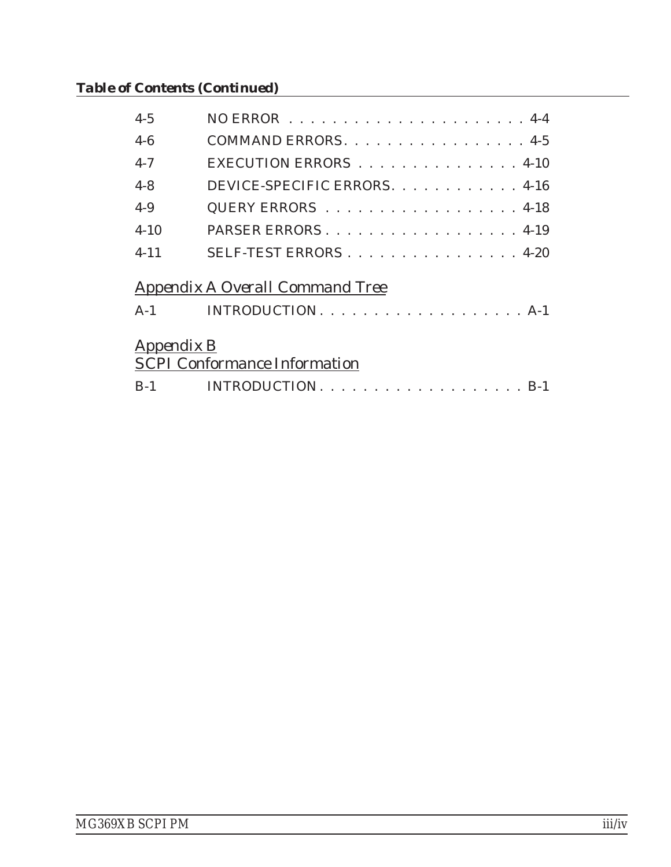## *Table of Contents (Continued)*

| $4 - 5$           |                                     |
|-------------------|-------------------------------------|
| $4-6$             | COMMAND ERRORS. 4-5                 |
| $4 - 7$           | EXECUTION ERRORS 4-10               |
| $4 - 8$           | DEVICE-SPECIFIC ERRORS. 4-16        |
| $4-9$             | QUERY ERRORS 4-18                   |
| $4 - 10$          | PARSER ERRORS4-19                   |
| $4 - 11$          | SELF-TEST ERRORS4-20                |
|                   | Appendix A Overall Command Tree     |
| $A-1$             |                                     |
| <i>Appendix B</i> | <b>SCPI Conformance Information</b> |
| $B-1$             |                                     |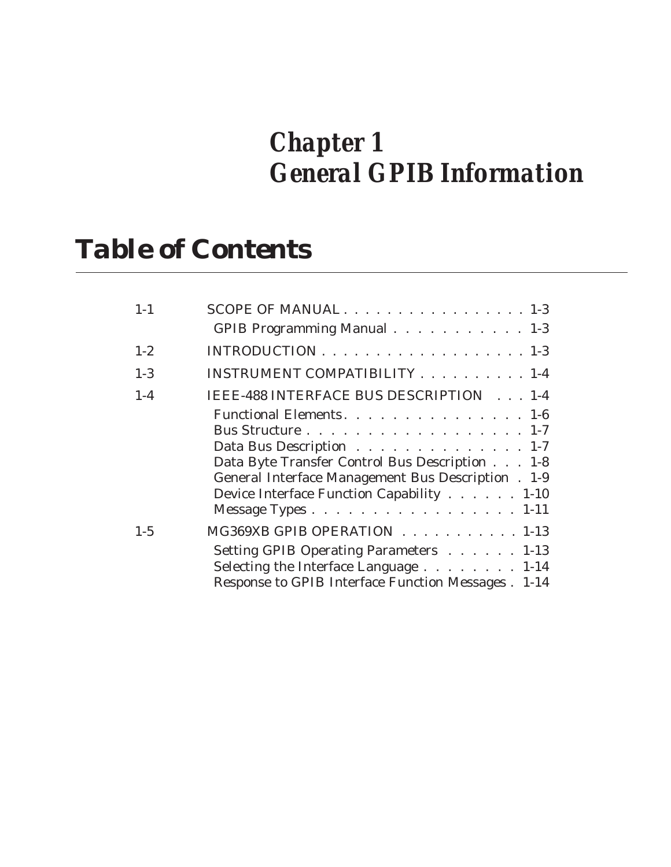# *Chapter 1 General GPIB Information*

# *Table of Contents*

| $1 - 1$ | SCOPE OF MANUAL1-3                                                                                                                                                                                                                                   |
|---------|------------------------------------------------------------------------------------------------------------------------------------------------------------------------------------------------------------------------------------------------------|
|         | GPIB Programming Manual 1-3                                                                                                                                                                                                                          |
| $1 - 2$ |                                                                                                                                                                                                                                                      |
| $1-3$   | INSTRUMENT COMPATIBILITY 1-4                                                                                                                                                                                                                         |
| $1-4$   | IEEE-488 INTERFACE BUS DESCRIPTION 1-4                                                                                                                                                                                                               |
|         | Functional Elements. 1-6<br>Bus Structure 1-7<br>Data Bus Description 1-7<br>Data Byte Transfer Control Bus Description 1-8<br>General Interface Management Bus Description . 1-9<br>Device Interface Function Capability 1-10<br>Message Types 1-11 |
| $1 - 5$ | MG369XB GPIB OPERATION 1-13<br>Setting GPIB Operating Parameters 1-13<br>Selecting the Interface Language 1-14<br>Response to GPIB Interface Function Messages . 1-14                                                                                |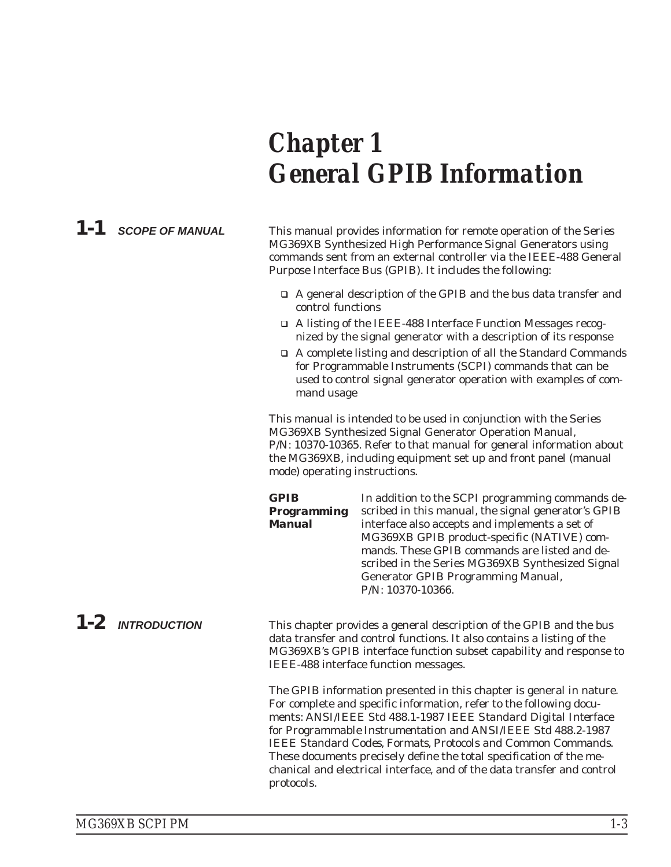# <span id="page-10-0"></span>*Chapter 1 General GPIB Information*

*1-1 SCOPE OF MANUAL* This manual provides information for remote operation of the Series MG369XB Synthesized High Performance Signal Generators using commands sent from an external controller via the IEEE-488 General Purpose Interface Bus (GPIB). It includes the following:

- □ A general description of the GPIB and the bus data transfer and control functions
- □ A listing of the IEEE-488 Interface Function Messages recognized by the signal generator with a description of its response
- A complete listing and description of all the Standard Commands for Programmable Instruments (SCPI) commands that can be used to control signal generator operation with examples of command usage

This manual is intended to be used in conjunction with the Series MG369XB Synthesized Signal Generator Operation Manual, P/N: 10370-10365. Refer to that manual for general information about the MG369XB, including equipment set up and front panel (manual mode) operating instructions.

*GPIB Programming Manual* In addition to the SCPI programming commands described in this manual, the signal generator's GPIB interface also accepts and implements a set of MG369XB GPIB product-specific (NATIVE) commands. These GPIB commands are listed and described in the Series MG369XB Synthesized Signal Generator GPIB Programming Manual, P/N: 10370-10366.

*1-2 INTRODUCTION* This chapter provides a general description of the GPIB and the bus data transfer and control functions. It also contains a listing of the MG369XB's GPIB interface function subset capability and response to IEEE-488 interface function messages.

> The GPIB information presented in this chapter is general in nature. For complete and specific information, refer to the following documents: ANSI/IEEE Std 488.1-1987 *IEEE Standard Digital Interface for Programmable Instrumentation* and ANSI/IEEE Std 488.2-1987 *IEEE Standard Codes, Formats, Protocols and Common Commands*. These documents precisely define the total specification of the mechanical and electrical interface, and of the data transfer and control protocols.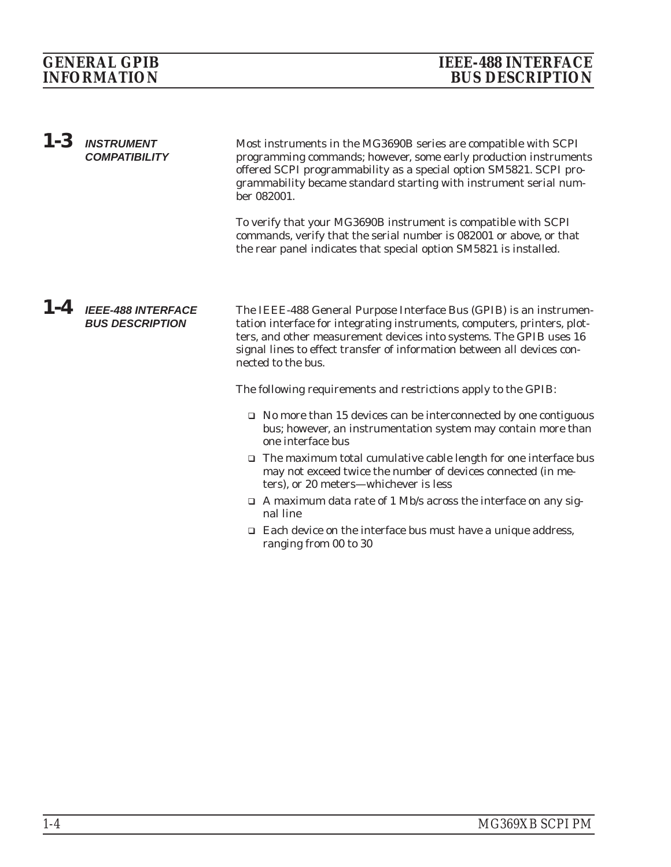<span id="page-11-0"></span>

| $1-3$   | <b>INSTRUMENT</b><br><b>COMPATIBILITY</b>           | Most instruments in the MG3690B series are compatible with SCPI<br>programming commands; however, some early production instruments<br>offered SCPI programmability as a special option SM5821. SCPI pro-<br>grammability became standard starting with instrument serial num-<br>ber 082001.<br>To verify that your MG3690B instrument is compatible with SCPI<br>commands, verify that the serial number is 082001 or above, or that<br>the rear panel indicates that special option SM5821 is installed.                                                                                            |
|---------|-----------------------------------------------------|--------------------------------------------------------------------------------------------------------------------------------------------------------------------------------------------------------------------------------------------------------------------------------------------------------------------------------------------------------------------------------------------------------------------------------------------------------------------------------------------------------------------------------------------------------------------------------------------------------|
| $1 - 4$ | <b>IEEE-488 INTERFACE</b><br><b>BUS DESCRIPTION</b> | The IEEE-488 General Purpose Interface Bus (GPIB) is an instrumen-<br>tation interface for integrating instruments, computers, printers, plot-<br>ters, and other measurement devices into systems. The GPIB uses 16<br>signal lines to effect transfer of information between all devices con-<br>nected to the bus.                                                                                                                                                                                                                                                                                  |
|         |                                                     | The following requirements and restrictions apply to the GPIB:<br>$\Box$ No more than 15 devices can be interconnected by one contiguous<br>bus; however, an instrumentation system may contain more than<br>one interface bus<br>$\Box$ The maximum total cumulative cable length for one interface bus<br>may not exceed twice the number of devices connected (in me-<br>ters), or 20 meters—whichever is less<br>$\Box$ A maximum data rate of 1 Mb/s across the interface on any sig-<br>nal line<br>$\Box$ Each device on the interface bus must have a unique address,<br>ranging from 00 to 30 |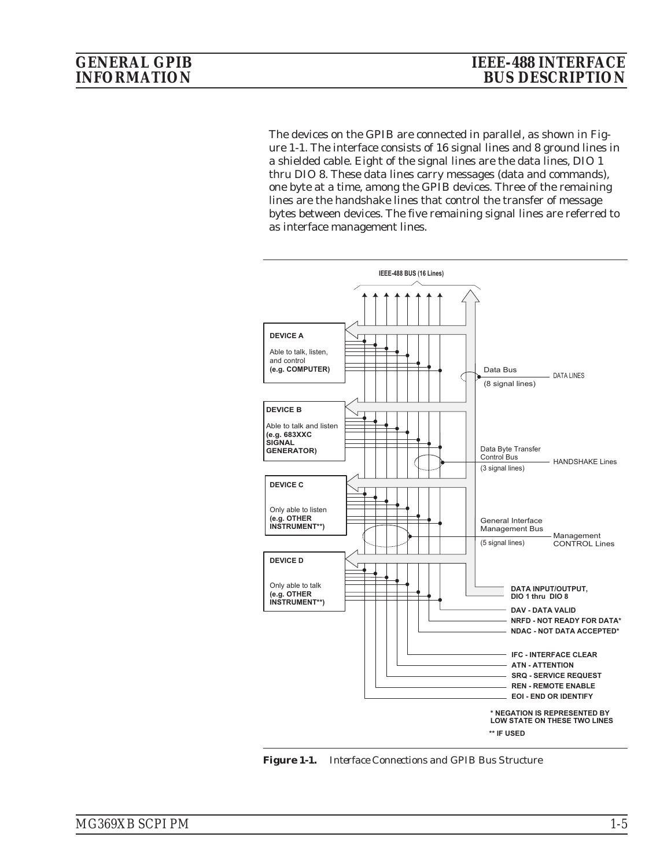The devices on the GPIB are connected in parallel, as shown in Figure 1-1. The interface consists of 16 signal lines and 8 ground lines in a shielded cable. Eight of the signal lines are the data lines, DIO 1 thru DIO 8. These data lines carry messages (data and commands), one byte at a time, among the GPIB devices. Three of the remaining lines are the handshake lines that control the transfer of message bytes between devices. The five remaining signal lines are referred to as interface management lines.



*Figure 1-1. Interface Connections and GPIB Bus Structure*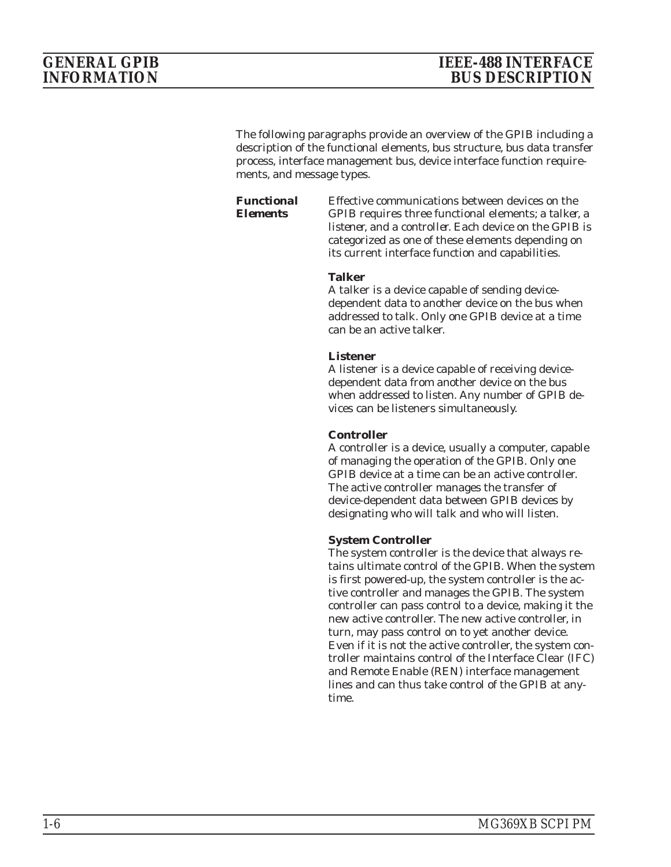<span id="page-13-0"></span>The following paragraphs provide an overview of the GPIB including a description of the functional elements, bus structure, bus data transfer process, interface management bus, device interface function requirements, and message types.

*Functional Elements*

Effective communications between devices on the GPIB requires three functional elements; a *talker*, a *listener*, and a *controller*. Each device on the GPIB is categorized as one of these elements depending on its current interface function and capabilities.

#### **Talker**

A talker is a device capable of sending devicedependent data to another device on the bus when addressed to talk. Only one GPIB device at a time can be an active talker.

#### **Listener**

A listener is a device capable of receiving devicedependent data from another device on the bus when addressed to listen. Any number of GPIB devices can be listeners simultaneously.

#### **Controller**

A controller is a device, usually a computer, capable of managing the operation of the GPIB. Only one GPIB device at a time can be an active controller. The active controller manages the transfer of device-dependent data between GPIB devices by designating who will talk and who will listen.

#### **System Controller**

The system controller is the device that always retains ultimate control of the GPIB. When the system is first powered-up, the system controller is the active controller and manages the GPIB. The system controller can pass control to a device, making it the new active controller. The new active controller, in turn, may pass control on to yet another device. Even if it is not the active controller, the system controller maintains control of the Interface Clear (IFC) and Remote Enable (REN) interface management lines and can thus take control of the GPIB at anytime.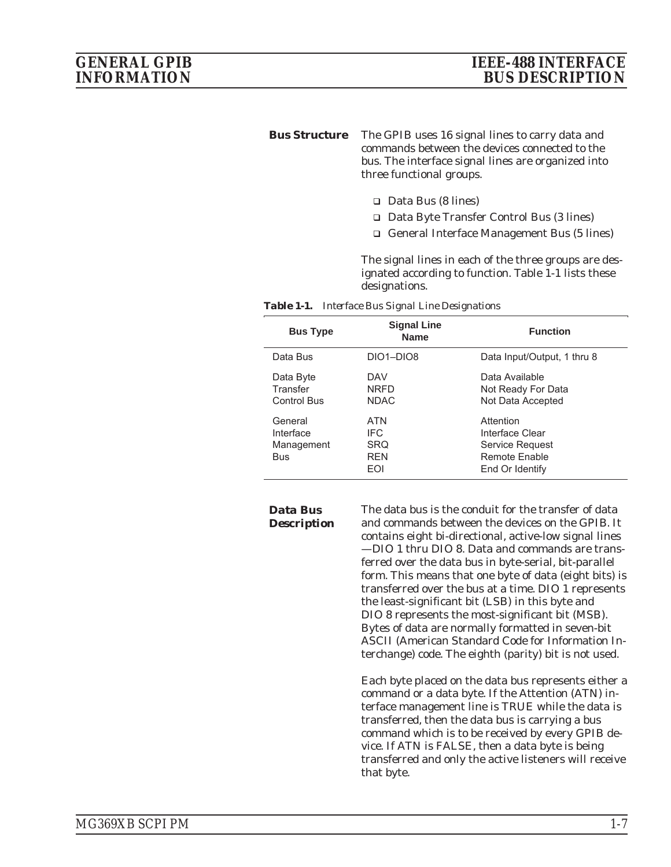#### <span id="page-14-0"></span>*Bus Structure* The GPIB uses 16 signal lines to carry data and commands between the devices connected to the bus. The interface signal lines are organized into three functional groups.

- □ Data Bus (8 lines)
- □ Data Byte Transfer Control Bus (3 lines)
- □ General Interface Management Bus (5 lines)

The signal lines in each of the three groups are designated according to function. Table 1-1 lists these designations.

| Table 1-1. Interface Bus Signal Line Designations |
|---------------------------------------------------|
|                                                   |

| <b>Bus Type</b>                                  | <b>Signal Line</b><br><b>Name</b>                    | <b>Function</b>                                                                     |
|--------------------------------------------------|------------------------------------------------------|-------------------------------------------------------------------------------------|
| Data Bus                                         | DIO1-DIO8                                            | Data Input/Output, 1 thru 8                                                         |
| Data Byte<br>Transfer<br><b>Control Bus</b>      | DAV<br><b>NRFD</b><br><b>NDAC</b>                    | Data Available<br>Not Ready For Data<br>Not Data Accepted                           |
| General<br>Interface<br>Management<br><b>Bus</b> | ATN<br><b>IFC</b><br><b>SRQ</b><br><b>RFN</b><br>EOI | Attention<br>Interface Clear<br>Service Request<br>Remote Enable<br>End Or Identify |

#### *Data Bus Description*

The data bus is the conduit for the transfer of data and commands between the devices on the GPIB. It contains eight bi-directional, active-low signal lines —DIO 1 thru DIO 8. Data and commands are transferred over the data bus in byte-serial, bit-parallel form. This means that one byte of data (eight bits) is transferred over the bus at a time. DIO 1 represents the least-significant bit (LSB) in this byte and DIO 8 represents the most-significant bit (MSB). Bytes of data are normally formatted in seven-bit ASCII (American Standard Code for Information Interchange) code. The eighth (parity) bit is not used.

Each byte placed on the data bus represents either a command or a data byte. If the Attention (ATN) interface management line is TRUE while the data is transferred, then the data bus is carrying a bus command which is to be received by every GPIB device. If ATN is FALSE, then a data byte is being transferred and only the active listeners will receive that byte.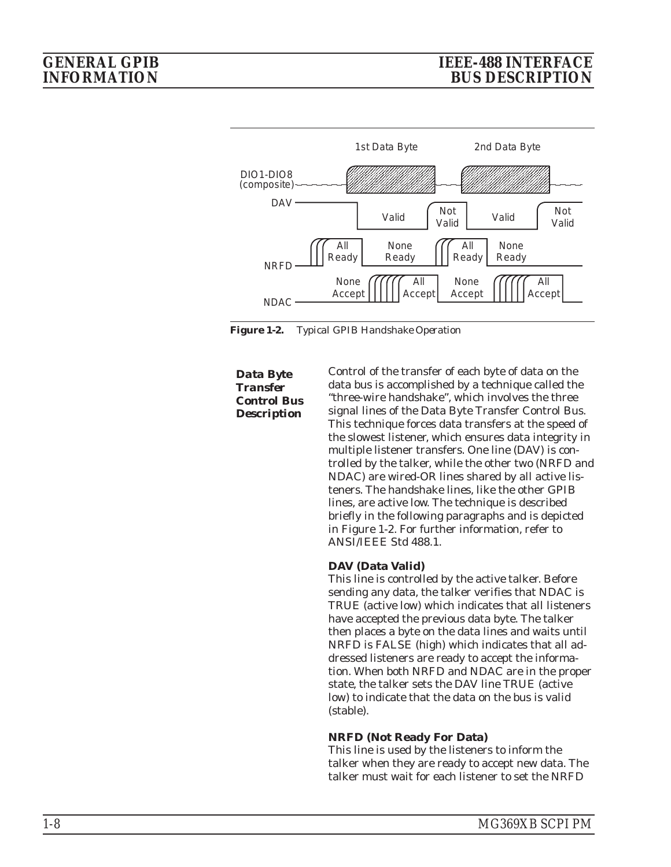<span id="page-15-0"></span>

*Figure 1-2. Typical GPIB Handshake Operation*

*Data Byte Transfer Control Bus Description*

Control of the transfer of each byte of data on the data bus is accomplished by a technique called the "three-wire handshake", which involves the three signal lines of the Data Byte Transfer Control Bus. This technique forces data transfers at the speed of the slowest listener, which ensures data integrity in multiple listener transfers. One line (DAV) is controlled by the talker, while the other two (NRFD and NDAC) are wired-OR lines shared by all active listeners. The handshake lines, like the other GPIB lines, are active low. The technique is described briefly in the following paragraphs and is depicted in Figure 1-2. For further information, refer to ANSI/IEEE Std 488.1.

#### **DAV (Data Valid)**

This line is controlled by the active talker. Before sending any data, the talker verifies that NDAC is TRUE (active low) which indicates that all listeners have accepted the previous data byte. The talker then places a byte on the data lines and waits until NRFD is FALSE (high) which indicates that all addressed listeners are ready to accept the information. When both NRFD and NDAC are in the proper state, the talker sets the DAV line TRUE (active low) to indicate that the data on the bus is valid (stable).

#### **NRFD (Not Ready For Data)**

This line is used by the listeners to inform the talker when they are ready to accept new data. The talker must wait for each listener to set the NRFD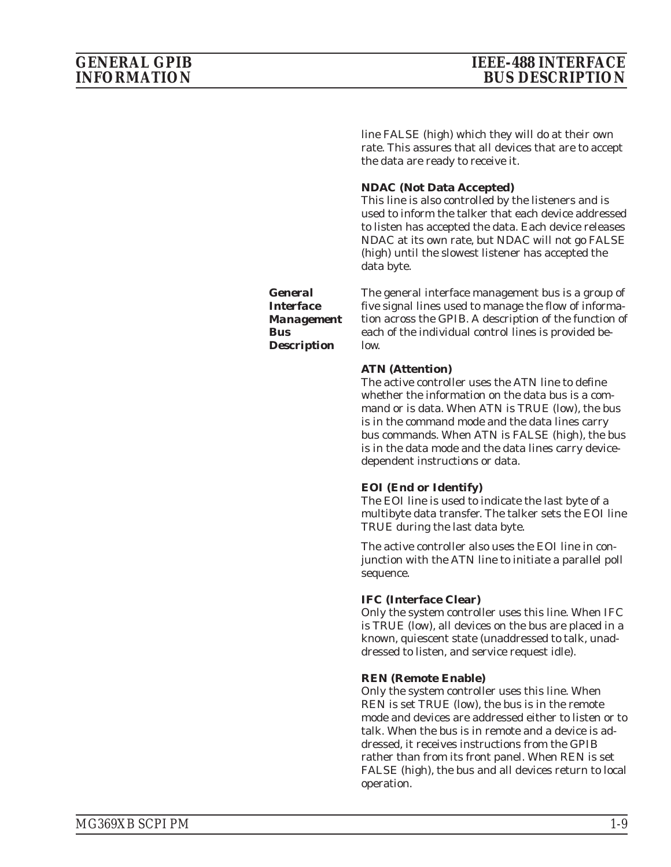<span id="page-16-0"></span>line FALSE (high) which they will do at their own rate. This assures that all devices that are to accept the data are ready to receive it.

#### **NDAC (Not Data Accepted)**

This line is also controlled by the listeners and is used to inform the talker that each device addressed to listen has accepted the data. Each device releases NDAC at its own rate, but NDAC will not go FALSE (high) until the slowest listener has accepted the data byte.

*General Interface Management Bus Description*

The general interface management bus is a group of five signal lines used to manage the flow of information across the GPIB. A description of the function of each of the individual control lines is provided below.

#### **ATN (Attention)**

The active controller uses the ATN line to define whether the information on the data bus is a command or is data. When ATN is TRUE (low), the bus is in the command mode and the data lines carry bus commands. When ATN is FALSE (high), the bus is in the data mode and the data lines carry devicedependent instructions or data.

#### **EOI (End or Identify)**

The EOI line is used to indicate the last byte of a multibyte data transfer. The talker sets the EOI line TRUE during the last data byte.

The active controller also uses the EOI line in conjunction with the ATN line to initiate a parallel poll sequence.

#### **IFC (Interface Clear)**

Only the system controller uses this line. When IFC is TRUE (low), all devices on the bus are placed in a known, quiescent state (unaddressed to talk, unaddressed to listen, and service request idle).

#### **REN (Remote Enable)**

Only the system controller uses this line. When REN is set TRUE (low), the bus is in the remote mode and devices are addressed either to listen or to talk. When the bus is in remote and a device is addressed, it receives instructions from the GPIB rather than from its front panel. When REN is set FALSE (high), the bus and all devices return to local operation.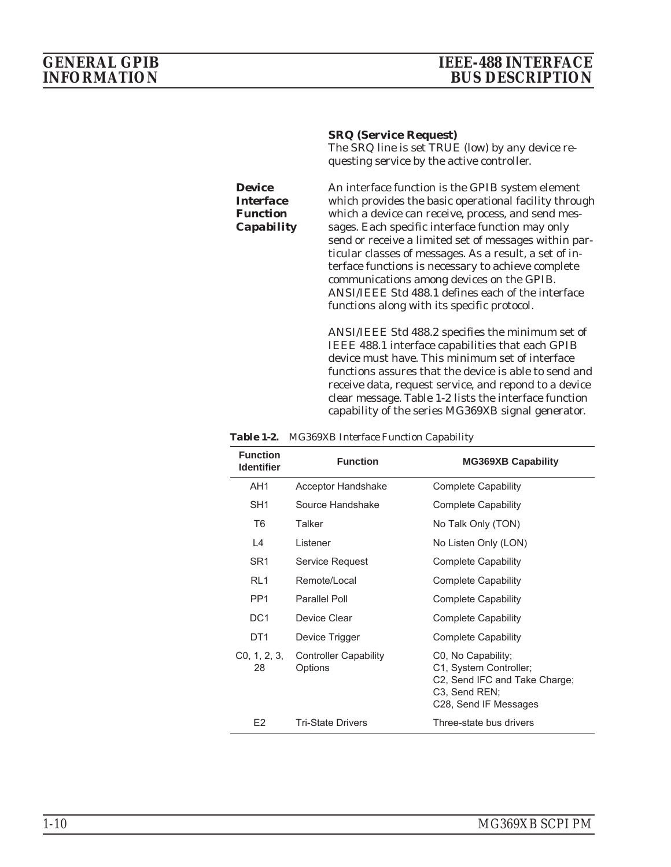### <span id="page-17-0"></span>*GENERAL GPIB IEEE-488 INTERFACE INFORMATION BUS DESCRIPTION*

#### **SRQ (Service Request)**

The SRQ line is set TRUE (low) by any device requesting service by the active controller.

*Device Interface Function Capability* An interface function is the GPIB system element which provides the basic operational facility through which a device can receive, process, and send messages. Each specific interface function may only send or receive a limited set of messages within particular classes of messages. As a result, a set of interface functions is necessary to achieve complete communications among devices on the GPIB. ANSI/IEEE Std 488.1 defines each of the interface functions along with its specific protocol.

ANSI/IEEE Std 488.2 specifies the minimum set of IEEE 488.1 interface capabilities that each GPIB device must have. This minimum set of interface functions assures that the device is able to send and receive data, request service, and repond to a device clear message. Table 1-2 lists the interface function capability of the series MG369XB signal generator.

| <b>Function</b><br><b>Identifier</b> | <b>Function</b>                         | <b>MG369XB Capability</b>                                                                                                                         |
|--------------------------------------|-----------------------------------------|---------------------------------------------------------------------------------------------------------------------------------------------------|
| AH <sub>1</sub>                      | Acceptor Handshake                      | <b>Complete Capability</b>                                                                                                                        |
| SH <sub>1</sub>                      | Source Handshake                        | <b>Complete Capability</b>                                                                                                                        |
| T <sub>6</sub>                       | Talker                                  | No Talk Only (TON)                                                                                                                                |
| $\overline{4}$                       | Listener                                | No Listen Only (LON)                                                                                                                              |
| SR <sub>1</sub>                      | Service Request                         | <b>Complete Capability</b>                                                                                                                        |
| R11                                  | Remote/Local                            | Complete Capability                                                                                                                               |
| PP <sub>1</sub>                      | Parallel Poll                           | Complete Capability                                                                                                                               |
| DC <sub>1</sub>                      | Device Clear                            | Complete Capability                                                                                                                               |
| DT <sub>1</sub>                      | Device Trigger                          | Complete Capability                                                                                                                               |
| C <sub>0</sub> , 1, 2, 3,<br>28      | <b>Controller Capability</b><br>Options | C0, No Capability;<br>C1, System Controller;<br>C2, Send IFC and Take Charge;<br>C <sub>3</sub> , Send REN;<br>C <sub>28</sub> , Send IF Messages |
| E <sub>2</sub>                       | <b>Tri-State Drivers</b>                | Three-state bus drivers                                                                                                                           |

*Table 1-2. MG369XB Interface Function Capability*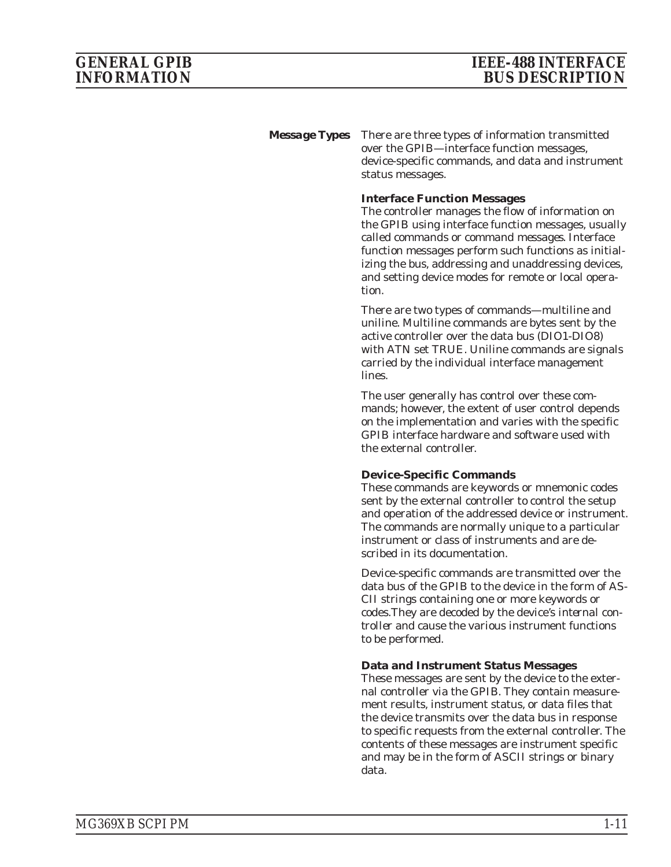<span id="page-18-0"></span>*Message Types* There are three types of information transmitted over the GPIB—interface function messages, device-specific commands, and data and instrument status messages.

#### **Interface Function Messages**

The controller manages the flow of information on the GPIB using interface function messages, usually called *commands* or *command messages*. Interface function messages perform such functions as initializing the bus, addressing and unaddressing devices, and setting device modes for remote or local operation.

There are two types of commands—multiline and uniline. Multiline commands are bytes sent by the active controller over the data bus (DIO1-DIO8) with ATN set TRUE. Uniline commands are signals carried by the individual interface management lines.

The user generally has control over these commands; however, the extent of user control depends on the implementation and varies with the specific GPIB interface hardware and software used with the external controller.

#### **Device-Specific Commands**

These commands are keywords or mnemonic codes sent by the external controller to control the setup and operation of the addressed device or instrument. The commands are normally unique to a particular instrument or class of instruments and are described in its documentation.

Device-specific commands are transmitted over the data bus of the GPIB to the device in the form of AS-CII strings containing one or more keywords or codes.They are decoded by the device's *internal controller* and cause the various instrument functions to be performed.

#### **Data and Instrument Status Messages**

These messages are sent by the device to the external controller via the GPIB. They contain measurement results, instrument status, or data files that the device transmits over the data bus in response to specific requests from the external controller. The contents of these messages are instrument specific and may be in the form of ASCII strings or binary data.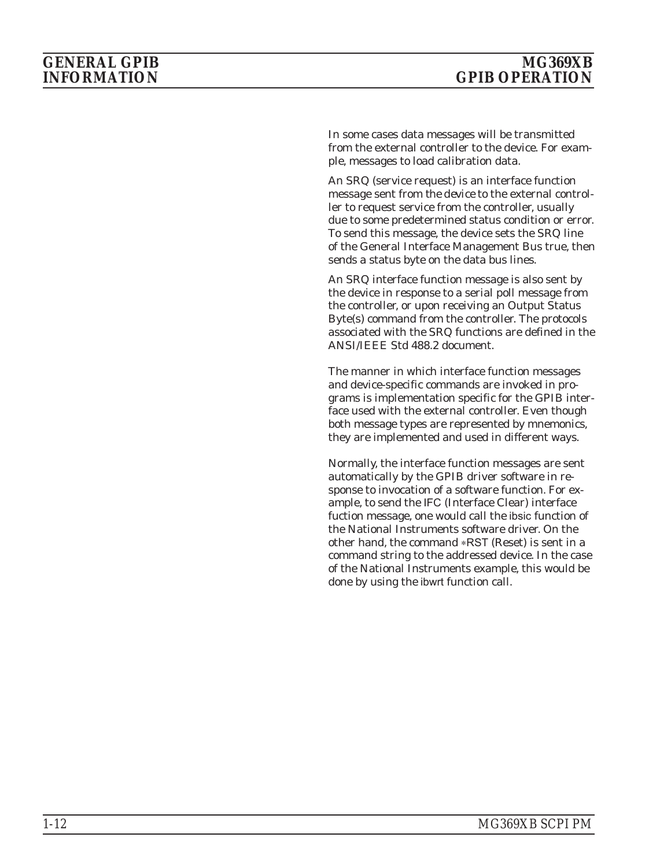In some cases data messages will be transmitted from the external controller to the device. For example, messages to load calibration data.

An SRQ (service request) is an interface function message sent *from the device* to the external controller to request service from the controller, usually due to some predetermined status condition or error. To send this message, the device sets the SRQ line of the General Interface Management Bus true, then sends a status byte on the data bus lines.

An SRQ interface function message is also sent by the device in response to a serial poll message from the controller, or upon receiving an Output Status Byte(s) command from the controller. The protocols associated with the SRQ functions are defined in the ANSI/IEEE Std 488.2 document.

The manner in which interface function messages and device-specific commands are invoked in programs is implementation specific for the GPIB interface used with the external controller. Even though both message types are represented by mnemonics, they are implemented and used in different ways.

Normally, the interface function messages are sent automatically by the GPIB driver software in response to invocation of a software function. For example, to send the IFC (Interface Clear) interface fuction message, one would call the ibsic function of the National Instruments software driver. On the other hand, the command \*RST (Reset) is sent in a command string to the addressed device. In the case of the National Instruments example, this would be done by using the ibwrt function call.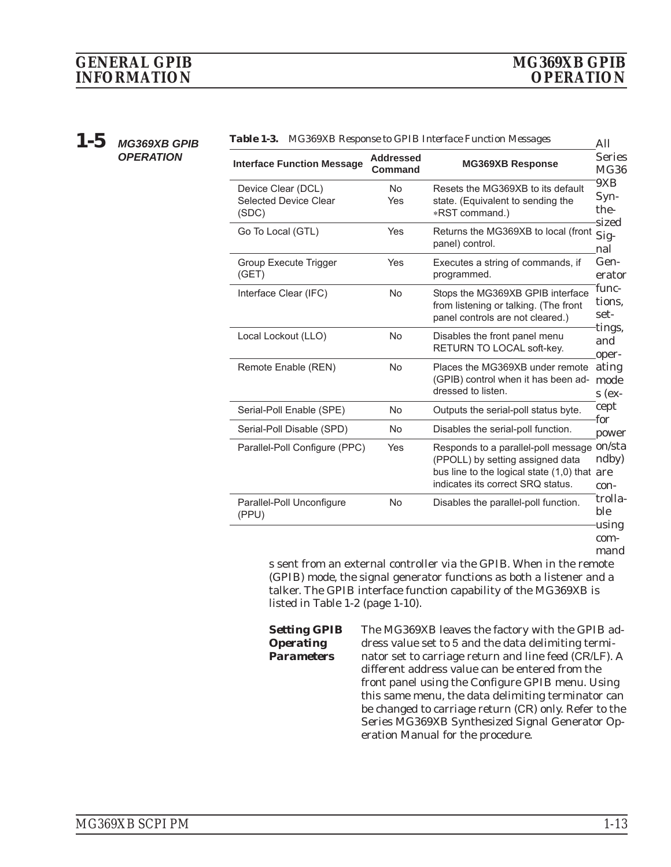<span id="page-20-0"></span>*1-5 MG369XB GPIB OPERATION*

| <b>Table 1-5.</b> MGJ09AD Response to GFTD Interface Punction messages |                                    |                                                                                                                                                                     |                                 |
|------------------------------------------------------------------------|------------------------------------|---------------------------------------------------------------------------------------------------------------------------------------------------------------------|---------------------------------|
| <b>Interface Function Message</b>                                      | <b>Addressed</b><br><b>Command</b> | <b>MG369XB Response</b>                                                                                                                                             | <b>Series</b><br><b>MG36</b>    |
| Device Clear (DCL)<br><b>Selected Device Clear</b><br>(SDC)            | <b>No</b><br>Yes                   | Resets the MG369XB to its default<br>state. (Equivalent to sending the<br>*RST command.)                                                                            | 9XB<br>$Syn-$<br>the-           |
| Go To Local (GTL)                                                      | Yes                                | Returns the MG369XB to local (front<br>panel) control.                                                                                                              | sized<br>Sig-<br>nal            |
| Group Execute Trigger<br>(GET)                                         | Yes                                | Executes a string of commands, if<br>programmed.                                                                                                                    | Gen-<br>erator                  |
| Interface Clear (IFC)                                                  | <b>No</b>                          | Stops the MG369XB GPIB interface<br>from listening or talking. (The front<br>panel controls are not cleared.)                                                       | func-<br>tions,<br>set-         |
| Local Lockout (LLO)                                                    | <b>No</b>                          | Disables the front panel menu<br>RETURN TO LOCAL soft-key.                                                                                                          | tings,<br>and<br>oper-          |
| Remote Enable (REN)                                                    | <b>No</b>                          | Places the MG369XB under remote<br>(GPIB) control when it has been ad-<br>dressed to listen.                                                                        | ating<br>mode<br>$s$ (ex-       |
| Serial-Poll Enable (SPE)                                               | <b>No</b>                          | Outputs the serial-poll status byte.                                                                                                                                | cept                            |
| Serial-Poll Disable (SPD)                                              | No                                 | Disables the serial-poll function.                                                                                                                                  | for<br>power                    |
| Parallel-Poll Configure (PPC)                                          | Yes                                | Responds to a parallel-poll message on/sta<br>(PPOLL) by setting assigned data<br>bus line to the logical state (1,0) that are<br>indicates its correct SRQ status. | ndby)<br>con-                   |
| Parallel-Poll Unconfigure<br>(PPU)                                     | <b>No</b>                          | Disables the parallel-poll function.                                                                                                                                | trolla-<br>ble<br>using<br>com- |

|  | Table 1-3. MG369XB Response to GPIB Interface Function Messages |
|--|-----------------------------------------------------------------|
|--|-----------------------------------------------------------------|

mand

s sent from an external controller via the GPIB. When in the remote (GPIB) mode, the signal generator functions as both a listener and a talker. The GPIB interface function capability of the MG369XB is listed in Table 1-2 (page 1-10).

*Setting GPIB Operating Parameters* The MG369XB leaves the factory with the GPIB address value set to 5 and the data delimiting terminator set to carriage return and line feed (CR/LF). A different address value can be entered from the front panel using the Configure GPIB menu. Using this same menu, the data delimiting terminator can be changed to carriage return (CR) only. Refer to the Series MG369XB Synthesized Signal Generator Operation Manual for the procedure.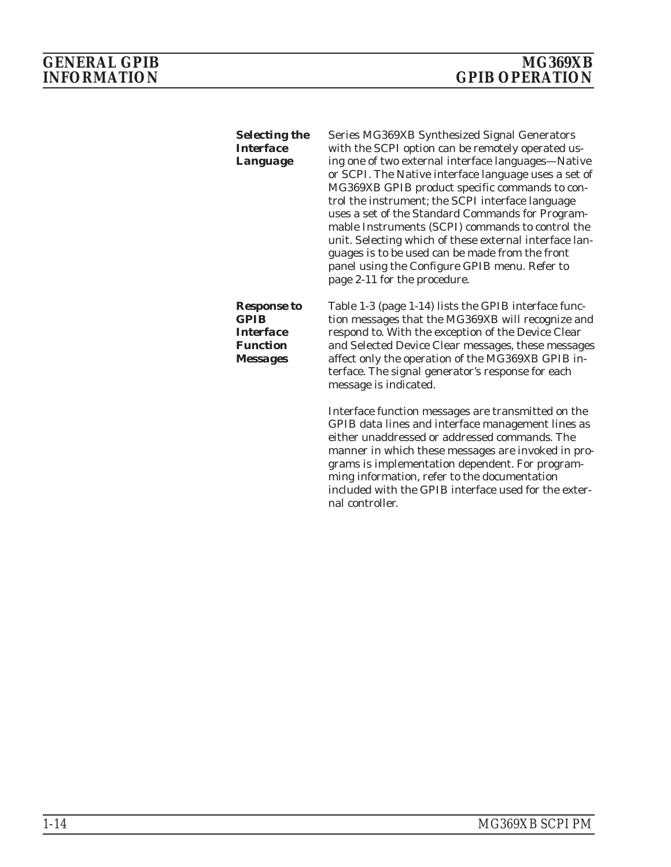<span id="page-21-0"></span>

| <b>Selecting the</b><br><b>Interface</b><br>Language                                        | Series MG369XB Synthesized Signal Generators<br>with the SCPI option can be remotely operated us-<br>ing one of two external interface languages-Native<br>or SCPI. The Native interface language uses a set of<br>MG369XB GPIB product specific commands to con-<br>trol the instrument; the SCPI interface language<br>uses a set of the Standard Commands for Program-<br>mable Instruments (SCPI) commands to control the<br>unit. Selecting which of these external interface lan-<br>guages is to be used can be made from the front<br>panel using the Configure GPIB menu. Refer to<br>page 2-11 for the procedure. |
|---------------------------------------------------------------------------------------------|-----------------------------------------------------------------------------------------------------------------------------------------------------------------------------------------------------------------------------------------------------------------------------------------------------------------------------------------------------------------------------------------------------------------------------------------------------------------------------------------------------------------------------------------------------------------------------------------------------------------------------|
| <b>Response to</b><br><b>GPIB</b><br><b>Interface</b><br><b>Function</b><br><b>Messages</b> | Table 1-3 (page 1-14) lists the GPIB interface func-<br>tion messages that the MG369XB will recognize and<br>respond to. With the exception of the Device Clear<br>and Selected Device Clear messages, these messages<br>affect only the operation of the MG369XB GPIB in-<br>terface. The signal generator's response for each<br>message is indicated.                                                                                                                                                                                                                                                                    |
|                                                                                             | Interface function messages are transmitted on the<br>GPIB data lines and interface management lines as<br>either unaddressed or addressed commands. The<br>manner in which these messages are invoked in pro-<br>grams is implementation dependent. For program-<br>ming information, refer to the documentation<br>included with the GPIB interface used for the exter-<br>nal controller.                                                                                                                                                                                                                                |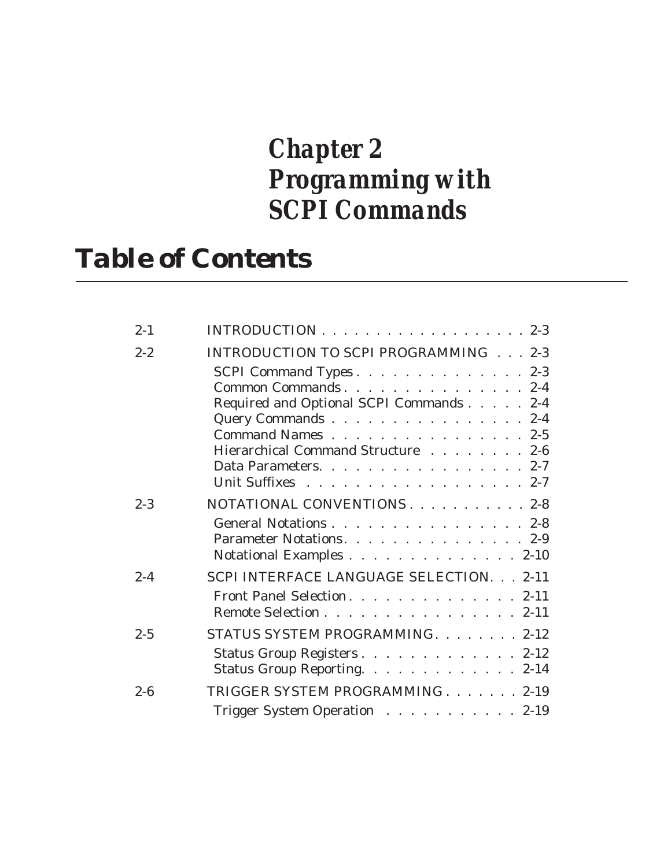# *Chapter 2 Programming with SCPI Commands*

# *Table of Contents*

| $2 - 1$ |                                                                                                                                                                                                                         |
|---------|-------------------------------------------------------------------------------------------------------------------------------------------------------------------------------------------------------------------------|
| $2 - 2$ | INTRODUCTION TO SCPI PROGRAMMING 2-3                                                                                                                                                                                    |
|         | SCPI Command Types 2-3<br>Common Commands. 2-4<br>Required and Optional SCPI Commands 2-4<br>Query Commands 2-4<br>Command Names 2-5<br>Hierarchical Command Structure 2-6<br>Data Parameters. 2-7<br>Unit Suffixes 2-7 |
| $2 - 3$ | NOTATIONAL CONVENTIONS. 2-8<br>General Notations 2-8<br>Parameter Notations. 2-9<br>Notational Examples 2-10                                                                                                            |
| $2 - 4$ | SCPI INTERFACE LANGUAGE SELECTION. 2-11<br>Front Panel Selection. 2-11<br>Remote Selection 2-11                                                                                                                         |
| $2 - 5$ | STATUS SYSTEM PROGRAMMING. 2-12<br>Status Group Registers 2-12<br>Status Group Reporting. 2-14                                                                                                                          |
| $2 - 6$ | TRIGGER SYSTEM PROGRAMMING 2-19<br>Trigger System Operation 2-19                                                                                                                                                        |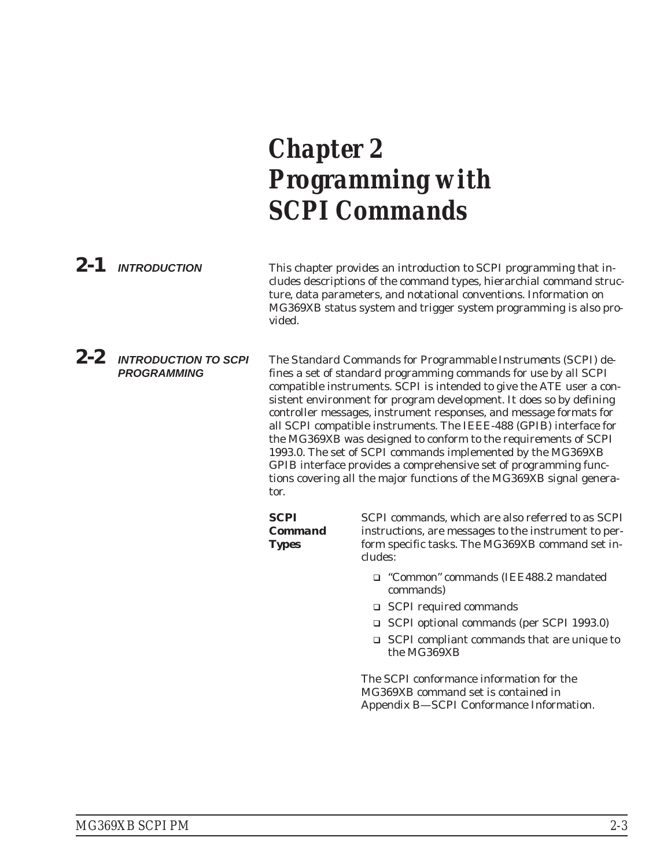# <span id="page-24-0"></span>*Chapter 2 Programming with SCPI Commands*

| $2 - 1$ | <b>INTRODUCTION</b>                               | This chapter provides an introduction to SCPI programming that in-<br>cludes descriptions of the command types, hierarchial command struc-<br>ture, data parameters, and notational conventions. Information on<br>MG369XB status system and trigger system programming is also pro-<br>vided. |                                                                                                                                                                                                                                                                                                                                                                                                                                                                                                                                                                                                                                                                                                            |
|---------|---------------------------------------------------|------------------------------------------------------------------------------------------------------------------------------------------------------------------------------------------------------------------------------------------------------------------------------------------------|------------------------------------------------------------------------------------------------------------------------------------------------------------------------------------------------------------------------------------------------------------------------------------------------------------------------------------------------------------------------------------------------------------------------------------------------------------------------------------------------------------------------------------------------------------------------------------------------------------------------------------------------------------------------------------------------------------|
| $2 - 2$ | <b>INTRODUCTION TO SCPI</b><br><b>PROGRAMMING</b> | tor.                                                                                                                                                                                                                                                                                           | The Standard Commands for Programmable Instruments (SCPI) de-<br>fines a set of standard programming commands for use by all SCPI<br>compatible instruments. SCPI is intended to give the ATE user a con-<br>sistent environment for program development. It does so by defining<br>controller messages, instrument responses, and message formats for<br>all SCPI compatible instruments. The IEEE-488 (GPIB) interface for<br>the MG369XB was designed to conform to the requirements of SCPI<br>1993.0. The set of SCPI commands implemented by the MG369XB<br>GPIB interface provides a comprehensive set of programming func-<br>tions covering all the major functions of the MG369XB signal genera- |
|         |                                                   | <b>SCPI</b><br><b>Command</b>                                                                                                                                                                                                                                                                  | SCPI commands, which are also referred to as SCPI<br>instructions, are messages to the instrument to per-                                                                                                                                                                                                                                                                                                                                                                                                                                                                                                                                                                                                  |

*Types*

form specific tasks. The MG369XB command set includes:

- "Common" commands (IEE488.2 mandated commands)
- □ SCPI required commands
- SCPI optional commands (per SCPI 1993.0)
- SCPI compliant commands that are unique to the MG369XB

The SCPI conformance information for the MG369XB command set is contained in Appendix B—SCPI Conformance Information.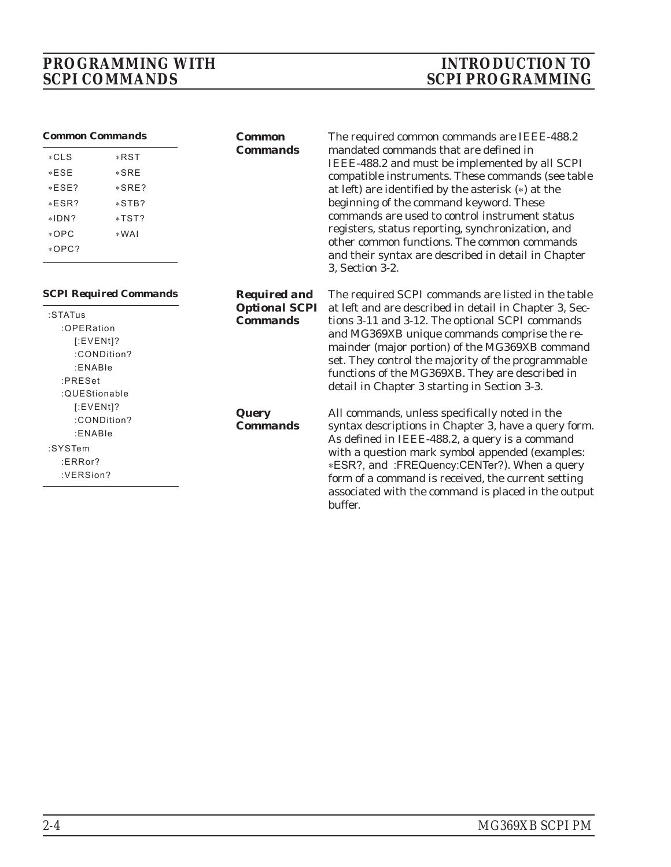# <span id="page-25-0"></span>*PROGRAMMING WITH INTRODUCTION TO*

# *SCPI COMMANDS SCPI PROGRAMMING*

| <b>Common Commands</b>        |             | <b>Common</b>                           | The required common commands are IEEE-488.2                                                                           |
|-------------------------------|-------------|-----------------------------------------|-----------------------------------------------------------------------------------------------------------------------|
| $*CLS$                        | *RST        | <b>Commands</b>                         | mandated commands that are defined in                                                                                 |
| $*ESE$                        | $*SRE$      |                                         | IEEE-488.2 and must be implemented by all SCPI<br>compatible instruments. These commands (see table                   |
| $*ESE?$                       | $*SRE?$     |                                         | at left) are identified by the asterisk (*) at the                                                                    |
| $*ESR?$                       | $*STB?$     |                                         | beginning of the command keyword. These                                                                               |
| $*IDN?$                       | *TST?       |                                         | commands are used to control instrument status                                                                        |
| $*$ OPC                       | $*WAI$      |                                         | registers, status reporting, synchronization, and                                                                     |
| $*OPC?$                       |             |                                         | other common functions. The common commands<br>and their syntax are described in detail in Chapter<br>3, Section 3-2. |
| <b>SCPI Required Commands</b> |             | <b>Required and</b>                     | The required SCPI commands are listed in the table                                                                    |
| :STATus                       |             | <b>Optional SCPI</b><br><b>Commands</b> | at left and are described in detail in Chapter 3, Sec-<br>tions 3-11 and 3-12. The optional SCPI commands             |
| :OPERation                    |             |                                         | and MG369XB unique commands comprise the re-                                                                          |
| $[:EVENT]$ ?                  |             |                                         | mainder (major portion) of the MG369XB command                                                                        |
|                               | :CONDition? |                                         | set. They control the majority of the programmable                                                                    |
| :ENABle<br>:PRESet            |             |                                         | functions of the MG369XB. They are described in                                                                       |
| :QUEStionable                 |             |                                         | detail in Chapter 3 starting in Section 3-3.                                                                          |
| $[$ :EVENt]?                  |             |                                         |                                                                                                                       |
|                               | :CONDition? | <b>Query</b><br><b>Commands</b>         | All commands, unless specifically noted in the                                                                        |
| :ENABle                       |             |                                         | syntax descriptions in Chapter 3, have a query form.<br>As defined in IEEE-488.2, a query is a command                |
| :SYSTem                       |             |                                         | with a question mark symbol appended (examples:                                                                       |
| ERRor?                        |             |                                         | *ESR?, and :FREQuency:CENTer?). When a query                                                                          |
| :VERSion?                     |             |                                         | form of a command is received, the current setting                                                                    |
|                               |             |                                         | associated with the command is placed in the output<br>buffer.                                                        |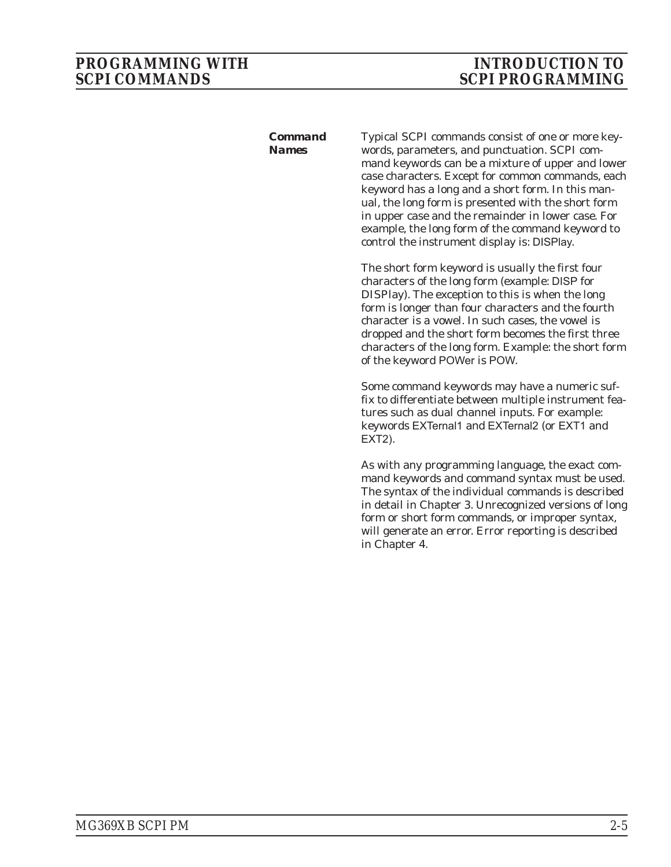<span id="page-26-0"></span>*Command Names*

Typical SCPI commands consist of one or more keywords, parameters, and punctuation. SCPI command keywords can be a mixture of upper and lower case characters. Except for common commands, each keyword has a long and a short form. In this manual, the long form is presented with the short form in upper case and the remainder in lower case. For example, the long form of the command keyword to control the instrument display is: DISPlay.

The short form keyword is usually the first four characters of the long form (example: DISP for DISPlay). The exception to this is when the long form is longer than four characters and the fourth character is a vowel. In such cases, the vowel is dropped and the short form becomes the first three characters of the long form. Example: the short form of the keyword POWer is POW.

Some command keywords may have a numeric suffix to differentiate between multiple instrument features such as dual channel inputs. For example: keywords EXTernal1 and EXTernal2 (or EXT1 and EXT2).

As with any programming language, the exact command keywords and command syntax must be used. The syntax of the individual commands is described in detail in Chapter 3. Unrecognized versions of long form or short form commands, or improper syntax, will generate an error. Error reporting is described in Chapter 4.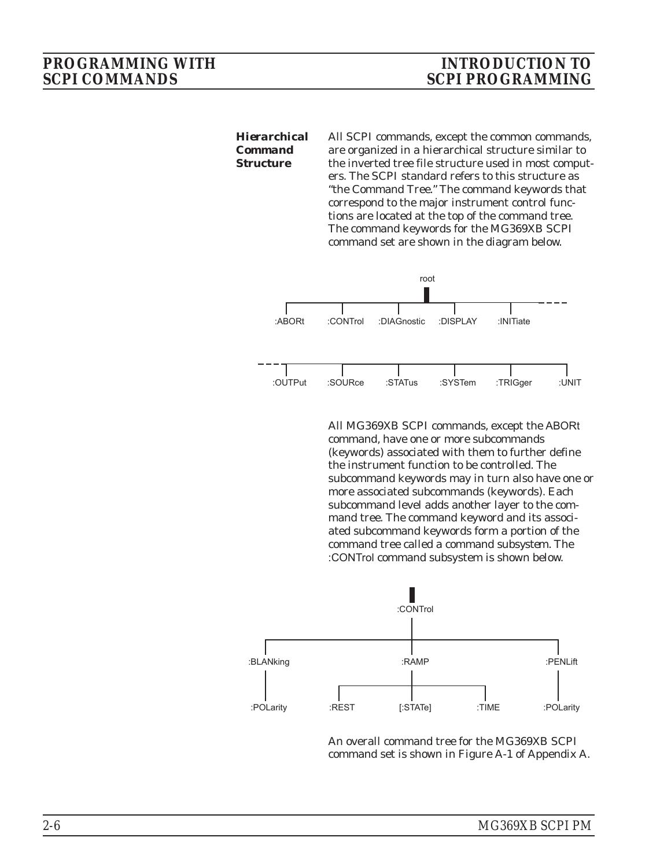<span id="page-27-0"></span>*Hierarchical Command Structure* All SCPI commands, except the common commands, are organized in a hierarchical structure similar to the inverted tree file structure used in most computers. The SCPI standard refers to this structure as "the Command Tree." The command keywords that correspond to the major instrument control functions are located at the top of the command tree. The command keywords for the MG369XB SCPI command set are shown in the diagram below.



All MG369XB SCPI commands, except the ABORt command, have one or more subcommands (keywords) associated with them to further define the instrument function to be controlled. The subcommand keywords may in turn also have one or more associated subcommands (keywords). Each subcommand level adds another layer to the command tree. The command keyword and its associated subcommand keywords form a portion of the command tree called a command *subsystem*. The :CONTrol command subsystem is shown below.



An overall command tree for the MG369XB SCPI command set is shown in Figure A-1 of Appendix A.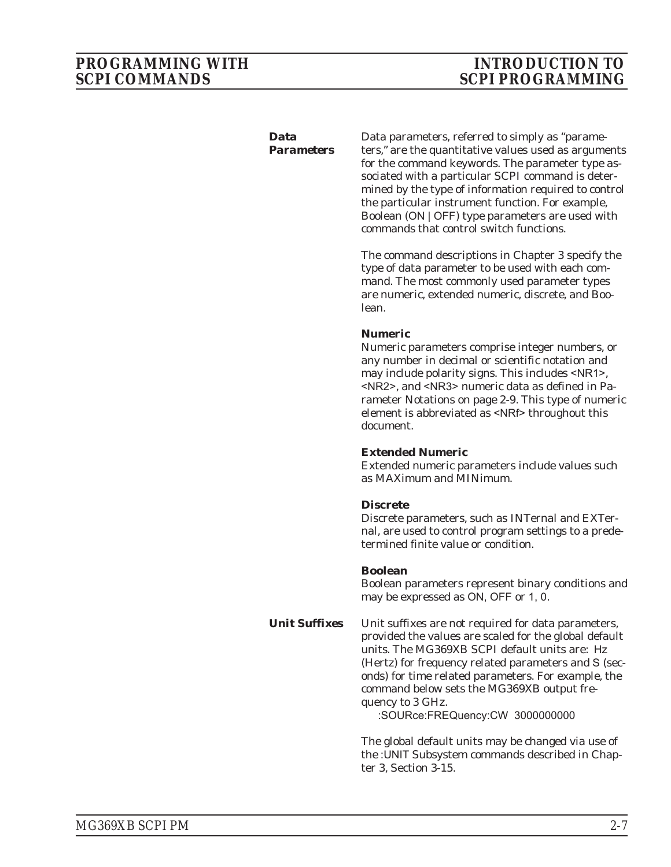#### <span id="page-28-0"></span>*Data Parameters*

Data parameters, referred to simply as "parameters," are the quantitative values used as arguments for the command keywords. The parameter type associated with a particular SCPI command is determined by the type of information required to control the particular instrument function. For example, Boolean (ON | OFF) type parameters are used with commands that control switch functions.

The command descriptions in Chapter 3 specify the type of data parameter to be used with each command. The most commonly used parameter types are numeric, extended numeric, discrete, and Boolean.

#### **Numeric**

Numeric parameters comprise integer numbers, or any number in decimal or scientific notation and may include polarity signs. This includes <NR1>, <NR2>, and <NR3> numeric data as defined in Parameter Notations on page 2-9. This type of numeric element is abbreviated as <NRf> throughout this document.

#### **Extended Numeric**

Extended numeric parameters include values such as MAXimum and MINimum.

#### **Discrete**

Discrete parameters, such as INTernal and EXTernal, are used to control program settings to a predetermined finite value or condition.

#### **Boolean**

Boolean parameters represent binary conditions and may be expressed as ON, OFF or 1, 0.

*Unit Suffixes* Unit suffixes are not required for data parameters, provided the values are scaled for the global default units. The MG369XB SCPI default units are: Hz (Hertz) for frequency related parameters and S (seconds) for time related parameters. For example, the command below sets the MG369XB output frequency to 3 GHz.

:SOURce:FREQuency:CW 3000000000

The global default units may be changed via use of the :UNIT Subsystem commands described in Chapter 3, Section 3-15.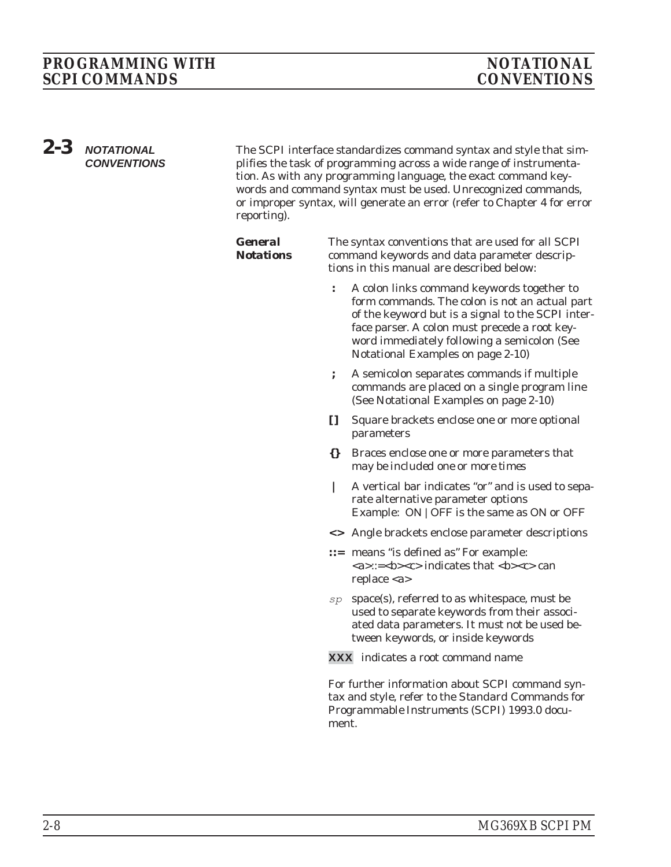### <span id="page-29-0"></span>*PROGRAMMING WITH NOTATIONAL* **SCPI COMMANDS**

*2-3 NOTATIONAL CONVENTIONS*

The SCPI interface standardizes command syntax and style that simplifies the task of programming across a wide range of instrumentation. As with any programming language, the exact command keywords and command syntax must be used. Unrecognized commands, or improper syntax, will generate an error (refer to Chapter 4 for error reporting).

| <b>General</b><br><b>Notations</b> | The syntax conventions that are used for all SCPI<br>command keywords and data parameter descrip-<br>tions in this manual are described below: |                                                                                                                                                                                                                                                                                        |  |
|------------------------------------|------------------------------------------------------------------------------------------------------------------------------------------------|----------------------------------------------------------------------------------------------------------------------------------------------------------------------------------------------------------------------------------------------------------------------------------------|--|
|                                    | $\ddot{\cdot}$                                                                                                                                 | A colon links command keywords together to<br>form commands. The colon is not an actual part<br>of the keyword but is a signal to the SCPI inter-<br>face parser. A colon must precede a root key-<br>word immediately following a semicolon (See<br>Notational Examples on page 2-10) |  |
|                                    | ;                                                                                                                                              | A semicolon separates commands if multiple<br>commands are placed on a single program line<br>(See Notational Examples on page 2-10)                                                                                                                                                   |  |
|                                    | H.                                                                                                                                             | Square brackets enclose one or more optional<br>parameters                                                                                                                                                                                                                             |  |
|                                    | $\{\}$                                                                                                                                         | Braces enclose one or more parameters that<br>may be included one or more times                                                                                                                                                                                                        |  |
|                                    | I                                                                                                                                              | A vertical bar indicates "or" and is used to sepa-<br>rate alternative parameter options<br>Example: ON   OFF is the same as ON or OFF                                                                                                                                                 |  |
|                                    |                                                                                                                                                | <> Angle brackets enclose parameter descriptions                                                                                                                                                                                                                                       |  |
|                                    |                                                                                                                                                | ::= means "is defined as" For example:<br><a>::=<br/>b&gt;<c> indicates that <b><c> can<br/>replace <math><a></a></math></c></b></c></a>                                                                                                                                               |  |
|                                    | sp                                                                                                                                             | space(s), referred to as whitespace, must be<br>used to separate keywords from their associ-                                                                                                                                                                                           |  |

ated data parameters. It *must not* be used between keywords, or inside keywords

**XXX** indicates a root command name

For further information about SCPI command syntax and style, refer to the *Standard Commands for Programmable Instruments (SCPI) 1993.0* document.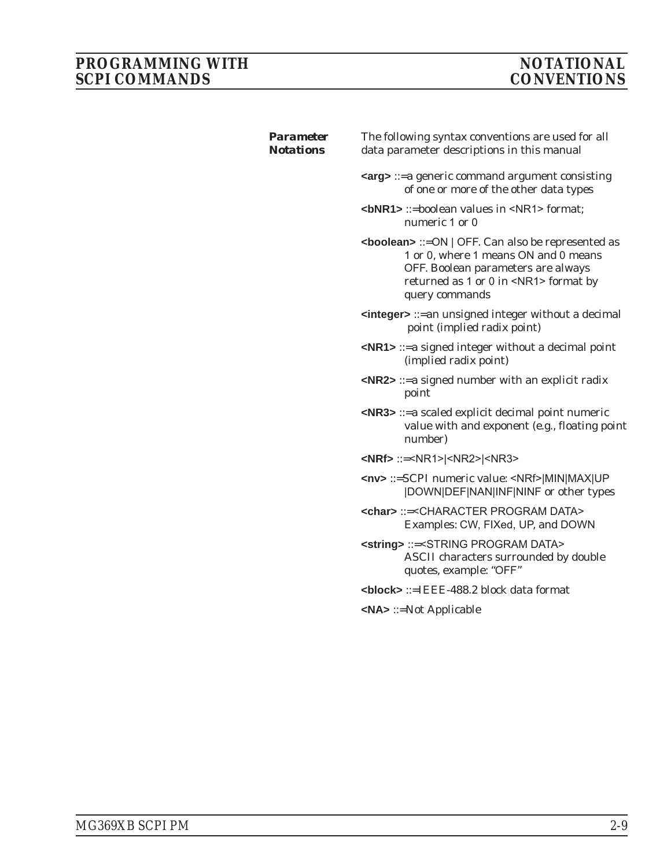### <span id="page-30-0"></span>*PROGRAMMING WITH NOTATIONAL* **SCPI COMMANDS**

| <b>Parameter</b><br><b>Notations</b> | The following syntax conventions are used for all<br>data parameter descriptions in this manual                                                                                                                 |
|--------------------------------------|-----------------------------------------------------------------------------------------------------------------------------------------------------------------------------------------------------------------|
|                                      | <b><arg></arg></b> ::=a generic command argument consisting<br>of one or more of the other data types                                                                                                           |
|                                      | $6 NRR1$ ::=boolean values in $\leq NRT$ format:<br>numeric 1 or 0                                                                                                                                              |
|                                      | <boolean> ::= ON   OFF. Can also be represented as<br/>1 or 0, where 1 means ON and 0 means<br/>OFF. Boolean parameters are always<br/>returned as 1 or 0 in <nr1> format by<br/>query commands</nr1></boolean> |
|                                      | $\leq$ integer $\geq$ ::= an unsigned integer without a decimal<br>point (implied radix point)                                                                                                                  |
|                                      | $\langle$ NR1> ::= a signed integer without a decimal point<br>(implied radix point)                                                                                                                            |
|                                      | $\langle$ NR2> ::= a signed number with an explicit radix<br>point                                                                                                                                              |
|                                      | <nr3> ::= a scaled explicit decimal point numeric<br/>value with and exponent (e.g., floating point<br/>number)</nr3>                                                                                           |
|                                      | $\langle$ NRf> ::= <nr1> <nr2> <nr3></nr3></nr2></nr1>                                                                                                                                                          |
|                                      | <nv> ::=SCPI numeric value: <nrf> MIN MAX UP<br/> DOWN DEF NAN INF NINF or other types</nrf></nv>                                                                                                               |
|                                      | <char> ::=<character data="" program=""><br/>Examples: CW, FIXed, UP, and DOWN</character></char>                                                                                                               |
|                                      | <string> ::=<string data="" program=""><br/>ASCII characters surrounded by double<br/>quotes, example: "OFF"</string></string>                                                                                  |
|                                      | <block> ::=IEEE-488.2 block data format</block>                                                                                                                                                                 |
|                                      | $\langle N \mathsf{A} \rangle ::= \mathsf{Not}\ \mathsf{Applicable}$                                                                                                                                            |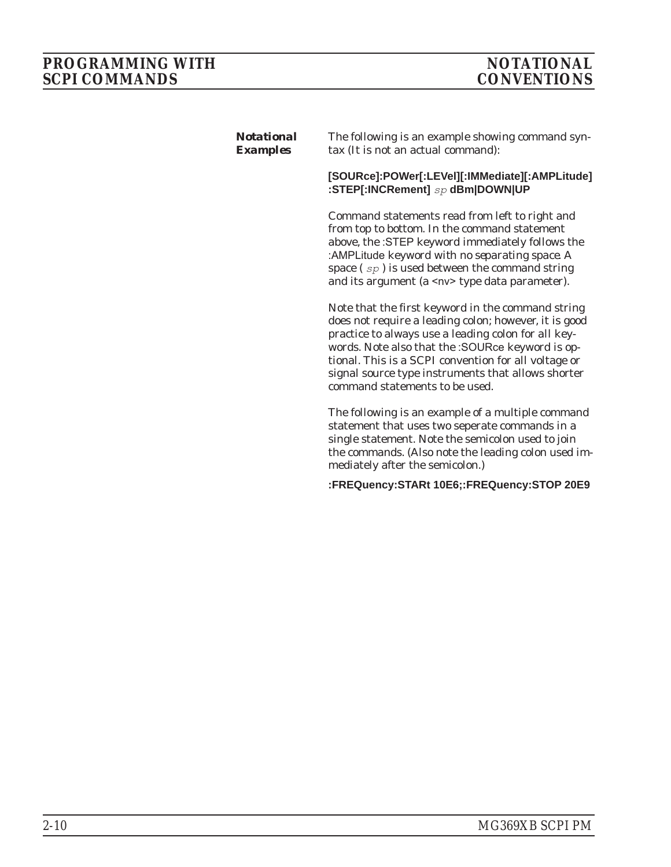### <span id="page-31-0"></span>*PROGRAMMING WITH NOTATIONAL* **SCPI COMMANDS**

| <b>Notational</b><br><b>Examples</b> | The following is an example showing command syn-<br>tax (It is not an actual command):                                                                                                                                                                                                                                                                                |
|--------------------------------------|-----------------------------------------------------------------------------------------------------------------------------------------------------------------------------------------------------------------------------------------------------------------------------------------------------------------------------------------------------------------------|
|                                      | [SOURce]:POWer[:LEVel][:IMMediate][:AMPLitude]<br>:STEP[:INCRement] sp dBm DOWN UP                                                                                                                                                                                                                                                                                    |
|                                      | Command statements read from left to right and<br>from top to bottom. In the command statement<br>above, the :STEP keyword immediately follows the<br>:AMPLitude keyword with no separating space. A<br>space $(sp)$ is used between the command string<br>and its argument (a <nv> type data parameter).</nv>                                                        |
|                                      | Note that the first keyword in the command string<br>does not require a leading colon; however, it is good<br>practice to always use a leading colon for all key-<br>words. Note also that the :SOURce keyword is op-<br>tional. This is a SCPI convention for all voltage or<br>signal source type instruments that allows shorter<br>command statements to be used. |
|                                      | The following is an example of a multiple command<br>statement that uses two seperate commands in a<br>single statement. Note the semicolon used to join<br>the commands. (Also note the leading colon used im-<br>mediately after the semicolon.)                                                                                                                    |
|                                      | :FREQuency:STARt 10E6;:FREQuency:STOP 20E9                                                                                                                                                                                                                                                                                                                            |
|                                      |                                                                                                                                                                                                                                                                                                                                                                       |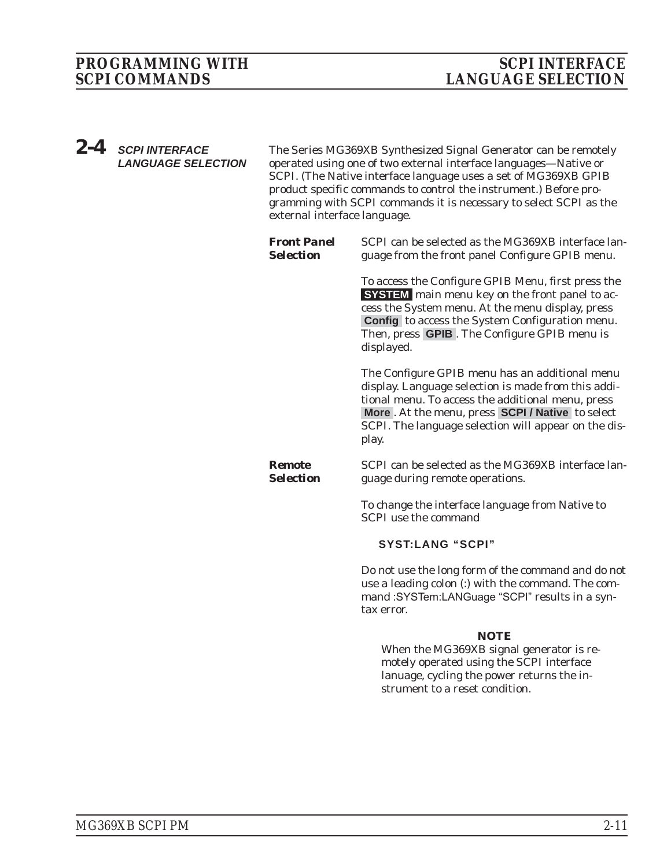<span id="page-32-0"></span>*2-4 SCPI INTERFACE LANGUAGE SELECTION*

The Series MG369XB Synthesized Signal Generator can be remotely operated using one of two external interface languages—Native or SCPI. (The Native interface language uses a set of MG369XB GPIB product specific commands to control the instrument.) Before programming with SCPI commands it is necessary to select SCPI as the external interface language.

*Front Panel Selection* SCPI can be selected as the MG369XB interface language from the front panel Configure GPIB menu. To access the Configure GPIB Menu, first press the **SYSTEM** main menu key on the front panel to access the System menu. At the menu display, press **Config** to access the System Configuration menu. Then, press **GPIB** . The Configure GPIB menu is displayed. The Configure GPIB menu has an additional menu display. Language selection is made from this additional menu. To access the additional menu, press **More** . At the menu, press **SCPI / Native** to select SCPI. The language selection will appear on the display. *Remote Selection* SCPI can be selected as the MG369XB interface language during remote operations. To change the interface language from Native to SCPI use the command **SYST:LANG "SCPI"**

Do not use the long form of the command and do not use a leading colon (:) with the command. The command :SYSTem:LANGuage "SCPI" results in a syntax error.

#### *NOTE*

When the MG369XB signal generator is remotely operated using the SCPI interface lanuage, cycling the power returns the instrument to a reset condition.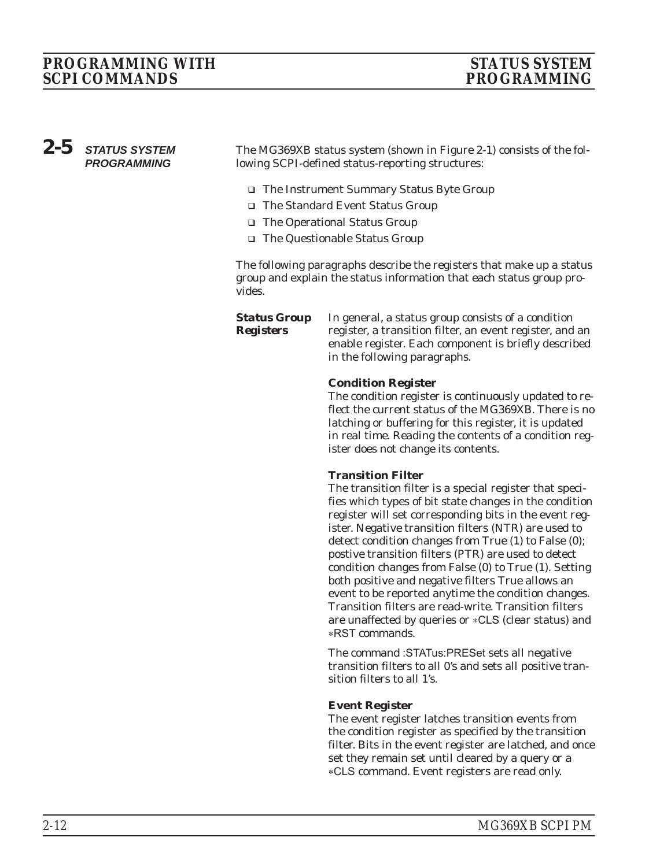# <span id="page-33-0"></span>*PROGRAMMING WITH STATUS SYSTEM*

# *SCPI COMMANDS PROGRAMMING*

### *2-5 STATUS SYSTEM PROGRAMMING*

The MG369XB status system (shown in Figure 2-1) consists of the following SCPI-defined status-reporting structures:

- □ The Instrument Summary Status Byte Group
- □ The Standard Event Status Group
- □ The Operational Status Group

*Registers*

□ The Questionable Status Group

The following paragraphs describe the registers that make up a status group and explain the status information that each status group provides.

*Status Group* In general, a status group consists of a condition register, a transition filter, an event register, and an enable register. Each component is briefly described in the following paragraphs.

#### **Condition Register**

The condition register is continuously updated to reflect the current status of the MG369XB. There is no latching or buffering for this register, it is updated in real time. Reading the contents of a condition register does not change its contents.

#### **Transition Filter**

The transition filter is a special register that specifies which types of bit state changes in the condition register will set corresponding bits in the event register. Negative transition filters (NTR) are used to detect condition changes from True (1) to False (0); postive transition filters (PTR) are used to detect condition changes from False (0) to True (1). Setting both positive and negative filters True allows an event to be reported anytime the condition changes. Transition filters are read-write. Transition filters are unaffected by queries or \*CLS (clear status) and -RST commands.

The command :STATus:PRESet sets all negative transition filters to all 0's and sets all positive transition filters to all 1's.

#### **Event Register**

The event register latches transition events from the condition register as specified by the transition filter. Bits in the event register are latched, and once set they remain set until cleared by a query or a -CLS command. Event registers are read only.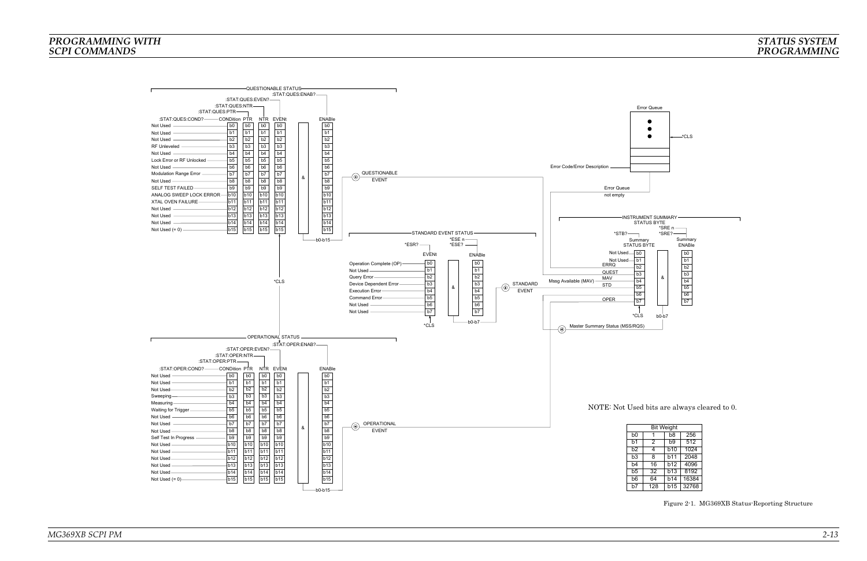

### *PROGRAMMING WITHSCPI COMMANDS*

### *STATUS SYSTEMPROGRAMMING*

| <b>Bit Weight</b> |     |                |       |  |
|-------------------|-----|----------------|-------|--|
|                   |     | b8             | 256   |  |
|                   | 2   | b <sub>9</sub> | 512   |  |
|                   | 4   | <b>b10</b>     | 1024  |  |
|                   | 8   | b11            | 2048  |  |
|                   | 16  | <b>b12</b>     | 4096  |  |
|                   | 32  | b13            | 8192  |  |
|                   | 64  | <b>b14</b>     | 16384 |  |
|                   | 128 | b15            | 32768 |  |

*Figure 2-1. MG369XB Status-Reporting Structure*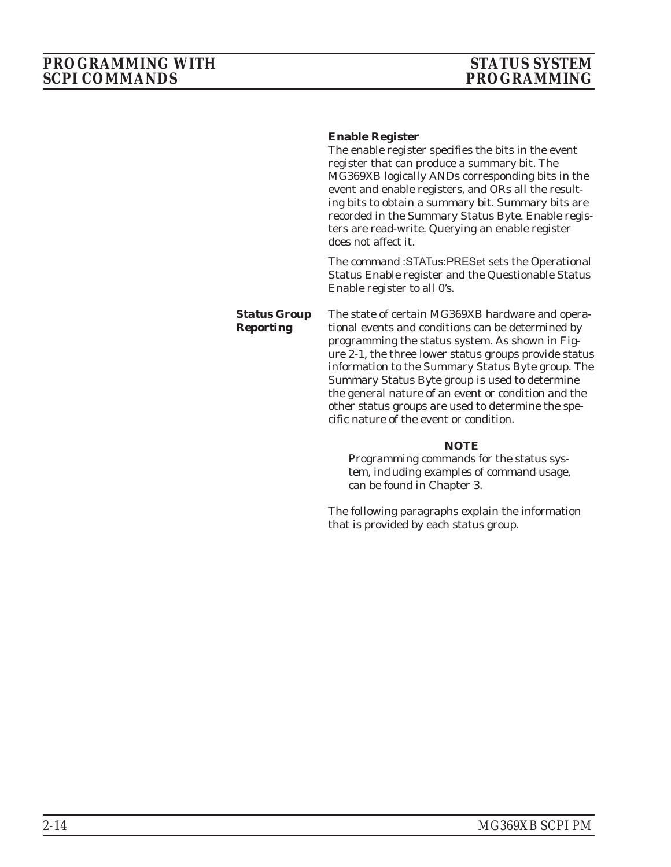#### <span id="page-35-0"></span>**Enable Register**

The enable register specifies the bits in the event register that can produce a summary bit. The MG369XB logically ANDs corresponding bits in the event and enable registers, and ORs all the resulting bits to obtain a summary bit. Summary bits are recorded in the Summary Status Byte. Enable registers are read-write. Querying an enable register does not affect it.

The command :STATus:PRESet sets the Operational Status Enable register and the Questionable Status Enable register to all 0's.

*Status Group Reporting* The state of certain MG369XB hardware and operational events and conditions can be determined by programming the status system. As shown in Figure 2-1, the three lower status groups provide status information to the Summary Status Byte group. The Summary Status Byte group is used to determine the general nature of an event or condition and the other status groups are used to determine the spe-

cific nature of the event or condition.

#### *NOTE*

Programming commands for the status system, including examples of command usage, can be found in Chapter 3.

The following paragraphs explain the information that is provided by each status group.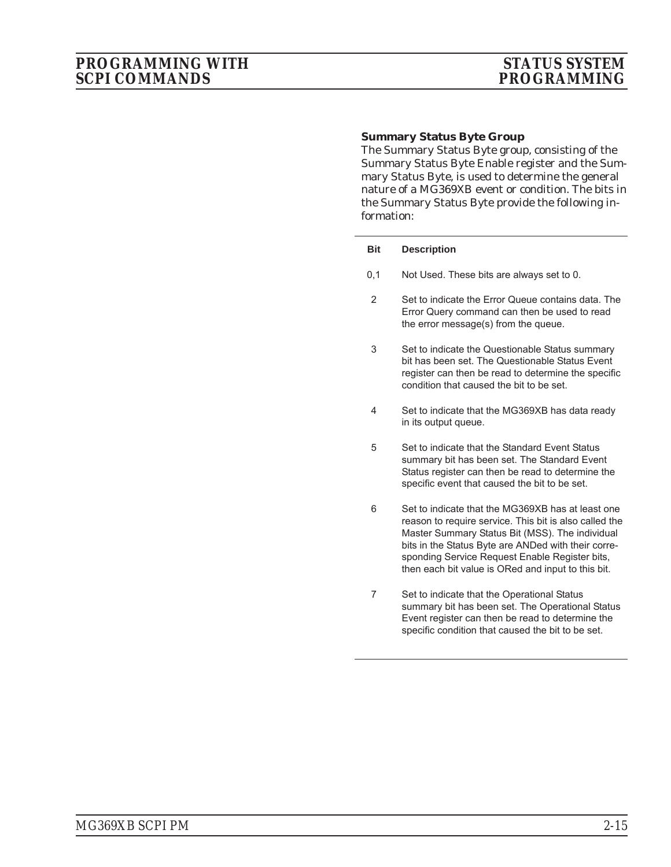#### **Summary Status Byte Group**

The Summary Status Byte group, consisting of the Summary Status Byte Enable register and the Summary Status Byte, is used to determine the general nature of a MG369XB event or condition. The bits in the Summary Status Byte provide the following information:

#### **Bit Description**

- 0,1 Not Used. These bits are always set to 0.
- 2 Set to indicate the Error Queue contains data. The Error Query command can then be used to read the error message(s) from the queue.
- 3 Set to indicate the Questionable Status summary bit has been set. The Questionable Status Event register can then be read to determine the specific condition that caused the bit to be set.
- 4 Set to indicate that the MG369XB has data ready in its output queue.
- 5 Set to indicate that the Standard Event Status summary bit has been set. The Standard Event Status register can then be read to determine the specific event that caused the bit to be set.
- 6 Set to indicate that the MG369XB has at least one reason to require service. This bit is also called the Master Summary Status Bit (MSS). The individual bits in the Status Byte are ANDed with their corresponding Service Request Enable Register bits, then each bit value is ORed and input to this bit.
- 7 Set to indicate that the Operational Status summary bit has been set. The Operational Status Event register can then be read to determine the specific condition that caused the bit to be set.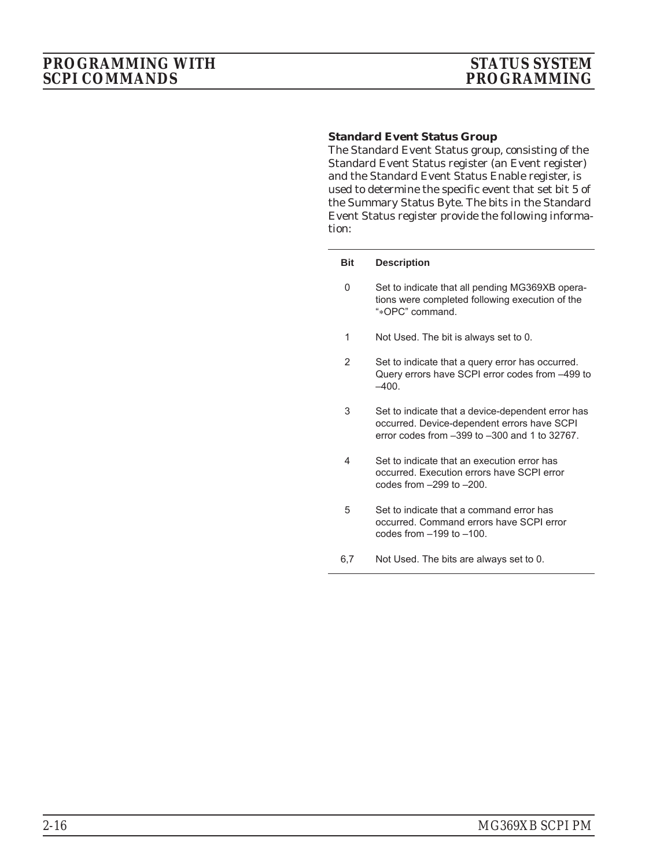#### **Standard Event Status Group**

The Standard Event Status group, consisting of the Standard Event Status register (an Event register) and the Standard Event Status Enable register, is used to determine the specific event that set bit 5 of the Summary Status Byte. The bits in the Standard Event Status register provide the following information:

#### **Bit Description**

- 0 Set to indicate that all pending MG369XB operations were completed following execution of the "-OPC" command.
- 1 Not Used. The bit is always set to 0.
- 2 Set to indicate that a query error has occurred. Query errors have SCPI error codes from –499 to  $-400.$
- 3 Set to indicate that a device-dependent error has occurred. Device-dependent errors have SCPI error codes from –399 to –300 and 1 to 32767.
- 4 Set to indicate that an execution error has occurred. Execution errors have SCPI error codes from –299 to –200.
- 5 Set to indicate that a command error has occurred. Command errors have SCPI error codes from –199 to –100.
- 6,7 Not Used. The bits are always set to 0.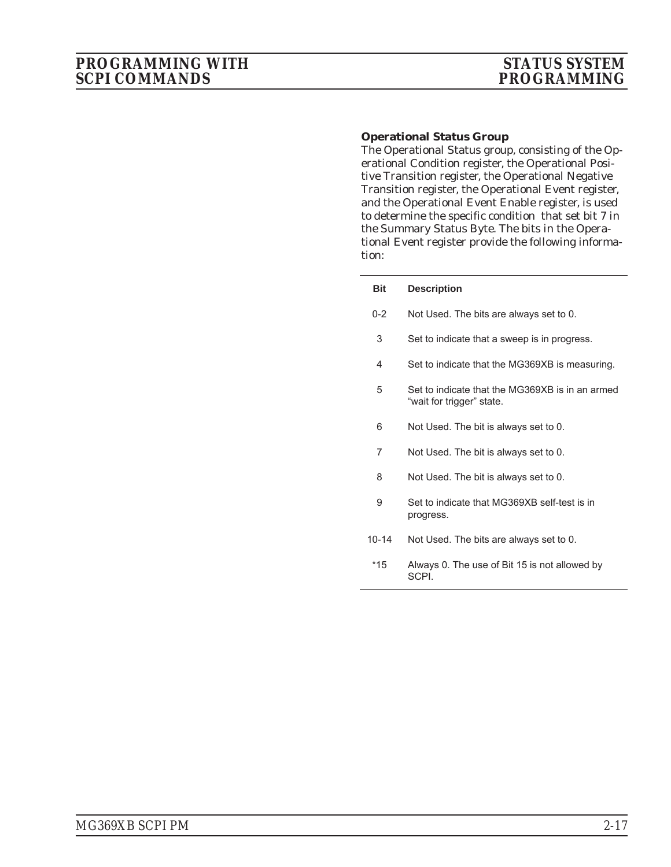#### **Operational Status Group**

The Operational Status group, consisting of the Operational Condition register, the Operational Positive Transition register, the Operational Negative Transition register, the Operational Event register, and the Operational Event Enable register, is used to determine the specific condition that set bit 7 in the Summary Status Byte. The bits in the Operational Event register provide the following information:

| <b>Bit</b> | <b>Description</b>                                                           |
|------------|------------------------------------------------------------------------------|
| $0 - 2$    | Not Used. The bits are always set to 0.                                      |
| 3          | Set to indicate that a sweep is in progress.                                 |
| 4          | Set to indicate that the MG369XB is measuring.                               |
| 5          | Set to indicate that the MG369XB is in an armed<br>"wait for trigger" state. |
| 6          | Not Used. The bit is always set to 0.                                        |
| 7          | Not Used. The bit is always set to 0.                                        |
| 8          | Not Used. The bit is always set to 0.                                        |
| 9          | Set to indicate that MG369XB self-test is in<br>progress.                    |
| 10-14      | Not Used. The bits are always set to 0.                                      |
| *15        | Always 0. The use of Bit 15 is not allowed by<br>SCPI.                       |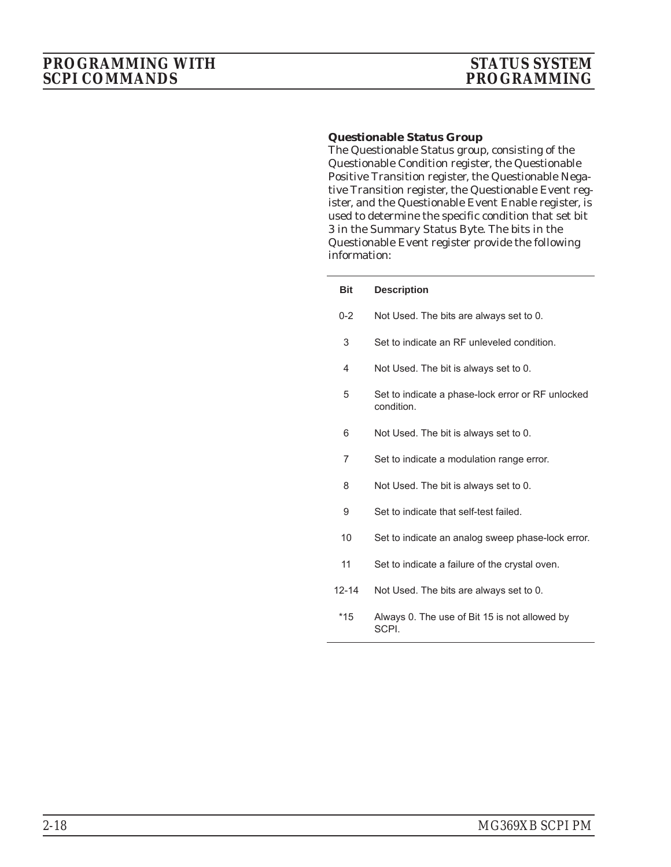### **Questionable Status Group**

The Questionable Status group, consisting of the Questionable Condition register, the Questionable Positive Transition register, the Questionable Negative Transition register, the Questionable Event register, and the Questionable Event Enable register, is used to determine the specific condition that set bit 3 in the Summary Status Byte. The bits in the Questionable Event register provide the following information:

| <b>Bit</b>     | <b>Description</b>                                              |
|----------------|-----------------------------------------------------------------|
| $0 - 2$        | Not Used. The bits are always set to 0.                         |
| 3              | Set to indicate an RF unleveled condition.                      |
| 4              | Not Used. The bit is always set to 0.                           |
| 5              | Set to indicate a phase-lock error or RF unlocked<br>condition. |
| 6              | Not Used. The bit is always set to 0.                           |
| $\overline{7}$ | Set to indicate a modulation range error.                       |
| 8              | Not Used. The bit is always set to 0.                           |
| 9              | Set to indicate that self-test failed.                          |
| 10             | Set to indicate an analog sweep phase-lock error.               |
| 11             | Set to indicate a failure of the crystal oven.                  |
| $12 - 14$      | Not Used. The bits are always set to 0.                         |
| $*15$          | Always 0. The use of Bit 15 is not allowed by<br>SCPI.          |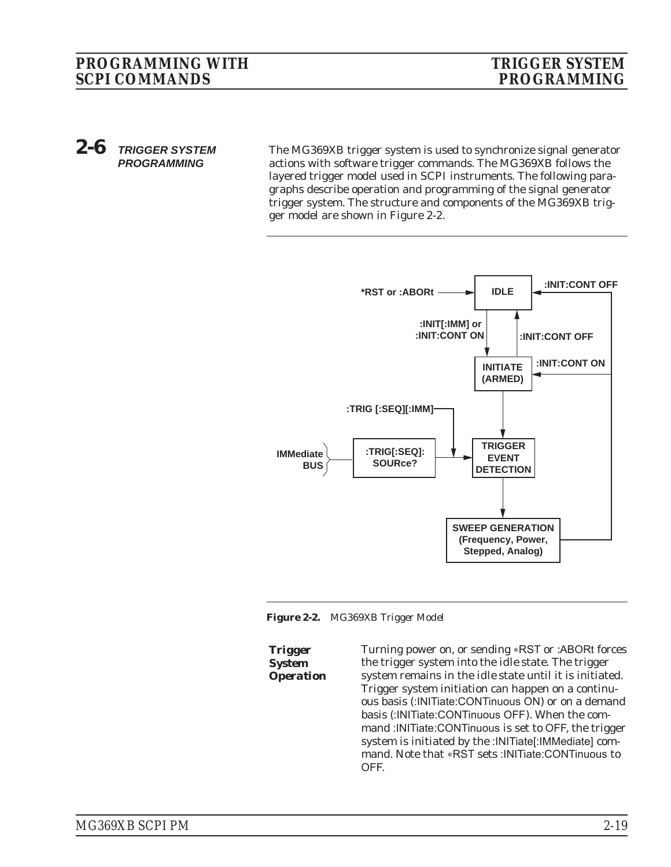*2-6 TRIGGER SYSTEM PROGRAMMING*

The MG369XB trigger system is used to synchronize signal generator actions with software trigger commands. The MG369XB follows the layered trigger model used in SCPI instruments. The following paragraphs describe operation and programming of the signal generator trigger system. The structure and components of the MG369XB trigger model are shown in Figure 2-2.



*Figure 2-2. MG369XB Trigger Model*

*Trigger System*

*Operation* Turning power on, or sending \*RST or :ABORt forces the trigger system into the *idle* state. The trigger system remains in the *idle* state until it is initiated. Trigger system initiation can happen on a continuous basis (:INITiate:CONTinuous ON) or on a demand basis (:INITiate:CONTinuous OFF). When the command :INITiate:CONTinuous is set to OFF, the trigger system is initiated by the :INITiate[:IMMediate] command. Note that \*RST sets :INITiate:CONTinuous to OFF.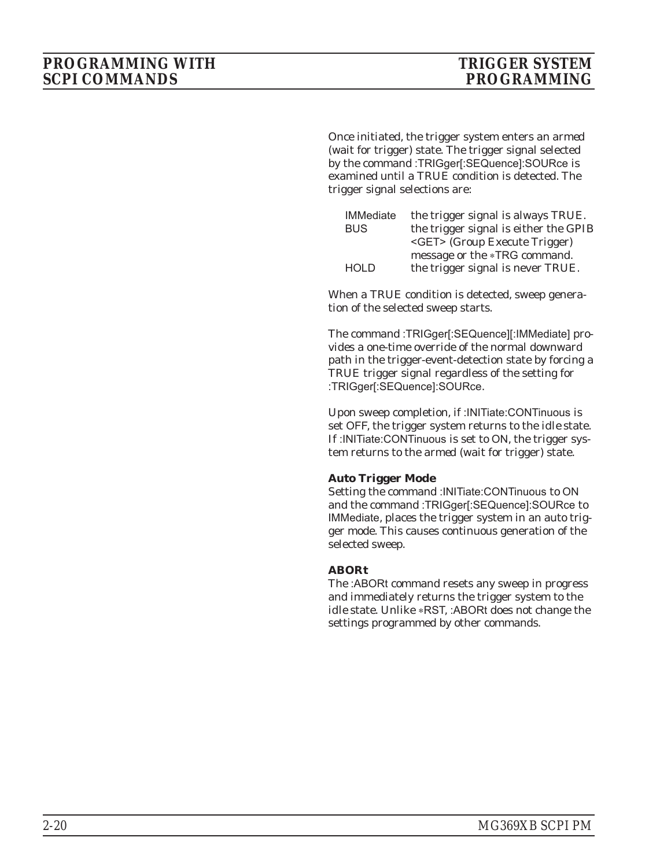Once initiated, the trigger system enters an *armed* (wait for trigger) state. The trigger signal selected by the command :TRIGger[:SEQuence]:SOURce is examined until a TRUE condition is detected. The trigger signal selections are:

| <b>IMMediate</b> | the trigger signal is always TRUE.    |
|------------------|---------------------------------------|
| <b>BUS</b>       | the trigger signal is either the GPIB |
|                  | <get> (Group Execute Trigger)</get>   |
|                  | message or the *TRG command.          |
| <b>HOLD</b>      | the trigger signal is never TRUE.     |

When a TRUE condition is detected, sweep generation of the selected sweep starts.

The command :TRIGger[:SEQuence][:IMMediate] provides a one-time override of the normal downward path in the trigger-event-detection state by forcing a TRUE trigger signal regardless of the setting for :TRIGger[:SEQuence]:SOURce.

Upon sweep completion, if :INITiate:CONTinuous is set OFF, the trigger system returns to the *idle* state. If :INITiate:CONTinuous is set to ON, the trigger system returns to the *armed* (wait for trigger) state.

#### **Auto Trigger Mode**

Setting the command :INITiate:CONTinuous to ON and the command :TRIGger[:SEQuence]:SOURce to IMMediate, places the trigger system in an auto trigger mode. This causes continuous generation of the selected sweep.

#### **ABORt**

The :ABORt command resets any sweep in progress and immediately returns the trigger system to the *idle* state. Unlike \*RST, :ABORt does not change the settings programmed by other commands.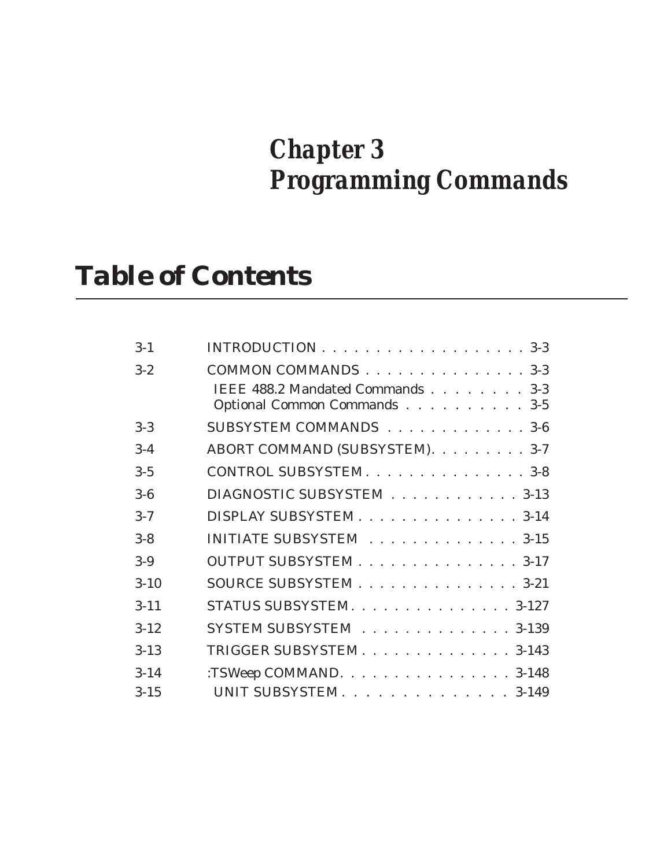# *Chapter 3 Programming Commands*

# *Table of Contents*

| $3 - 1$  |                                                                  |
|----------|------------------------------------------------------------------|
| $3 - 2$  | COMMON COMMANDS 3-3                                              |
|          | IEEE 488.2 Mandated Commands 3-3<br>Optional Common Commands 3-5 |
| $3 - 3$  | SUBSYSTEM COMMANDS 3-6                                           |
| $3 - 4$  | ABORT COMMAND (SUBSYSTEM). 3-7                                   |
| $3 - 5$  | CONTROL SUBSYSTEM. 3-8                                           |
| $3-6$    | DIAGNOSTIC SUBSYSTEM 3-13                                        |
| $3 - 7$  | DISPLAY SUBSYSTEM 3-14                                           |
| $3 - 8$  | INITIATE SUBSYSTEM 3-15                                          |
| $3-9$    | OUTPUT SUBSYSTEM 3-17                                            |
| $3 - 10$ | SOURCE SUBSYSTEM 3-21                                            |
| $3 - 11$ | STATUS SUBSYSTEM. 3-127                                          |
| $3 - 12$ | SYSTEM SUBSYSTEM 3-139                                           |
| $3 - 13$ | TRIGGER SUBSYSTEM 3-143                                          |
| $3 - 14$ | :TSWeep COMMAND. 3-148                                           |
| $3 - 15$ | UNIT SUBSYSTEM. 3-149                                            |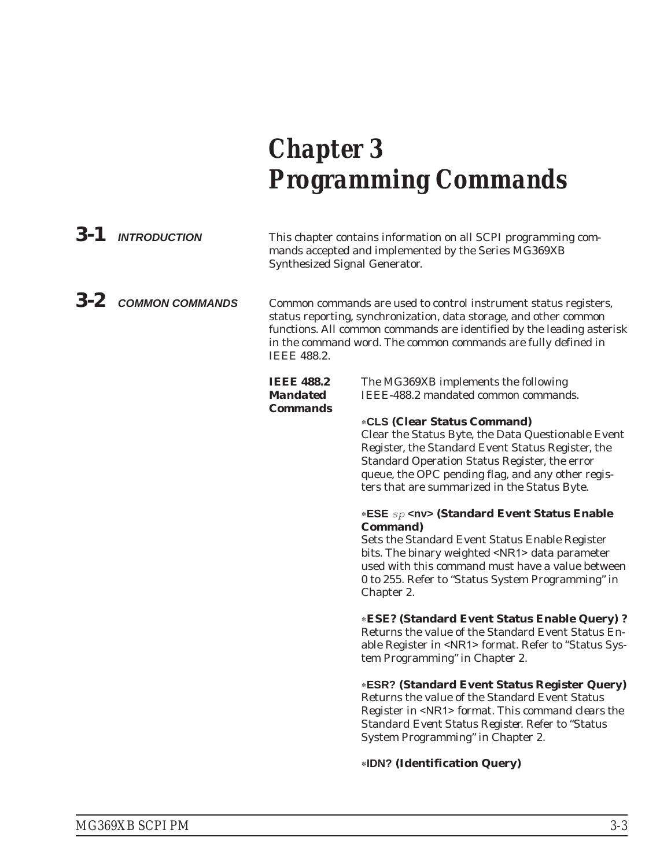# *Chapter 3 Programming Commands*

| $3 - 1$ | <b>INTRODUCTION</b>    | This chapter contains information on all SCPI programming com-<br>mands accepted and implemented by the Series MG369XB<br><b>Synthesized Signal Generator.</b>                                                                                                                                        |                                                                                                                                                                                                                                                                                                                                                                                                                                                                                                                                                                                                                           |  |
|---------|------------------------|-------------------------------------------------------------------------------------------------------------------------------------------------------------------------------------------------------------------------------------------------------------------------------------------------------|---------------------------------------------------------------------------------------------------------------------------------------------------------------------------------------------------------------------------------------------------------------------------------------------------------------------------------------------------------------------------------------------------------------------------------------------------------------------------------------------------------------------------------------------------------------------------------------------------------------------------|--|
| $3 - 2$ | <b>COMMON COMMANDS</b> | Common commands are used to control instrument status registers,<br>status reporting, synchronization, data storage, and other common<br>functions. All common commands are identified by the leading asterisk<br>in the command word. The common commands are fully defined in<br><b>IEEE 488.2.</b> |                                                                                                                                                                                                                                                                                                                                                                                                                                                                                                                                                                                                                           |  |
|         |                        | <b>IEEE 488.2</b><br><b>Mandated</b>                                                                                                                                                                                                                                                                  | The MG369XB implements the following<br>IEEE-488.2 mandated common commands.                                                                                                                                                                                                                                                                                                                                                                                                                                                                                                                                              |  |
|         |                        | <b>Commands</b>                                                                                                                                                                                                                                                                                       | <b>*CLS (Clear Status Command)</b><br>Clear the Status Byte, the Data Questionable Event<br>Register, the Standard Event Status Register, the<br>Standard Operation Status Register, the error<br>queue, the OPC pending flag, and any other regis-<br>ters that are summarized in the Status Byte.<br><b>*ESE</b> $sp$ <nv> (Standard Event Status Enable<br/><b>Command</b>)<br/>Sets the Standard Event Status Enable Register<br/>bits. The binary weighted <nr1> data parameter<br/>used with this command must have a value between<br/>0 to 255. Refer to "Status System Programming" in<br/>Chapter 2.</nr1></nv> |  |
|         |                        |                                                                                                                                                                                                                                                                                                       | *ESE? (Standard Event Status Enable Query)?<br>Returns the value of the Standard Event Status En-<br>able Register in <nr1> format. Refer to "Status Sys-<br/>tem Programming" in Chapter 2.</nr1>                                                                                                                                                                                                                                                                                                                                                                                                                        |  |
|         |                        |                                                                                                                                                                                                                                                                                                       | <b>*ESR? (Standard Event Status Register Query)</b><br>Returns the value of the Standard Event Status<br>Register in <nr1> format. This command clears the<br/>Standard Event Status Register. Refer to "Status<br/>System Programming" in Chapter 2.</nr1>                                                                                                                                                                                                                                                                                                                                                               |  |
|         |                        |                                                                                                                                                                                                                                                                                                       | *IDN? (Identification Query)                                                                                                                                                                                                                                                                                                                                                                                                                                                                                                                                                                                              |  |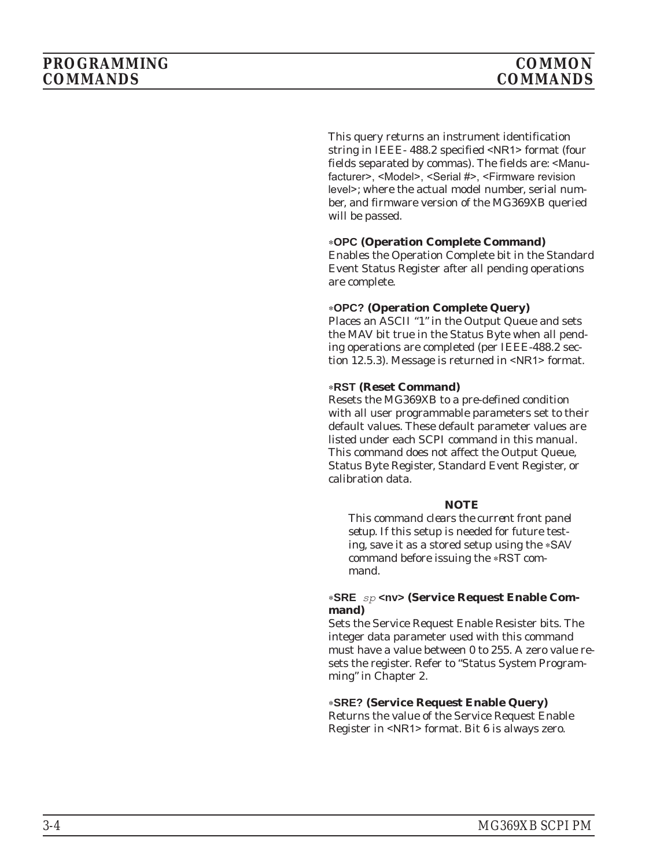This query returns an instrument identification string in IEEE- 488.2 specified <NR1> format (four fields separated by commas). The fields are: <Manufacturer>, <Model>, <Serial #>, <Firmware revision level>; where the actual model number, serial number, and firmware version of the MG369XB queried will be passed.

#### -**OPC (Operation Complete Command)**

Enables the Operation Complete bit in the Standard Event Status Register after all pending operations are complete.

#### -**OPC? (Operation Complete Query)**

Places an ASCII "1" in the Output Queue and sets the MAV bit true in the Status Byte when all pending operations are completed (per IEEE-488.2 section 12.5.3). Message is returned in <NR1> format.

#### -**RST (Reset Command)**

Resets the MG369XB to a pre-defined condition with all user programmable parameters set to their default values. These default parameter values are listed under each SCPI command in this manual. This command does not affect the Output Queue, Status Byte Register, Standard Event Register, or calibration data.

#### *NOTE*

*This command clears the current front panel setup*. If this setup is needed for future testing, save it as a stored setup using the \*SAV command before issuing the \*RST command.

#### **-SRE** *sp* **<nv> (Service Request Enable Command)**

Sets the Service Request Enable Resister bits. The integer data parameter used with this command must have a value between 0 to 255. A zero value resets the register. Refer to "Status System Programming" in Chapter 2.

#### -**SRE? (Service Request Enable Query)**

Returns the value of the Service Request Enable Register in <NR1> format. Bit 6 is always zero.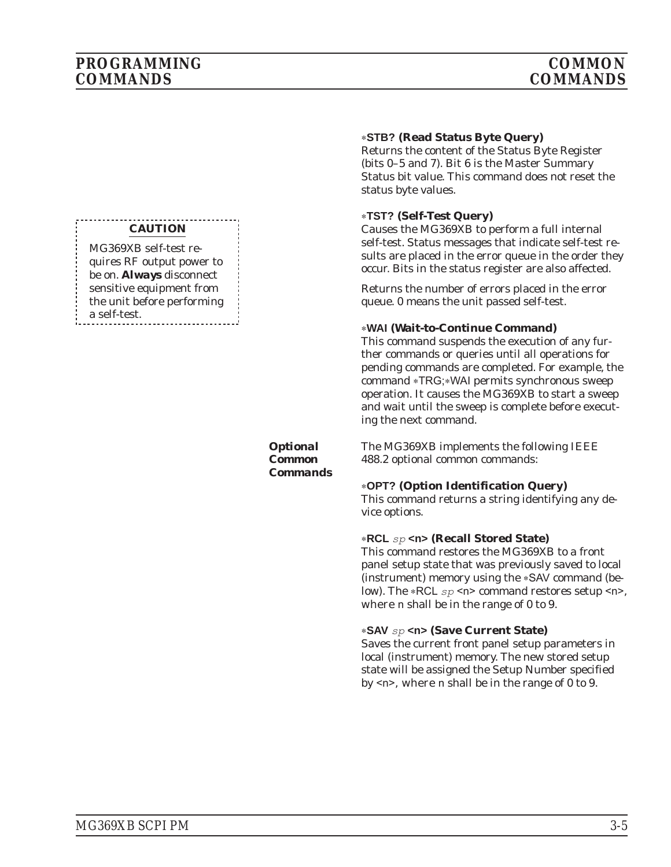#### **CAUTION**

MG369XB self-test requires RF output power to be on. *Always* disconnect sensitive equipment from the unit before performing a self-test.

> *Optional Common Commands*

#### -**STB? (Read Status Byte Query)**

Returns the content of the Status Byte Register (bits 0–5 and 7). Bit 6 is the Master Summary Status bit value. This command does not reset the status byte values.

#### -**TST? (Self-Test Query)**

Causes the MG369XB to perform a full internal self-test. Status messages that indicate self-test results are placed in the error queue in the order they occur. Bits in the status register are also affected.

Returns the number of errors placed in the error queue. 0 means the unit passed self-test.

#### -**WAI (Wait-to-Continue Command)**

This command suspends the execution of any further commands or queries until all operations for pending commands are completed. For example, the command \*TRG;\*WAI permits synchronous sweep operation. It causes the MG369XB to start a sweep and wait until the sweep is complete before executing the next command.

The MG369XB implements the following IEEE 488.2 optional common commands:

#### -**OPT? (Option Identification Query)**

This command returns a string identifying any device options.

## **-RCL** *sp* **<n> (Recall Stored State)**

This command restores the MG369XB to a front panel setup state that was previously saved to local (instrument) memory using the \*SAV command (below). The -RCL *sp* <n> command restores setup <n>, where n shall be in the range of 0 to 9.

## **-SAV** *sp* **<n> (Save Current State)**

Saves the current front panel setup parameters in local (instrument) memory. The new stored setup state will be assigned the Setup Number specified by <n>, where n shall be in the range of 0 to 9.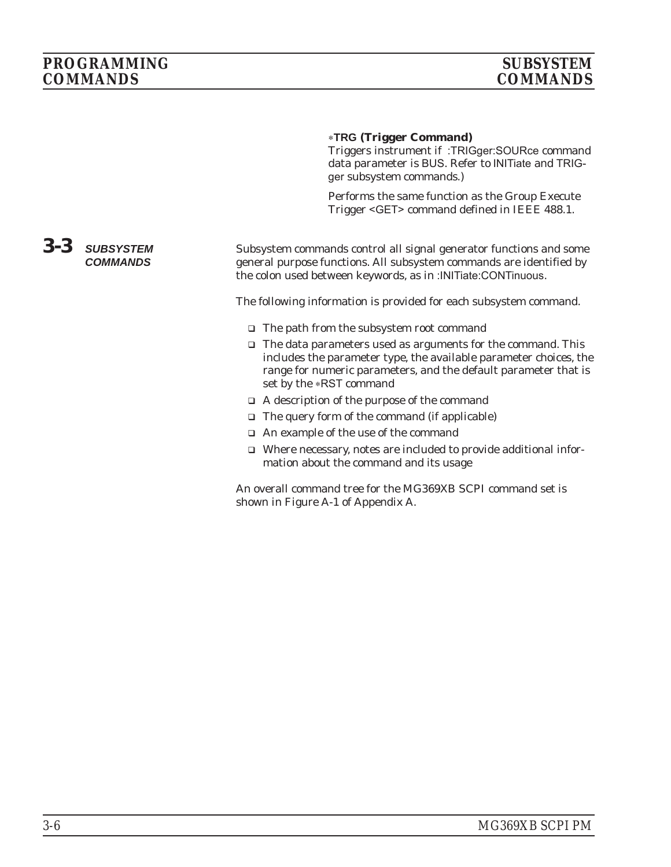#### -**TRG (Trigger Command)**

Triggers instrument if :TRIGger:SOURce command data parameter is BUS. Refer to INITiate and TRIGger subsystem commands.)

Performs the same function as the Group Execute Trigger <GET> command defined in IEEE 488.1.

#### *3-3 SUBSYSTEM COMMANDS* Subsystem commands control all signal generator functions and some general purpose functions. All subsystem commands are identified by the colon used between keywords, as in :INITiate:CONTinuous.

The following information is provided for each subsystem command.

- The path from the subsystem root command
- □ The data parameters used as arguments for the command. This includes the parameter type, the available parameter choices, the range for numeric parameters, and the default parameter that is set by the \*RST command
- A description of the purpose of the command
- □ The query form of the command (if applicable)
- An example of the use of the command
- □ Where necessary, notes are included to provide additional information about the command and its usage

An overall command tree for the MG369XB SCPI command set is shown in Figure A-1 of Appendix A.

#### *3-6 MG369XB SCPI PM*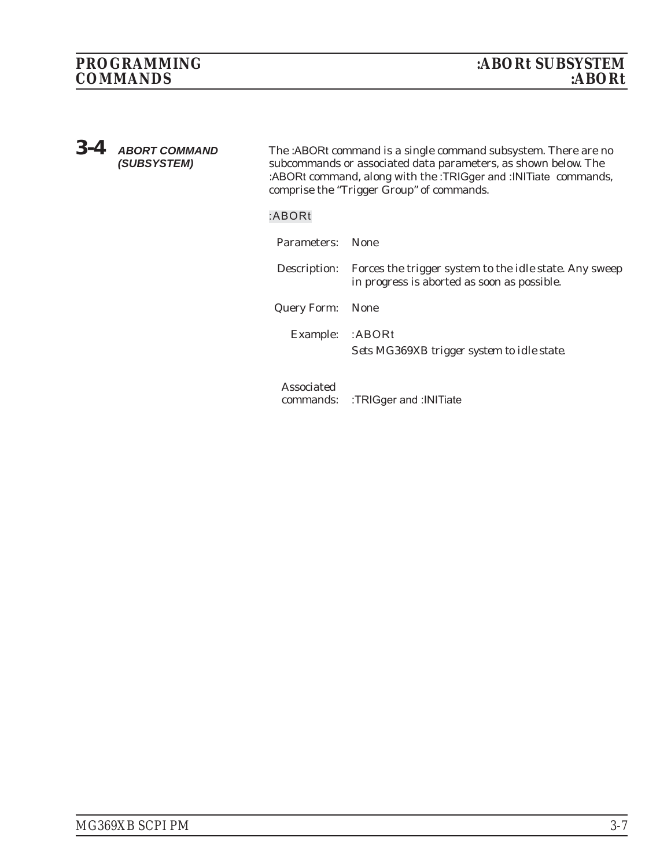*3-4 ABORT COMMAND (SUBSYSTEM)*

The :ABORt command is a single command subsystem. There are no subcommands or associated data parameters, as shown below. The :ABORt command, along with the :TRIGger and :INITiate commands, comprise the "Trigger Group" of commands.

#### **:ABORt**

| Parameters: None        |                                                                                                                           |
|-------------------------|---------------------------------------------------------------------------------------------------------------------------|
|                         | Description: Forces the trigger system to the <i>idle</i> state. Any sweep<br>in progress is aborted as soon as possible. |
| <b>Query Form:</b> None |                                                                                                                           |
| Example: : ABORt        | Sets MG369XB trigger system to idle state.                                                                                |
| Associated              |                                                                                                                           |

commands: :TRIGger and :INITiate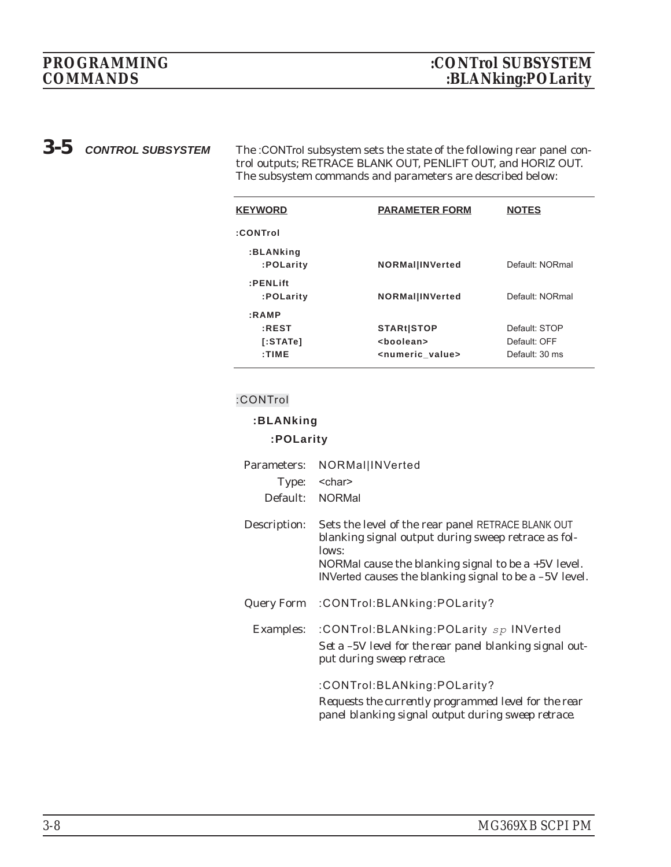*3-5 CONTROL SUBSYSTEM* The :CONTrol subsystem sets the state of the following rear panel control outputs; RETRACE BLANK OUT, PENLIFT OUT, and HORIZ OUT. The subsystem commands and parameters are described below:

| <b>KEYWORD</b>                              | <b>PARAMETER FORM</b>                                                     | <b>NOTES</b>                                    |
|---------------------------------------------|---------------------------------------------------------------------------|-------------------------------------------------|
| :CONTrol                                    |                                                                           |                                                 |
| :BLANking<br>:POLarity                      | <b>NORMallINVerted</b>                                                    | Default: NORmal                                 |
| $:$ <b>PENLift</b><br>:POLarity             | <b>NORMallINVerted</b>                                                    | Default: NORmal                                 |
| : <b>RAWP</b><br>:REST<br>[:STATE]<br>:TIME | <b>STARt STOP</b><br><boolean><br/><numeric value=""></numeric></boolean> | Default: STOP<br>Default: OFF<br>Default: 30 ms |

## **:CONTrol**

#### **:BLANking**

#### **:POLarity**

| Parameters:      | NORMal INVerted                                                                                                                                                                                                                         |
|------------------|-----------------------------------------------------------------------------------------------------------------------------------------------------------------------------------------------------------------------------------------|
| Type:            | <char></char>                                                                                                                                                                                                                           |
| Default:         | <b>NORMal</b>                                                                                                                                                                                                                           |
| Description:     | Sets the level of the rear panel RETRACE BLANK OUT<br>blanking signal output during sweep retrace as fol-<br>lows:<br>NORMal cause the blanking signal to be a $+5V$ level.<br>INVerted causes the blanking signal to be a $-5V$ level. |
| Query Form       | :CONTrol:BLANking:POLarity?                                                                                                                                                                                                             |
| <b>Examples:</b> | :CONTrol:BLANking:POLarity sp INVerted<br>Set a -5V level for the rear panel blanking signal out-<br>put during sweep retrace.                                                                                                          |
|                  | :CONTrol:BLANking:POLarity?<br>Requests the currently programmed level for the rear<br>panel blanking signal output during sweep retrace.                                                                                               |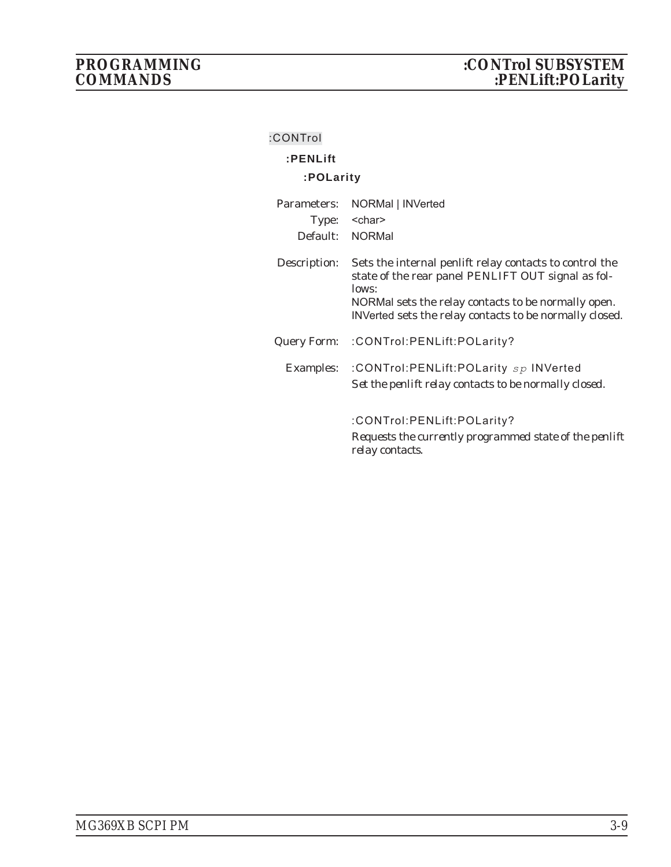| :CONTrol     |                                                                                                                                                                                                                                          |
|--------------|------------------------------------------------------------------------------------------------------------------------------------------------------------------------------------------------------------------------------------------|
| :PENLift     |                                                                                                                                                                                                                                          |
| :POLarity    |                                                                                                                                                                                                                                          |
| Parameters:  | NORMal   INVerted                                                                                                                                                                                                                        |
| Type:        | <char></char>                                                                                                                                                                                                                            |
|              | Default: NORMal                                                                                                                                                                                                                          |
| Description: | Sets the internal penlift relay contacts to control the<br>state of the rear panel PENLIFT OUT signal as fol-<br>lows:<br>NORMal sets the relay contacts to be normally open.<br>INVerted sets the relay contacts to be normally closed. |
|              | Query Form: : CONTrol: PENLift: POLarity?                                                                                                                                                                                                |
|              | Examples: : CONTrol: PENLift: POLarity sp INVerted<br>Set the penlift relay contacts to be normally closed.                                                                                                                              |
|              | :CONTrol:PENLift:POLarity?<br>Requests the currently programmed state of the penlift<br>relay contacts.                                                                                                                                  |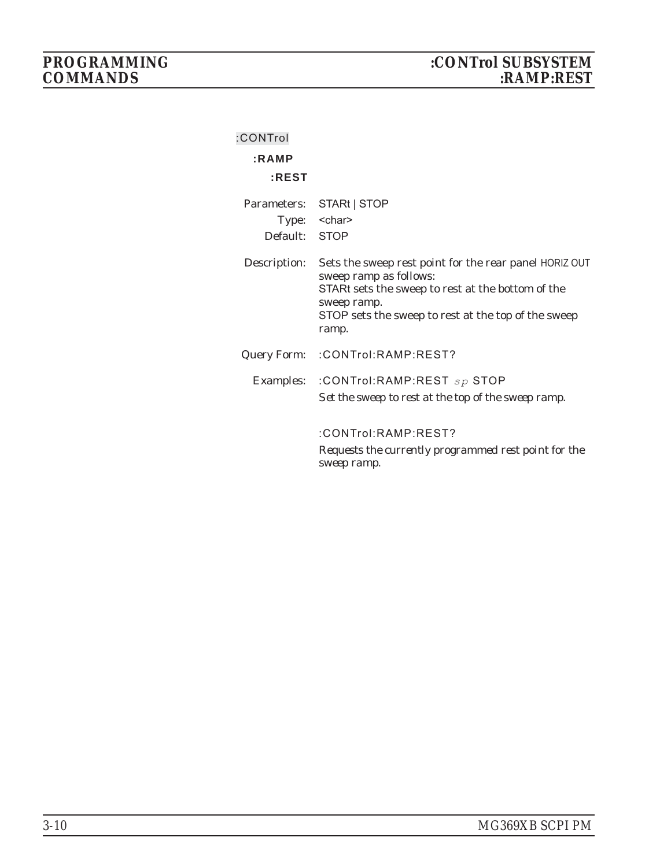| :CONTrol |  |  |  |
|----------|--|--|--|
|          |  |  |  |

# **:RAMP**

# **:REST**

| Parameters:   | STARt   STOP                                                                                                                                                                                                         |
|---------------|----------------------------------------------------------------------------------------------------------------------------------------------------------------------------------------------------------------------|
|               | Type: < char>                                                                                                                                                                                                        |
| Default: STOP |                                                                                                                                                                                                                      |
| Description:  | Sets the sweep rest point for the rear panel HORIZ OUT<br>sweep ramp as follows:<br>STARt sets the sweep to rest at the bottom of the<br>sweep ramp.<br>STOP sets the sweep to rest at the top of the sweep<br>ramp. |
| Query Form:   | :CONTrol:RAMP:REST?                                                                                                                                                                                                  |
|               | Examples: : CONTrol:RAMP:REST sp STOP<br>Set the sweep to rest at the top of the sweep ramp.                                                                                                                         |
|               | :CONTrol:RAMP:REST?<br>Requests the currently programmed rest point for the<br>sweep ramp.                                                                                                                           |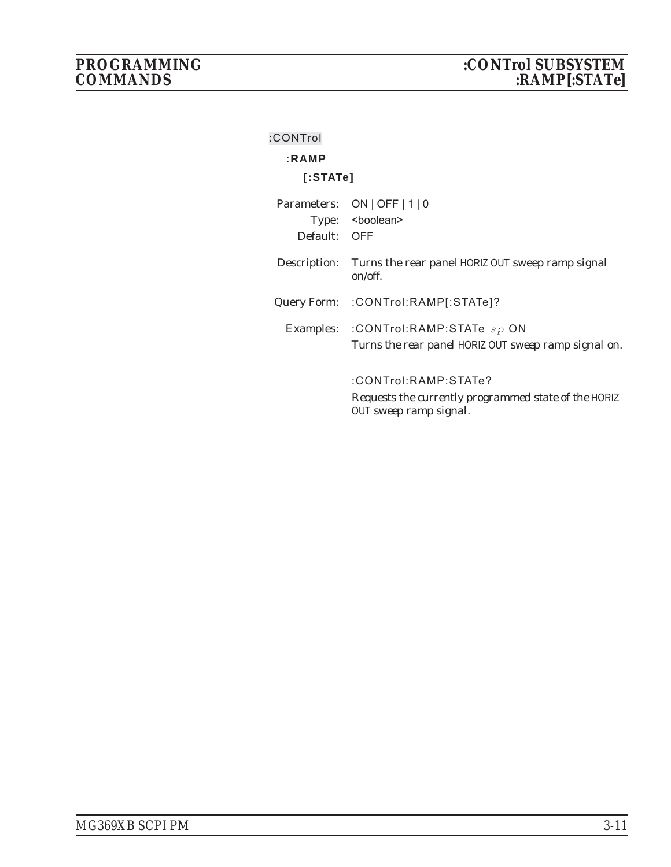| :CONTrol     |                                                                                              |
|--------------|----------------------------------------------------------------------------------------------|
| :RAMP        |                                                                                              |
| [:STATE]     |                                                                                              |
| Parameters:  | $ON$   OFF   1   0                                                                           |
|              | Type: <boolean></boolean>                                                                    |
| Default: OFF |                                                                                              |
| Description: | Turns the rear panel HORIZ OUT sweep ramp signal<br>on/off.                                  |
|              | Query Form: :CONTrol:RAMP[:STATe]?                                                           |
|              | Examples: : CONTrol:RAMP:STATe sp ON<br>Turns the rear panel HORIZ OUT sweep ramp signal on. |
|              |                                                                                              |
|              | :CONTrol:RAMP:STATe?                                                                         |
|              | Requests the currently programmed state of the HORIZ<br>OUT sweep ramp signal.               |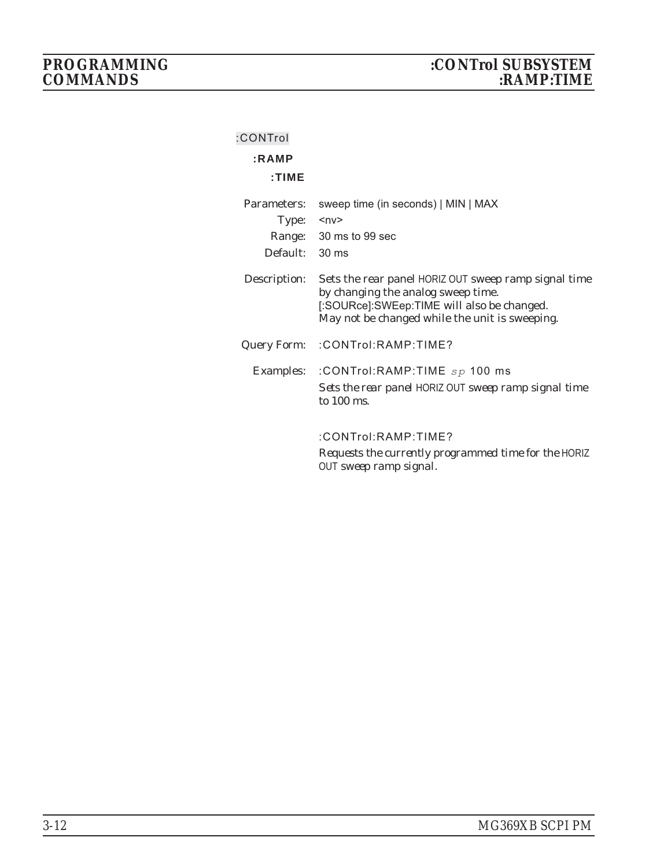| :CONTrol       |                                                                                                                                                                                            |
|----------------|--------------------------------------------------------------------------------------------------------------------------------------------------------------------------------------------|
| :RAMP          |                                                                                                                                                                                            |
| : TIME         |                                                                                                                                                                                            |
| Parameters:    | sweep time (in seconds)   MIN   MAX                                                                                                                                                        |
| Type:          | $ny$                                                                                                                                                                                       |
|                | Range: 30 ms to 99 sec                                                                                                                                                                     |
| Default: 30 ms |                                                                                                                                                                                            |
| Description:   | Sets the rear panel HORIZ OUT sweep ramp signal time<br>by changing the analog sweep time.<br>[:SOURce]:SWEep:TIME will also be changed.<br>May not be changed while the unit is sweeping. |
| Query Form:    | :CONTrol:RAMP:TIME?                                                                                                                                                                        |
| Examples:      | :CONTrol:RAMP:TIME $sp$ 100 ms<br>Sets the rear panel HORIZ OUT sweep ramp signal time<br>to $100$ ms.                                                                                     |
|                | :CONTrol:RAMP:TIME?                                                                                                                                                                        |
|                | Requests the currently programmed time for the HORIZ<br>OUT sweep ramp signal.                                                                                                             |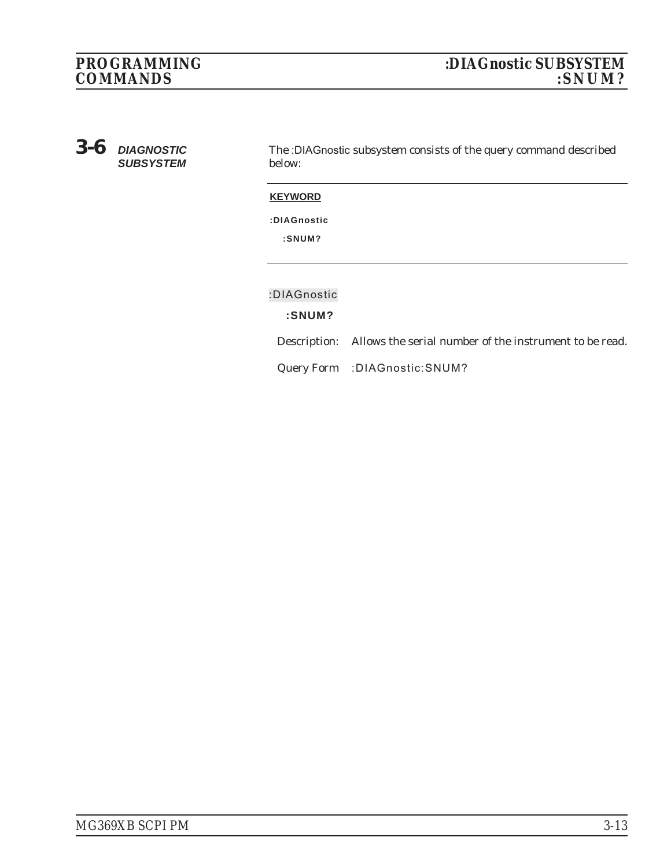# $COMMANDS$

*3-6 DIAGNOSTIC SUBSYSTEM*

The :DIAGnostic subsystem consists of the query command described below:

#### **KEYWORD**

**:DIAGnostic**

**:SNUM?**

**:DIAGnostic**

## **:SNUM?**

Description: Allows the serial number of the instrument to be read.

Query Form :DIAGnostic:SNUM?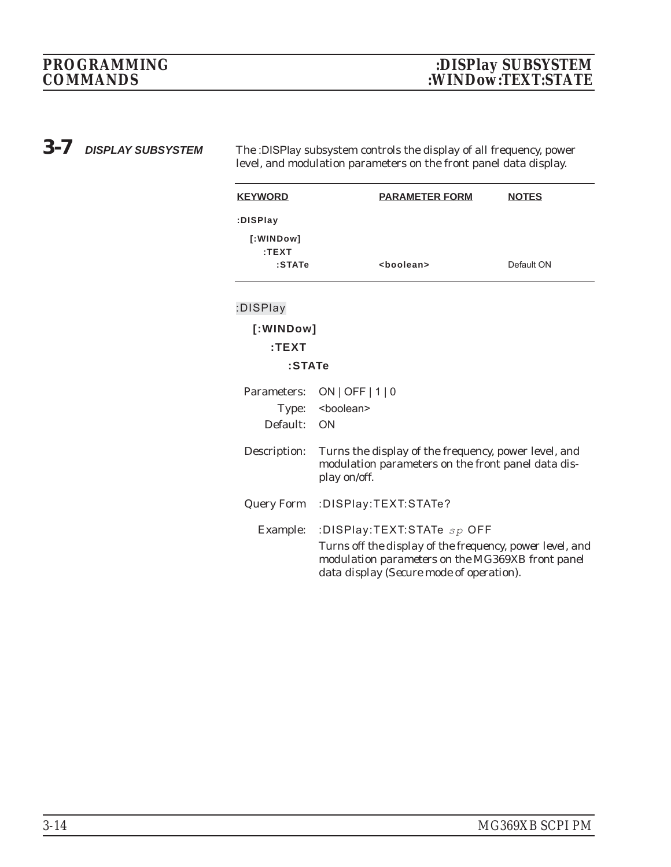*3-7 DISPLAY SUBSYSTEM* The :DISPlay subsystem controls the display of all frequency, power level, and modulation parameters on the front panel data display.

| <b>KEYWORD</b>               | <b>PARAMETER FORM</b>                                                                                                                                                                  | <b>NOTES</b> |
|------------------------------|----------------------------------------------------------------------------------------------------------------------------------------------------------------------------------------|--------------|
| :DISPlay                     |                                                                                                                                                                                        |              |
| [:WINDow]<br>:TEXT<br>:STATe | <boolean></boolean>                                                                                                                                                                    | Default ON   |
|                              |                                                                                                                                                                                        |              |
| :DISPlay                     |                                                                                                                                                                                        |              |
| [:WINDow]                    |                                                                                                                                                                                        |              |
| :TEXT                        |                                                                                                                                                                                        |              |
| :STATe                       |                                                                                                                                                                                        |              |
| Parameters:                  | $ON$   OFF   1   0                                                                                                                                                                     |              |
| Type:                        | <boolean></boolean>                                                                                                                                                                    |              |
| Default:                     | ON                                                                                                                                                                                     |              |
| Description:                 | Turns the display of the frequency, power level, and<br>modulation parameters on the front panel data dis-<br>play on/off.                                                             |              |
| Query Form                   | :DISPlay:TEXT:STATe?                                                                                                                                                                   |              |
| Example:                     | :DISPlay:TEXT:STATe sp OFF<br>Turns off the display of the frequency, power level, and<br>modulation parameters on the MG369XB front panel<br>data display (Secure mode of operation). |              |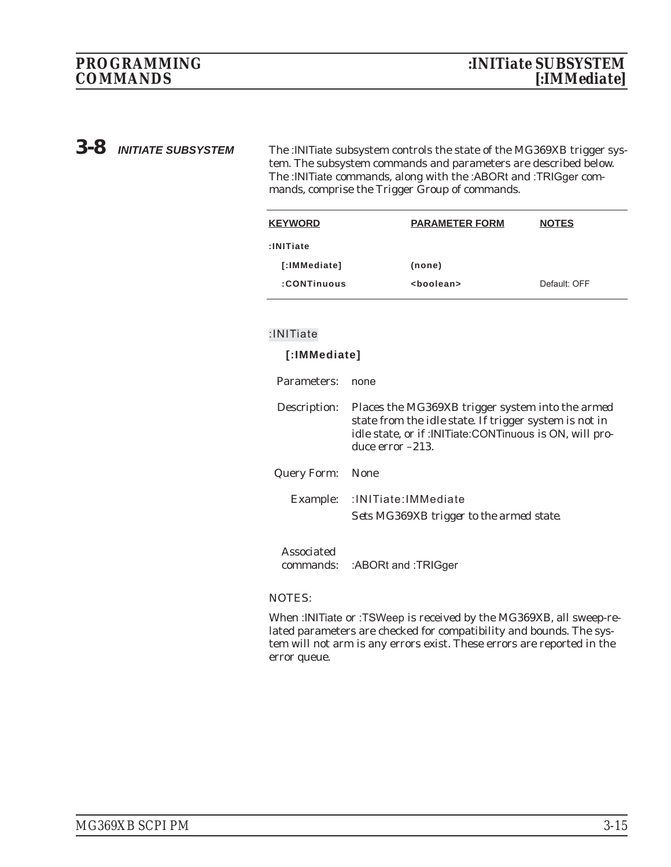*3-8 INITIATE SUBSYSTEM* The :INITiate subsystem controls the state of the MG369XB trigger system. The subsystem commands and parameters are described below. The :INITiate commands, along with the :ABORt and :TRIGger commands, comprise the Trigger Group of commands.

| <b>KEYWORD</b> | <b>PARAMETER FORM</b> | <b>NOTES</b> |
|----------------|-----------------------|--------------|
| $:$ INITiate   |                       |              |
| [:IMMediate]   | (none)                |              |
| :CONTinuous    | <boolean></boolean>   | Default: OFF |

#### **:INITiate**

#### **[:IMMediate]**

| Parameters:      | none                                                                                                                                                                                                         |
|------------------|--------------------------------------------------------------------------------------------------------------------------------------------------------------------------------------------------------------|
| Description:     | Places the MG369XB trigger system into the <i>armed</i><br>state from the <i>idle</i> state. If trigger system is not in<br>idle state, or if : INITiate: CONTinuous is ON, will pro-<br>duce $error -213$ . |
| Query Form: None |                                                                                                                                                                                                              |
| Example:         | :INITiate:IMMediate<br>Sets MG369XB trigger to the armed state.                                                                                                                                              |
|                  |                                                                                                                                                                                                              |

Associated commands: :ABORt and :TRIGger

#### NOTES:

When :INITiate or :TSWeep is received by the MG369XB, all sweep-related parameters are checked for compatibility and bounds. The system will not arm is any errors exist. These errors are reported in the error queue.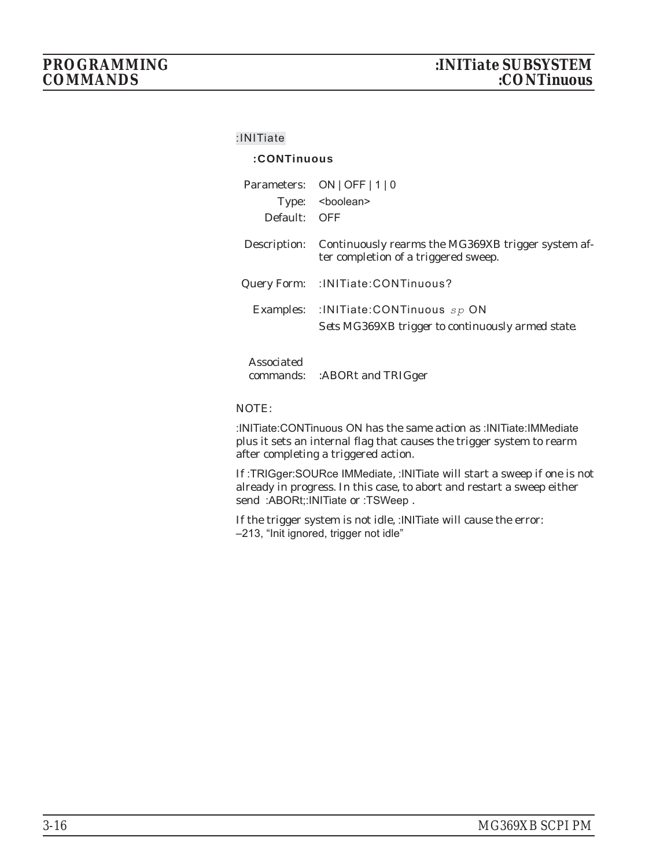#### **:INITiate**

#### **:CONTinuous**

| Default: OFF | Parameters: ON   OFF   1   0<br>Type: <boolean></boolean>                                     |
|--------------|-----------------------------------------------------------------------------------------------|
| Description: | Continuously rearms the MG369XB trigger system af-<br>ter completion of a triggered sweep.    |
|              | Query Form: : INITiate: CONTinuous?                                                           |
|              | Examples: : INITiate: CONTinuous $sp$ ON<br>Sets MG369XB trigger to continuously armed state. |
| Associated   |                                                                                               |

commands: :ABORt and TRIGger

#### NOTE:

:INITiate:CONTinuous ON has the same action as :INITiate:IMMediate plus it sets an internal flag that causes the trigger system to rearm after completing a triggered action.

If :TRIGger:SOURce IMMediate, :INITiate will start a sweep if one is not already in progress. In this case, to abort and restart a sweep either send :ABORt;:INITiate or :TSWeep.

If the trigger system is not idle, :INITiate will cause the error: –213, "Init ignored, trigger not idle"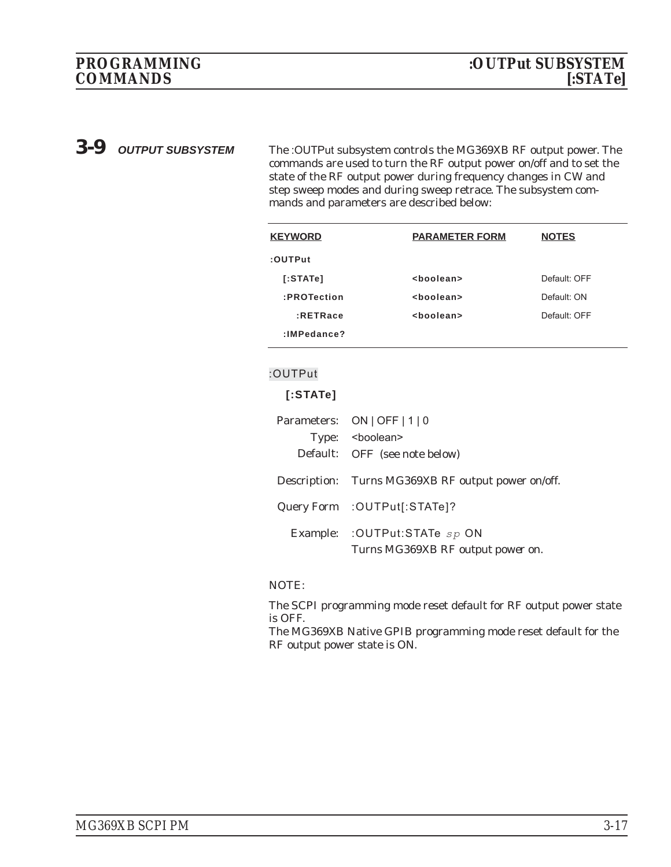*3-9 OUTPUT SUBSYSTEM* The :OUTPut subsystem controls the MG369XB RF output power. The commands are used to turn the RF output power on/off and to set the state of the RF output power during frequency changes in CW and step sweep modes and during sweep retrace. The subsystem commands and parameters are described below:

| <b>KEYWORD</b> | <b>PARAMETER FORM</b> | <b>NOTES</b> |
|----------------|-----------------------|--------------|
| :OUTPut        |                       |              |
| [:STATE]       | <boolean></boolean>   | Default: OFF |
| :PROTection    | <boolean></boolean>   | Default: ON  |
| $:$ RETRace    | <boolean></boolean>   | Default: OFF |
| $:$ IMPedance? |                       |              |
|                |                       |              |

#### **:OUTPut**

### **[:STATe]**

| Parameters: ON   OFF   1   0                                          |
|-----------------------------------------------------------------------|
| Type: <boolean></boolean>                                             |
| Default: OFF (see note below)                                         |
| Description: Turns MG369XB RF output power on/off.                    |
| Query Form : OUTPut[:STATe]?                                          |
| Example: : OUTPut: STATe $sp$ ON<br>Turns MG369XB RF output power on. |
|                                                                       |

#### NOTE:

The SCPI programming mode reset default for RF output power state is OFF.

The MG369XB Native GPIB programming mode reset default for the RF output power state is ON.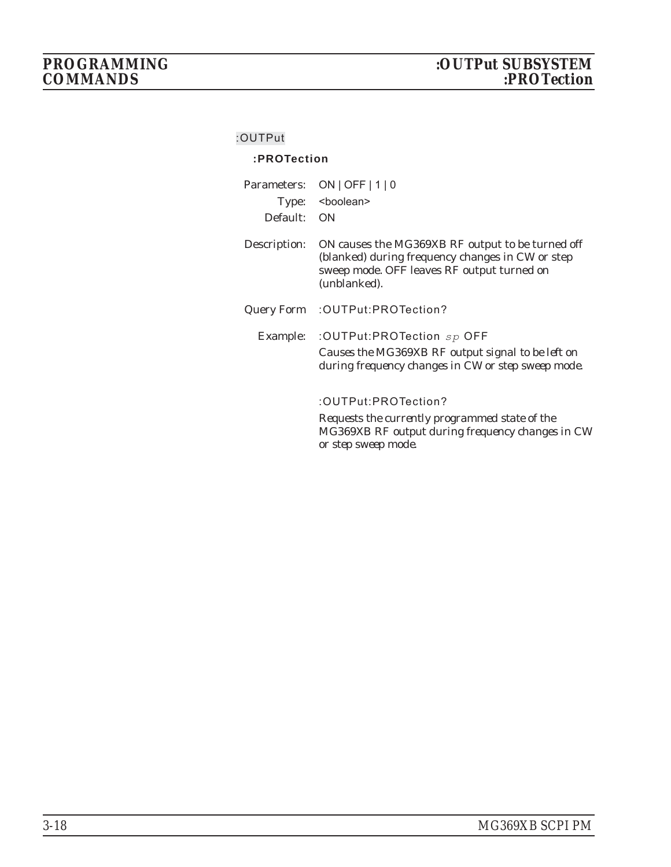## **:OUTPut**

### **:PROTection**

| Parameters:<br>Type:<br>Default: | $ON$   OFF   1   0<br><boolean><br/>ON</boolean>                                                                                                                   |
|----------------------------------|--------------------------------------------------------------------------------------------------------------------------------------------------------------------|
| Description:                     | ON causes the MG369XB RF output to be turned off<br>(blanked) during frequency changes in CW or step<br>sweep mode. OFF leaves RF output turned on<br>(unblanked). |
| Query Form                       | :OUTPut:PROTection?                                                                                                                                                |
|                                  | Example: : OUTPut:PROTection sp OFF<br>Causes the MG369XB RF output signal to be left on<br>during frequency changes in CW or step sweep mode.                     |
|                                  | :OUTPut:PROTection?<br>Requests the currently programmed state of the<br>MG369XB RF output during frequency changes in CW<br>or step sweep mode.                   |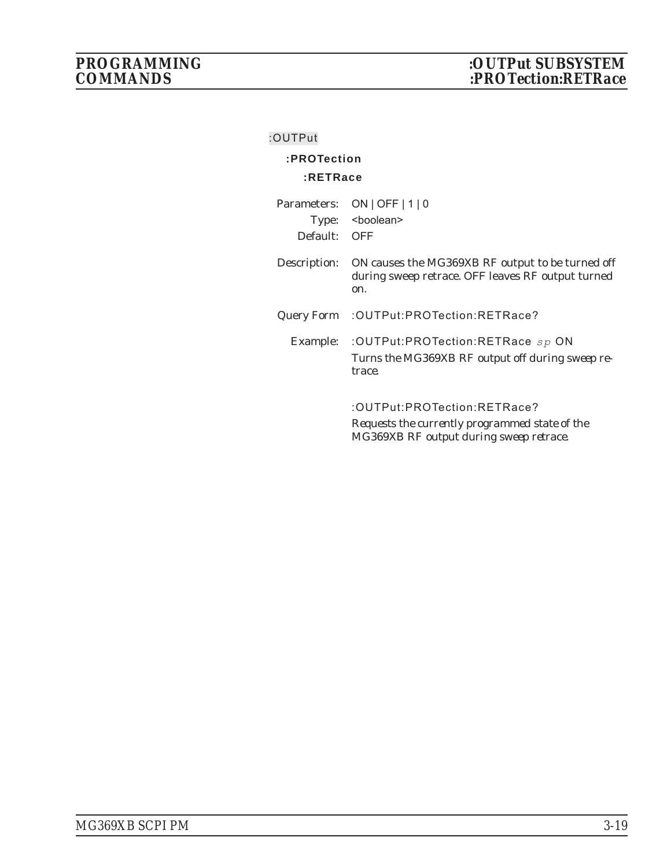## **:OUTPut**

# **:PROTection**

# **:RETRace**

| Parameters:  | $ON$   OFF $ 1 0$                                                                                            |
|--------------|--------------------------------------------------------------------------------------------------------------|
|              | Type: <boolean></boolean>                                                                                    |
| Default:     | - OFF                                                                                                        |
| Description: | ON causes the MG369XB RF output to be turned off<br>during sweep retrace. OFF leaves RF output turned<br>on. |
|              | Query Form : OUTPut: PROTection: RETRace?                                                                    |
| Example:     | :OUTPut:PROTection:RETRace sp ON<br>Turns the MG369XB RF output off during sweep re-<br>trace.               |
|              | :OUTPut:PROTection:RETRace?<br>Requests the currently programmed state of the                                |

*MG369XB RF output during sweep retrace.*

*MG369XB SCPI PM 3-19*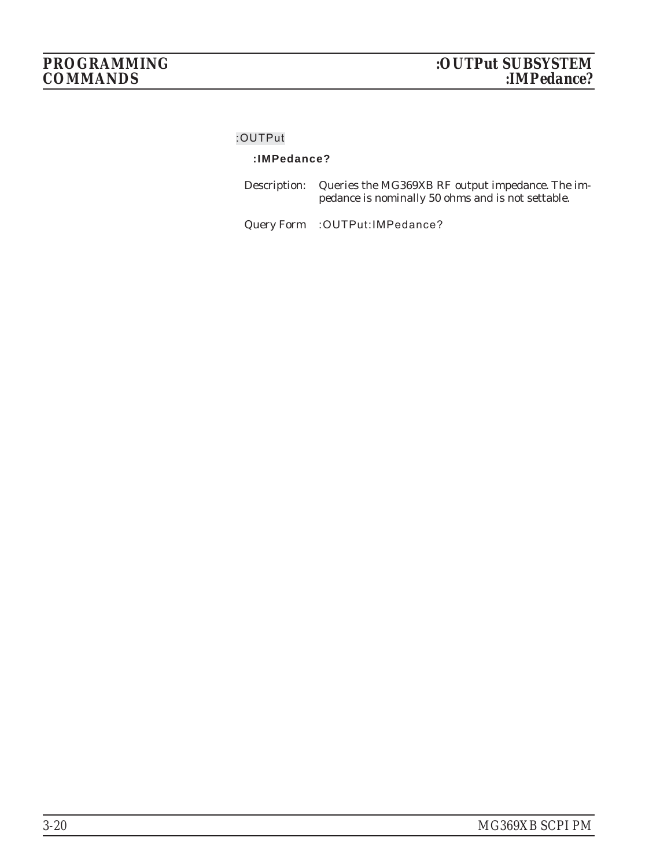#### **:OUTPut**

# **:IMPedance?**

| Description: Queries the MG369XB RF output impedance. The im- |
|---------------------------------------------------------------|
| pedance is nominally 50 ohms and is not settable.             |

Query Form :OUTPut:IMPedance?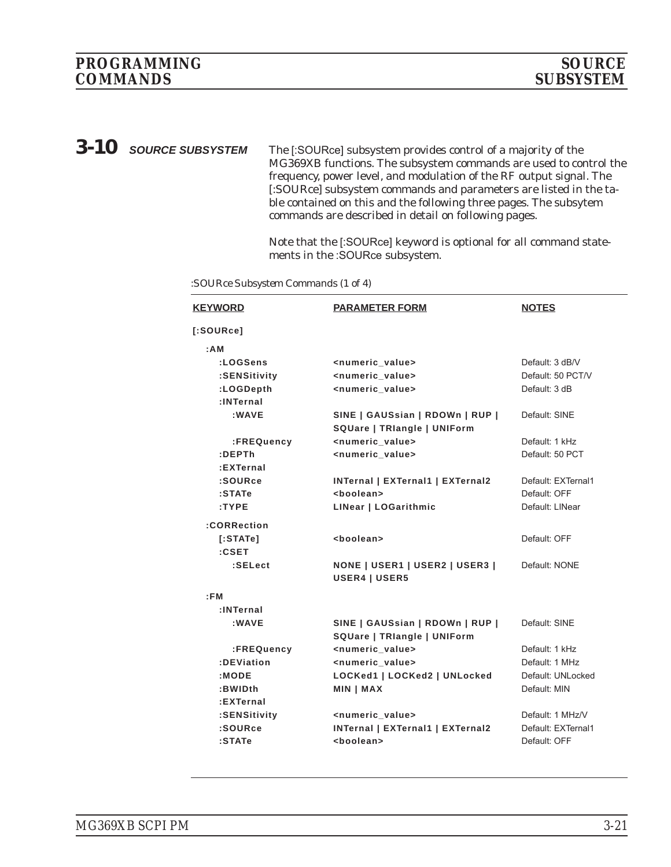*3-10 SOURCE SUBSYSTEM* The [:SOURce] subsystem provides control of a majority of the MG369XB functions. The subsystem commands are used to control the frequency, power level, and modulation of the RF output signal. The [:SOURce] subsystem commands and parameters are listed in the table contained on this and the following three pages. The subsytem commands are described in detail on following pages.

> Note that the [:SOURce] keyword is optional for all command statements in the :SOURce subsystem.

| <b>KEYWORD</b> | <b>PARAMETER FORM</b>                   | <b>NOTES</b>       |
|----------------|-----------------------------------------|--------------------|
| [:SOWRece]     |                                         |                    |
| : A M          |                                         |                    |
| :LOGSens       | <numeric_value></numeric_value>         | Default: 3 dB/V    |
| :SENSitivity   | <numeric value=""></numeric>            | Default: 50 PCT/V  |
| :LOGDepth      | <numeric value=""></numeric>            | Default: 3 dB      |
| :INTernal      |                                         |                    |
| : WAVE         | SINE   GAUSsian   RDOWn   RUP           | Default: SINE      |
|                | SQUare   TRIangle   UNIForm             |                    |
| :FREQuency     | <numeric_value></numeric_value>         | Default: 1 kHz     |
| :DEPTh         | <numeric_value></numeric_value>         | Default: 50 PCT    |
| :EXTernal      |                                         |                    |
| :SOURce        | <b>INTernal   EXTernal1   EXTernal2</b> | Default: EXTernal1 |
| :STATe         | <boolean></boolean>                     | Default: OFF       |
| :TYPE          | LINear   LOGarithmic                    | Default: LINear    |
| :CORRection    |                                         |                    |
| [:STATE]       | <boolean></boolean>                     | Default: OFF       |
| :CSET          |                                         |                    |
| :SELect        | <b>NONE   USER1   USER2   USER3  </b>   | Default: NONE      |
|                | <b>USER4   USER5</b>                    |                    |
| EEM            |                                         |                    |
| :INTernal      |                                         |                    |
| :WAVE          | SINE   GAUSsian   RDOWn   RUP           | Default: SINE      |
|                | SQUare   TRIangle   UNIForm             |                    |
| :FREQuency     | <numeric value=""></numeric>            | Default: 1 kHz     |
| :DEViation     | <numeric_value></numeric_value>         | Default: 1 MHz     |
| :MODE          | LOCKed1   LOCKed2   UNLocked            | Default: UNLocked  |
| :BWIDth        | <b>MIN   MAX</b>                        | Default: MIN       |
| :EXTernal      |                                         |                    |
| :SENSitivity   | <numeric value=""></numeric>            | Default: 1 MHz/V   |
| :SOURce        | <b>INTernal   EXTernal1   EXTernal2</b> | Default: EXTernal1 |
| $:$ STATe      | <boolean></boolean>                     | Default: OFF       |
|                |                                         |                    |

*:SOURce Subsystem Commands (1 of 4)*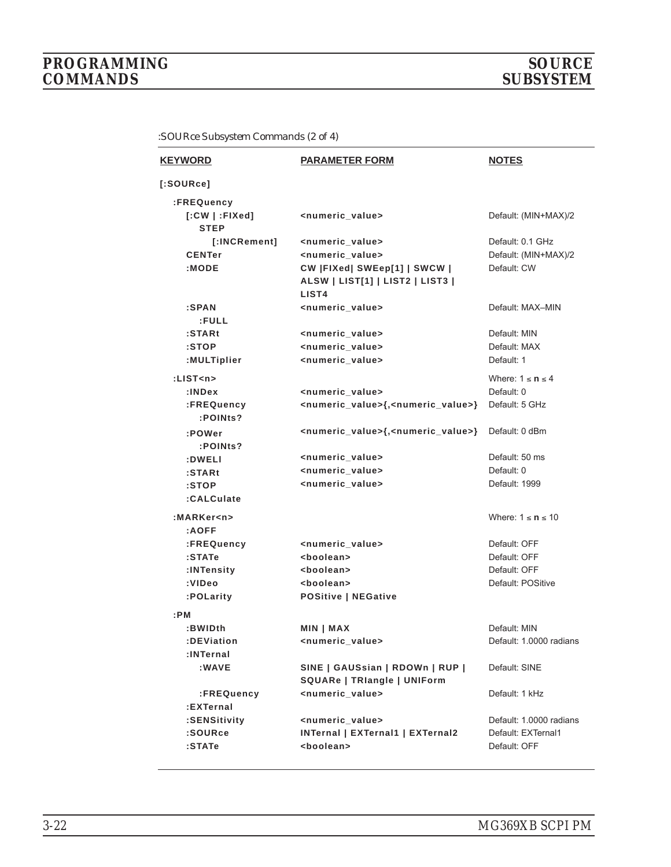# *PROGRAMMING SOURCE*  $COMMANDS$

| <b>KEYWORD</b>                   | <b>PARAMETER FORM</b>                                             | <b>NOTES</b>            |
|----------------------------------|-------------------------------------------------------------------|-------------------------|
| [:SOWRec]                        |                                                                   |                         |
| :FREQuency                       |                                                                   |                         |
| $[:CW   :$ FIXed]<br><b>STEP</b> | <numeric value=""></numeric>                                      | Default: (MIN+MAX)/2    |
| [:INCRement]                     | <numeric_value></numeric_value>                                   | Default: 0.1 GHz        |
| <b>CENTer</b>                    | <numeric value=""></numeric>                                      | Default: (MIN+MAX)/2    |
| : MODE                           | CW  FIXed  SWEep[1]   SWCW                                        | Default: CW             |
|                                  | ALSW   LIST[1]   LIST2   LIST3  <br>LIST <sub>4</sub>             |                         |
| :SPAN                            | <numeric_value></numeric_value>                                   | Default: MAX-MIN        |
| :FULL                            |                                                                   |                         |
| :STARt                           | <numeric_value></numeric_value>                                   | Default: MIN            |
| :STOP                            | <numeric_value></numeric_value>                                   | Default: MAX            |
| :MULTiplier                      | <numeric_value></numeric_value>                                   | Default: 1              |
| : $LIST < n$                     |                                                                   | Where: $1 \le n \le 4$  |
| : <b>INDEX</b>                   | <numeric_value></numeric_value>                                   | Default: 0              |
| :FREQuency                       | <numeric_value>{,<numeric_value>}</numeric_value></numeric_value> | Default: 5 GHz          |
| :POINts?                         |                                                                   |                         |
| :POWer<br>:POINts?               | <numeric_value>{,<numeric_value>}</numeric_value></numeric_value> | Default: 0 dBm          |
| :DWELI                           | <numeric_value></numeric_value>                                   | Default: 50 ms          |
| $:$ STARt                        | <numeric_value></numeric_value>                                   | Default: 0              |
| :STOP                            | <numeric_value></numeric_value>                                   | Default: 1999           |
| :CALCulate                       |                                                                   |                         |
| :MARKer <n></n>                  |                                                                   | Where: $1 \le n \le 10$ |
| :AOFF                            |                                                                   |                         |
| :FREQuency                       | <numeric_value></numeric_value>                                   | Default: OFF            |
| $:$ STATe                        | <boolean></boolean>                                               | Default: OFF            |
| :INTensity                       | <boolean></boolean>                                               | Default: OFF            |
| :VIDeo                           | <boolean></boolean>                                               | Default: POSitive       |
| :POLarity                        | <b>POSitive   NEGative</b>                                        |                         |
| :PM                              |                                                                   |                         |
| :BWIDth                          | MIN   MAX                                                         | Default: MIN            |
| :DEViation                       | <numeric value=""></numeric>                                      | Default: 1.0000 radians |
| :INTernal                        |                                                                   |                         |
| :WAVE                            | SINE   GAUSsian   RDOWn   RUP                                     | Default: SINE           |
|                                  | SQUARe   TRIangle   UNIForm                                       |                         |
| :FREQuency                       | <numeric_value></numeric_value>                                   | Default: 1 kHz          |
| :EXTernal                        |                                                                   |                         |
| :SENSitivity                     | <numeric_value></numeric_value>                                   | Default: 1,0000 radians |
| :SOURce                          | <b>INTernal   EXTernal1   EXTernal2</b>                           | Default: EXTernal1      |
| :STATe                           | <boolean></boolean>                                               | Default: OFF            |

*:SOURce Subsystem Commands (2 of 4)*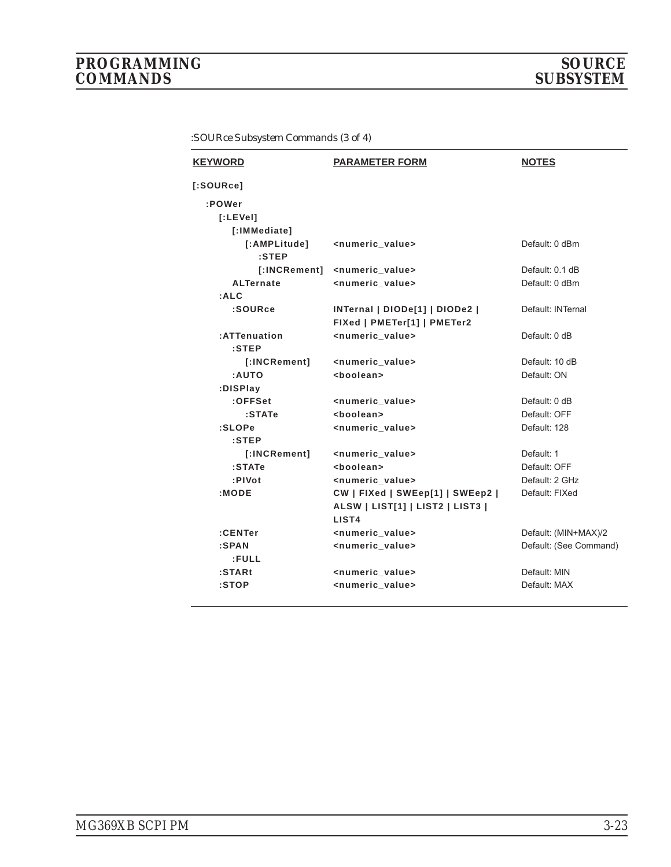| <b>KEYWORD</b>           | <b>PARAMETER FORM</b>                                         | <b>NOTES</b>           |
|--------------------------|---------------------------------------------------------------|------------------------|
| [:SOWRec]                |                                                               |                        |
| :POWer                   |                                                               |                        |
| [.LEVel]                 |                                                               |                        |
| [:IMMediate]             |                                                               |                        |
| [:AMPLitude]<br>$:$ STEP | <numeric_value></numeric_value>                               | Default: 0 dBm         |
| [:INCRement]             | <numeric_value></numeric_value>                               | Default: 0.1 dB        |
| <b>ALTernate</b>         | <numeric value=""></numeric>                                  | Default: 0 dBm         |
| :ALC                     |                                                               |                        |
| :SOURce                  | INTernal   DIODe[1]   DIODe2  <br>FIXed   PMETer[1]   PMETer2 | Default: INTernal      |
| :ATTenuation<br>$:$ STEP | <numeric value=""></numeric>                                  | Default: 0 dB          |
| [:INCRement]             | <numeric_value></numeric_value>                               | Default: 10 dB         |
| :AUTO                    | <boolean></boolean>                                           | Default: ON            |
| :DISPlay                 |                                                               |                        |
| :OFFSet                  | <numeric_value></numeric_value>                               | Default: 0 dB          |
| :STATe                   | <boolean></boolean>                                           | Default: OFF           |
| :SLOPe                   | <numeric value=""></numeric>                                  | Default: 128           |
| $:$ STEP                 |                                                               |                        |
| [:INCRement]             | <numeric_value></numeric_value>                               | Default: 1             |
| :STATe                   | <boolean></boolean>                                           | Default: OFF           |
| :PIVot                   | <numeric value=""></numeric>                                  | Default: 2 GHz         |
| :MODE                    | CW   FIXed   SWEep[1]   SWEep2                                | Default: FIXed         |
|                          | ALSW   LIST[1]   LIST2   LIST3  <br>LIST4                     |                        |
| :CENTer                  | <numeric_value></numeric_value>                               | Default: (MIN+MAX)/2   |
| :SPAN                    | <numeric value=""></numeric>                                  | Default: (See Command) |
| :FULL                    |                                                               |                        |
| $:$ STARt                | <numeric_value></numeric_value>                               | Default: MIN           |
| :STOP                    | <numeric value=""></numeric>                                  | Default: MAX           |
|                          |                                                               |                        |

*:SOURce Subsystem Commands (3 of 4)*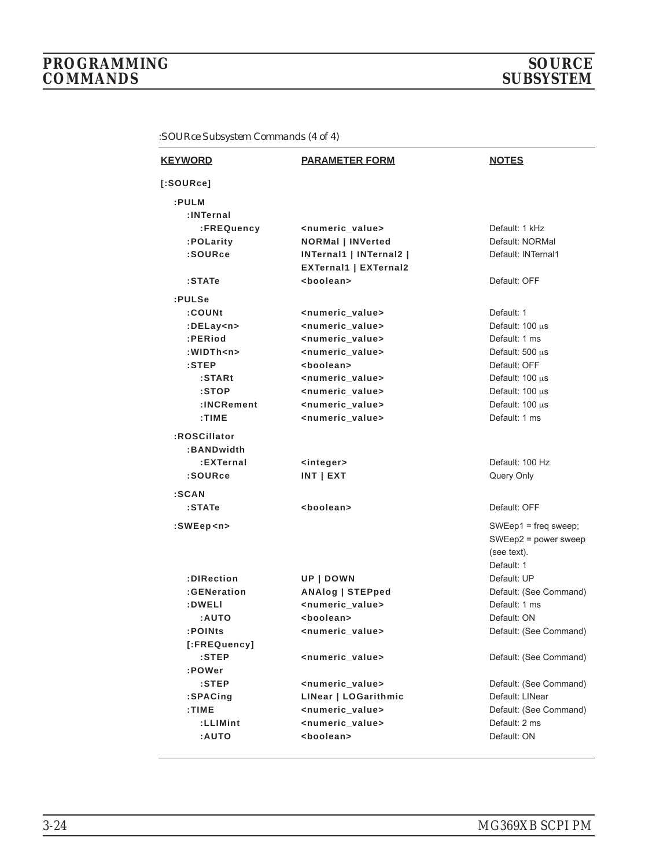# *PROGRAMMING SOURCE*  $COMMANDS$

| <b>KEYWORD</b> | <b>PARAMETER FORM</b>           | <b>NOTES</b>              |
|----------------|---------------------------------|---------------------------|
| [:SOWRec]      |                                 |                           |
| :PULM          |                                 |                           |
| :INTernal      |                                 |                           |
| :FREQuency     | <numeric_value></numeric_value> | Default: 1 kHz            |
| :POLarity      | <b>NORMal   INVerted</b>        | Default: NORMal           |
| :SOURce        | INTernal1   INTernal2           | Default: INTernal1        |
|                | <b>EXTernal1   EXTernal2</b>    |                           |
| :STATe         | <boolean></boolean>             | Default: OFF              |
| :PULSe         |                                 |                           |
| :COUNt         | <numeric_value></numeric_value> | Default: 1                |
| :DELay <n></n> | <numeric_value></numeric_value> | Default: $100 \mu s$      |
| :PERiod        | <numeric_value></numeric_value> | Default: 1 ms             |
| :WIDTh <n></n> | <numeric_value></numeric_value> | Default: $500 \mu s$      |
| :STEP          | <boolean></boolean>             | Default: OFF              |
| :STARt         | <numeric value=""></numeric>    | Default: $100 \mu s$      |
| :STOP          | <numeric_value></numeric_value> | Default: 100 us           |
| :INCRement     | <numeric_value></numeric_value> | Default: 100 µs           |
| : TIME         | <numeric_value></numeric_value> | Default: 1 ms             |
| :ROSCillator   |                                 |                           |
| :BANDwidth     |                                 |                           |
| :EXTernal      | <integer></integer>             | Default: 100 Hz           |
| :SOURce        | $INT$   EXT                     | Query Only                |
| :SCAN          |                                 |                           |
| :STATe         | <boolean></boolean>             | Default: OFF              |
|                |                                 |                           |
| :SWEep <n></n> |                                 | $SWEep1 = freq sweep;$    |
|                |                                 | SWEep2 = power sweep      |
|                |                                 | (see text).<br>Default: 1 |
| :DIRection     | UP   DOWN                       | Default: UP               |
| :GENeration    | <b>ANAlog   STEPped</b>         | Default: (See Command)    |
| :DWELI         | <numeric value=""></numeric>    | Default: 1 ms             |
| <b>AUTO:</b>   | <boolean></boolean>             | Default: ON               |
| :POINts        | <numeric_value></numeric_value> | Default: (See Command)    |
| [:FREQuency]   |                                 |                           |
| $:$ STEP       | <numeric_value></numeric_value> | Default: (See Command)    |
| :POWer         |                                 |                           |
| $:$ STEP       | <numeric_value></numeric_value> | Default: (See Command)    |
| :SPACing       | LINear   LOGarithmic            | Default: LINear           |
| :TIME          | <numeric_value></numeric_value> | Default: (See Command)    |
| :LLIMint       | <numeric_value></numeric_value> | Default: 2 ms             |
| <b>AUTO:</b>   | <boolean></boolean>             | Default: ON               |
|                |                                 |                           |

*:SOURce Subsystem Commands (4 of 4)*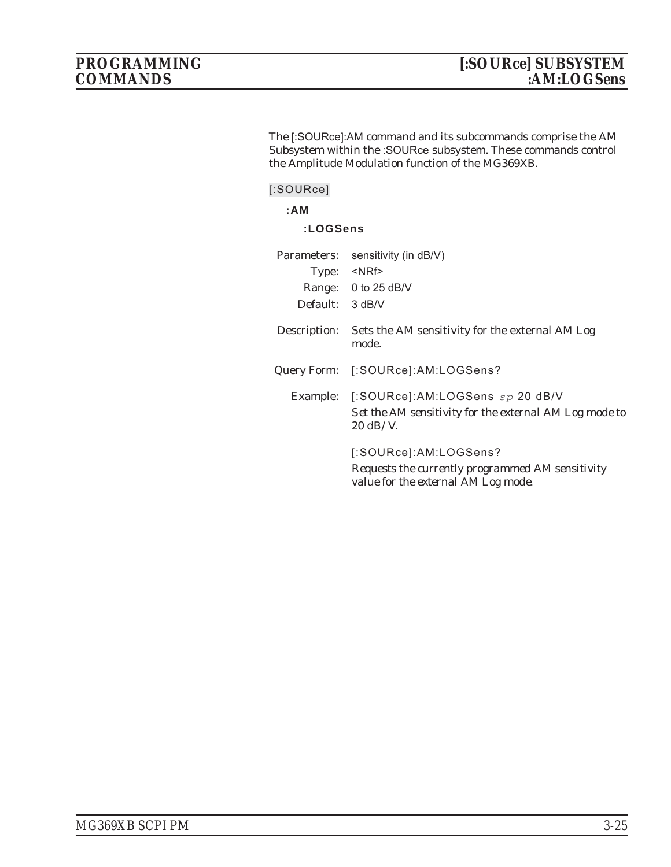The [:SOURce]:AM command and its subcommands comprise the AM Subsystem within the :SOURce subsystem. These commands control the Amplitude Modulation function of the MG369XB.

**[:SOURce]**

**:AM**

#### **:LOGSens**

| Parameters:       | sensitivity (in dB/V)                                                                                                     |
|-------------------|---------------------------------------------------------------------------------------------------------------------------|
|                   | Type: <nrf></nrf>                                                                                                         |
|                   | Range: 0 to 25 dB/V                                                                                                       |
| Default: $3 dB/V$ |                                                                                                                           |
| Description:      | Sets the AM sensitivity for the external AM Log<br>mode.                                                                  |
|                   | Query Form: [:SOURce]:AM:LOGSens?                                                                                         |
|                   | Example: [:SOURce]:AM:LOGSens $sp$ 20 dB/V<br>Set the AM sensitivity for the external AM Log mode to<br>$20 \text{ dB/V}$ |
|                   | [:SOURce]:AM:LOGSens?<br>Requests the currently programmed AM sensitivity<br>value for the external AM Log mode.          |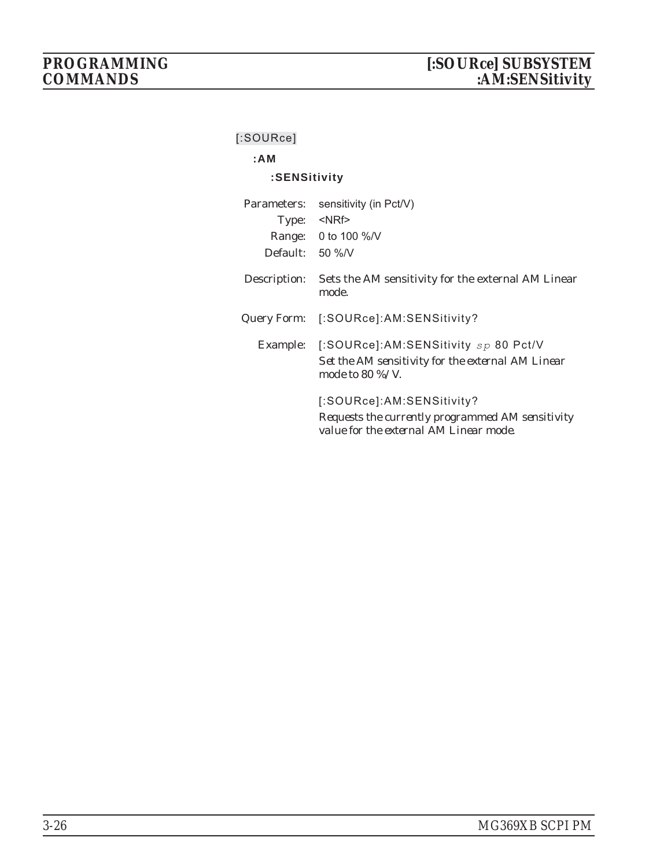# **[:SOURce]**

# **:AM**

# **:SENSitivity**

| Parameters:       | sensitivity (in Pct/V)                                                                                                  |
|-------------------|-------------------------------------------------------------------------------------------------------------------------|
|                   | Type: <nrf></nrf>                                                                                                       |
|                   | Range: 0 to 100 %/V                                                                                                     |
| Default: $50\%$ N |                                                                                                                         |
| Description:      | Sets the AM sensitivity for the external AM Linear<br>mode.                                                             |
|                   | Query Form: [:SOURce]:AM:SENSitivity?                                                                                   |
|                   | Example: [:SOURce]:AM:SENSitivity sp 80 Pct/V<br>Set the AM sensitivity for the external AM Linear<br>mode to 80 %/V.   |
|                   | [:SOURce]:AM:SENSitivity?<br>Requests the currently programmed AM sensitivity<br>value for the external AM Linear mode. |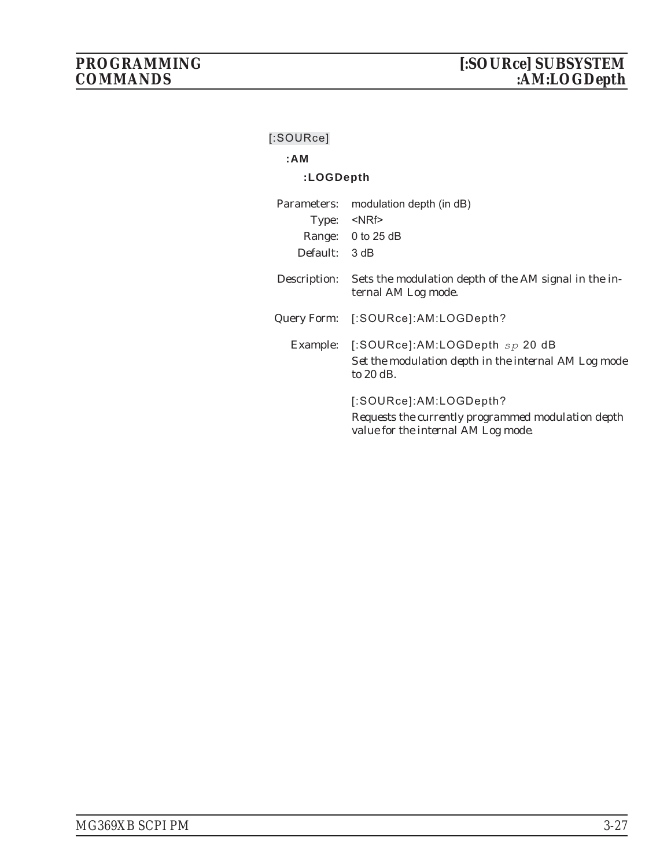# **[:SOURce]**

# **:AM**

# **:LOGDepth**

| Parameters:  | modulation depth (in dB)                                                                                            |
|--------------|---------------------------------------------------------------------------------------------------------------------|
| Type:        | $<$ NRf $>$                                                                                                         |
|              | Range: 0 to 25 dB                                                                                                   |
| Default:     | - 3 dB                                                                                                              |
| Description: | Sets the modulation depth of the AM signal in the in-<br>ternal AM Log mode.                                        |
| Query Form:  | [:SOURce]:AM:LOGDepth?                                                                                              |
| Example:     | [:SOURce]:AM:LOGDepth $sp$ 20 dB<br>Set the modulation depth in the internal AM Log mode<br>to 20 dB.               |
|              | [:SOURce]:AM:LOGDepth?<br>Requests the currently programmed modulation depth<br>value for the internal AM Log mode. |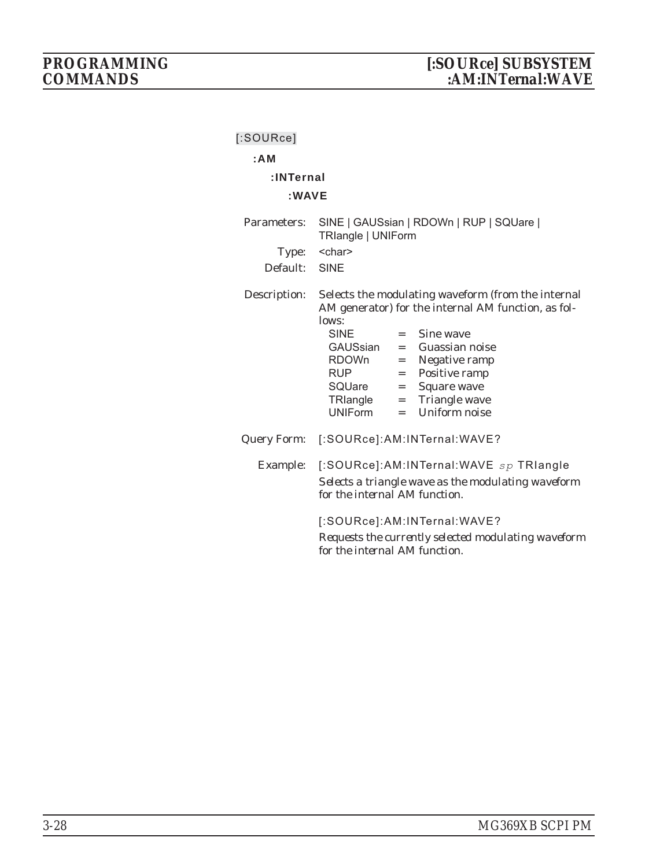| [:SOURce]            |                                                                                                                                                                                                                                                                                                                                                                                            |
|----------------------|--------------------------------------------------------------------------------------------------------------------------------------------------------------------------------------------------------------------------------------------------------------------------------------------------------------------------------------------------------------------------------------------|
| : A M                |                                                                                                                                                                                                                                                                                                                                                                                            |
| :INTernal            |                                                                                                                                                                                                                                                                                                                                                                                            |
| : WAVE               |                                                                                                                                                                                                                                                                                                                                                                                            |
| Parameters:<br>Type: | SINE   GAUSsian   RDOWn   RUP   SQUare  <br><b>TRlangle   UNIForm</b><br><char></char>                                                                                                                                                                                                                                                                                                     |
| Default: SINE        |                                                                                                                                                                                                                                                                                                                                                                                            |
| Description:         | Selects the modulating waveform (from the internal<br>AM generator) for the internal AM function, as fol-<br>lows:<br><b>SINE</b><br>Sine wave<br>$=$ $\qquad$<br>GAUSsian<br>Guassian noise<br>$=$<br>RDOWn<br>Negative ramp<br>$=$ $\,$<br><b>RUP</b><br>Positive ramp<br>$=$<br>SQUare =<br>Square wave<br>= Triangle wave<br>TRIangle<br><b>Uniform noise</b><br><b>UNIForm</b><br>$=$ |
|                      | Query Form: [:SOURce]:AM:INTernal:WAVE?                                                                                                                                                                                                                                                                                                                                                    |
| Example:             | [:SOURce]:AM:INTernal:WAVE sp TRIangle<br>Selects a triangle wave as the modulating waveform<br>for the internal AM function.                                                                                                                                                                                                                                                              |
|                      | [:SOURce]:AM:INTernal:WAVE?<br>Requests the currently selected modulating waveform<br>for the internal AM function.                                                                                                                                                                                                                                                                        |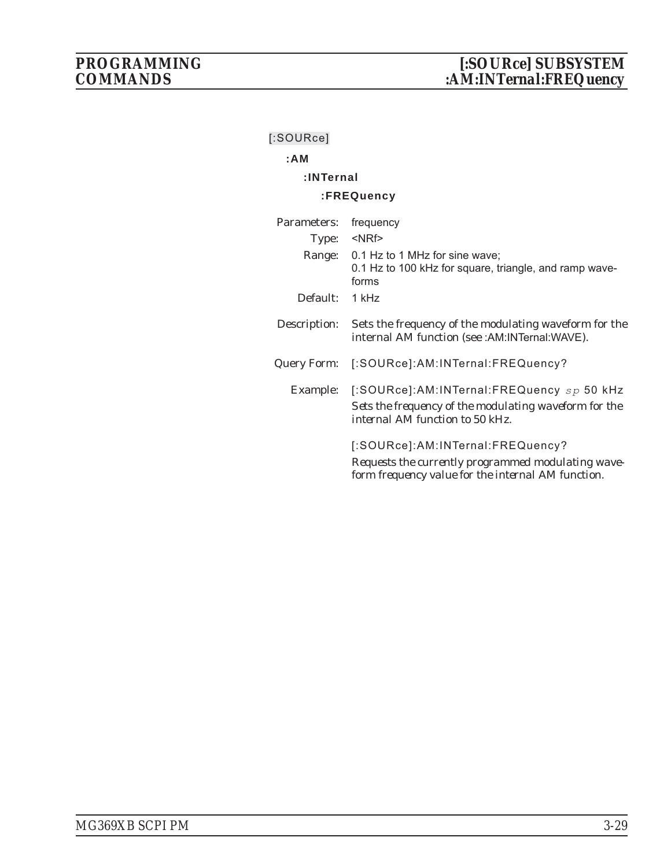# **[:SOURce]**

# **:AM**

# **:INTernal**

# **:FREQuency**

| Parameters:  | frequency                                                                                                                                    |
|--------------|----------------------------------------------------------------------------------------------------------------------------------------------|
| Type:        | $<$ NRf $>$                                                                                                                                  |
| Range:       | 0.1 Hz to 1 MHz for sine wave;<br>0.1 Hz to 100 kHz for square, triangle, and ramp wave-<br>forms                                            |
| Default:     | 1 kHz                                                                                                                                        |
| Description: | Sets the frequency of the modulating waveform for the<br>internal AM function (see : AM: INTernal: WAVE).                                    |
| Query Form:  | [:SOURce]:AM:INTernal:FREQuency?                                                                                                             |
| Example:     | [:SOURce]:AM:INTernal:FREQuency sp 50 kHz<br>Sets the frequency of the modulating waveform for the<br>internal AM function to 50 kHz.        |
|              | [:SOURce]:AM:INTernal:FREQuency?<br>Requests the currently programmed modulating wave-<br>form frequency value for the internal AM function. |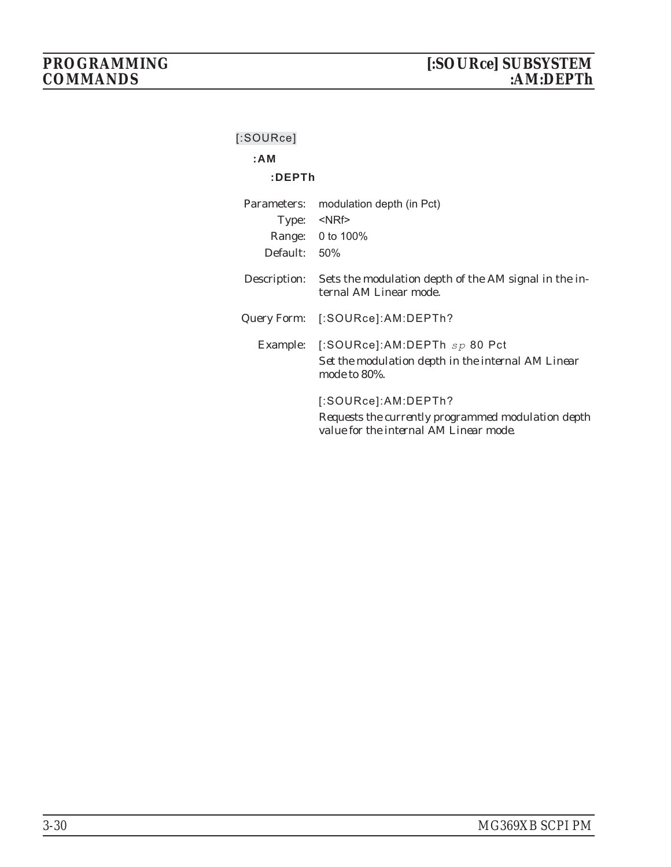| $[$ :SOURce] |                                                                                                                     |
|--------------|---------------------------------------------------------------------------------------------------------------------|
| :AM          |                                                                                                                     |
| :DEPTh       |                                                                                                                     |
| Parameters:  | modulation depth (in Pct)                                                                                           |
|              | Type: <nrf></nrf>                                                                                                   |
|              | Range: 0 to 100%                                                                                                    |
| Default: 50% |                                                                                                                     |
| Description: | Sets the modulation depth of the AM signal in the in-<br>ternal AM Linear mode.                                     |
|              | Query Form: [:SOURce]:AM:DEPTh?                                                                                     |
|              | Example: [:SOURce]:AM:DEPTh $sp 80$ Pct                                                                             |
|              | Set the modulation depth in the internal AM Linear<br>mode to 80%.                                                  |
|              | [:SOURce]:AM:DEPTh?<br>Requests the currently programmed modulation depth<br>value for the internal AM Linear mode. |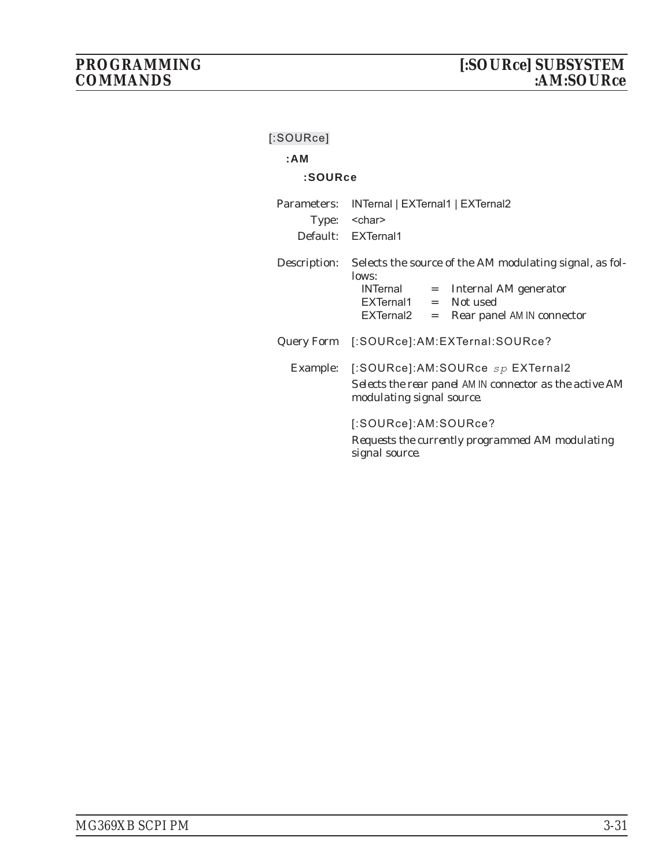| [:SOURce]    |                                                                                                                                                                        |  |
|--------------|------------------------------------------------------------------------------------------------------------------------------------------------------------------------|--|
| : A M        |                                                                                                                                                                        |  |
| :SOURce      |                                                                                                                                                                        |  |
| Parameters:  | INTernal   EXTernal1   EXTernal2<br>Type: < char><br>Default: EXTernal1                                                                                                |  |
| Description: | Selects the source of the AM modulating signal, as fol-<br>lows:<br>INTernal = Internal AM generator<br>EXTernal1 = Not used<br>EXTernal2 = Rear panel AM IN connector |  |
|              | Query Form [:SOURce]:AM:EXTernal:SOURce?                                                                                                                               |  |
|              | Example: [:SOURce]:AM:SOURce sp EXTernal2<br>Selects the rear panel AM IN connector as the active AM<br>modulating signal source.                                      |  |
|              | [:SOURce]:AM:SOURce?<br>Requests the currently programmed AM modulating<br>signal source.                                                                              |  |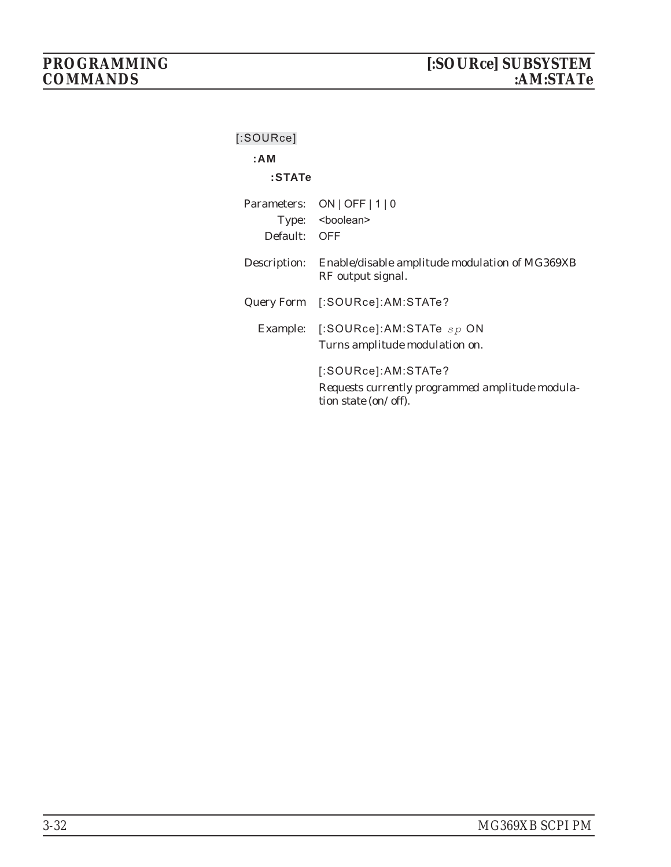| [:SOURce]                   |                                                                                                |
|-----------------------------|------------------------------------------------------------------------------------------------|
| : A M                       |                                                                                                |
| :STATe                      |                                                                                                |
| Parameters:<br>Default: OFF | $ON$   OFF   1   0<br>Type: <boolean></boolean>                                                |
| Description:                | Enable/disable amplitude modulation of MG369XB<br>RF output signal.                            |
|                             | Query Form [:SOURce]:AM:STATe?                                                                 |
|                             | Example: $[$ :SOURce]:AM:STATe $sp$ ON<br>Turns amplitude modulation on.                       |
|                             | [:SOURce]:AM:STATe?<br>Requests currently programmed amplitude modula-<br>tion state (on/off). |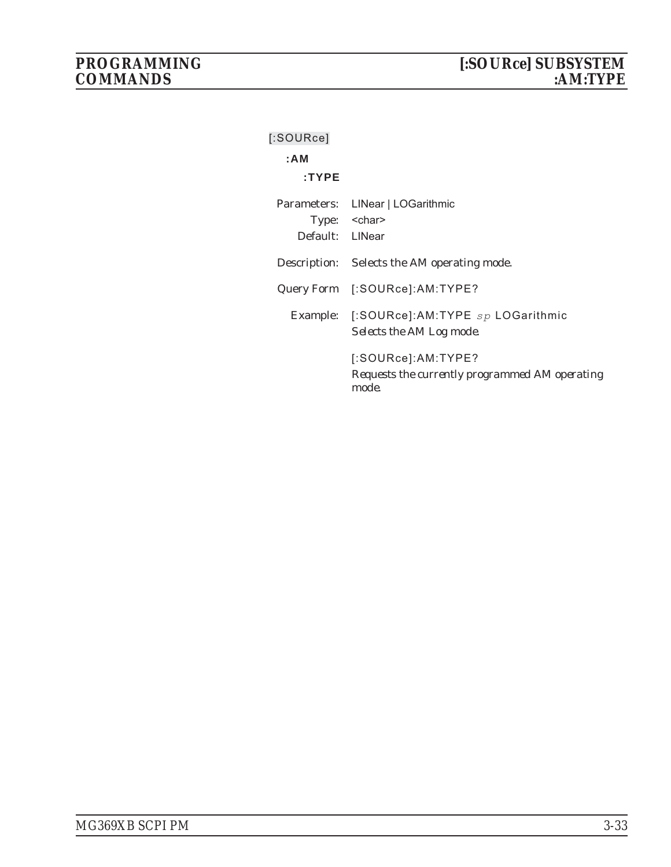| $[$ :SOURce]    |                                                                               |
|-----------------|-------------------------------------------------------------------------------|
| : A M           |                                                                               |
| $:$ TYPE        |                                                                               |
|                 | Parameters: LINear   LOGarithmic                                              |
|                 | Type: < char>                                                                 |
| Default: LINear |                                                                               |
|                 | Description: Selects the AM operating mode.                                   |
|                 | Query Form [:SOURce]:AM:TYPE?                                                 |
|                 | Example: [:SOURce]:AM:TYPE sp LOGarithmic<br>Selects the AM Log mode.         |
|                 | [:SOURec].AM:TYPE?<br>Requests the currently programmed AM operating<br>mode. |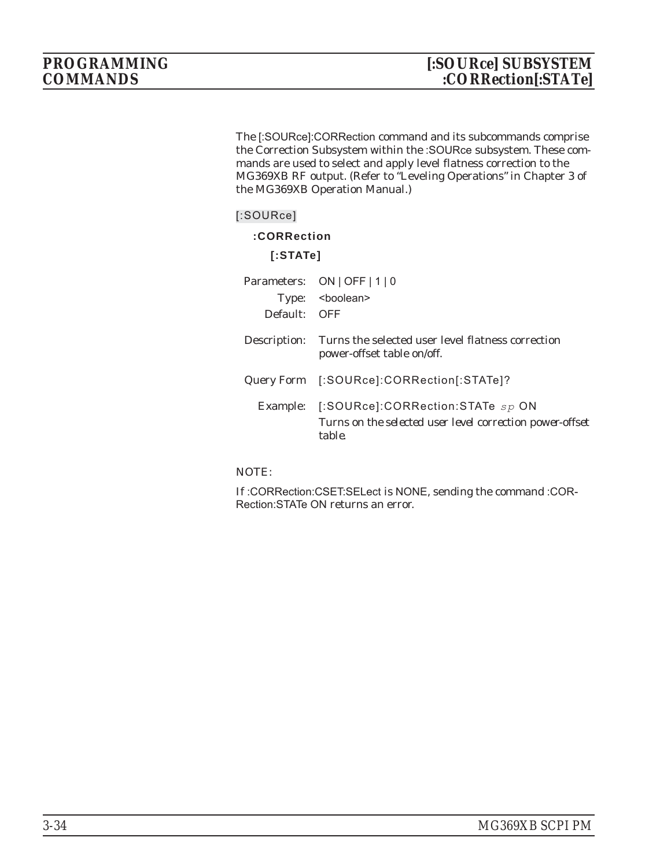The [:SOURce]:CORRection command and its subcommands comprise the Correction Subsystem within the :SOURce subsystem. These commands are used to select and apply level flatness correction to the MG369XB RF output. (Refer to "Leveling Operations" in Chapter 3 of the MG369XB Operation Manual.)

## **:CORRection**

**[:STATe]**

| Default: OFF | Parameters: ON   OFF   1   0<br>Type: <boolean></boolean>                                              |
|--------------|--------------------------------------------------------------------------------------------------------|
| Description: | Turns the selected user level flatness correction<br>power-offset table on/off.                        |
|              | Query Form [:SOURce]:CORRection[:STATe]?                                                               |
| Example:     | [:SOURce]:CORRection:STATe sp ON<br>Turns on the selected user level correction power-offset<br>table. |

NOTE:

If :CORRection:CSET:SELect is NONE, sending the command :COR-Rection:STATe ON returns an error.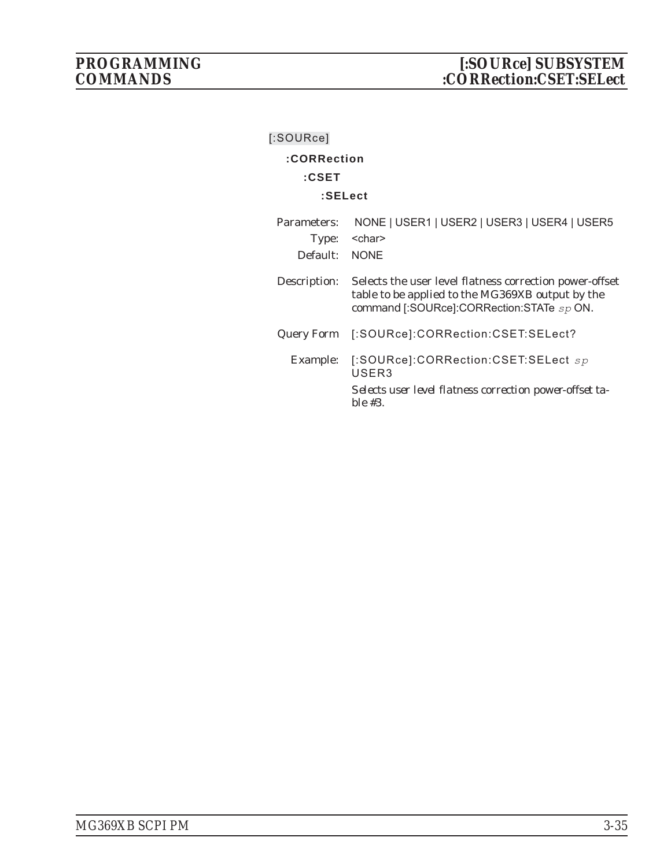| [:SOURce]                        |                                                                                                                                                          |
|----------------------------------|----------------------------------------------------------------------------------------------------------------------------------------------------------|
| :CORRection                      |                                                                                                                                                          |
| $:$ CSET                         |                                                                                                                                                          |
| :SELect                          |                                                                                                                                                          |
| Parameters:<br>Type:<br>Default: | NONE   USER1   USER2   USER3   USER4   USER5<br><char><br/><b>NONE</b></char>                                                                            |
| Description:                     | Selects the user level flatness correction power-offset<br>table to be applied to the MG369XB output by the<br>command [:SOURce]:CORRection:STATe sp ON. |
| Query Form                       | [:SOURce]:CORRection:CSET:SELect?                                                                                                                        |
| Example:                         | [:SOURce]:CORRection:CSET:SELect sp<br>USER3<br>Selects user level flatness correction power-offset ta-<br>$ble \#3.$                                    |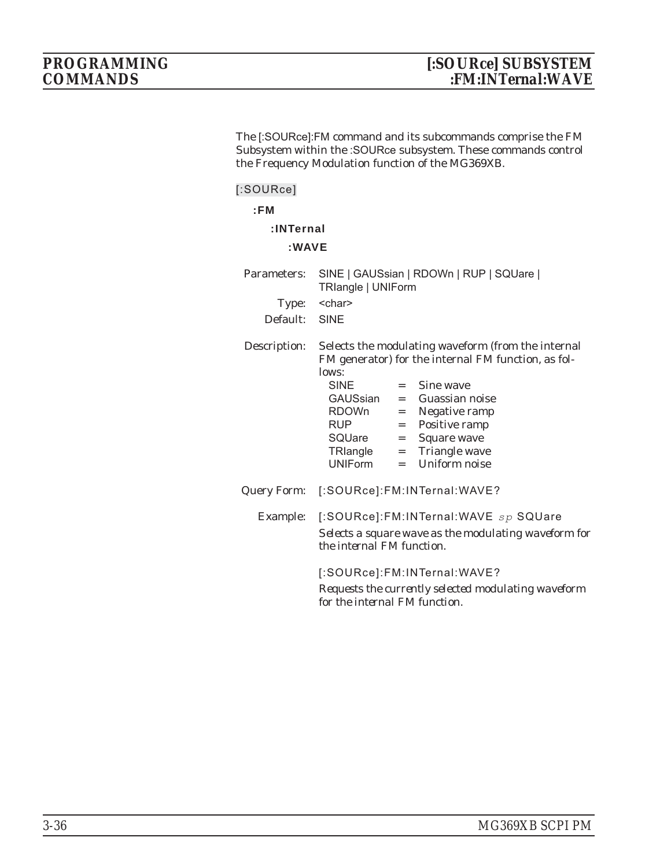The [:SOURce]:FM command and its subcommands comprise the FM Subsystem within the :SOURce subsystem. These commands control the Frequency Modulation function of the MG369XB.

## **[:SOURce]**

## **:INTernal**

## **:WAVE**

| Parameters: SINE   GAUSsian   RDOWn   RUP   SQUare |
|----------------------------------------------------|

Description: Selects the modulating waveform (from the internal FM generator) for the internal FM function, as follows:

|          | <b>SINE</b>               | $=$ $\qquad$ | Sine wave                                            |
|----------|---------------------------|--------------|------------------------------------------------------|
|          |                           |              | GAUSsian = Guassian noise                            |
|          | RDOWn                     | $=$          | Negative ramp                                        |
|          | RUP.                      |              | $=$ Positive ramp                                    |
|          | SQUare                    | $=$          | Square wave                                          |
|          |                           |              | $TR$ langle $=$ Triangle wave                        |
|          |                           |              | $UNIForm = Uniform noise$                            |
|          |                           |              | Query Form: [:SOURce]:FM:INTernal:WAVE?              |
| Example: |                           |              | [:SOURce]:FM:INTernal:WAVE sp SQUare                 |
|          | the internal FM function. |              | Selects a square wave as the modulating waveform for |

[:SOURce]:FM:INTernal:WAVE? *Requests the currently selected modulating waveform for the internal FM function.*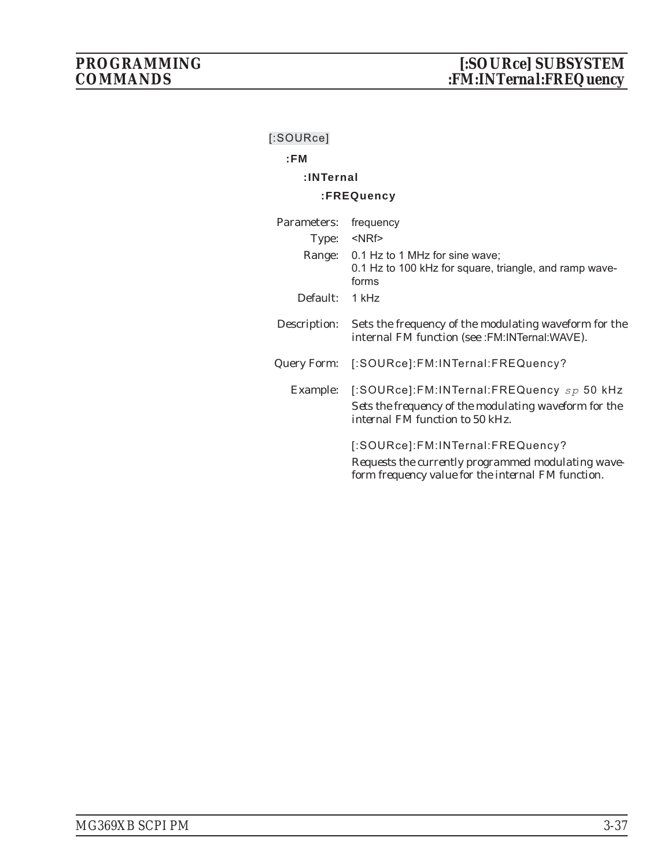## **:FM**

## **:INTernal**

## **:FREQuency**

| Parameters:     | frequency                                                                                                                                    |
|-----------------|----------------------------------------------------------------------------------------------------------------------------------------------|
| Type:<br>Range: | $<$ NRf $>$<br>0.1 Hz to 1 MHz for sine wave;<br>0.1 Hz to 100 kHz for square, triangle, and ramp wave-<br>forms                             |
| Default:        | 1 kHz                                                                                                                                        |
| Description:    | Sets the frequency of the modulating waveform for the<br>internal FM function (see :FM:INTernal:WAVE).                                       |
| Query Form:     | [:SOURce]:FM:INTernal:FREQuency?                                                                                                             |
| Example:        | [:SOURce]:FM:INTernal:FREQuency sp 50 kHz<br>Sets the frequency of the modulating waveform for the<br>internal FM function to 50 kHz.        |
|                 | [:SOURce]:FM:INTernal:FREQuency?<br>Requests the currently programmed modulating wave-<br>form frequency value for the internal FM function. |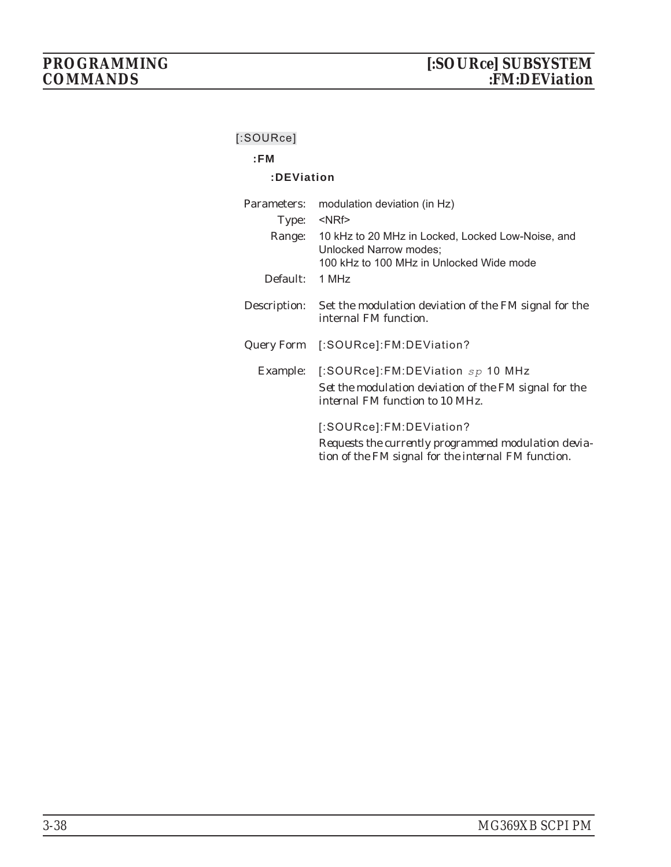## **:FM**

## **:DEViation**

| Parameters:  | modulation deviation (in Hz)                                                                                                          |  |
|--------------|---------------------------------------------------------------------------------------------------------------------------------------|--|
| Type:        | $<$ NRf $>$                                                                                                                           |  |
| Range:       | 10 kHz to 20 MHz in Locked, Locked Low-Noise, and<br>Unlocked Narrow modes;<br>100 kHz to 100 MHz in Unlocked Wide mode               |  |
| Default:     | 1 MHz                                                                                                                                 |  |
| Description: | Set the modulation deviation of the FM signal for the<br>internal FM function.                                                        |  |
|              | Query Form [:SOURce]: FM: DEViation?                                                                                                  |  |
| Example:     | [:SOURce]:FM:DEViation $sp$ 10 MHz<br>Set the modulation deviation of the FM signal for the<br><i>internal FM function to 10 MHz.</i> |  |
|              | [:SOURce]:FM:DEViation?<br>Requests the currently programmed modulation devia-<br>tion of the FM signal for the internal FM function. |  |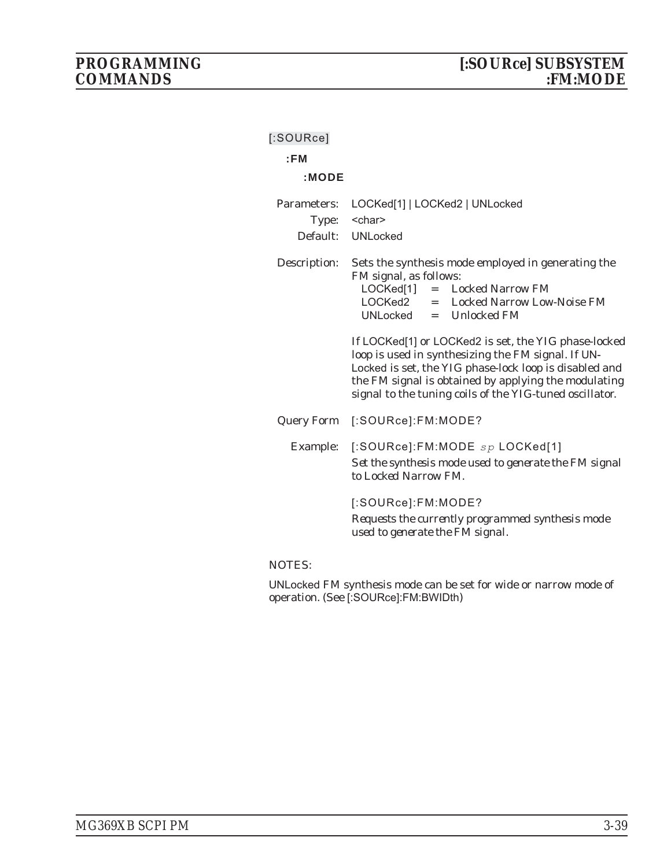| $[$ :SOURce] |                                                                                                                                                                                                                                                                                                                                                                                                                                                                                  |
|--------------|----------------------------------------------------------------------------------------------------------------------------------------------------------------------------------------------------------------------------------------------------------------------------------------------------------------------------------------------------------------------------------------------------------------------------------------------------------------------------------|
| :FM          |                                                                                                                                                                                                                                                                                                                                                                                                                                                                                  |
| :MODE        |                                                                                                                                                                                                                                                                                                                                                                                                                                                                                  |
| Parameters:  | LOCKed[1]   LOCKed2   UNLocked                                                                                                                                                                                                                                                                                                                                                                                                                                                   |
| Type:        | <char></char>                                                                                                                                                                                                                                                                                                                                                                                                                                                                    |
|              | Default: UNLocked                                                                                                                                                                                                                                                                                                                                                                                                                                                                |
| Description: | Sets the synthesis mode employed in generating the<br>FM signal, as follows:<br>LOCKed[1]<br>$=$ Locked Narrow FM<br>LOCKed2 = Locked Narrow Low-Noise FM<br>$UNLocked = Unlocked FM$<br>If LOCKed[1] or LOCKed2 is set, the YIG phase-locked<br>loop is used in synthesizing the FM signal. If UN-<br>Locked is set, the YIG phase-lock loop is disabled and<br>the FM signal is obtained by applying the modulating<br>signal to the tuning coils of the YIG-tuned oscillator. |
|              |                                                                                                                                                                                                                                                                                                                                                                                                                                                                                  |
| Query Form   | [:SOURce]:FM:MODE?                                                                                                                                                                                                                                                                                                                                                                                                                                                               |
| Example:     | [:SOURce]:FM:MODE $sp$ LOCKed[1]<br>Set the synthesis mode used to generate the FM signal<br>to Locked Narrow FM.                                                                                                                                                                                                                                                                                                                                                                |
|              | [:SOURce]:FM:MODE?<br>Requests the currently programmed synthesis mode<br>used to generate the FM signal.                                                                                                                                                                                                                                                                                                                                                                        |
|              |                                                                                                                                                                                                                                                                                                                                                                                                                                                                                  |

### NOTES:

UNLocked FM synthesis mode can be set for wide or narrow mode of operation. (See [:SOURce]:FM:BWIDth)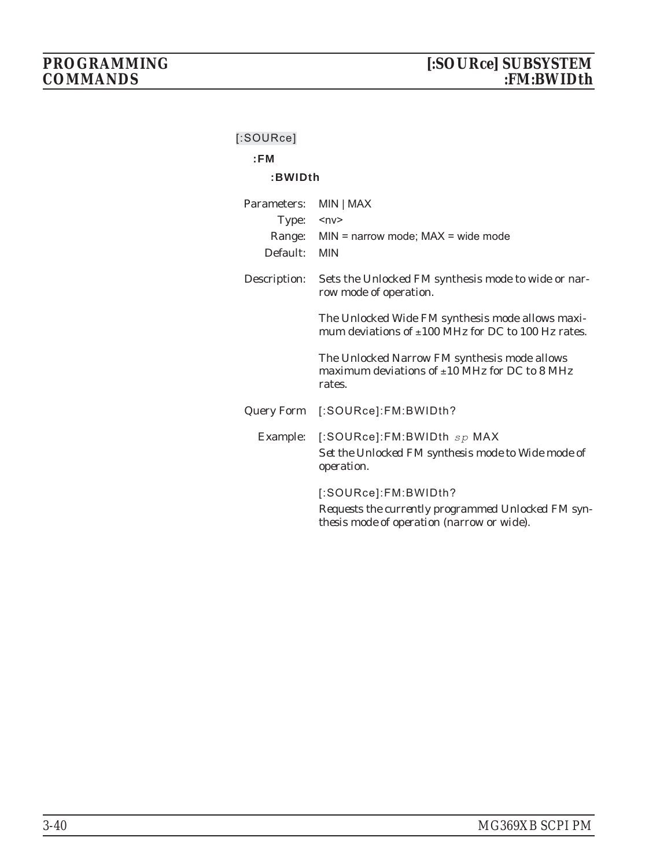| SUURCEI           |                                                                                                                          |
|-------------------|--------------------------------------------------------------------------------------------------------------------------|
| :FM               |                                                                                                                          |
| :BWIDth           |                                                                                                                          |
| Parameters:       | MIN   MAX                                                                                                                |
| Type:             | $ny$                                                                                                                     |
| Range:            | $MIN = narrow mode$ ; $MAX = wide mode$                                                                                  |
| Default:          | <b>MIN</b>                                                                                                               |
| Description:      | Sets the Unlocked FM synthesis mode to wide or nar-<br>row mode of operation.                                            |
|                   | The Unlocked Wide FM synthesis mode allows maxi-<br>mum deviations of $\pm 100$ MHz for DC to 100 Hz rates.              |
|                   | The Unlocked Narrow FM synthesis mode allows<br>maximum deviations of $\pm 10$ MHz for DC to 8 MHz<br>rates.             |
| <b>Query Form</b> | [:SOURce]:FM:BWIDth?                                                                                                     |
| Example:          | [:SOURce]:FM:BWIDth sp MAX<br>Set the Unlocked FM synthesis mode to Wide mode of<br>operation.                           |
|                   | [:SOURce]:FM:BWIDth?<br>Requests the currently programmed Unlocked FM syn-<br>thesis mode of operation (narrow or wide). |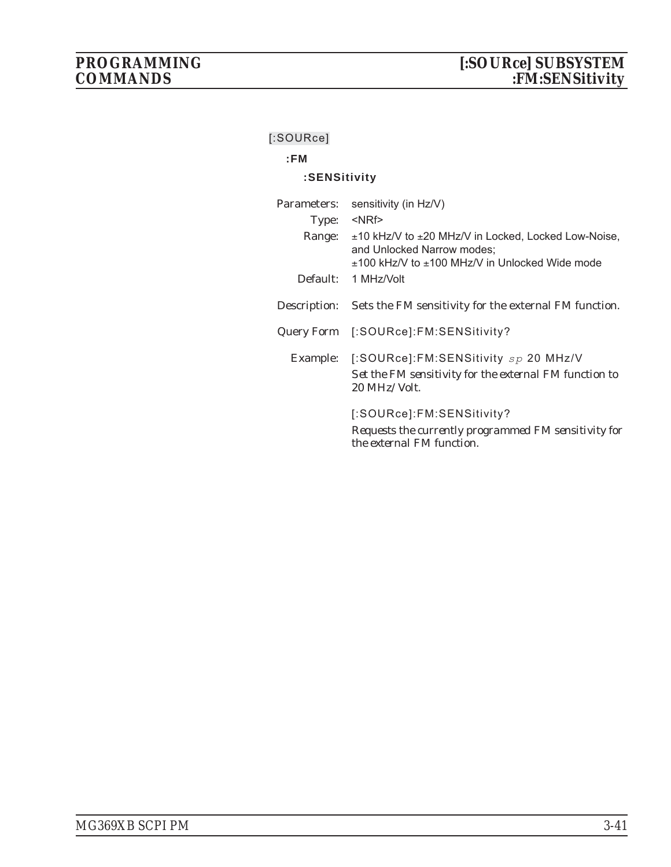## **:FM**

## **:SENSitivity**

| Parameters: | sensitivity (in Hz/V)                                                                                                                                   |
|-------------|---------------------------------------------------------------------------------------------------------------------------------------------------------|
| Type:       | $<$ NRf $>$                                                                                                                                             |
| Range:      | $\pm$ 10 kHz/V to $\pm$ 20 MHz/V in Locked, Locked Low-Noise,<br>and Unlocked Narrow modes;<br>$\pm$ 100 kHz/V to $\pm$ 100 MHz/V in Unlocked Wide mode |
| Default:    | 1 MHz/Volt                                                                                                                                              |
|             | Description: Sets the FM sensitivity for the external FM function.                                                                                      |
|             | Query Form [:SOURce]: FM: SENSitivity?                                                                                                                  |
|             | Example: [:SOURce]:FM:SENSitivity sp 20 MHz/V<br>Set the FM sensitivity for the external FM function to<br>20 MHz/Volt.                                 |
|             | [:SOURce]:FM:SENSitivity?<br>Requests the currently programmed FM sensitivity for<br>the external FM function.                                          |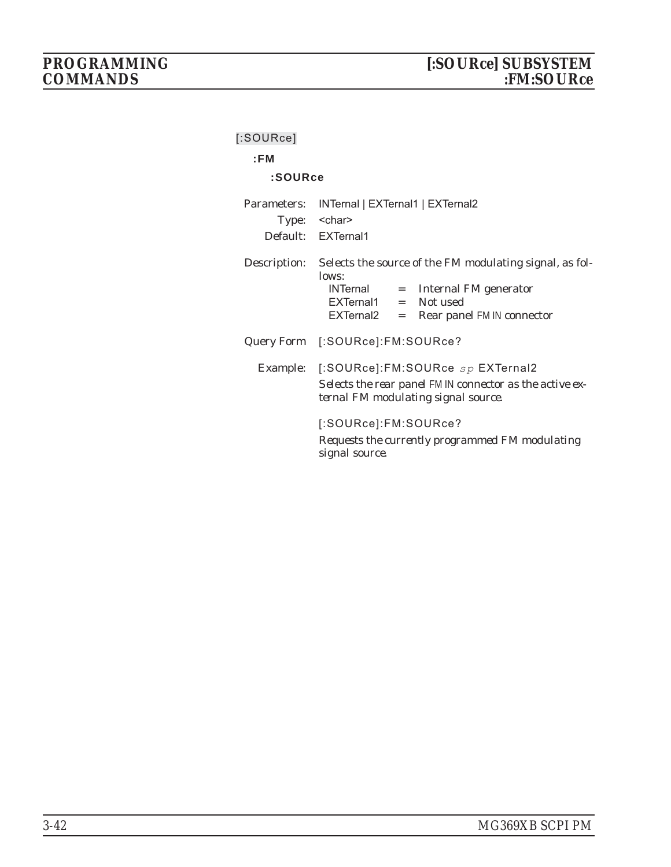| $[$ :SOURce]<br>:FM |                                                                                                                                                                             |
|---------------------|-----------------------------------------------------------------------------------------------------------------------------------------------------------------------------|
| :SOURce             |                                                                                                                                                                             |
| Parameters:         | INTernal   EXTernal1   EXTernal2<br>Type: < char><br>Default: EXTernal1                                                                                                     |
| Description:        | Selects the source of the FM modulating signal, as fol-<br>lows:<br>$INTernal = Internal FM generator$<br>EXTernal1 = Not used<br>EXTernal2<br>= Rear panel FM IN connector |
|                     | Query Form [:SOURce]:FM:SOURce?                                                                                                                                             |
|                     | Example: [:SOURce]:FM:SOURce sp EXTernal2<br>Selects the rear panel FM IN connector as the active ex-<br>ternal FM modulating signal source.                                |
|                     | [:SOURce]:FM:SOURce?<br>Requests the currently programmed FM modulating<br>signal source.                                                                                   |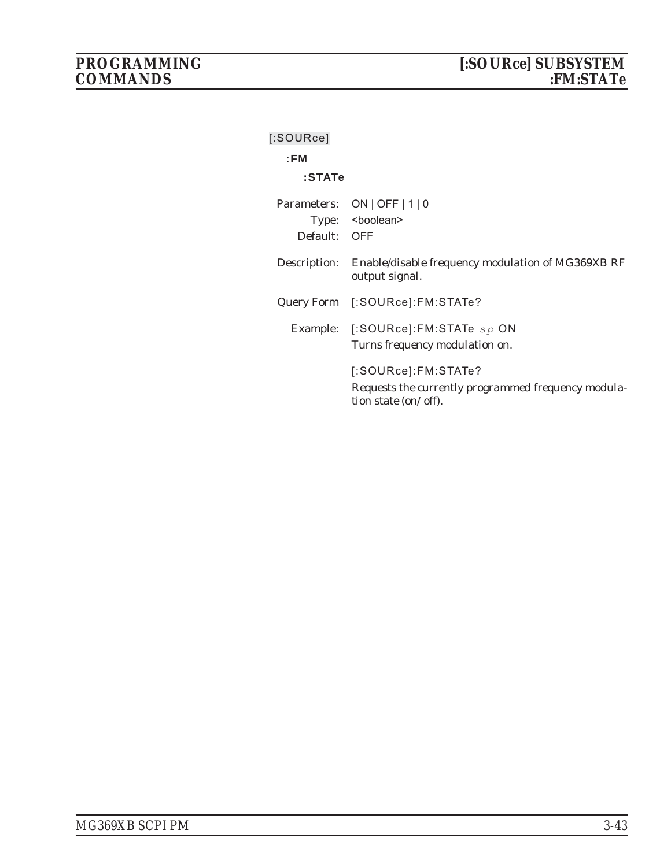| $[$ :SOURce] |                                                                                                    |
|--------------|----------------------------------------------------------------------------------------------------|
| :FM          |                                                                                                    |
| $:$ STATe    |                                                                                                    |
|              | Parameters: ON   OFF   1   0                                                                       |
|              | Type: <boolean></boolean>                                                                          |
| Default: OFF |                                                                                                    |
|              | Description: Enable/disable frequency modulation of MG369XB RF<br>output signal.                   |
|              | Query Form [:SOURce]:FM:STATe?                                                                     |
|              | Example: [:SOURce]:FM:STATe sp ON<br>Turns frequency modulation on.                                |
|              | [:SOURec]:FM:STATE?<br>Requests the currently programmed frequency modula-<br>tion state (on/off). |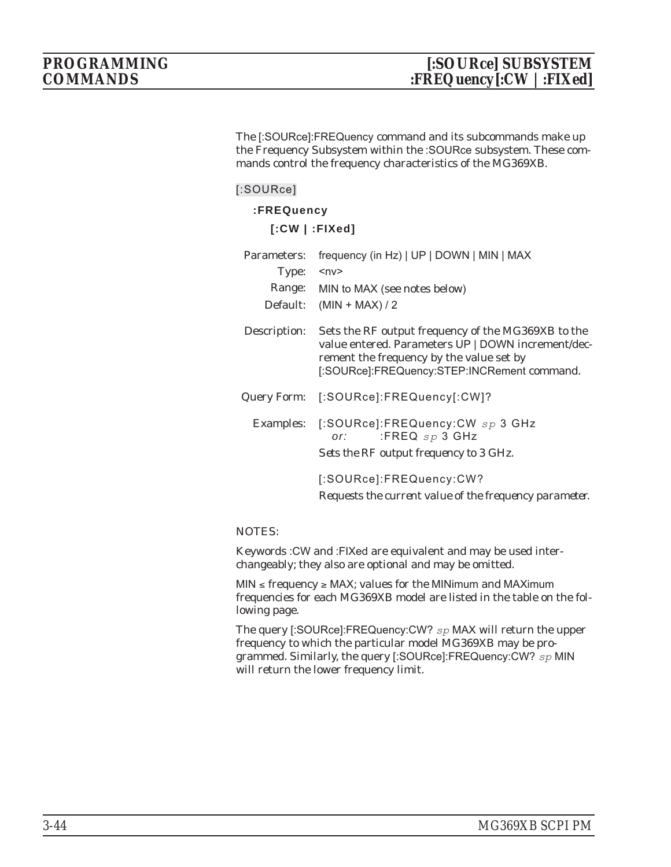The [:SOURce]:FREQuency command and its subcommands make up the Frequency Subsystem within the :SOURce subsystem. These commands control the frequency characteristics of the MG369XB.

### **[:SOURce]**

## **:FREQuency**

**[:CW | :FIXed]**

| Parameters:  | frequency (in Hz)   UP   DOWN   MIN   MAX                                                                                                                                                           |
|--------------|-----------------------------------------------------------------------------------------------------------------------------------------------------------------------------------------------------|
| Type:        | $<$ n $v$ >                                                                                                                                                                                         |
|              | Range: MIN to MAX (see notes below)                                                                                                                                                                 |
| Default:     | $(MIN + MAX)/2$                                                                                                                                                                                     |
| Description: | Sets the RF output frequency of the MG369XB to the<br>value entered. Parameters UP   DOWN increment/dec-<br>rement the frequency by the value set by<br>[:SOURce]:FREQuency:STEP:INCRement command. |
|              | Query Form: [:SOURce]:FREQuency[:CW]?                                                                                                                                                               |
|              | Examples: [:SOURce]:FREQuency:CW sp 3 GHz<br>:FREQ $sp$ 3 GHz<br>or:<br>Sets the RF output frequency to 3 GHz.                                                                                      |
|              | [:SOURce]:FREQuency:CW?<br>Requests the current value of the frequency parameter.                                                                                                                   |

#### NOTES:

Keywords :CW and :FIXed are equivalent and may be used interchangeably; they also are optional and may be omitted.

 $MIN \leq frequency \geq MAX$ ; values for the MINimum and MAXimum frequencies for each MG369XB model are listed in the table on the following page.

The query [:SOURce]:FREQuency:CW? *sp* MAX will return the upper frequency to which the particular model MG369XB may be programmed. Similarly, the query [:SOURce]:FREQuency:CW? *sp* MIN will return the lower frequency limit.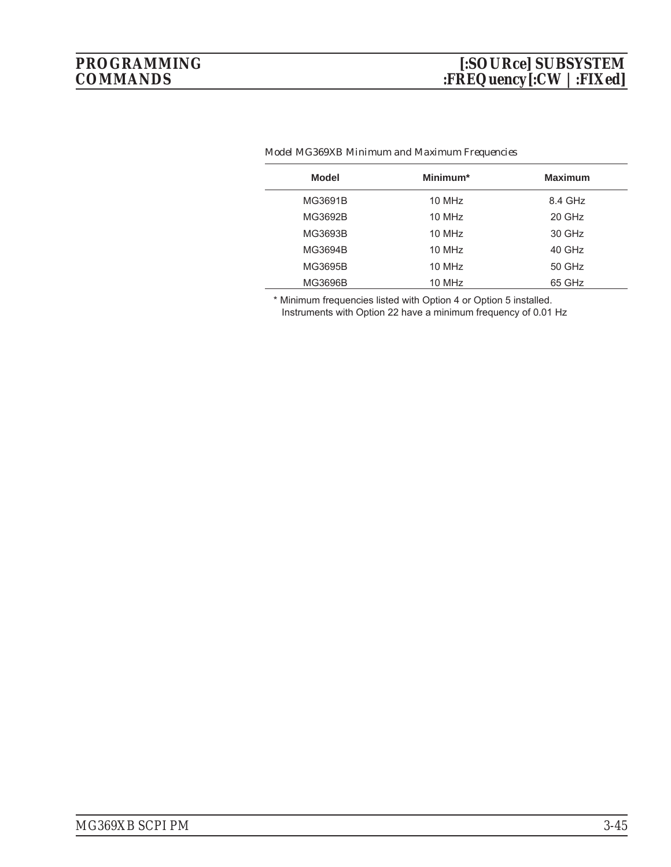| Model   | Minimum* | <b>Maximum</b> |
|---------|----------|----------------|
| MG3691B | 10 MHz   | 8.4 GHz        |
| MG3692B | 10 MHz   | 20 GHz         |
| MG3693B | 10 MHz   | 30 GHz         |
| MG3694B | 10 MHz   | 40 GHz         |
| MG3695B | 10 MHz   | 50 GHz         |
| MG3696B | 10 MHz   | 65 GHz         |

#### *Model MG369XB Minimum and Maximum Frequencies*

\* Minimum frequencies listed with Option 4 or Option 5 installed.

Instruments with Option 22 have a minimum frequency of 0.01 Hz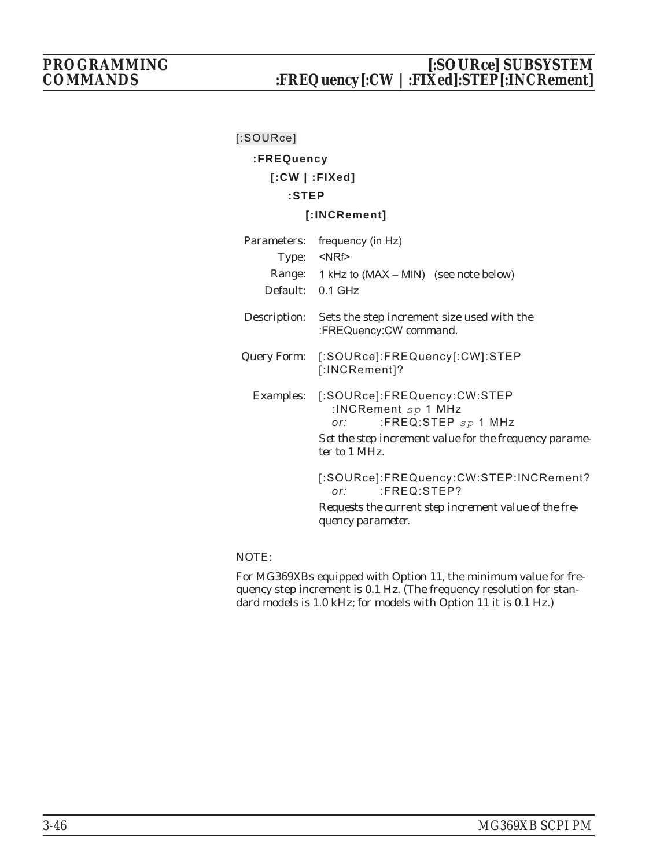## *PROGRAMMING [:SOURce] SUBSYSTEM COMMANDS :FREQuency[:CW |:FIXed]:STEP[:INCRement]*

## **[:SOURce]**

## **:FREQuency**

## **[:CW | :FIXed]**

## **:STEP**

## **[:INCRement]**

| Default: 0.1 GHz | Parameters: frequency (in Hz)<br>Type: <nrf><br/>Range: 1 kHz to (MAX – MIN) (see note below)</nrf>                                                      |
|------------------|----------------------------------------------------------------------------------------------------------------------------------------------------------|
|                  | Description: Sets the step increment size used with the<br>:FREQuency:CW command.                                                                        |
|                  | Query Form: [:SOURce]:FREQuency[:CW]:STEP<br>[:INCRement]?                                                                                               |
|                  | Examples: [:SOURce]:FREQuency:CW:STEP<br>:INCRement $sp$ 1 MHz<br>:FREQ:STEP $sp$ 1 MHz<br>or:<br>Set the step increment value for the frequency parame- |
|                  | ter to 1 MHz.                                                                                                                                            |
|                  | [:SOURce]:FREQuency:CW:STEP:INCRement?<br>$:$ FREQ: STEP?<br>or:                                                                                         |
|                  | Requests the current step increment value of the fre-<br>quency parameter.                                                                               |

## NOTE:

For MG369XBs equipped with Option 11, the minimum value for frequency step increment is 0.1 Hz. (The frequency resolution for standard models is 1.0 kHz; for models with Option 11 it is 0.1 Hz.)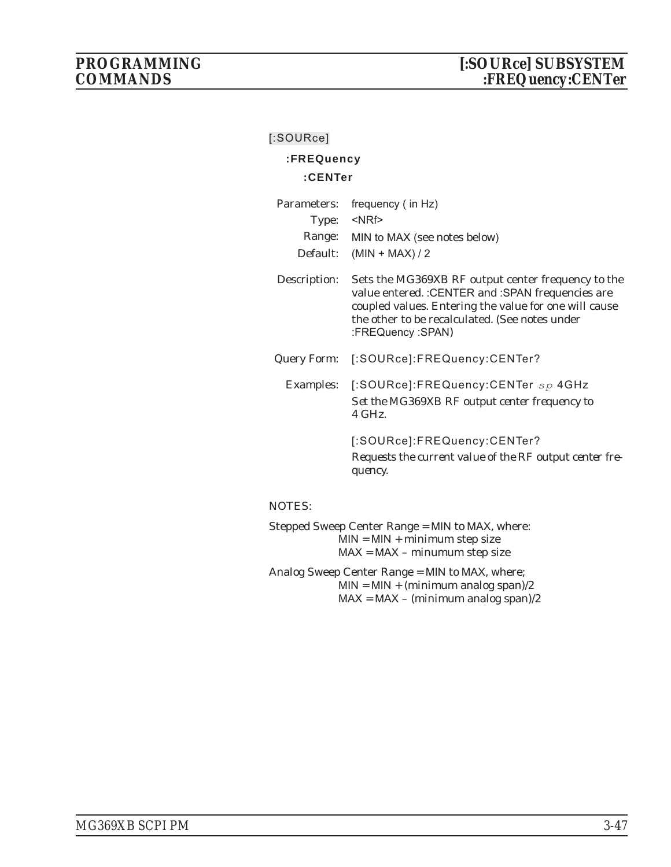## **:FREQuency**

## **:CENTer**

| Parameters: frequency (in Hz)       |
|-------------------------------------|
| Type: <nrf></nrf>                   |
| Range: MIN to MAX (see notes below) |
| Default: $(MIN + MAX)/2$            |
|                                     |

Description: Sets the MG369XB RF output center frequency to the value entered. :CENTER and :SPAN frequencies are coupled values. Entering the value for one will cause the other to be recalculated. (See notes under :FREQuency :SPAN)

Query Form: [:SOURce]:FREQuency:CENTer?

Examples: [:SOURce]:FREQuency:CENTer *sp* 4GHz *Set the MG369XB RF output center frequency to 4 GHz.*

> [:SOURce]:FREQuency:CENTer? *Requests the current value of the RF output center frequency.*

#### NOTES:

Stepped Sweep Center Range = MIN to MAX, where:  $MIN = MIN + minimum step size$ MAX = MAX – minumum step size

Analog Sweep Center Range = MIN to MAX, where;  $MIN = MIN + (minimum analog span)/2$  $MAX = MAX - (minimum analog span)/2$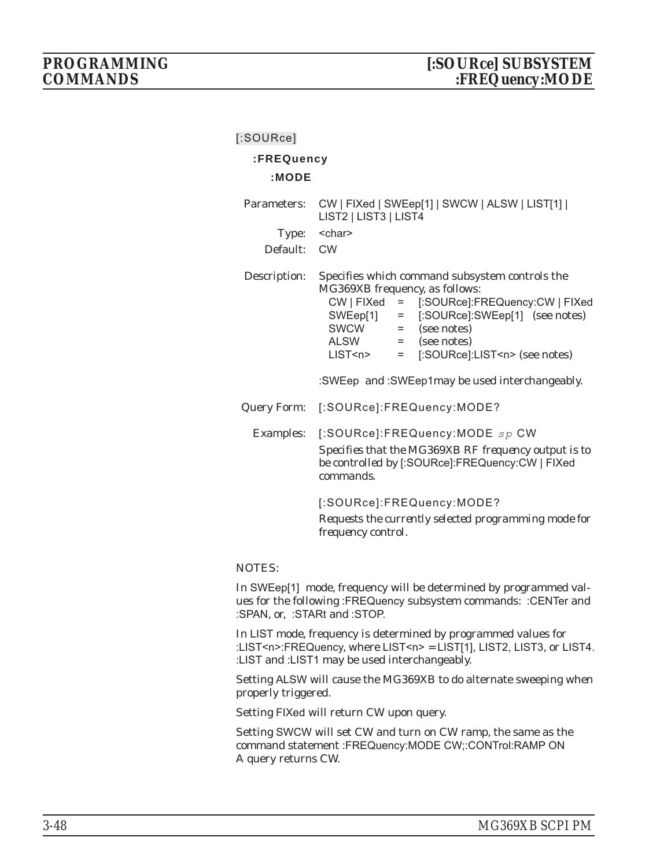## **:FREQuency**

#### **:MODE**

| Parameters:<br>Type:<br>Default: | CW   FIXed   SWEep[1]   SWCW   ALSW   LIST[1]  <br>LIST2   LIST3   LIST4<br><char><br/><b>CW</b></char>                                                                                                                                                                                                                                  |
|----------------------------------|------------------------------------------------------------------------------------------------------------------------------------------------------------------------------------------------------------------------------------------------------------------------------------------------------------------------------------------|
| Description:                     | Specifies which command subsystem controls the<br>MG369XB frequency, as follows:<br>CW   FIXed = [:SOURce]:FREQuency:CW   FIXed<br>SWEep[1] = [:SOURce]:SWEep[1] (see notes)<br>SWCW = (see notes)<br>$\angle$ ALSW = (see notes)<br>LIST <n> = [:SOURce]:LIST<n> (see notes)<br/>:SWEep and :SWEep1may be used interchangeably.</n></n> |
| Query Form:                      | [:SOURce]:FREQuency:MODE?                                                                                                                                                                                                                                                                                                                |
|                                  | Examples: [:SOURce]:FREQuency:MODE sp CW<br>Specifies that the MG369XB RF frequency output is to<br>be controlled by [:SOURce]:FREQuency:CW   FIXed<br>commands.<br>[:SOURce]:FREQuency:MODE?                                                                                                                                            |
|                                  | Requests the currently selected programming mode for<br>frequency control.                                                                                                                                                                                                                                                               |

#### NOTES:

In SWEep[1] mode, frequency will be determined by programmed values for the following :FREQuency subsystem commands: :CENTer and :SPAN, or, :STARt and :STOP.

In LIST mode, frequency is determined by programmed values for :LIST<n>:FREQuency, where LIST<n> = LIST[1], LIST2, LIST3, or LIST4. :LIST and :LIST1 may be used interchangeably.

Setting ALSW will cause the MG369XB to do alternate sweeping when properly triggered.

Setting FIXed will return CW upon query.

Setting SWCW will set CW and turn on CW ramp, the same as the command statement :FREQuency:MODE CW;:CONTrol:RAMP ON A query returns CW.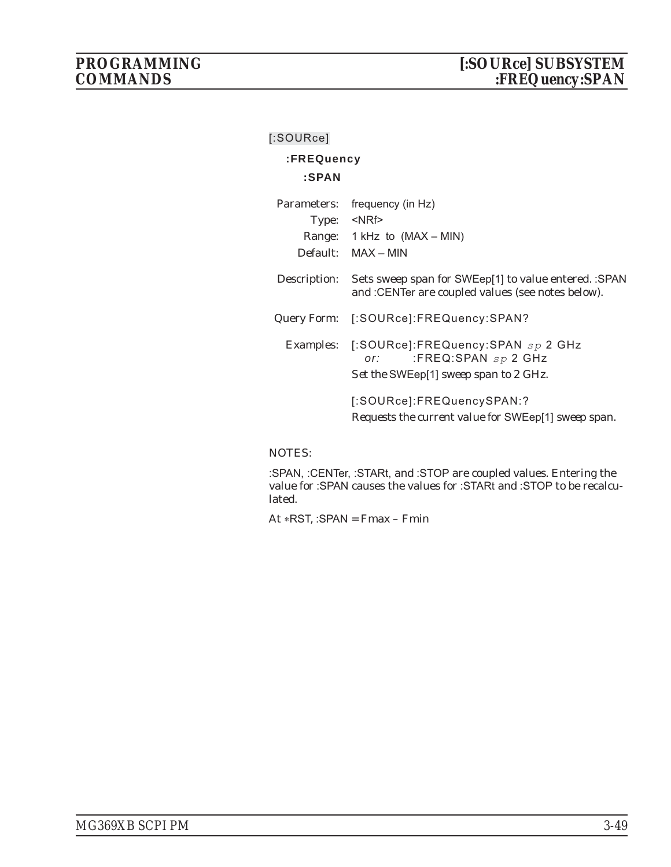## **:FREQuency**

## **:SPAN**

| Parameters:  | frequency (in Hz)                                                                                                    |
|--------------|----------------------------------------------------------------------------------------------------------------------|
| Type:        | <nrf></nrf>                                                                                                          |
|              | Range: $1$ kHz to (MAX – MIN)                                                                                        |
|              | Default: MAX - MIN                                                                                                   |
| Description: | Sets sweep span for SWEep[1] to value entered. : SPAN<br>and : CENTer are coupled values (see notes below).          |
| Query Form:  | [:SOURce]:FREQuency:SPAN?                                                                                            |
|              | Examples: [:SOURce]:FREQuency:SPAN sp 2 GHz<br>:FREQ:SPAN $sp 2$ GHz<br>or:<br>Set the SWEep[1] sweep span to 2 GHz. |
|              | [:SOURce]:FREQuencySPAN:?<br>Requests the current value for SWEep[1] sweep span.                                     |

## NOTES:

:SPAN, :CENTer, :STARt, and :STOP are coupled values. Entering the value for :SPAN causes the values for :STARt and :STOP to be recalculated.

At \*RST, :SPAN = Fmax – Fmin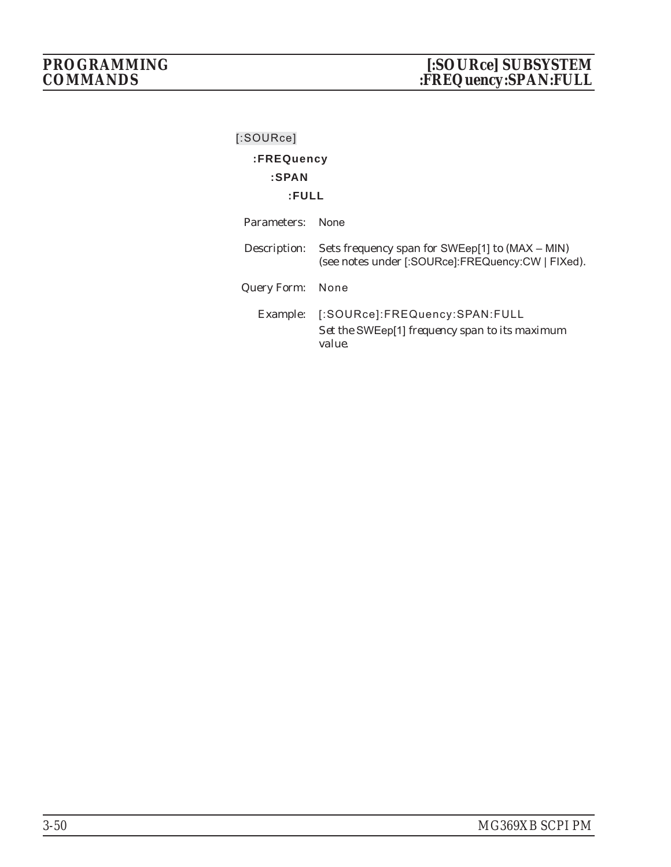| [:SOURce]        |                                                                                                      |
|------------------|------------------------------------------------------------------------------------------------------|
| :FREQuency       |                                                                                                      |
| :SPAN            |                                                                                                      |
| :FULL            |                                                                                                      |
| Parameters:      | <b>None</b>                                                                                          |
| Description:     | Sets frequency span for SWEep[1] to (MAX – MIN)<br>(see notes under [:SOURce]:FREQuency:CW   FIXed). |
| Query Form: None |                                                                                                      |
|                  | Example: [:SOURce]:FREQuency:SPAN:FULL<br>Set the SWEep[1] frequency span to its maximum<br>value.   |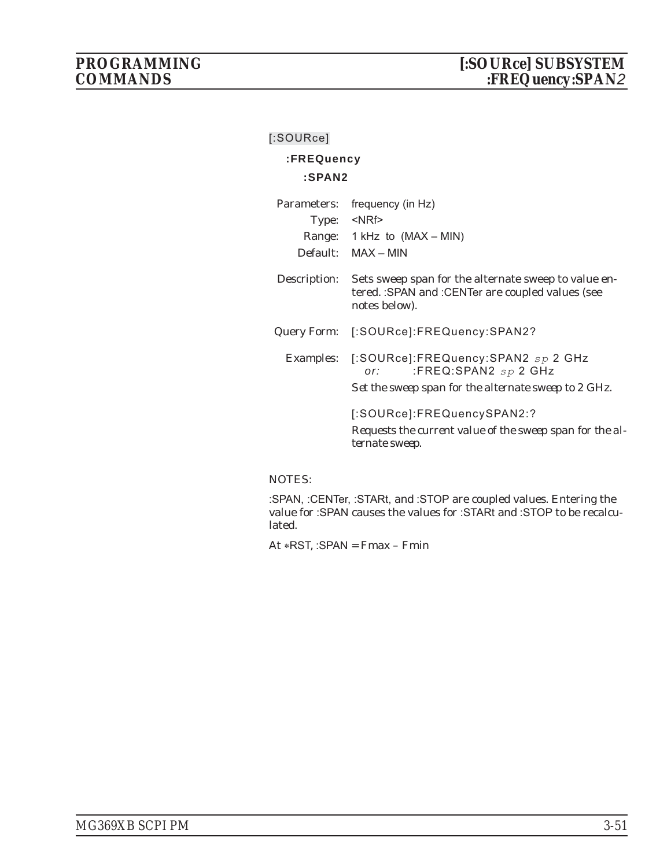## **:FREQuency**

## **:SPAN2**

| Parameters:  | frequency (in Hz)                                                                                                              |
|--------------|--------------------------------------------------------------------------------------------------------------------------------|
|              | Type: <nrf></nrf>                                                                                                              |
|              | Range: 1 kHz to (MAX – MIN)                                                                                                    |
|              | Default: MAX - MIN                                                                                                             |
| Description: | Sets sweep span for the alternate sweep to value en-<br>tered. : SPAN and : CENTer are coupled values (see<br>notes below).    |
| Query Form:  | [:SOURce]:FREQuency:SPAN2?                                                                                                     |
| Examples:    | [:SOURce]:FREQuency:SPAN2 sp 2 GHz<br>:FREQ:SPAN2 $_{SP}$ 2 GHz<br>or:<br>Set the sweep span for the alternate sweep to 2 GHz. |
|              | [:SOURce]:FREQuencySPAN2:?<br>Requests the current value of the sweep span for the al-<br>ternate sweep.                       |

## NOTES:

:SPAN, :CENTer, :STARt, and :STOP are coupled values. Entering the value for :SPAN causes the values for :STARt and :STOP to be recalculated.

At \*RST, :SPAN = Fmax – Fmin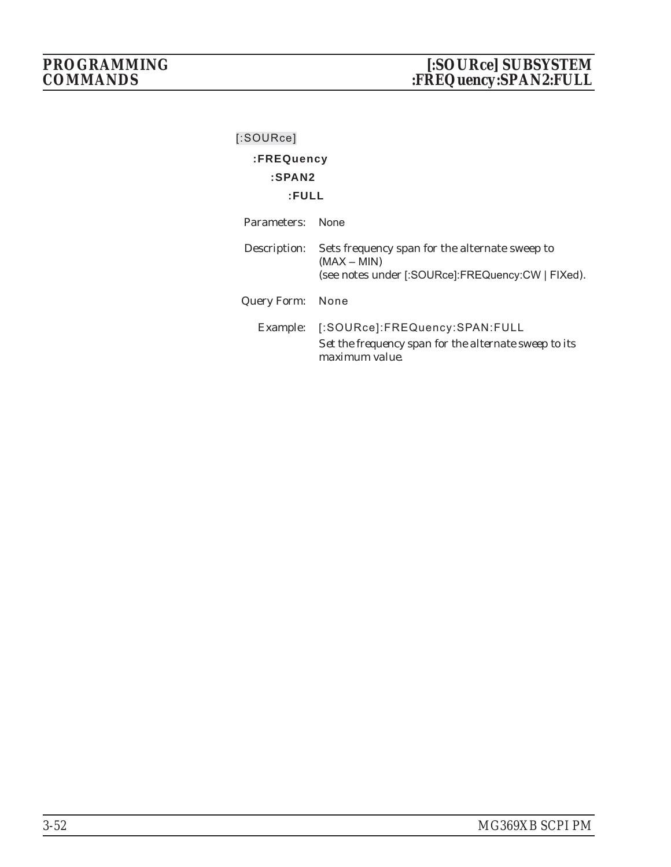| [:SOURce]   |                                                                                                                                   |
|-------------|-----------------------------------------------------------------------------------------------------------------------------------|
| :FREQuency  |                                                                                                                                   |
| :SPAN2      |                                                                                                                                   |
| :FULL       |                                                                                                                                   |
| Parameters: | <b>None</b>                                                                                                                       |
|             | Description: Sets frequency span for the alternate sweep to<br>$(MAX - MIN)$<br>(see notes under [:SOURce]:FREQuency:CW   FIXed). |
| Query Form: | None                                                                                                                              |
| Example:    | [:SOURce]:FREQuency:SPAN:FULL<br>Set the frequency span for the alternate sweep to its<br><i>maximum value.</i>                   |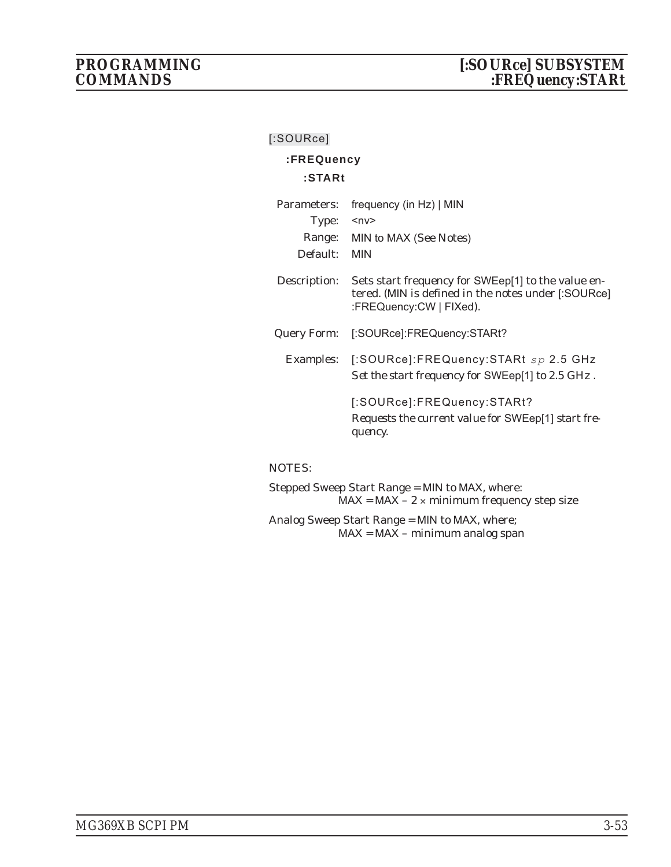## **:FREQuency**

## **:STARt**

| Parameters:  | frequency (in Hz)   MIN                                                                                                              |
|--------------|--------------------------------------------------------------------------------------------------------------------------------------|
| Type:        | ≺nv>                                                                                                                                 |
|              | Range: MIN to MAX (See Notes)                                                                                                        |
| Default:     | <b>MIN</b>                                                                                                                           |
| Description: | Sets start frequency for SWEep[1] to the value en-<br>tered. (MIN is defined in the notes under [:SOURce]<br>:FREQuency:CW   FIXed). |
| Query Form:  | [:SOURce]:FREQuency:STARt?                                                                                                           |
|              | Examples: [:SOURce]:FREQuency:STARt sp 2.5 GHz<br>Set the start frequency for SWEep[1] to 2.5 GHz.                                   |
|              | [:SOURce]:FREQuency:STARt?<br>Requests the current value for SWEep[1] start fre-<br>quency.                                          |

## NOTES:

Stepped Sweep Start Range = MIN to MAX, where:  $MAX = MAX - 2 \times minimum frequency step size$ 

Analog Sweep Start Range = MIN to MAX, where;  $MAX = MAX - minimum analog span$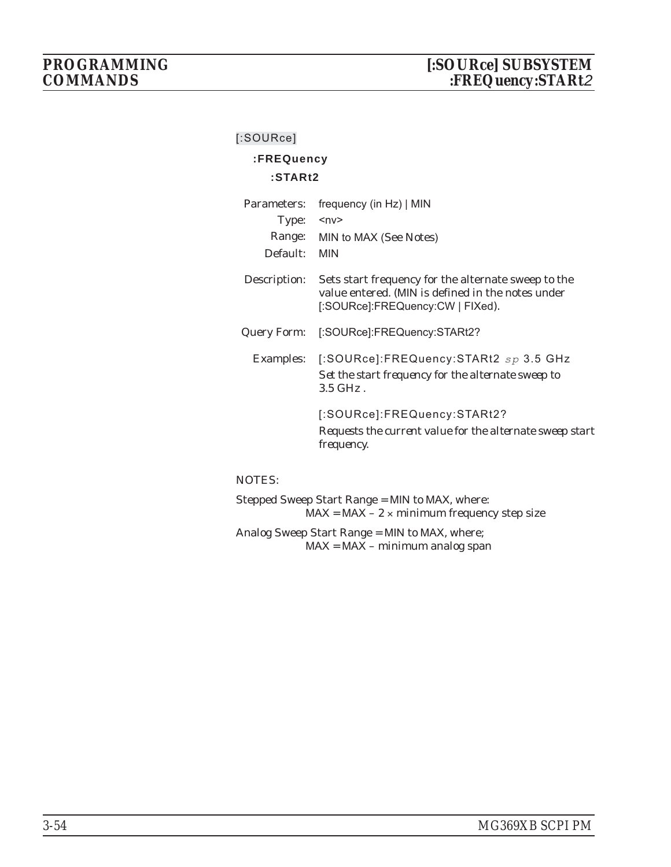## **:FREQuency**

#### **:STARt2**

| Parameters:  | frequency (in Hz)   MIN                                                                                                                      |
|--------------|----------------------------------------------------------------------------------------------------------------------------------------------|
| Type:        | ≺n∨>                                                                                                                                         |
|              | Range: MIN to MAX (See Notes)                                                                                                                |
| Default:     | <b>MIN</b>                                                                                                                                   |
| Description: | Sets start frequency for the alternate sweep to the<br>value entered. (MIN is defined in the notes under<br>[:SOURce]:FREQuency:CW   FIXed). |
| Query Form:  | [:SOURce]:FREQuency:STARt2?                                                                                                                  |
|              | Examples: [:SOURce]:FREQuency:STARt2 sp 3.5 GHz<br>Set the start frequency for the alternate sweep to<br>$3.5$ GHz.                          |
|              | [:SOURce]:FREQuency:STARt2?<br>Requests the current value for the alternate sweep start<br><i>frequency.</i>                                 |

## NOTES:

Stepped Sweep Start Range = MIN to MAX, where:  $MAX = MAX - 2 \times minimum frequency step size$ Analog Sweep Start Range = MIN to MAX, where;

MAX = MAX – minimum analog span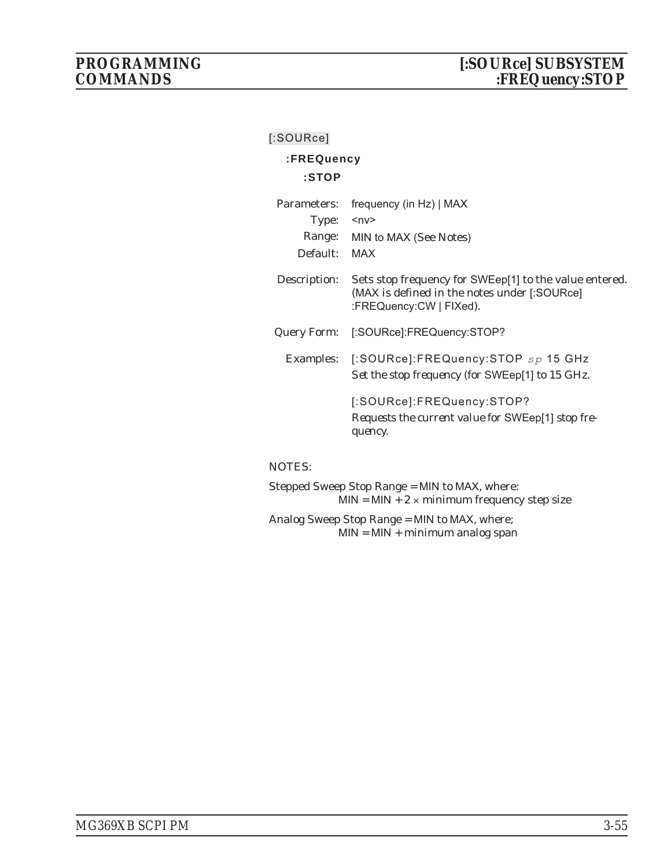## **:FREQuency**

## **:STOP**

| Parameters:  | frequency (in Hz)   MAX                                                                                                           |
|--------------|-----------------------------------------------------------------------------------------------------------------------------------|
| Type:        | $<$ n $v$ >                                                                                                                       |
|              | Range: MIN to MAX (See Notes)                                                                                                     |
| Default:     | MAX                                                                                                                               |
| Description: | Sets stop frequency for SWEep[1] to the value entered.<br>(MAX is defined in the notes under [:SOURce]<br>:FREQuency:CW   FIXed). |
| Query Form:  | [:SOURce]:FREQuency:STOP?                                                                                                         |
|              | Examples: [:SOURce]:FREQuency:STOP sp 15 GHz<br>Set the stop frequency (for SWEep[1] to 15 GHz.                                   |
|              | [:SOURce]:FREQuency:STOP?<br>Requests the current value for SWEep[1] stop fre-<br>quency.                                         |

## NOTES:

Stepped Sweep Stop Range = MIN to MAX, where:  $MIN = MIN + 2 \times minimum frequency step size$ 

Analog Sweep Stop Range = MIN to MAX, where; MIN = MIN + minimum analog span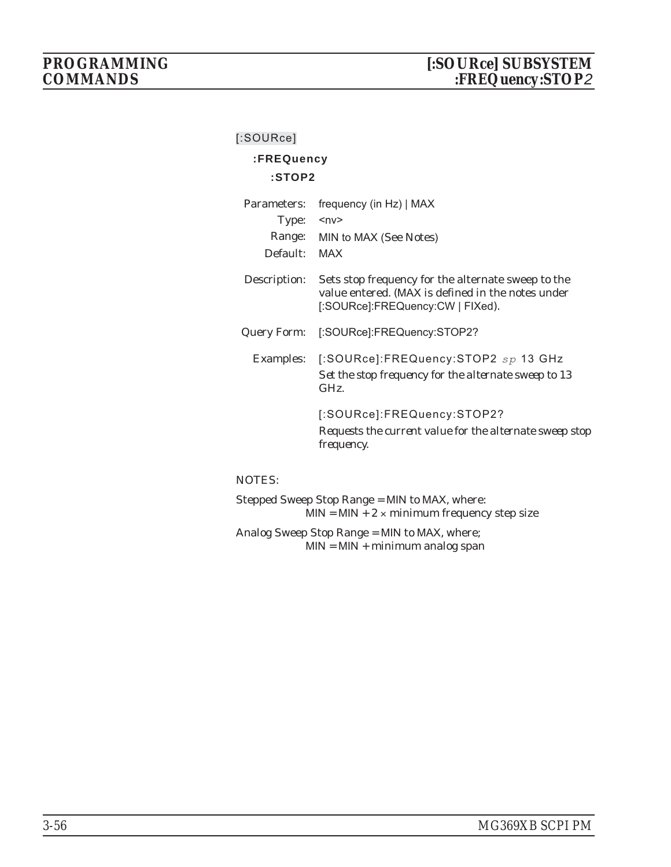## **:FREQuency**

#### **:STOP2**

| Parameters:  | frequency (in Hz)   MAX                                                                                                                     |
|--------------|---------------------------------------------------------------------------------------------------------------------------------------------|
| Type:        | ≺nv>                                                                                                                                        |
|              | Range: MIN to MAX (See Notes)                                                                                                               |
| Default:     | MAX                                                                                                                                         |
| Description: | Sets stop frequency for the alternate sweep to the<br>value entered. (MAX is defined in the notes under<br>[:SOURce]:FREQuency:CW   FIXed). |
| Query Form:  | [:SOURce]:FREQuency:STOP2?                                                                                                                  |
|              | Examples: [:SOURce]:FREQuency:STOP2 sp 13 GHz<br>Set the stop frequency for the alternate sweep to 13<br>GHz                                |
|              | [:SOURce]:FREQuency:STOP2?<br>Requests the current value for the alternate sweep stop<br><i>frequency.</i>                                  |

#### NOTES:

Stepped Sweep Stop Range = MIN to MAX, where:  $MIN = MIN + 2 \times minimum frequency step size$ Analog Sweep Stop Range = MIN to MAX, where;

MIN = MIN + minimum analog span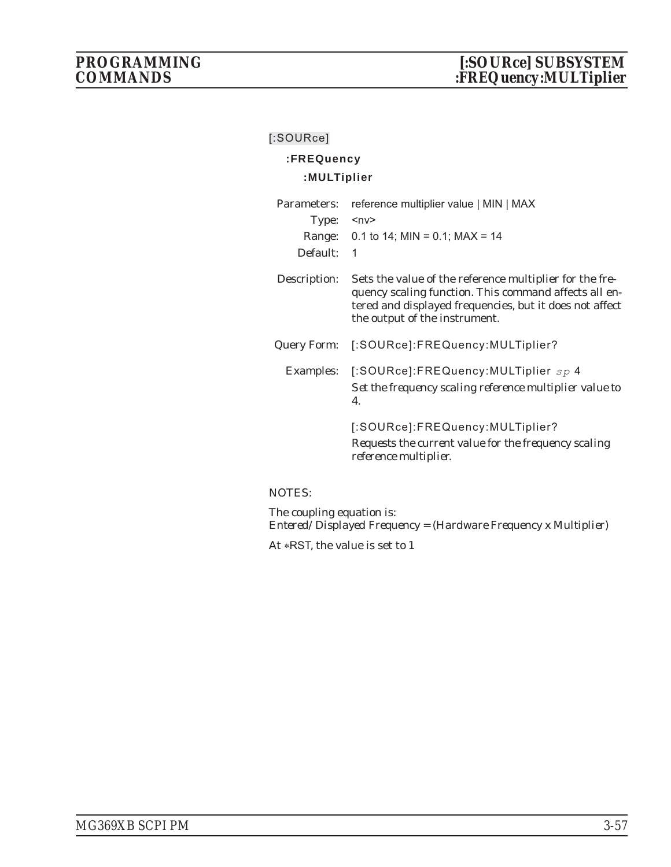## **:FREQuency :MULTiplier**

| Parameters:  | reference multiplier value   MIN   MAX                                                                                                                                                                       |
|--------------|--------------------------------------------------------------------------------------------------------------------------------------------------------------------------------------------------------------|
| Type:        | $<$ n $v$ >                                                                                                                                                                                                  |
|              | Range: $0.1$ to 14; MIN = 0.1; MAX = 14                                                                                                                                                                      |
| Default:     | 1                                                                                                                                                                                                            |
| Description: | Sets the value of the reference multiplier for the fre-<br>quency scaling function. This command affects all en-<br>tered and displayed frequencies, but it does not affect<br>the output of the instrument. |
| Query Form:  | [:SOURce]:FREQuency:MULTiplier?                                                                                                                                                                              |
| Examples:    | [:SOURce]:FREQuency:MULTiplier sp 4<br>Set the frequency scaling reference multiplier value to<br>$\boldsymbol{\varLambda}$ .                                                                                |
|              | [:SOURce]:FREQuency:MULTiplier?<br>Requests the current value for the frequency scaling<br><i>reference multiplier.</i>                                                                                      |

## NOTES:

The coupling equation is: *Entered/Displayed Frequency = (Hardware Frequency x Multiplier)*

At \*RST, the value is set to 1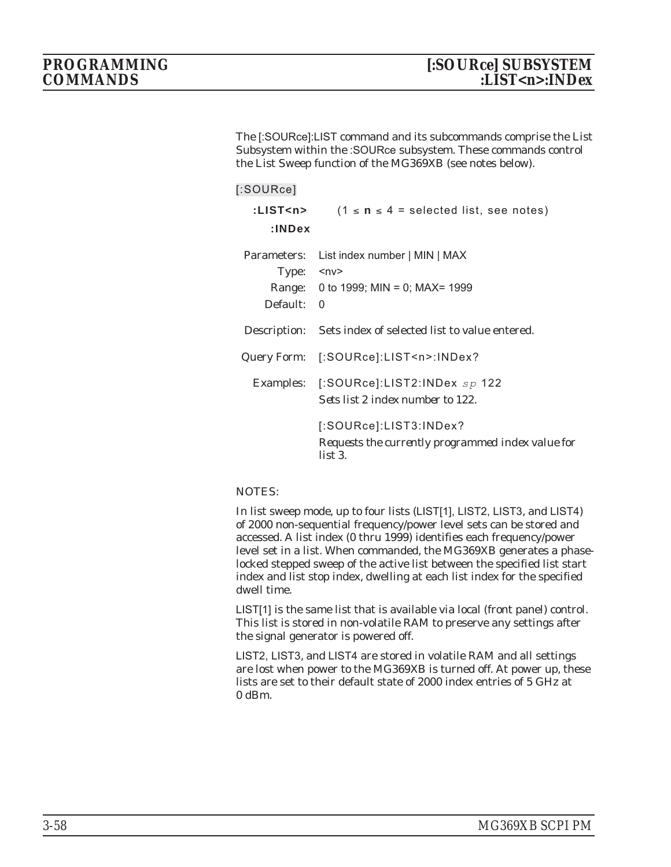The [:SOURce]:LIST command and its subcommands comprise the List Subsystem within the :SOURce subsystem. These commands control the List Sweep function of the MG369XB (see notes below).

| [:SOURce]                                                 |                                                                                         |
|-----------------------------------------------------------|-----------------------------------------------------------------------------------------|
| :LIST <n><br/>: <b>INDEX</b></n>                          | $(1 \le n \le 4$ = selected list, see notes)                                            |
| Parameters:<br>Type: $\langle n \vee \rangle$<br>Default: | List index number   MIN   MAX<br>Range: 0 to 1999; MIN = 0; MAX= 1999<br>$\overline{0}$ |
|                                                           | Description: Sets index of selected list to value entered.                              |
|                                                           | Query Form: [:SOURce]:LIST <n>:INDex?</n>                                               |
|                                                           | Examples: [:SOURce]:LIST2:INDex $sp$ 122<br>Sets list 2 index number to 122.            |
|                                                           | [:SOURce]:LIST3:INDex?<br>Requests the currently programmed index value for<br>list 3.  |

## NOTES:

In list sweep mode, up to four lists (LIST[1], LIST2, LIST3, and LIST4) of 2000 non-sequential frequency/power level sets can be stored and accessed. A list index (0 thru 1999) identifies each frequency/power level set in a list. When commanded, the MG369XB generates a phaselocked stepped sweep of the active list between the specified list start index and list stop index, dwelling at each list index for the specified dwell time.

LIST[1] is the same list that is available via local (front panel) control. This list is stored in non-volatile RAM to preserve any settings after the signal generator is powered off.

LIST2, LIST3, and LIST4 are stored in volatile RAM and all settings are lost when power to the MG369XB is turned off. At power up, these lists are set to their default state of 2000 index entries of 5 GHz at 0 dBm.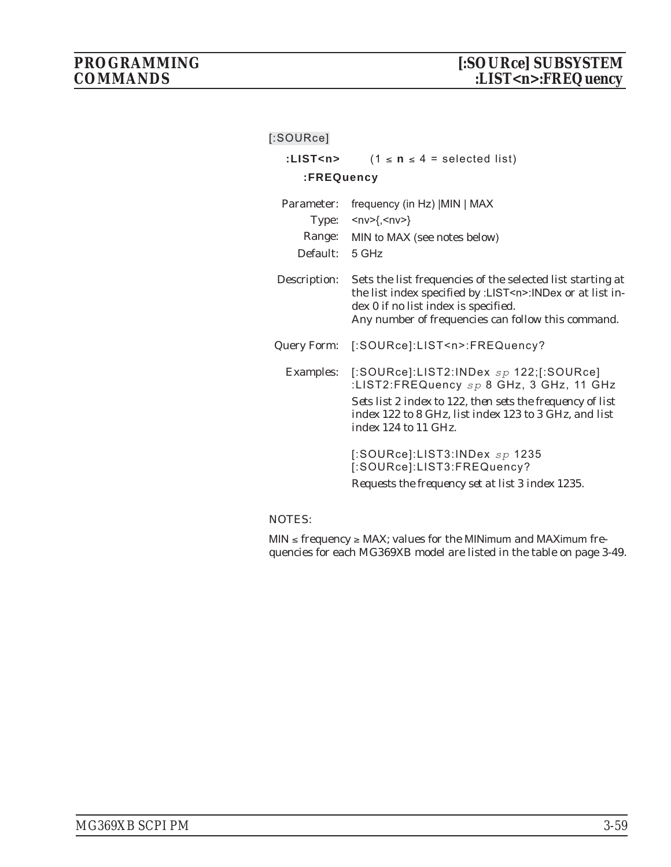| $[$ :SOURce]       |                                                                                                                                                                                                                                                |
|--------------------|------------------------------------------------------------------------------------------------------------------------------------------------------------------------------------------------------------------------------------------------|
| :LIST <n></n>      | $(1 \le n \le 4 = \text{selected list})$                                                                                                                                                                                                       |
| :FREQuency         |                                                                                                                                                                                                                                                |
| Parameter:         | frequency (in Hz)   MIN   MAX                                                                                                                                                                                                                  |
| Type:              | $<$ nv>{, <nv>}</nv>                                                                                                                                                                                                                           |
|                    | Range: MIN to MAX (see notes below)                                                                                                                                                                                                            |
| Default: 5 GHz     |                                                                                                                                                                                                                                                |
| Description:       | Sets the list frequencies of the selected list starting at<br>the list index specified by :LIST <n>:INDex or at list in-<br/>dex 0 if no list index is specified.<br/>Any number of frequencies can follow this command.</n>                   |
| <b>Query Form:</b> | [:SOURce]:LIST <n>:FREQuency?</n>                                                                                                                                                                                                              |
|                    | Examples: [:SOURce]:LIST2:INDex sp 122;[:SOURce]<br>:LIST2:FREQuency sp 8 GHz, 3 GHz, 11 GHz<br>Sets list 2 index to 122, then sets the frequency of list<br>index 122 to 8 GHz, list index 123 to 3 GHz, and list<br>index $124$ to $11$ GHz. |
|                    | [:SOURce]:LIST3:INDex $sp$ 1235<br>[:SOURce]:LIST3:FREQuency?<br>Requests the frequency set at list 3 index 1235.                                                                                                                              |

## NOTES:

 $\textsf{MIN} \leq \textit{frequency} \geq \textsf{MAX}$ ; values for the MINimum and MAXimum frequencies for each MG369XB model are listed in the table on page 3-49.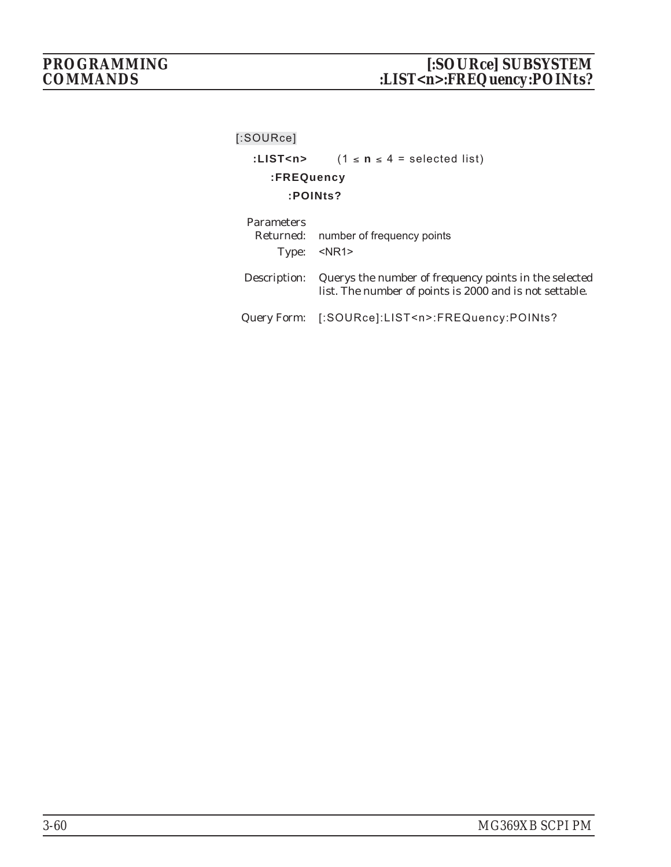## :LIST<n>  $(1 \le n \le 4 =$  selected list) **:FREQuency :POINts? Parameters**

| Parameters | Returned: number of frequency points<br>Type: <nr1></nr1>                                                                     |
|------------|-------------------------------------------------------------------------------------------------------------------------------|
|            | Description: Querys the number of frequency points in the selected<br>list. The number of points is 2000 and is not settable. |
|            | Query Form: [:SOURce]:LIST <n>:FREQuency:POINts?</n>                                                                          |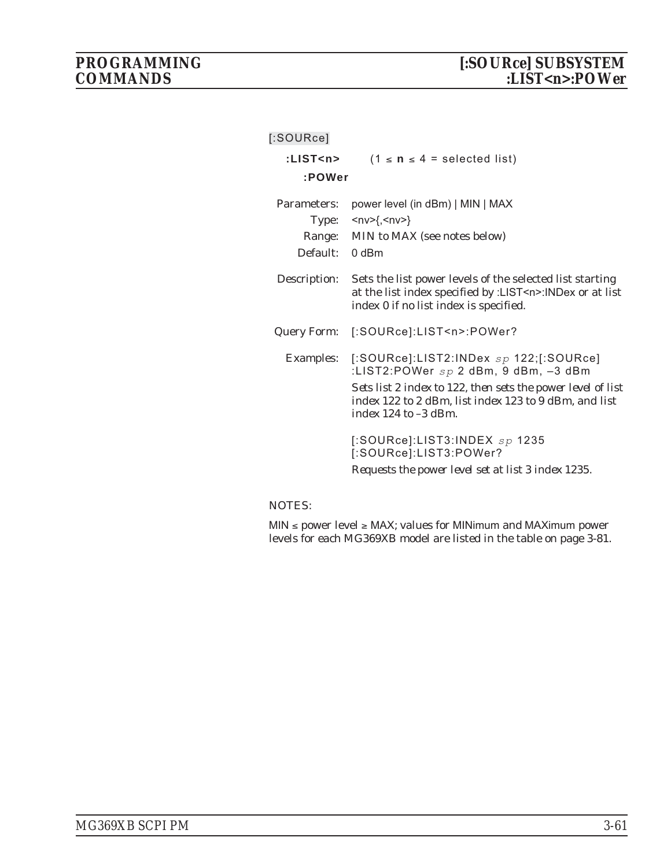| [:SOURce]      |                                                                                                                                                                                                                                              |
|----------------|----------------------------------------------------------------------------------------------------------------------------------------------------------------------------------------------------------------------------------------------|
| :LIST <n></n>  | $(1 \le n \le 4 = \text{selected list})$                                                                                                                                                                                                     |
| :POWer         |                                                                                                                                                                                                                                              |
| Parameters:    | power level (in dBm)   MIN   MAX                                                                                                                                                                                                             |
|                | Type: $\langle n \vee \rangle$ {, $\langle n \vee \rangle$ }                                                                                                                                                                                 |
|                | Range: MIN to MAX (see notes below)                                                                                                                                                                                                          |
| Default: 0 dBm |                                                                                                                                                                                                                                              |
| Description:   | Sets the list power levels of the selected list starting<br>at the list index specified by :LIST <n>:INDex or at list<br/>index 0 if no list index is specified.</n>                                                                         |
|                | Query Form: [:SOURce]:LIST <n>:POWer?</n>                                                                                                                                                                                                    |
|                | Examples: [:SOURce]:LIST2:INDex sp 122;[:SOURce]<br>:LIST2:POWer $sp$ 2 dBm, 9 dBm, $-3$ dBm<br>Sets list 2 index to 122, then sets the power level of list<br>index 122 to 2 dBm, list index 123 to 9 dBm, and list<br>index 124 to -3 dBm. |
|                | [:SOURce]:LIST3:INDEX $sp$ 1235<br>[:SOURce]:LIST3:POWer?<br>Requests the power level set at list 3 index 1235.                                                                                                                              |

## NOTES:

 $\textsf{MIN} \leq \texttt{power level} \geq \textsf{MAX};$  values for MINimum and MAXimum power levels for each MG369XB model are listed in the table on page 3-81.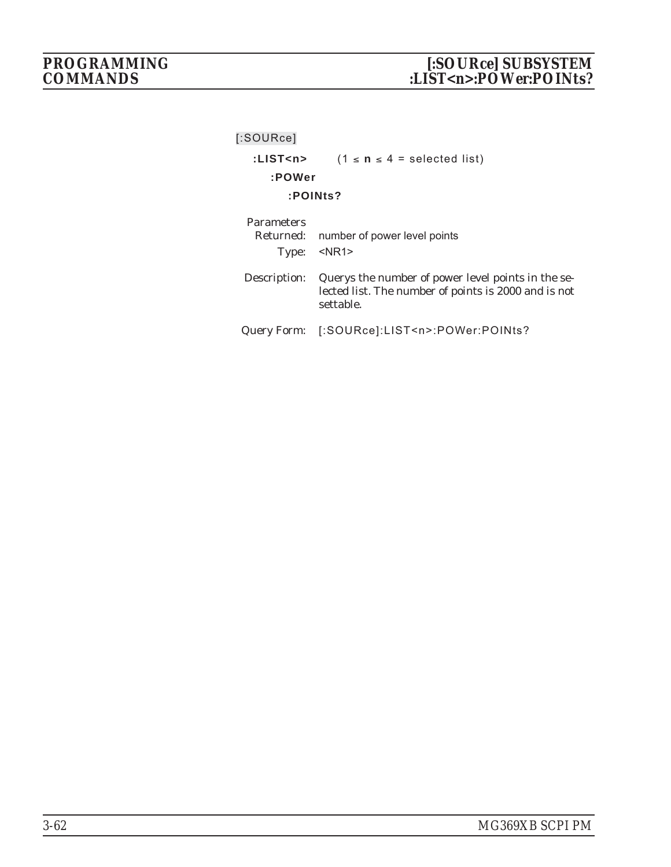| [:SOWRec]                      |                                                                                                                         |
|--------------------------------|-------------------------------------------------------------------------------------------------------------------------|
| :LIST <n></n>                  | $(1 \le n \le 4 = \text{selected list})$                                                                                |
| :POWer                         |                                                                                                                         |
| :POINts?                       |                                                                                                                         |
| <b>Parameters</b><br>Returned: | number of power level points<br>Type: <nr1></nr1>                                                                       |
| Description:                   | Querys the number of power level points in the se-<br>lected list. The number of points is 2000 and is not<br>settable. |
| Query Form:                    | [:SOURce]:LIST <n>:POWer:POINts?</n>                                                                                    |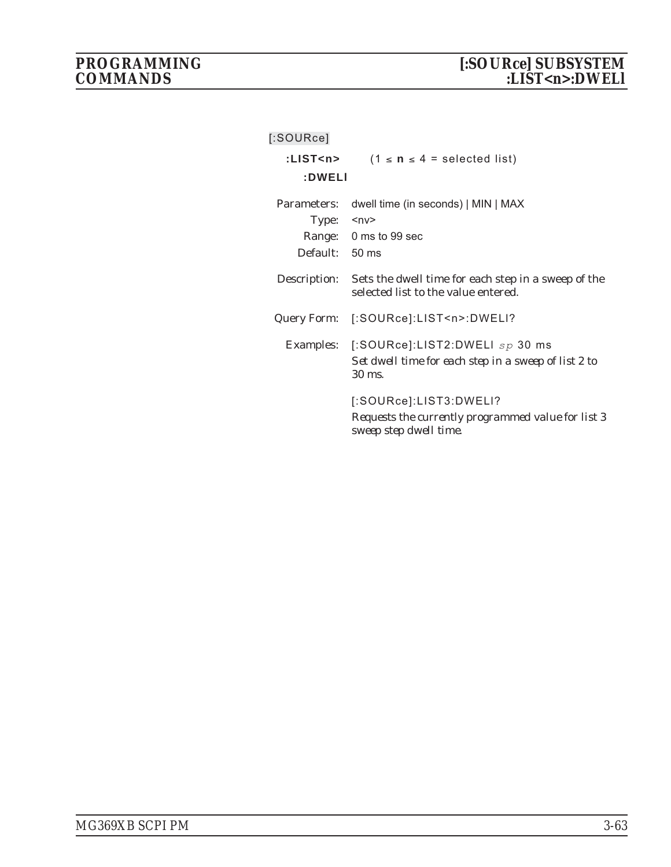| $[$ :SOURce]                           |                                                                                                                     |
|----------------------------------------|---------------------------------------------------------------------------------------------------------------------|
| :LIST <n></n>                          | $(1 \le n \le 4 = \text{selected list})$                                                                            |
| :DWELI                                 |                                                                                                                     |
| Parameters:<br>Type:<br>Default: 50 ms | dwell time (in seconds)   MIN   MAX<br>$<$ n $v$ ><br>Range: 0 ms to 99 sec                                         |
| Description:                           | Sets the dwell time for each step in a sweep of the<br>selected list to the value entered.                          |
|                                        | Query Form: [:SOURce]:LIST <n>:DWELI?</n>                                                                           |
|                                        | Examples: [:SOURce]:LIST2:DWELI sp 30 ms<br>Set dwell time for each step in a sweep of list 2 to<br>$30 \text{ ms}$ |
|                                        | [:SOURce]:LIST3:DWELI?<br>Requests the currently programmed value for list 3<br>sweep step dwell time.              |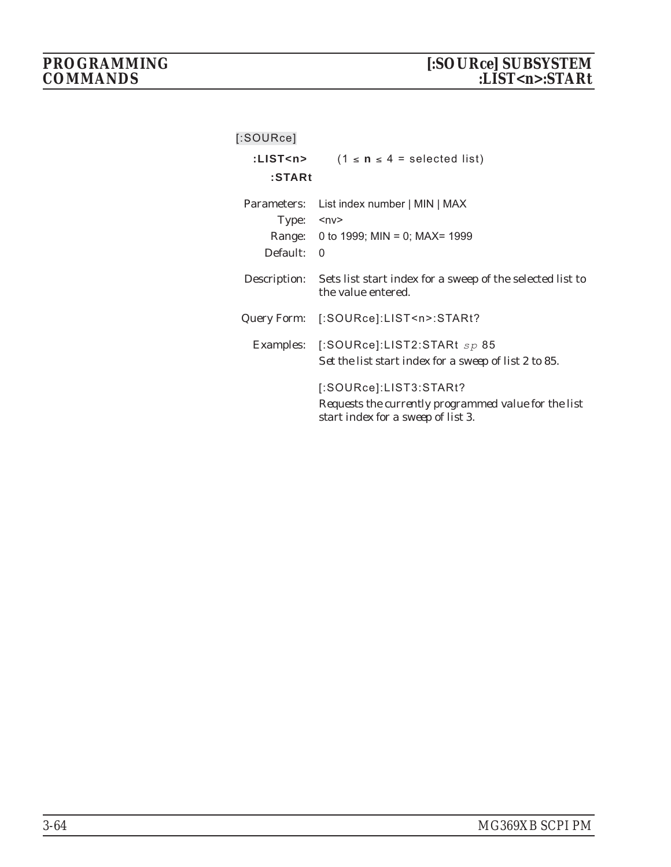| $[$ :SOURce]  |                                                                                            |
|---------------|--------------------------------------------------------------------------------------------|
| :LIST <n></n> | $(1 \le n \le 4 = \text{selected list})$                                                   |
| $:$ STARt     |                                                                                            |
| Parameters:   | List index number   MIN   MAX                                                              |
| Type:         | $nv$                                                                                       |
| Range:        | 0 to 1999; MIN = 0; MAX= 1999                                                              |
| Default:      | $\Omega$                                                                                   |
| Description:  | Sets list start index for a sweep of the selected list to<br>the value entered.            |
| Query Form:   | [:SOURce]:LIST <n>:STARt?</n>                                                              |
|               | Examples: [:SOURce]:LIST2:STARt $sp 85$                                                    |
|               | Set the list start index for a sweep of list 2 to 85.                                      |
|               | [:SOURce]:LIST3:STARt?                                                                     |
|               | Requests the currently programmed value for the list<br>start index for a sweep of list 3. |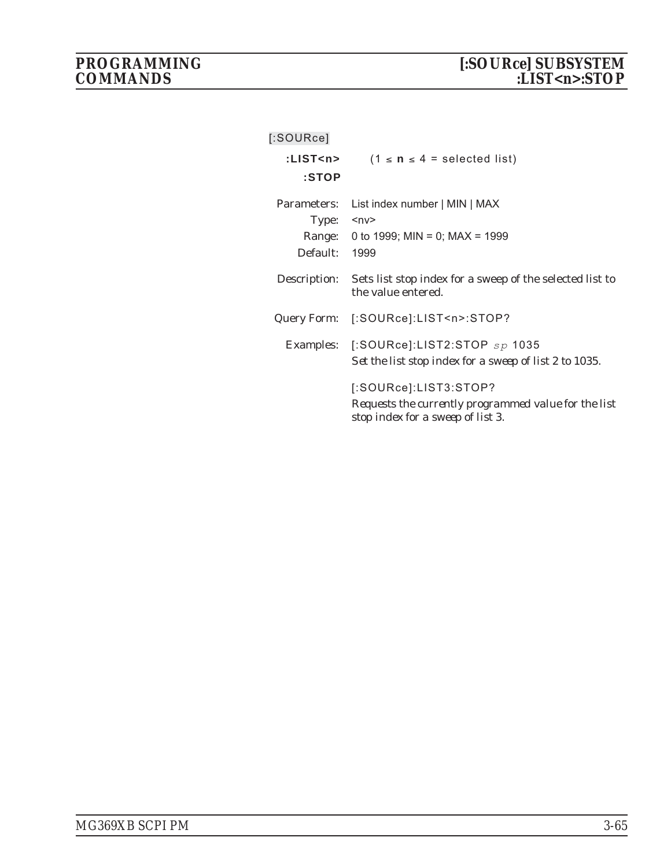| [:SOURce]                        |                                                                                                                    |
|----------------------------------|--------------------------------------------------------------------------------------------------------------------|
| :LIST <n><br/>:STOP</n>          | $(1 \le n \le 4 = \text{selected list})$                                                                           |
| Parameters:<br>Type:<br>Default: | List index number   MIN   MAX<br>$nv$<br>Range: 0 to 1999; MIN = 0; MAX = 1999<br>1999                             |
| Description:                     | Sets list stop index for a sweep of the selected list to<br>the value entered.                                     |
|                                  | Query Form: [:SOURce]:LIST <n>:STOP?</n>                                                                           |
|                                  | Examples: [:SOURce]:LIST2:STOP $sp$ 1035<br>Set the list stop index for a sweep of list 2 to 1035.                 |
|                                  | [:SOURce]:LIST3:STOP?<br>Requests the currently programmed value for the list<br>stop index for a sweep of list 3. |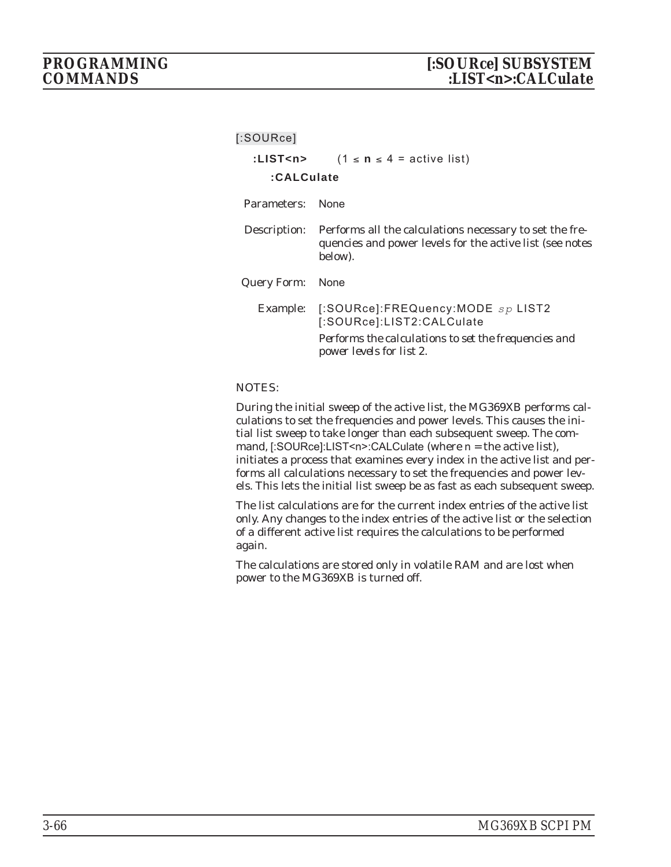|                  | :LIST <n> <math>(1 \le n \le 4 =</math> active list)</n>                                                                                                                |  |
|------------------|-------------------------------------------------------------------------------------------------------------------------------------------------------------------------|--|
| :CALCulate       |                                                                                                                                                                         |  |
| Parameters:      | <b>None</b>                                                                                                                                                             |  |
| Description:     | Performs all the calculations necessary to set the fre-<br>quencies and power levels for the active list (see notes<br>below).                                          |  |
| Query Form: None |                                                                                                                                                                         |  |
|                  | Example: $[$ :SOURce]:FREQuency:MODE $sp$ LIST2<br>[:SOURce]:LIST2:CALCulate<br>Performs the calculations to set the frequencies and<br><i>power levels for list 2.</i> |  |

#### NOTES:

During the initial sweep of the active list, the MG369XB performs calculations to set the frequencies and power levels. This causes the initial list sweep to take longer than each subsequent sweep. The command, [:SOURce]:LIST<n>:CALCulate (where  $n =$  the active list), initiates a process that examines every index in the active list and performs all calculations necessary to set the frequencies and power levels. This lets the initial list sweep be as fast as each subsequent sweep.

The list calculations are for the current index entries of the active list only. Any changes to the index entries of the active list or the selection of a different active list requires the calculations to be performed again.

The calculations are stored only in volatile RAM and are lost when power to the MG369XB is turned off.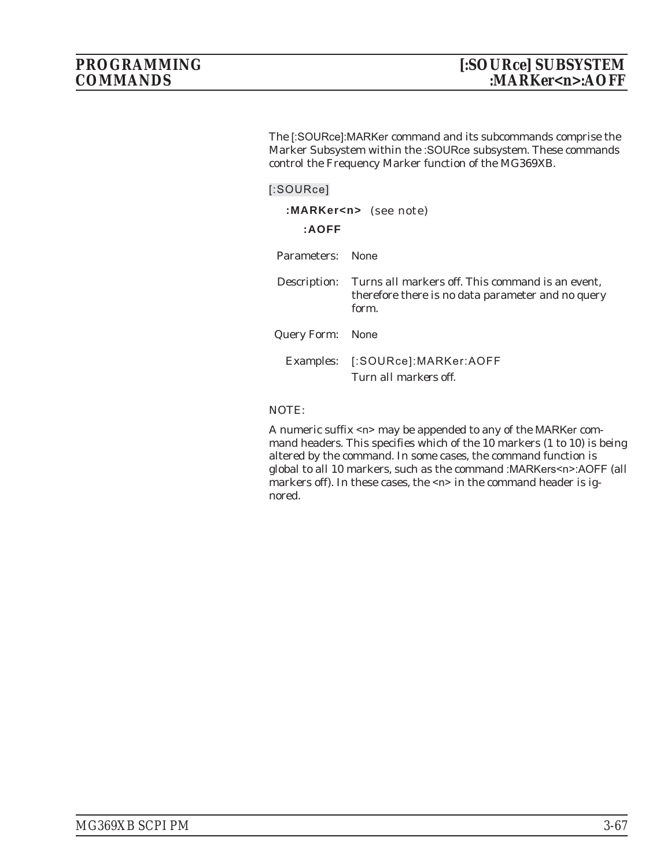The [:SOURce]:MARKer command and its subcommands comprise the Marker Subsystem within the :SOURce subsystem. These commands control the Frequency Marker function of the MG369XB.

### **[:SOURce]**

| :AOFF            | :MARKer <n> (see note)</n>                                                                                            |
|------------------|-----------------------------------------------------------------------------------------------------------------------|
| Parameters:      | <b>None</b>                                                                                                           |
| Description:     | Turns <i>all</i> markers off. This command is an event,<br>therefore there is no data parameter and no query<br>form. |
| Query Form: None |                                                                                                                       |
|                  | Examples: [:SOURce]:MARKer:AOFF<br>Turn all markers off                                                               |

## NOTE:

A numeric suffix <n> may be appended to any of the MARKer command headers. This specifies which of the 10 markers (1 to 10) is being altered by the command. In some cases, the command function is global to all 10 markers, such as the command :MARKers<n>:AOFF (all markers off). In these cases, the <n> in the command header is ignored.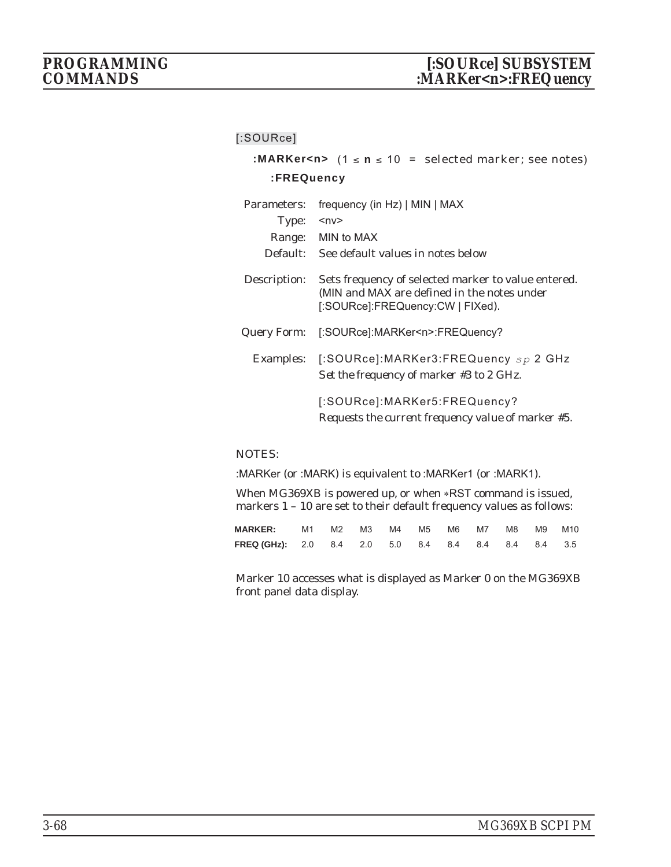|                   | :MARKer <n> <math>(1 \le n \le 10)</math> = selected marker; see notes)</n>                                                            |
|-------------------|----------------------------------------------------------------------------------------------------------------------------------------|
| <b>:FREQuency</b> |                                                                                                                                        |
| Parameters:       | frequency (in Hz)   MIN   MAX                                                                                                          |
| Type:             | $ny$                                                                                                                                   |
|                   | Range: MIN to MAX                                                                                                                      |
|                   | Default: See default values in notes below                                                                                             |
| Description:      | Sets frequency of selected marker to value entered.<br>(MIN and MAX are defined in the notes under<br>[:SOURce]:FREQuency:CW   FIXed). |
| Query Form:       | [:SOURce]:MARKer <n>:FREQuency?</n>                                                                                                    |
|                   | Examples: [:SOURce]:MARKer3:FREQuency sp 2 GHz<br>Set the frequency of marker #3 to 2 GHz.                                             |
|                   | [:SOURce]:MARKer5:FREQuency?<br>Requests the current frequency value of marker #5.                                                     |

## NOTES:

:MARKer (or :MARK) is equivalent to :MARKer1 (or :MARK1).

When MG369XB is powered up, or when \*RST command is issued, markers 1 – 10 are set to their default frequency values as follows:

| <b>MARKER:</b> M1 M2 M3 M4 M5 M6 M7 M8 M9 M10       |  |  |  |  |  |
|-----------------------------------------------------|--|--|--|--|--|
| FREQ (GHz): 2.0 8.4 2.0 5.0 8.4 8.4 8.4 8.4 8.4 3.5 |  |  |  |  |  |

Marker 10 accesses what is displayed as Marker 0 on the MG369XB front panel data display.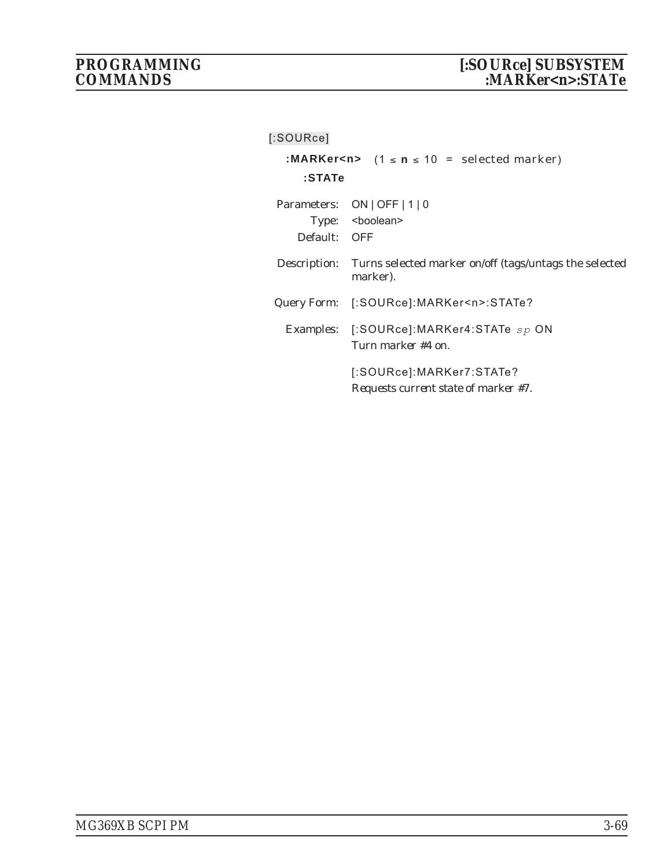| $[$ :SOURce]                                                    |                                                                                 |  |  |  |
|-----------------------------------------------------------------|---------------------------------------------------------------------------------|--|--|--|
| :MARKer <n> <math>(1 \le n \le 10</math> = selected marker)</n> |                                                                                 |  |  |  |
| :STATe                                                          |                                                                                 |  |  |  |
| Default: OFF                                                    | Parameters: ON   OFF   1   0<br>Type: <boolean></boolean>                       |  |  |  |
|                                                                 | Description: Turns selected marker on/off (tags/untags the selected<br>marker). |  |  |  |
|                                                                 | Query Form: [:SOURce]:MARKer <n>:STATe?</n>                                     |  |  |  |
|                                                                 | Examples: [:SOURce]:MARKer4:STATe sp ON<br>Turn marker #4 on.                   |  |  |  |
|                                                                 | [:SOURce]:MARKer7:STATe?<br>Requests current state of marker #7.                |  |  |  |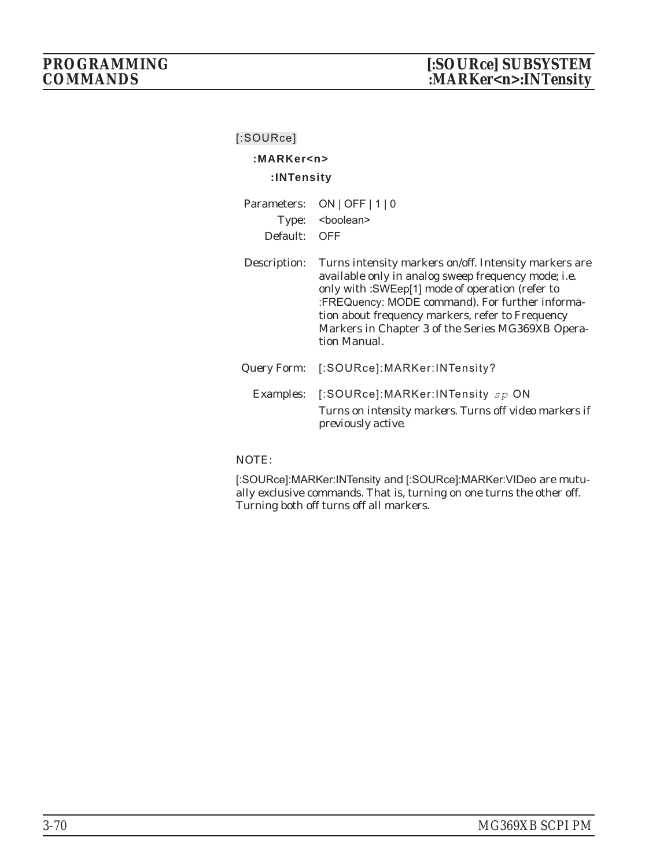# **:MARKer<n>**

## **:INTensity**

| Parameters:<br>Type:<br>Default: | $ON$   OFF   1   0<br><boolean><br/><b>OFF</b></boolean>                                                                                                                                                                                                                                                                                     |
|----------------------------------|----------------------------------------------------------------------------------------------------------------------------------------------------------------------------------------------------------------------------------------------------------------------------------------------------------------------------------------------|
| Description:                     | Turns intensity markers on/off. Intensity markers are<br>available only in analog sweep frequency mode; i.e.<br>only with : SWEep[1] mode of operation (refer to<br>:FREQuency: MODE command). For further informa-<br>tion about frequency markers, refer to Frequency<br>Markers in Chapter 3 of the Series MG369XB Opera-<br>tion Manual. |
| Query Form:                      | [:SOURce]:MARKer:INTensity?                                                                                                                                                                                                                                                                                                                  |
| Examples:                        | [:SOURce]:MARKer:INTensity sp ON<br>Turns on intensity markers. Turns off video markers if<br>previously active.                                                                                                                                                                                                                             |

## NOTE:

[:SOURce]:MARKer:INTensity and [:SOURce]:MARKer:VIDeo are mutually exclusive commands. That is, turning on one turns the other off. Turning both off turns off all markers.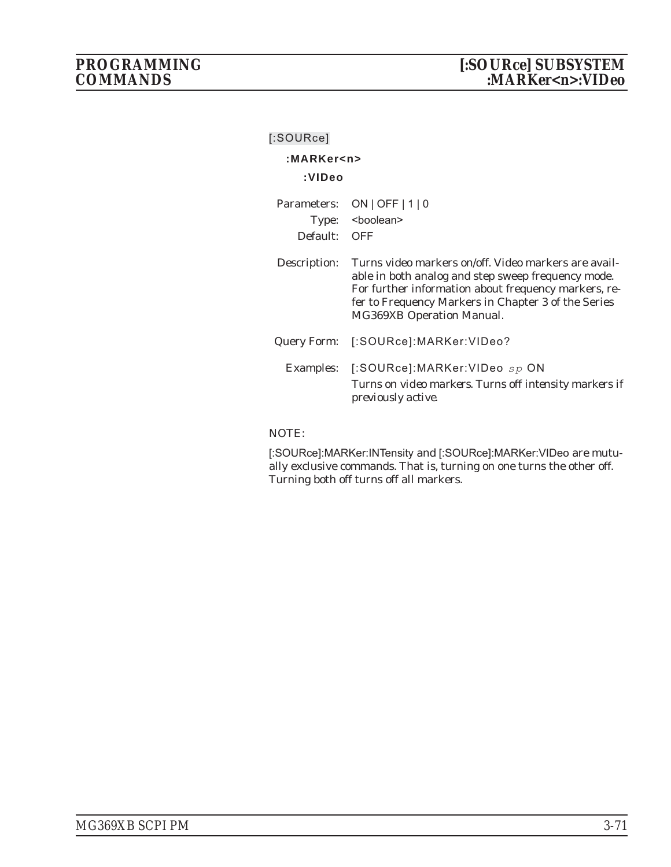| $[$ :SOURce]    |                                                                                                                                                                                                                                                               |
|-----------------|---------------------------------------------------------------------------------------------------------------------------------------------------------------------------------------------------------------------------------------------------------------|
| :MARKer <n></n> |                                                                                                                                                                                                                                                               |
| :VIDeo          |                                                                                                                                                                                                                                                               |
|                 | Parameters: ON   OFF   1   0                                                                                                                                                                                                                                  |
|                 | Type: <boolean></boolean>                                                                                                                                                                                                                                     |
| Default: OFF    |                                                                                                                                                                                                                                                               |
| Description:    | Turns video markers on/off. Video markers are avail-<br>able in both analog and step sweep frequency mode.<br>For further information about frequency markers, re-<br>fer to Frequency Markers in Chapter 3 of the Series<br><b>MG369XB Operation Manual.</b> |
|                 | Query Form: [:SOURce]:MARKer:VIDeo?                                                                                                                                                                                                                           |
|                 | Examples: [:SOURce]:MARKer:VIDeo sp ON<br>Turns on video markers. Turns off intensity markers if<br><i>previously active.</i>                                                                                                                                 |

# NOTE:

[:SOURce]:MARKer:INTensity and [:SOURce]:MARKer:VIDeo are mutually exclusive commands. That is, turning on one turns the other off. Turning both off turns off all markers.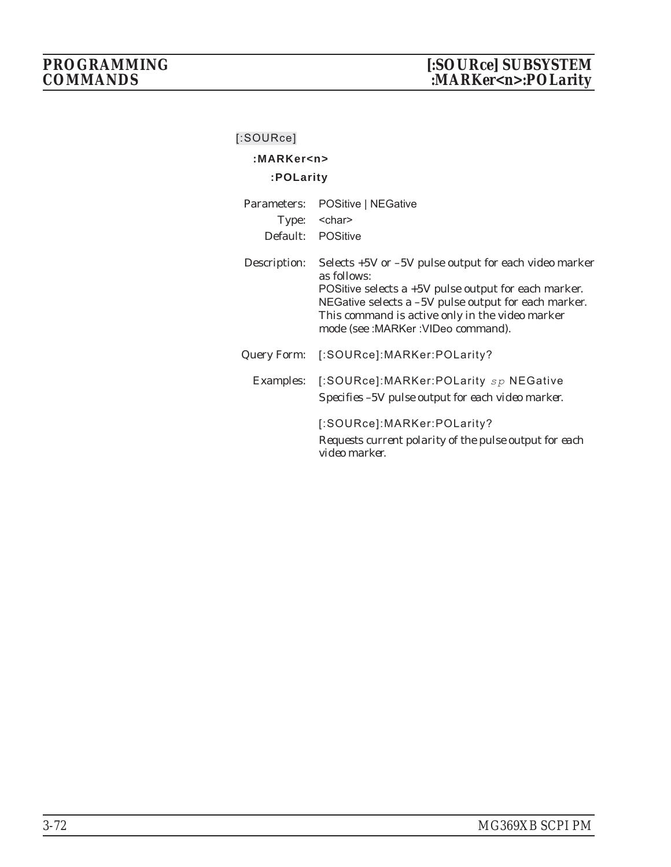# **:MARKer<n>**

# **:POLarity**

| Parameters:  | POSitive   NEGative                                                                                                                                                                                                                                                                       |
|--------------|-------------------------------------------------------------------------------------------------------------------------------------------------------------------------------------------------------------------------------------------------------------------------------------------|
|              | Type: <char></char>                                                                                                                                                                                                                                                                       |
| Default:     | POSitive                                                                                                                                                                                                                                                                                  |
| Description: | Selects +5V or -5V pulse output for each video marker<br>as follows:<br>POSitive selects $a + 5V$ pulse output for each marker.<br>NEGative selects a -5V pulse output for each marker.<br>This command is active <i>only</i> in the video marker<br>mode (see : MARKer : VIDeo command). |
| Query Form:  | [:SOURce]:MARKer:POLarity?                                                                                                                                                                                                                                                                |
|              | Examples: [:SOURce]:MARKer:POLarity sp NEGative<br>Specifies -5V pulse output for each video marker.                                                                                                                                                                                      |
|              | [:SOURce]:MARKer:POLarity?<br>Requests current polarity of the pulse output for each<br>video marker.                                                                                                                                                                                     |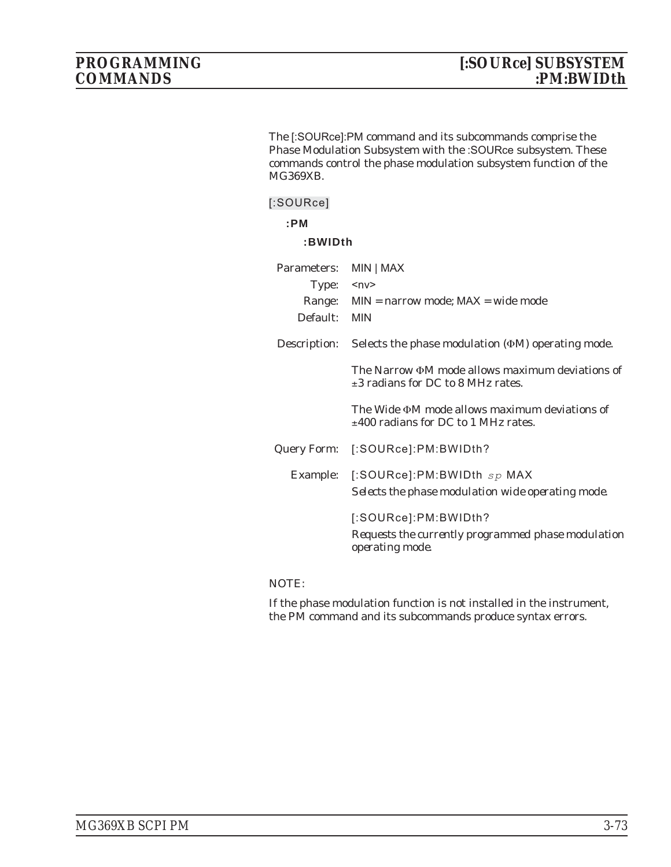The [:SOURce]:PM command and its subcommands comprise the Phase Modulation Subsystem with the :SOURce subsystem. These commands control the phase modulation subsystem function of the MG369XB.

## **[:SOURce]**

## **:PM**

## **:BWIDth**

| Parameters:  | MIN   MAX                                                                                            |
|--------------|------------------------------------------------------------------------------------------------------|
| Type:        | $<$ n $v$ >                                                                                          |
| Range:       | $MIN =$ narrow mode; $MAX =$ wide mode                                                               |
| Default:     | <b>MIN</b>                                                                                           |
| Description: | Selects the phase modulation $(\Phi M)$ operating mode.                                              |
|              | The Narrow ΦM mode allows maximum deviations of<br>$\pm 3$ radians for DC to 8 MHz rates.            |
|              | The Wide <b>ΦM</b> mode allows maximum deviations of<br>$\pm 400$ radians for DC to 1 MHz rates.     |
| Query Form:  | [:SOURce]:PM:BWIDth?                                                                                 |
| Example:     | [:SOURce]:PM:BWIDth $sp$ MAX<br>Selects the phase modulation wide operating mode.                    |
|              | [:SOURce]:PM:BWIDth?<br>Requests the currently programmed phase modulation<br><i>operating mode.</i> |

## NOTE: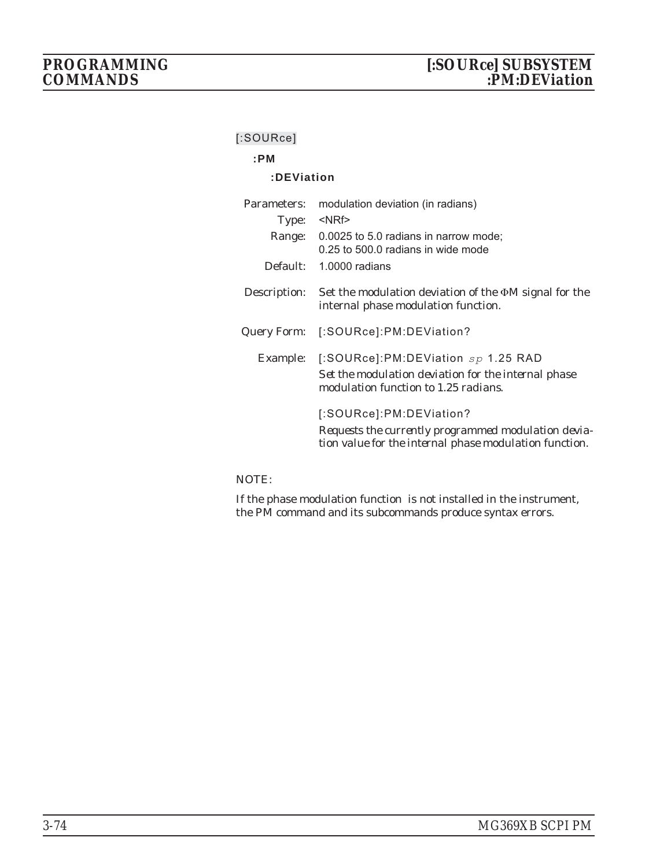## **:PM**

## **:DEViation**

| Parameters:  | modulation deviation (in radians)                                                                                                        |
|--------------|------------------------------------------------------------------------------------------------------------------------------------------|
| Type:        | $<$ NRf $>$                                                                                                                              |
| Range:       | 0.0025 to 5.0 radians in narrow mode;<br>0.25 to 500.0 radians in wide mode                                                              |
| Default:     | $1.0000$ radians                                                                                                                         |
| Description: | Set the modulation deviation of the $\Phi M$ signal for the<br>internal phase modulation function.                                       |
| Query Form:  | [:SOURce]:PM:DEViation?                                                                                                                  |
| Example:     | [:SOURce]:PM:DEViation $sp$ 1.25 RAD<br>Set the modulation deviation for the internal phase<br>modulation function to 1.25 radians.      |
|              | [:SOURce]:PM:DEViation?<br>Requests the currently programmed modulation devia-<br>tion value for the internal phase modulation function. |

## NOTE: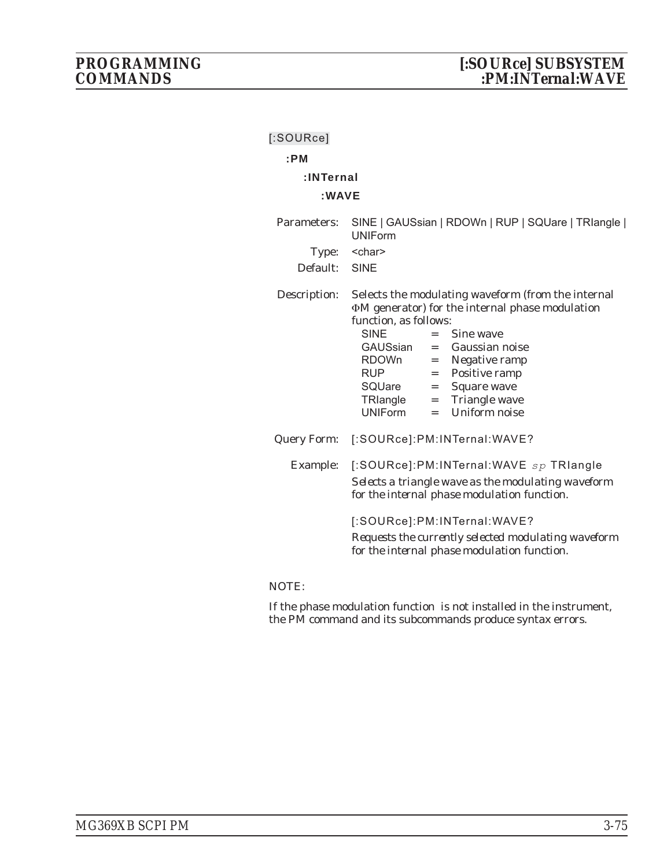| [:SOURce]                        |                                                                                                                                                                                                                                                                                                                                                                   |
|----------------------------------|-------------------------------------------------------------------------------------------------------------------------------------------------------------------------------------------------------------------------------------------------------------------------------------------------------------------------------------------------------------------|
| :PM                              |                                                                                                                                                                                                                                                                                                                                                                   |
| :INTernal                        |                                                                                                                                                                                                                                                                                                                                                                   |
| :WAVE                            |                                                                                                                                                                                                                                                                                                                                                                   |
| Parameters:<br>Type:<br>Default: | SINE   GAUSsian   RDOWn   RUP   SQUare   TRIangle  <br><b>UNIForm</b><br><char><br/>SINE</char>                                                                                                                                                                                                                                                                   |
|                                  |                                                                                                                                                                                                                                                                                                                                                                   |
| Description:                     | Selects the modulating waveform (from the internal<br><b>ΦM</b> generator) for the internal phase modulation<br>function, as follows:<br><b>SINE</b><br>Sine wave<br>$=$<br>GAUSsian<br>$=$ Gaussian noise<br>RDOWn = Negative ramp<br>$=$ Positive ramp<br><b>RUP</b><br>SQUare = Square wave<br>TRlangle = Triangle wave<br>$=$ Uniform noise<br><b>UNIForm</b> |
| <b>Query Form:</b>               | [:SOURce]:PM:INTernal:WAVE?                                                                                                                                                                                                                                                                                                                                       |
| Example:                         | [:SOURce]:PM:INTernal:WAVE sp TRIangle<br>Selects a triangle wave as the modulating waveform<br>for the internal phase modulation function.<br>[:SOURce]:PM:INTernal:WAVE?<br>Requests the currently selected modulating waveform<br>for the internal phase modulation function.                                                                                  |
|                                  |                                                                                                                                                                                                                                                                                                                                                                   |

## NOTE: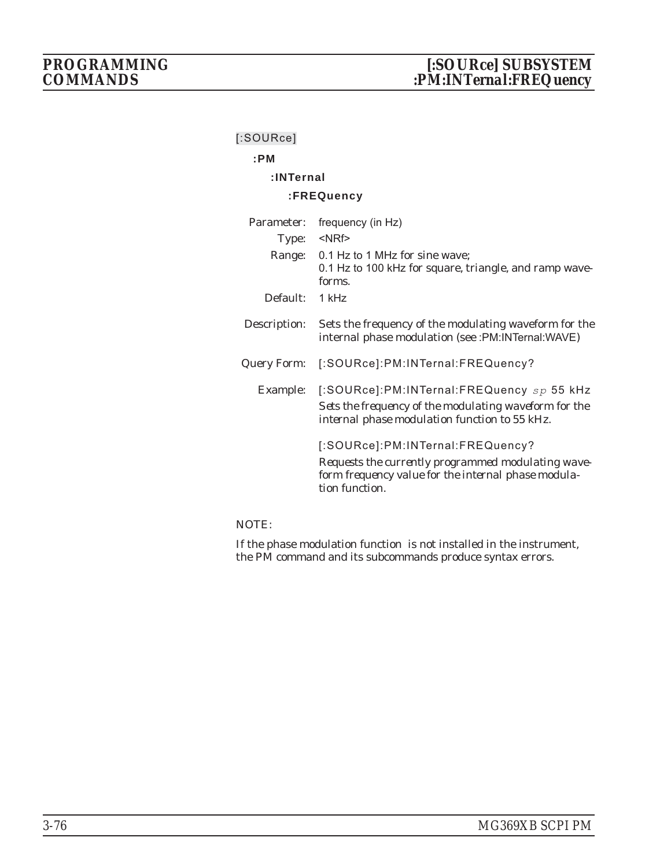# **:PM**

# **:INTernal**

## **:FREQuency**

| Parameter:   | frequency (in Hz)                                                                                                                                               |
|--------------|-----------------------------------------------------------------------------------------------------------------------------------------------------------------|
| Type:        | $<$ NRf $>$                                                                                                                                                     |
| Range:       | 0.1 Hz to 1 MHz for sine wave;<br>0.1 Hz to 100 kHz for square, triangle, and ramp wave-<br>forms.                                                              |
| Default:     | 1 kHz                                                                                                                                                           |
| Description: | Sets the frequency of the modulating waveform for the<br>internal phase modulation (see :PM:INTernal:WAVE)                                                      |
| Query Form:  | [:SOURce]:PM:INTernal:FREQuency?                                                                                                                                |
| Example:     | [:SOURce]:PM:INTernal:FREQuency sp 55 kHz<br>Sets the frequency of the modulating waveform for the<br>internal phase modulation function to 55 kHz.             |
|              | [:SOURce]:PM:INTernal:FREQuency?<br>Requests the currently programmed modulating wave-<br>form frequency value for the internal phase modula-<br>tion function. |

## NOTE: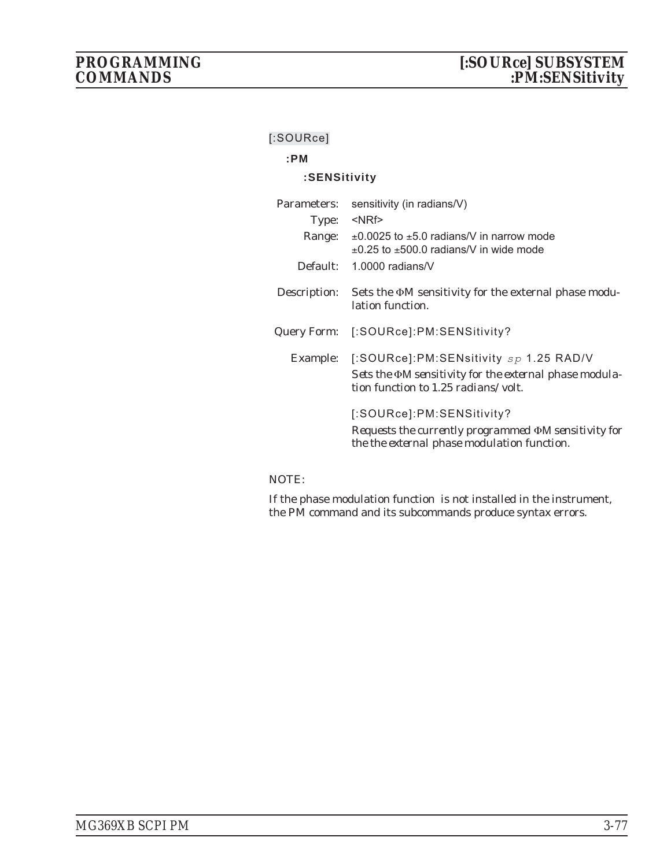# **:PM**

## **:SENSitivity**

| Parameters:  | sensitivity (in radians/V)                                                                                                                |
|--------------|-------------------------------------------------------------------------------------------------------------------------------------------|
| Type:        | <nrf></nrf>                                                                                                                               |
| Range:       | $\pm$ 0.0025 to $\pm$ 5.0 radians/V in narrow mode<br>$\pm$ 0.25 to $\pm$ 500.0 radians/V in wide mode                                    |
| Default:     | 1.0000 radians/ $V$                                                                                                                       |
| Description: | Sets the $\Phi$ M sensitivity for the external phase modu-<br>lation function.                                                            |
| Query Form:  | [:SOURce]:PM:SENSitivity?                                                                                                                 |
| Example:     | [:SOURce]:PM:SENsitivity $sp$ 1.25 RAD/V<br>Sets the DM sensitivity for the external phase modula-<br>tion function to 1.25 radians/volt. |
|              | [:SOURce]:PM:SENSitivity?<br>Requests the currently programmed OM sensitivity for<br>the the external phase modulation function.          |

## NOTE: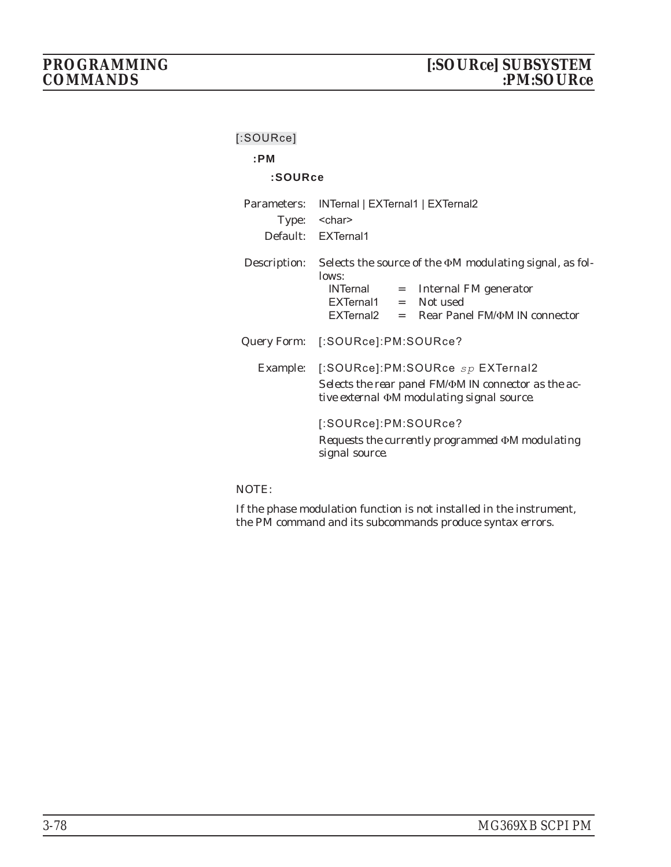| $[$ :SOURce]         |                                                                                                                                                                                   |
|----------------------|-----------------------------------------------------------------------------------------------------------------------------------------------------------------------------------|
| :PM                  |                                                                                                                                                                                   |
| :SOURce              |                                                                                                                                                                                   |
| Parameters:<br>Type: | INTernal   EXTernal1   EXTernal2<br><char><br/>Default: EXTernal1</char>                                                                                                          |
| Description:         | Selects the source of the $\Phi M$ modulating signal, as fol-<br>lows:<br>INTernal = Internal FM generator<br>$EXTernal1 = Not used$<br>EXTernal2 = Rear Panel FM/ΦM IN connector |
|                      | Query Form: [:SOURce]:PM:SOURce?                                                                                                                                                  |
|                      | Example: [:SOURce]:PM:SOURce sp EXTernal2<br>Selects the rear panel FM/ $\Phi$ M IN connector as the ac-<br>tive external <b>DM</b> modulating signal source.                     |
|                      | [:SOURce]:PM:SOURce?<br>Requests the currently programmed $\Phi$ M modulating<br>signal source.                                                                                   |

NOTE: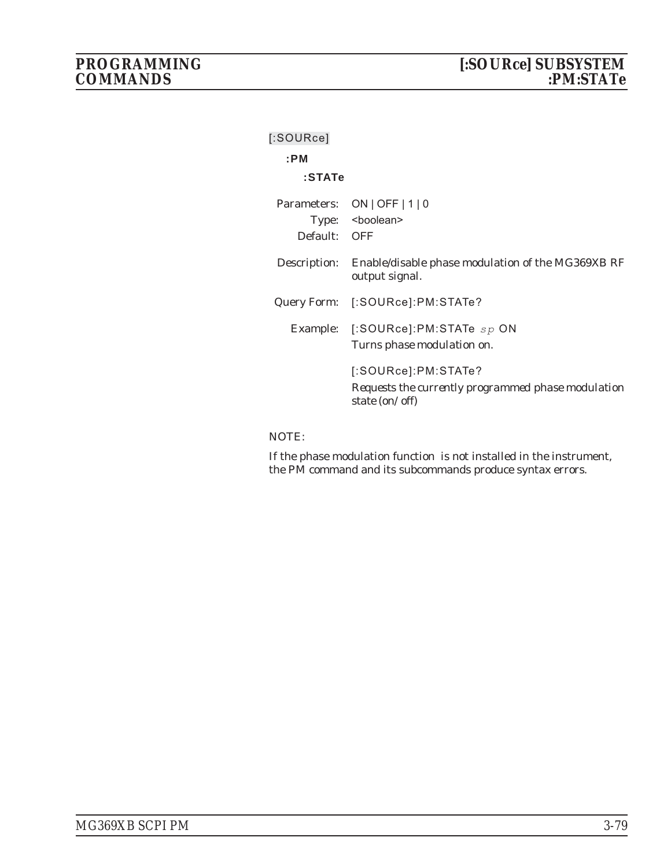| [:SOURce]    |                                                                                             |
|--------------|---------------------------------------------------------------------------------------------|
| :PM          |                                                                                             |
| :STATe       |                                                                                             |
| Default: OFF | Parameters: ON   OFF   1   0<br>Type: <boolean></boolean>                                   |
|              | Description: Enable/disable phase modulation of the MG369XB RF<br>output signal.            |
|              | Query Form: [:SOURce]:PM:STATe?                                                             |
| Example:     | $[$ :SOURce]:PM:STATe $sp$ ON<br>Turns phase modulation on.                                 |
|              | [:SOURce]:PM:STATe?<br>Requests the currently programmed phase modulation<br>state (on/off) |

## NOTE: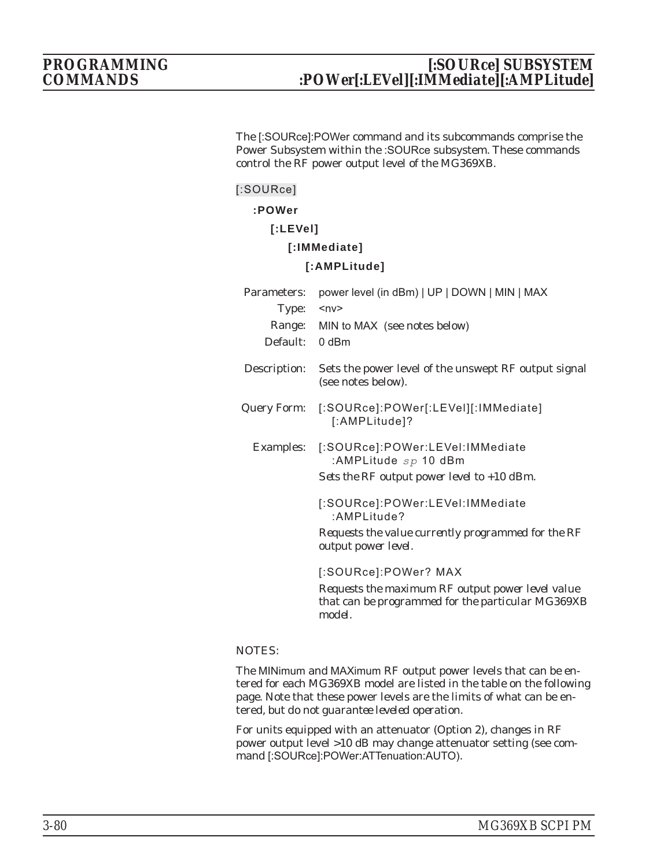The [:SOURce]:POWer command and its subcommands comprise the Power Subsystem within the :SOURce subsystem. These commands control the RF power output level of the MG369XB.

## **[:SOURce]**

## **:POWer**

**[:LEVel]**

## **[:IMMediate]**

## **[:AMPLitude]**

| Parameters:      | power level (in dBm)   UP   DOWN   MIN   MAX                                                                    |  |  |
|------------------|-----------------------------------------------------------------------------------------------------------------|--|--|
| Type:            | $ny$                                                                                                            |  |  |
| Range:           | MIN to MAX (see notes below)                                                                                    |  |  |
| Default:         | $0$ dBm                                                                                                         |  |  |
| Description:     | Sets the power level of the unswept RF output signal<br>(see notes below).                                      |  |  |
| Query Form:      | [:SOURce]:POWer[:LEVel][:IMMediate]<br>[:AMPLitude]?                                                            |  |  |
| <b>Examples:</b> | [:SOURce]:POWer:LEVel:IMMediate<br>:AMPLitude $sp$ 10 dBm<br>Sets the RF output power level to $+10$ dBm.       |  |  |
|                  | [:SOURce]:POWer:LEVel:IMMediate<br>:AMPLitude?                                                                  |  |  |
|                  | Requests the value currently programmed for the RF<br>output power level.                                       |  |  |
|                  | [:SOURce]:POWer? MAX                                                                                            |  |  |
|                  | Requests the maximum RF output power level value<br>that can be programmed for the particular MG369XB<br>model. |  |  |

## NOTES:

The MINimum and MAXimum RF output power levels that can be entered for each MG369XB model are listed in the table on the following page. Note that these power levels are the limits of what can be entered, *but do not guarantee leveled operation*.

For units equipped with an attenuator (Option 2), changes in RF power output level >10 dB may change attenuator setting (see command [:SOURce]:POWer:ATTenuation:AUTO).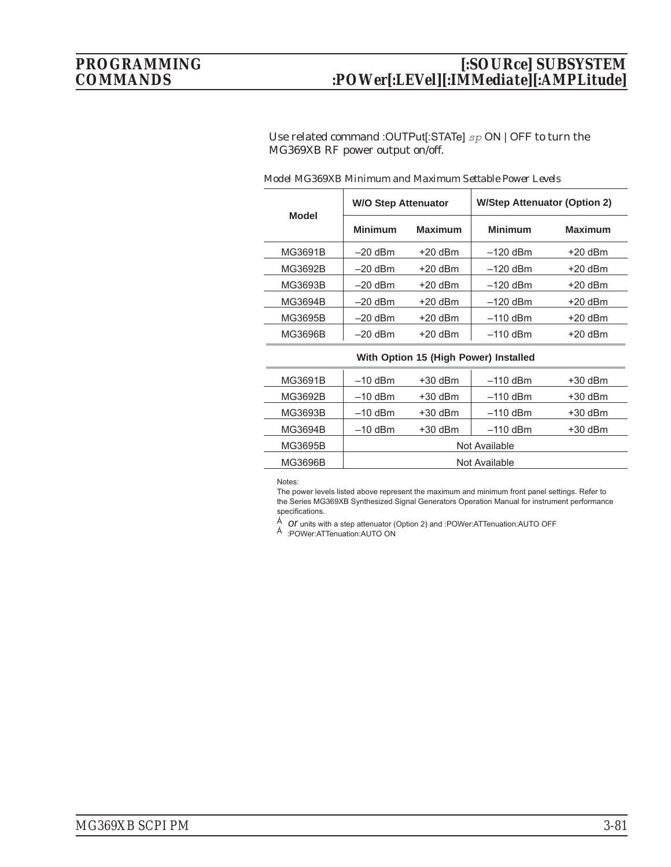# *PROGRAMMING [:SOURce] SUBSYSTEM COMMANDS :POWer[:LEVel][:IMMediate][:AMPLitude]*

Use related command :OUTPut[:STATe] *sp* ON | OFF to turn the MG369XB RF power output on/off.

| <b>Model</b> | <b>W/O Step Attenuator</b> |                | <b>W/Step Attenuator (Option 2)</b> |                |
|--------------|----------------------------|----------------|-------------------------------------|----------------|
|              | <b>Minimum</b>             | <b>Maximum</b> | <b>Minimum</b>                      | <b>Maximum</b> |
| MG3691B      | $-20$ dBm                  | $+20$ dBm      | $-120$ dBm                          | $+20$ dBm      |
| MG3692B      | $-20$ dBm                  | $+20$ dBm      | $-120$ dBm                          | $+20$ dBm      |
| MG3693B      | $-20$ dBm                  | $+20$ dBm      | $-120$ dBm                          | $+20$ dBm      |
| MG3694B      | $-20$ dBm                  | $+20$ dBm      | $-120$ dBm                          | $+20$ dBm      |
| MG3695B      | $-20$ dBm                  | $+20$ dBm      | $-110$ dBm                          | $+20$ dBm      |
| MG3696B      | $-20$ dBm                  | $+20$ dBm      | $-110$ dBm                          | $+20$ dBm      |

### *Model MG369XB Minimum and Maximum Settable Power Levels*

### **With Option 15 (High Power) Installed**

| $+30$ dBm     |  |  |
|---------------|--|--|
| $+30$ dBm     |  |  |
| $+30$ dBm     |  |  |
| $+30$ dBm     |  |  |
| Not Available |  |  |
| Not Available |  |  |
|               |  |  |

### Notes:

The power levels listed above represent the maximum and minimum front panel settings. Refer to the Series MG369XB Synthesized Signal Generators Operation Manual for instrument performance specifications.

<sup>À</sup> *or* units with a step attenuator (Option 2) and :POWer:ATTenuation:AUTO OFF <sup>Á</sup> :POWer:ATTenuation:AUTO ON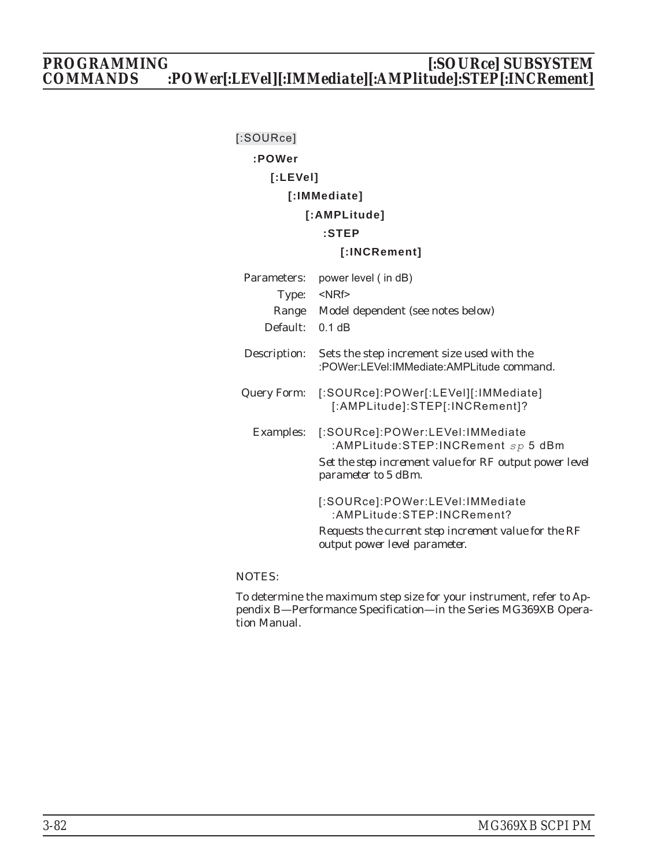# *PROGRAMMING [:SOURce] SUBSYSTEM COMMANDS :POWer[:LEVel][:IMMediate][:AMPlitude]:STEP[:INCRement]*

# **[:SOURce] :POWer [:LEVel] [:IMMediate] [:AMPLitude] :STEP [:INCRement]** Parameters: power level ( in dB) Type: <NRf> Range Model dependent (see notes below) Default: 0.1 dB Description: Sets the step increment size used with the :POWer:LEVel:IMMediate:AMPLitude command. Query Form: [:SOURce]:POWer[:LEVel][:IMMediate] [:AMPLitude]:STEP[:INCRement]? Examples: [:SOURce]:POWer:LEVel:IMMediate :AMPLitude:STEP:INCRement *sp* 5 dBm *Set the step increment value for RF output power level parameter to 5 dBm.* [:SOURce]:POWer:LEVel:IMMediate :AMPLitude:STEP:INCRement? *Requests the current step increment value for the RF output power level parameter.*

## NOTES:

To determine the maximum step size for your instrument, refer to Appendix B—Performance Specification—in the Series MG369XB Operation Manual.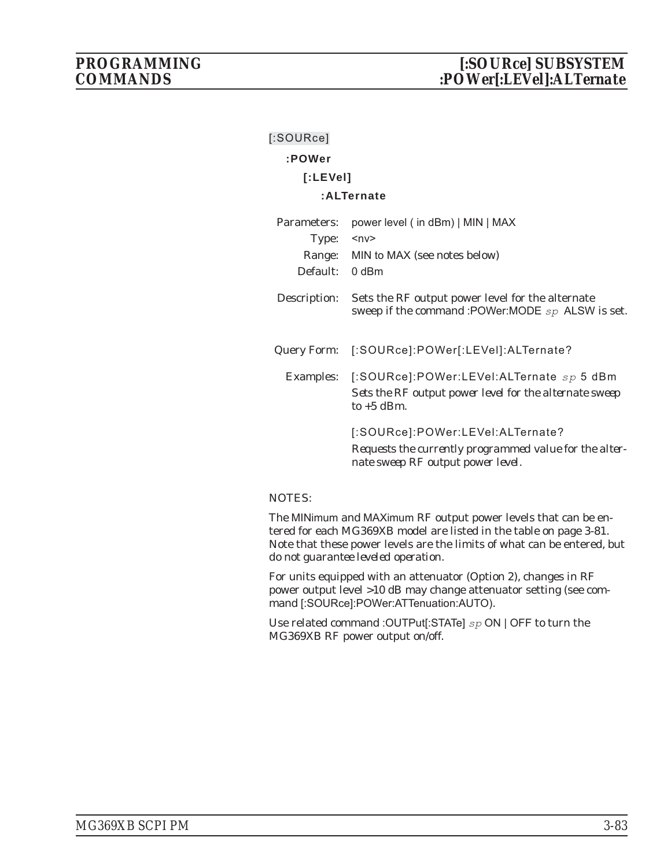| $[$ :SOURce] |                                                                                                                                 |
|--------------|---------------------------------------------------------------------------------------------------------------------------------|
| :POWer       |                                                                                                                                 |
| [:LEVe]      |                                                                                                                                 |
|              | :ALTernate                                                                                                                      |
| Parameters:  | power level (in dBm)   MIN   MAX                                                                                                |
| Type:        | $nv$                                                                                                                            |
|              | Range: MIN to MAX (see notes below)                                                                                             |
| Default:     | 0 dBm                                                                                                                           |
| Description: | Sets the RF output power level for the alternate<br>sweep if the command :POWer:MODE sp ALSW is set.                            |
| Query Form:  | [:SOURce]:POWer[:LEVel]:ALTernate?                                                                                              |
|              | Examples: [:SOURce]:POWer:LEVel:ALTernate sp 5 dBm<br>Sets the RF output power level for the alternate sweep<br>to $+5$ dBm.    |
|              | [:SOURce]:POWer:LEVel:ALTernate?<br>Requests the currently programmed value for the alter-<br>nate sweep RF output power level. |

### NOTES:

The MINimum and MAXimum RF output power levels that can be entered for each MG369XB model are listed in the table on page 3-81. Note that these power levels are the limits of what can be entered, *but do not guarantee leveled operation*.

For units equipped with an attenuator (Option 2), changes in RF power output level >10 dB may change attenuator setting (see command [:SOURce]:POWer:ATTenuation:AUTO).

Use related command :OUTPut[:STATe] *sp* ON | OFF to turn the MG369XB RF power output on/off.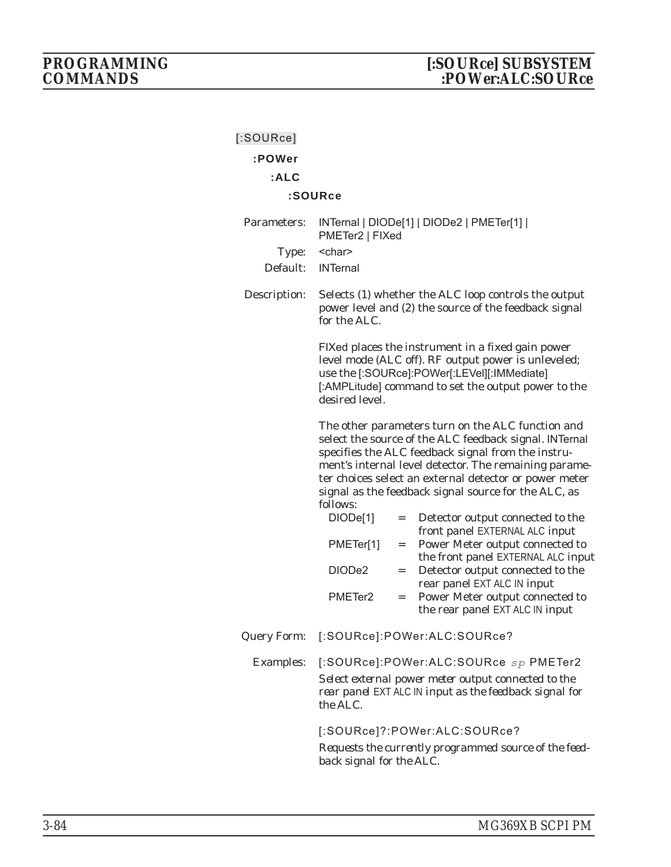| $[$ :SOURce]       |                          |     |                                                                                                                                                                                                                                                                                                                                              |
|--------------------|--------------------------|-----|----------------------------------------------------------------------------------------------------------------------------------------------------------------------------------------------------------------------------------------------------------------------------------------------------------------------------------------------|
| :POWer             |                          |     |                                                                                                                                                                                                                                                                                                                                              |
| :ALC               |                          |     |                                                                                                                                                                                                                                                                                                                                              |
|                    | :SOURce                  |     |                                                                                                                                                                                                                                                                                                                                              |
| Parameters:        | PMETer2   FIXed          |     | INTernal   DIODe[1]   DIODe2   PMETer[1]                                                                                                                                                                                                                                                                                                     |
| Type:              | <char></char>            |     |                                                                                                                                                                                                                                                                                                                                              |
| Default:           | <b>INTernal</b>          |     |                                                                                                                                                                                                                                                                                                                                              |
| Description:       | for the ALC.             |     | Selects (1) whether the ALC loop controls the output<br>power level and (2) the source of the feedback signal                                                                                                                                                                                                                                |
|                    | desired level.           |     | FIXed places the instrument in a fixed gain power<br>level mode (ALC off). RF output power is unleveled;<br>use the [:SOURce]:POWer[:LEVel][:IMMediate]<br>[:AMPLitude] command to set the output power to the                                                                                                                               |
|                    | follows:                 |     | The other parameters turn on the ALC function and<br>select the source of the ALC feedback signal. INTernal<br>specifies the ALC feedback signal from the instru-<br>ment's internal level detector. The remaining parame-<br>ter choices select an external detector or power meter<br>signal as the feedback signal source for the ALC, as |
|                    | DIODe[1]                 | $=$ | Detector output connected to the<br>front panel EXTERNAL ALC input                                                                                                                                                                                                                                                                           |
|                    | PMETer[1]                | $=$ | Power Meter output connected to                                                                                                                                                                                                                                                                                                              |
|                    | DIODe2                   | $=$ | the front panel EXTERNAL ALC input<br>Detector output connected to the                                                                                                                                                                                                                                                                       |
|                    | PMETer <sub>2</sub>      | $=$ | rear panel EXT ALC IN input<br>Power Meter output connected to<br>the rear panel EXT ALC IN input                                                                                                                                                                                                                                            |
| <b>Query Form:</b> |                          |     | [:SOURce]:POWer:ALC:SOURce?                                                                                                                                                                                                                                                                                                                  |
| <b>Examples:</b>   | the ALC.                 |     | [:SOURce]:POWer:ALC:SOURce sp PMETer2<br>Select external power meter output connected to the<br>rear panel EXT ALC IN input as the feedback signal for                                                                                                                                                                                       |
|                    | back signal for the ALC. |     | [:SOURce]?:POWer:ALC:SOURce?<br>Requests the currently programmed source of the feed-                                                                                                                                                                                                                                                        |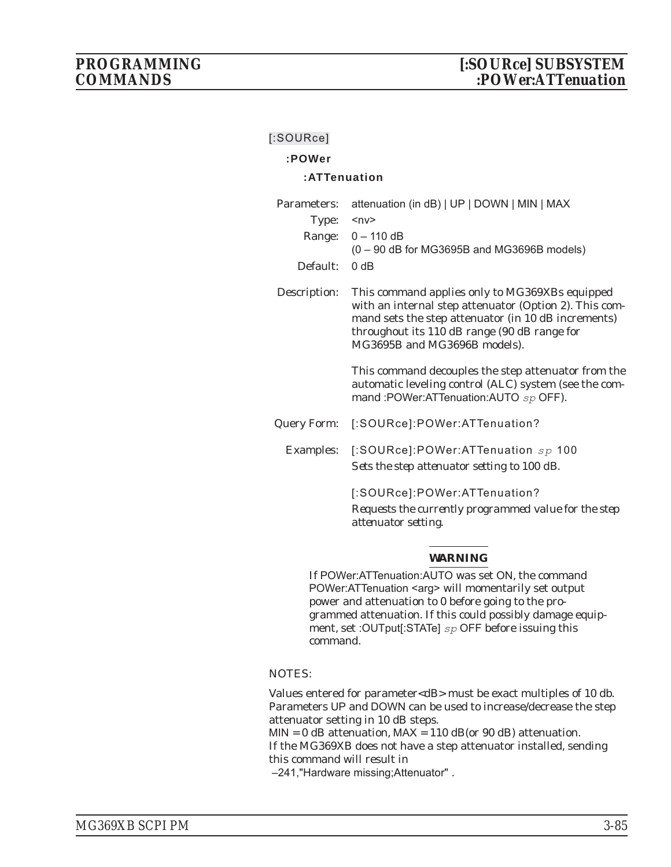## **:POWer**

## **:ATTenuation**

| Parameters:  | attenuation (in dB)   UP   DOWN   MIN   MAX                                                                                                                                                                                                                                                                                                                                                              |  |
|--------------|----------------------------------------------------------------------------------------------------------------------------------------------------------------------------------------------------------------------------------------------------------------------------------------------------------------------------------------------------------------------------------------------------------|--|
| Type:        | $<$ n $v$ >                                                                                                                                                                                                                                                                                                                                                                                              |  |
|              | Range: $0 - 110$ dB<br>$(0 - 90$ dB for MG3695B and MG3696B models)                                                                                                                                                                                                                                                                                                                                      |  |
| Default:     | 0 dB                                                                                                                                                                                                                                                                                                                                                                                                     |  |
| Description: | This command applies only to MG369XBs equipped<br>with an internal step attenuator (Option 2). This com-<br>mand sets the step attenuator (in 10 dB increments)<br>throughout its 110 dB range (90 dB range for<br>MG3695B and MG3696B models).<br>This command decouples the step attenuator from the<br>automatic leveling control (ALC) system (see the com-<br>mand :POWer:ATTenuation:AUTO sp OFF). |  |
| Query Form:  | [:SOURce]:POWer:ATTenuation?                                                                                                                                                                                                                                                                                                                                                                             |  |
| Examples:    | [:SOURce]:POWer:ATTenuation $sp$ 100<br>Sets the step attenuator setting to 100 dB.                                                                                                                                                                                                                                                                                                                      |  |
|              | [:SOURce]:POWer:ATTenuation?<br>Requests the currently programmed value for the step<br>attenuator setting.                                                                                                                                                                                                                                                                                              |  |

## *WARNING*

If POWer:ATTenuation:AUTO was set ON, the command POWer:ATTenuation <arg> will momentarily set output power and attenuation to 0 before going to the programmed attenuation. If this could possibly damage equipment, set :OUTput[:STATe] *sp* OFF before issuing this command.

## NOTES:

Values entered for parameter<dB> must be exact multiples of 10 db. Parameters UP and DOWN can be used to increase/decrease the step attenuator setting in 10 dB steps.

 $MIN = 0$  dB attenuation,  $MAX = 110$  dB(or 90 dB) attenuation.

If the MG369XB does not have a step attenuator installed, sending this command will result in

–241,"Hardware missing;Attenuator" .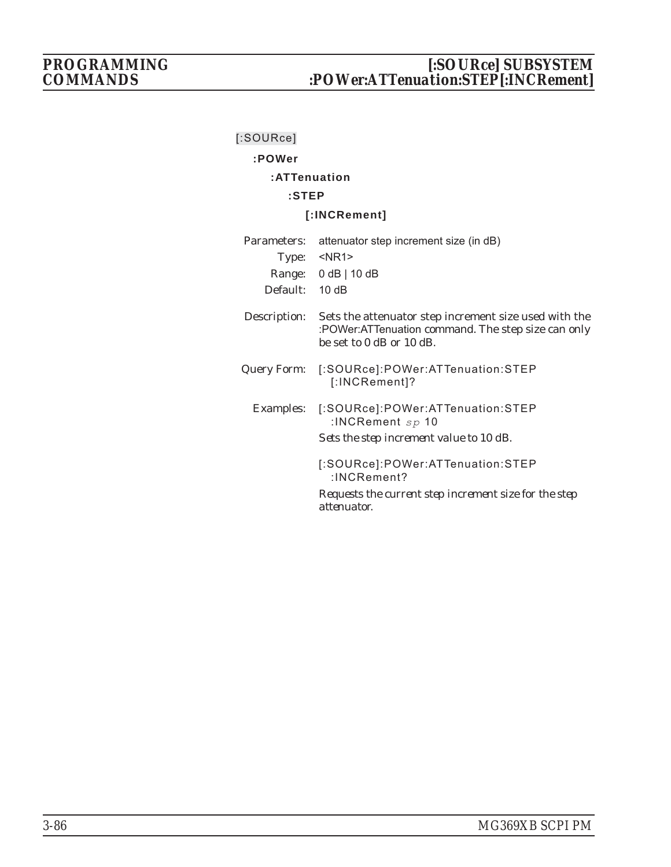# **:POWer**

# **:ATTenuation**

# **:STEP**

## **[:INCRement]**

| Parameters:  | attenuator step increment size (in dB)                                                                                                  |  |  |
|--------------|-----------------------------------------------------------------------------------------------------------------------------------------|--|--|
|              | Type: <nr1></nr1>                                                                                                                       |  |  |
|              | Range: $0 dB   10 dB$                                                                                                                   |  |  |
| Default:     | 10dB                                                                                                                                    |  |  |
| Description: | Sets the attenuator step increment size used with the<br>:POWer:ATTenuation command. The step size can only<br>be set to 0 dB or 10 dB. |  |  |
|              | Query Form: [:SOURce]:POWer:ATTenuation:STEP<br>[:INCRement]?                                                                           |  |  |
| Examples:    | [:SOURce]:POWer:ATTenuation:STEP<br>:INCRement $sp$ 10                                                                                  |  |  |
|              | Sets the step increment value to 10 dB.                                                                                                 |  |  |
|              | [:SOURce]:POWer:ATTenuation:STEP<br>$: INCR$ ement?                                                                                     |  |  |
|              | Requests the current step increment size for the step<br>attenuator.                                                                    |  |  |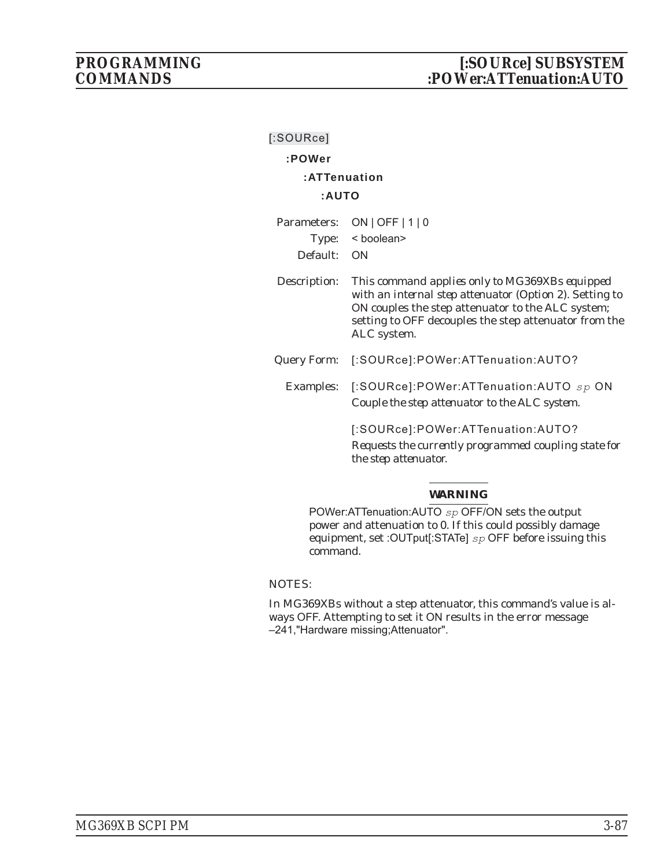# **:POWer**

# **:ATTenuation**

## **:AUTO**

|             | Parameters: ON   OFF   1   0 |
|-------------|------------------------------|
|             | Type: $\lt$ boolean>         |
| Default: ON |                              |
|             |                              |

Description: *This command applies only to MG369XBs equipped with an internal step attenuator (Option 2)*. Setting to ON couples the step attenuator to the ALC system; setting to OFF decouples the step attenuator from the ALC system.

- Query Form: [:SOURce]:POWer:ATTenuation:AUTO?
	- Examples: [:SOURce]:POWer:ATTenuation:AUTO *sp* ON *Couple the step attenuator to the ALC system.*

[:SOURce]:POWer:ATTenuation:AUTO? *Requests the currently programmed coupling state for the step attenuator.*

## *WARNING*

POWer:ATTenuation:AUTO *sp* OFF/ON sets the output power and attenuation to 0. If this could possibly damage equipment, set :OUTput[:STATe] *sp* OFF before issuing this command.

## NOTES:

In MG369XBs without a step attenuator, this command's value is always OFF. Attempting to set it ON results in the error message –241,"Hardware missing;Attenuator".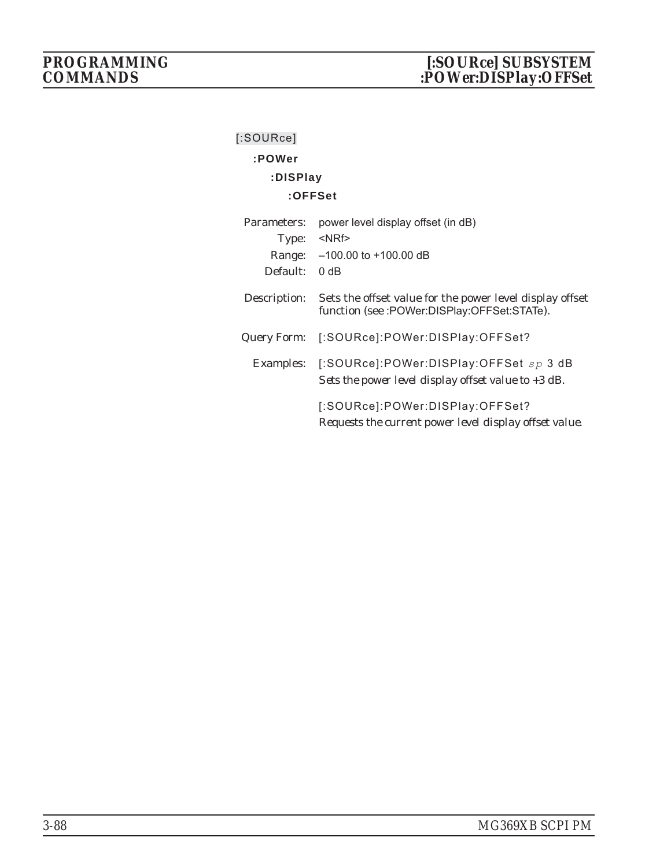# **:POWer :DISPlay**

## **:OFFSet**

| Parameters:  | power level display offset (in dB)                                                                          |
|--------------|-------------------------------------------------------------------------------------------------------------|
| Type:        | $<$ NRf $>$                                                                                                 |
| Range:       | $-100.00$ to $+100.00$ dB                                                                                   |
| Default:     | 0 dB                                                                                                        |
| Description: | Sets the offset value for the power level display offset<br>function (see :POWer:DISPlay:OFFSet:STATe).     |
| Query Form:  | [:SOURce]:POWer:DISPlay:OFFSet?                                                                             |
|              | Examples: [:SOURce]:POWer:DISPlay:OFFSet $sp 3$ dB<br>Sets the power level display offset value to $+3$ dB. |
|              | [:SOURce]:POWer:DISPlay:OFFSet?<br>Requests the current power level display offset value.                   |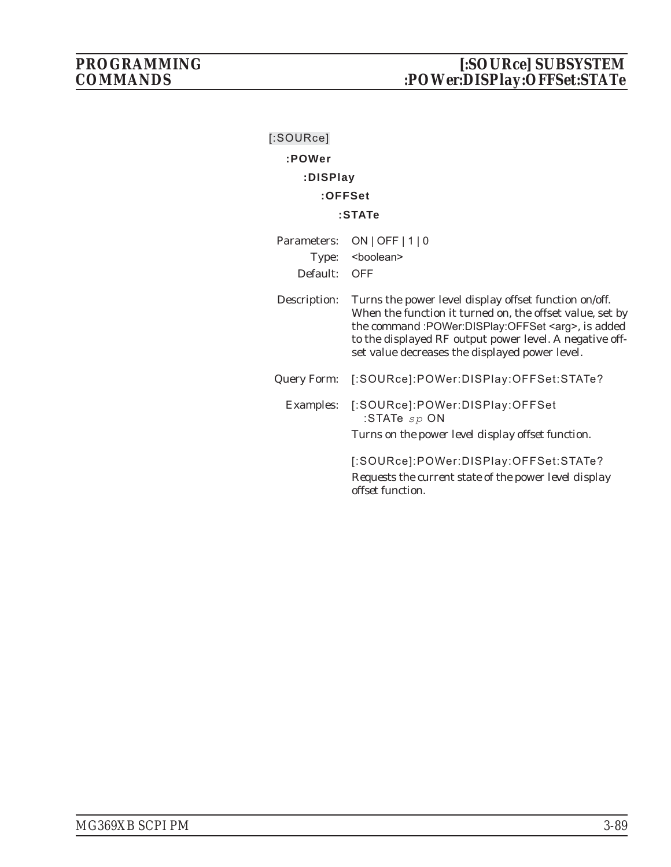| $[$ :SOURce]       |                                                                                                                                                                                                                                                                                             |
|--------------------|---------------------------------------------------------------------------------------------------------------------------------------------------------------------------------------------------------------------------------------------------------------------------------------------|
| :POWer             |                                                                                                                                                                                                                                                                                             |
| :DISPlay           |                                                                                                                                                                                                                                                                                             |
|                    | $:$ OFFSet                                                                                                                                                                                                                                                                                  |
|                    | :STATe                                                                                                                                                                                                                                                                                      |
| Parameters:        | $ON$   OFF   1   0                                                                                                                                                                                                                                                                          |
| Type:              | <boolean></boolean>                                                                                                                                                                                                                                                                         |
| Default:           | <b>OFF</b>                                                                                                                                                                                                                                                                                  |
| Description:       | Turns the power level display offset function on/off.<br>When the function it turned on, the offset value, set by<br>the command :POWer:DISPlay:OFFSet <arg>, is added<br/>to the displayed RF output power level. A negative off-<br/>set value decreases the displayed power level.</arg> |
| <b>Query Form:</b> | [:SOURce]:POWer:DISPlay:OFFSet:STATe?                                                                                                                                                                                                                                                       |
| Examples:          | [:SOURce]:POWer:DISPlay:OFFSet<br>:STATe $sp$ ON<br>Turns on the power level display offset function.                                                                                                                                                                                       |
|                    | [:SOURce]:POWer:DISPlay:OFFSet:STATe?<br>Requests the current state of the power level display<br>offset function.                                                                                                                                                                          |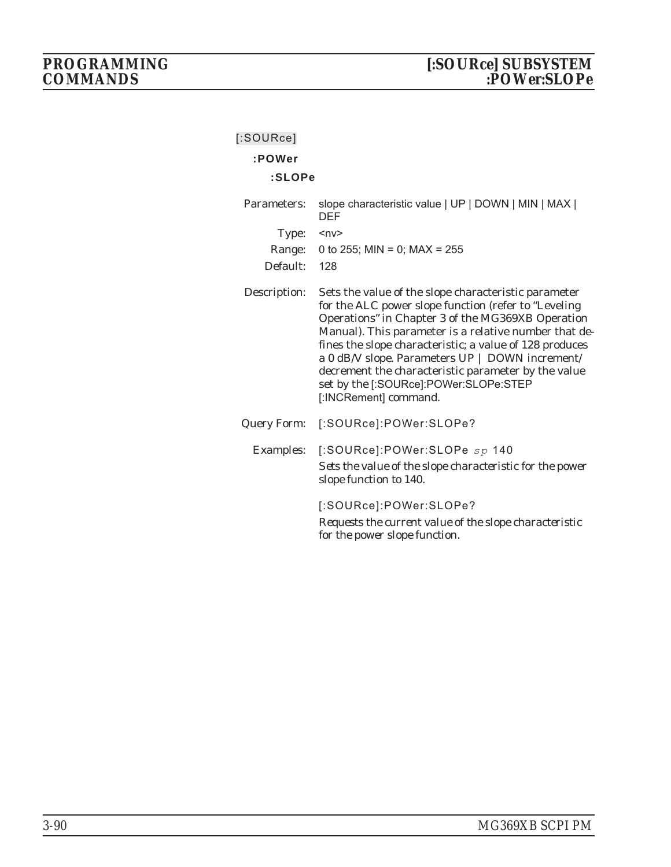| [:SOURce] |
|-----------|
|           |

## **:POWer**

## **:SLOPe**

| Parameters:        | slope characteristic value   UP   DOWN   MIN   MAX  <br><b>DEF</b>                                                                                                                                                                                                                                                                                                                                                                                                |
|--------------------|-------------------------------------------------------------------------------------------------------------------------------------------------------------------------------------------------------------------------------------------------------------------------------------------------------------------------------------------------------------------------------------------------------------------------------------------------------------------|
| Type:              | $<\nup$ n $v$                                                                                                                                                                                                                                                                                                                                                                                                                                                     |
| Range:             | 0 to 255; MIN = 0; MAX = $255$                                                                                                                                                                                                                                                                                                                                                                                                                                    |
| Default:           | 128                                                                                                                                                                                                                                                                                                                                                                                                                                                               |
| Description:       | Sets the value of the slope characteristic parameter<br>for the ALC power slope function (refer to "Leveling<br>Operations" in Chapter 3 of the MG369XB Operation<br>Manual). This parameter is a relative number that de-<br>fines the slope characteristic; a value of 128 produces<br>a 0 dB/V slope. Parameters UP   DOWN increment/<br>decrement the characteristic parameter by the value<br>set by the [:SOURce]:POWer:SLOPe:STEP<br>[:INCRement] command. |
| <b>Query Form:</b> | [:SOURce]:POWer:SLOPe?                                                                                                                                                                                                                                                                                                                                                                                                                                            |
| <b>Examples:</b>   | [:SOURce]:POWer:SLOPe sp 140<br>Sets the value of the slope characteristic for the power<br>slope function to 140.                                                                                                                                                                                                                                                                                                                                                |
|                    | [:SOURce]:POWer:SLOPe?<br>Requests the current value of the slope characteristic<br>for the power slope function.                                                                                                                                                                                                                                                                                                                                                 |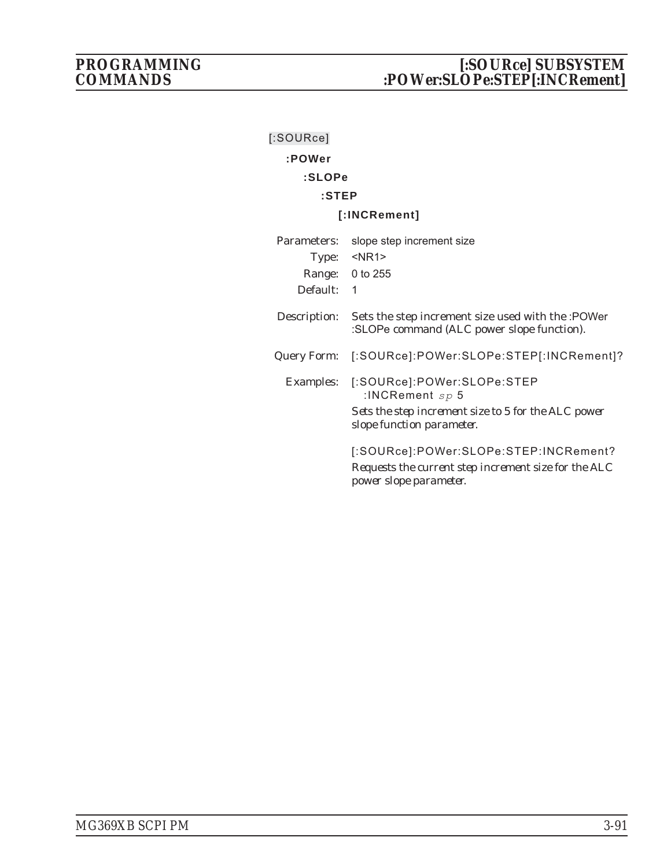| $[$ :SOURce] |                                                                                                                         |
|--------------|-------------------------------------------------------------------------------------------------------------------------|
| :POWer       |                                                                                                                         |
| :SLOPe       |                                                                                                                         |
| $:$ STEP     |                                                                                                                         |
|              | [:INCRement]                                                                                                            |
| Parameters:  | slope step increment size                                                                                               |
|              | Type: <nr1></nr1>                                                                                                       |
|              | Range: 0 to 255                                                                                                         |
| Default:     | $\mathbf 1$                                                                                                             |
| Description: | Sets the step increment size used with the :POWer<br>:SLOPe command (ALC power slope function).                         |
|              | Query Form: [:SOURce]:POWer:SLOPe:STEP[:INCRement]?                                                                     |
|              | Examples: [:SOURce]:POWer:SLOPe:STEP<br>:INCRement $sp$ 5                                                               |
|              | Sets the step increment size to 5 for the ALC power<br>slope function parameter.                                        |
|              | [:SOURce]:POWer:SLOPe:STEP:INCRement?<br>Requests the current step increment size for the ALC<br>power slope parameter. |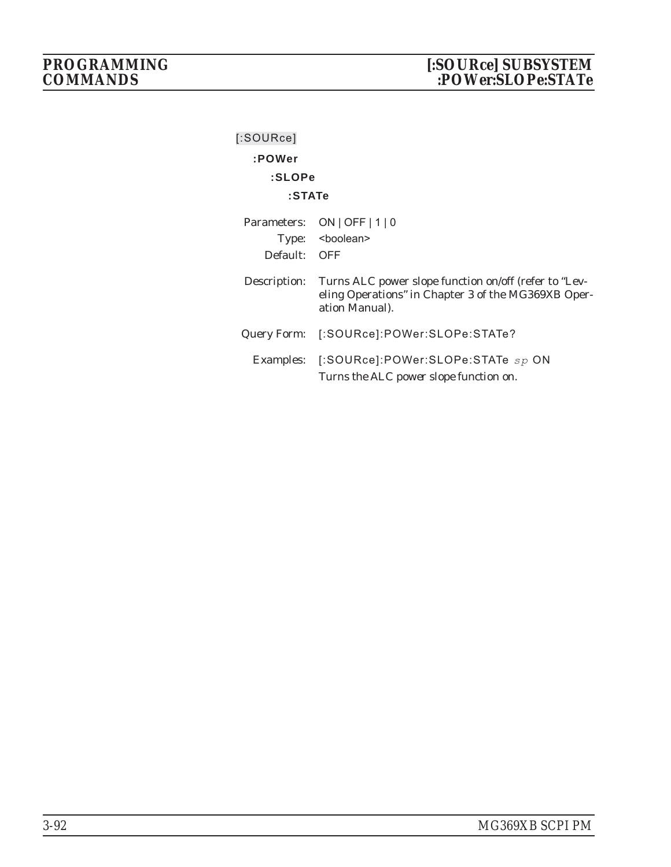| [:SOURce]    |                                                                                                                                |
|--------------|--------------------------------------------------------------------------------------------------------------------------------|
| :POWer       |                                                                                                                                |
| :SLOPe       |                                                                                                                                |
| $:$ STAT $e$ |                                                                                                                                |
|              | Parameters: ON   OFF   1   0                                                                                                   |
|              | Type: <boolean></boolean>                                                                                                      |
| Default: OFF |                                                                                                                                |
| Description: | Turns ALC power slope function on/off (refer to "Lev-<br>eling Operations" in Chapter 3 of the MG369XB Oper-<br>ation Manual). |
| Query Form:  | [:SOURce]:POWer:SLOPe:STATe?                                                                                                   |
|              | Examples: [:SOURce]:POWer:SLOPe:STATe sp ON<br>Turns the ALC power slope function on.                                          |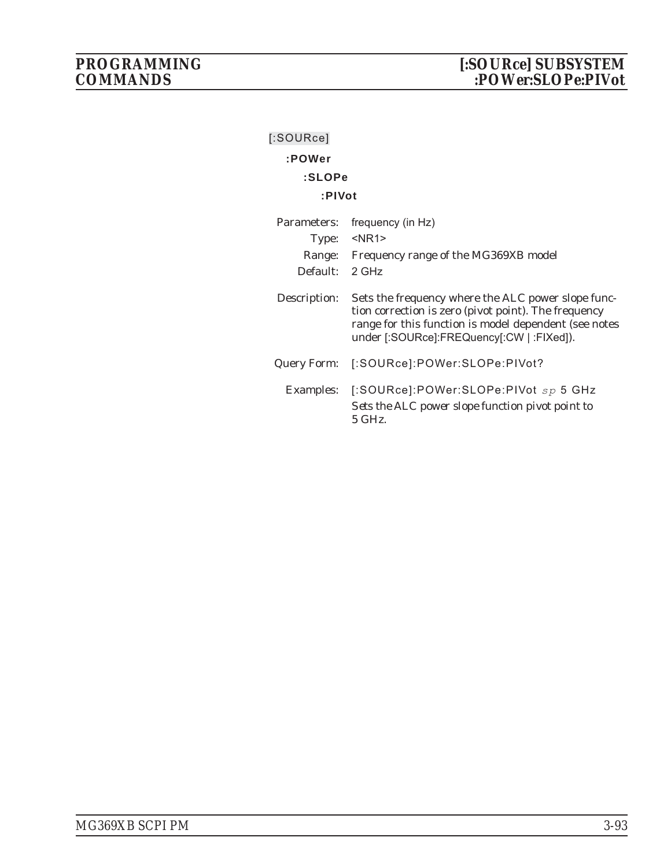| $[$ :SOURce]   |                                                                                                                                                                                                                  |
|----------------|------------------------------------------------------------------------------------------------------------------------------------------------------------------------------------------------------------------|
| :POWer         |                                                                                                                                                                                                                  |
| :SLOPe         |                                                                                                                                                                                                                  |
| :PIVot         |                                                                                                                                                                                                                  |
| Parameters:    | frequency (in Hz)                                                                                                                                                                                                |
|                | Type: <nr1></nr1>                                                                                                                                                                                                |
|                | Range: Frequency range of the MG369XB model                                                                                                                                                                      |
| Default: 2 GHz |                                                                                                                                                                                                                  |
| Description:   | Sets the frequency where the ALC power slope func-<br>tion correction is zero (pivot point). The frequency<br>range for this function is model dependent (see notes<br>under [:SOURce]:FREQuency[:CW   :FIXed]). |
| Query Form:    | [:SOURce]:POWer:SLOPe:PIVot?                                                                                                                                                                                     |
|                | Examples: [:SOURce]:POWer:SLOPe:PIVot $sp 5$ GHz<br>Sets the ALC power slope function pivot point to<br>5 GHz                                                                                                    |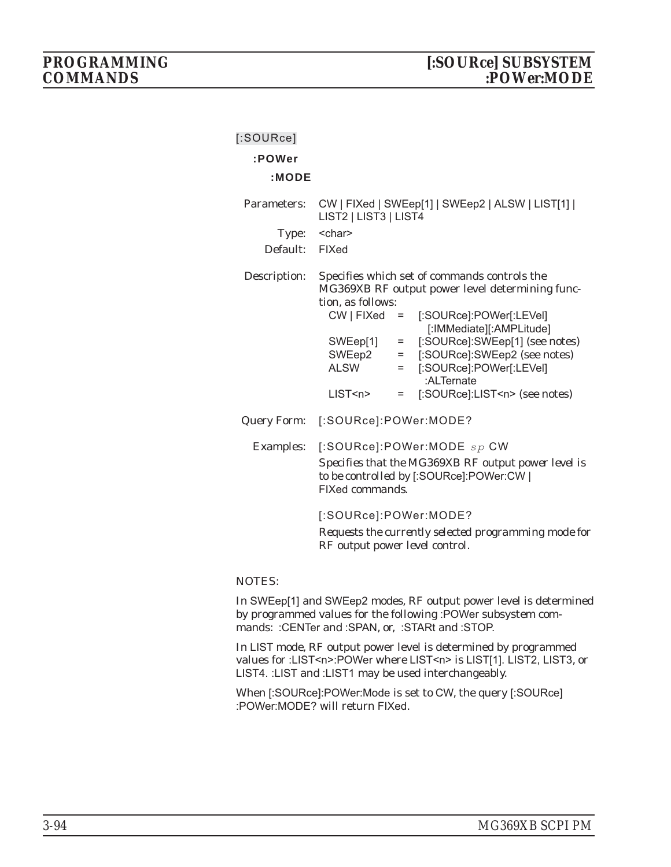# **[:SOURce] :POWer :MODE** Parameters: CW | FIXed | SWEep[1] | SWEep2 | ALSW | LIST[1] | LIST2 | LIST3 | LIST4 Type: < char> Default: FIXed Description: Specifies which set of commands controls the MG369XB RF output power level determining func-

|                                   |     | MG309AD RF 00tput power level determining func- |
|-----------------------------------|-----|-------------------------------------------------|
| tion, as follows:                 |     |                                                 |
|                                   |     | CW   FIXed = [:SOURce]:POWer[:LEVel]            |
|                                   |     | [: IMMediate][: AMPLitude]                      |
| SWEep[1]                          | $=$ | [:SOURce]:SWEep[1] (see notes)                  |
| SWEep2                            | $=$ | [:SOURce]:SWEep2 (see notes)                    |
| <b>ALSW</b>                       | $=$ | [:SOURce]:POWer[:LEVel]                         |
|                                   |     | :ALTernate                                      |
| LIST < n >                        |     | [:SOURce]:LIST <n> (see notes)</n>              |
| Query Form: [:SOURce]:POWer:MODE? |     |                                                 |

Examples: [:SOURce]:POWer:MODE *sp* CW *Specifies that the MG369XB RF output power level is to be controlled by* [:SOURce]:POWer:CW | FIXed *commands.*

[:SOURce]:POWer:MODE?

*Requests the currently selected programming mode for RF output power level control.*

## NOTES:

In SWEep[1] and SWEep2 modes, RF output power level is determined by programmed values for the following :POWer subsystem commands: :CENTer and :SPAN, or, :STARt and :STOP.

In LIST mode, RF output power level is determined by programmed values for :LIST<n>:POWer where LIST<n> is LIST[1]. LIST2, LIST3, or LIST4. :LIST and :LIST1 may be used interchangeably.

When [:SOURce]:POWer:Mode is set to CW, the query [:SOURce] :POWer:MODE? will return FIXed.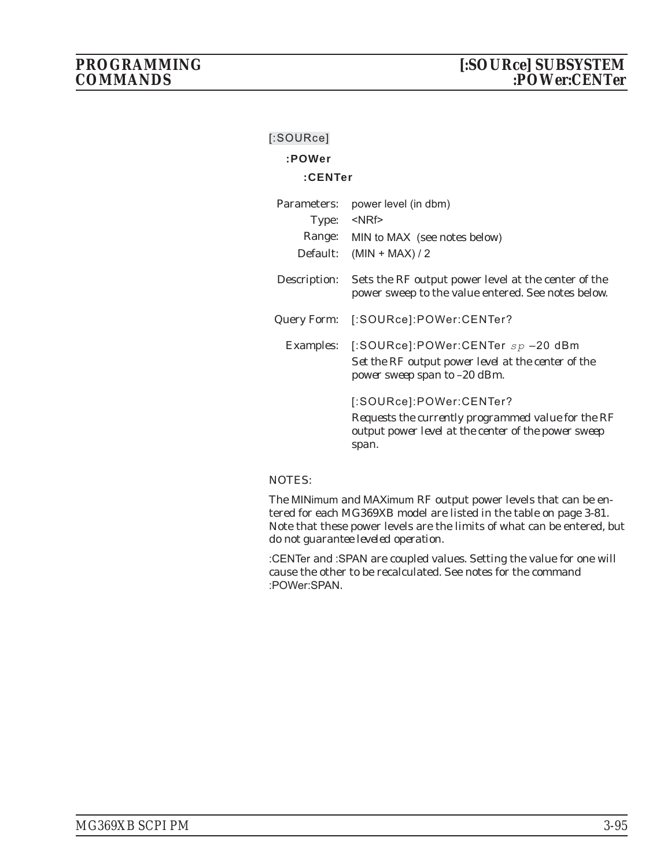| [:SOURce]    |                                                                                                                                               |
|--------------|-----------------------------------------------------------------------------------------------------------------------------------------------|
| :POWer       |                                                                                                                                               |
| :CENTer      |                                                                                                                                               |
| Parameters:  | power level (in dbm)                                                                                                                          |
|              | Type: <nrf></nrf>                                                                                                                             |
|              | Range: MIN to MAX (see notes below)                                                                                                           |
|              | Default: $(MIN + MAX)/2$                                                                                                                      |
| Description: | Sets the RF output power level at the center of the<br>power sweep to the value entered. See notes below.                                     |
|              | Query Form: [:SOURce]:POWer:CENTer?                                                                                                           |
|              | Examples: [:SOURce]:POWer:CENTer $sp-20$ dBm<br>Set the RF output power level at the center of the<br>power sweep span to -20 dBm.            |
|              | [:SOURce]:POWer:CENTer?<br>Requests the currently programmed value for the RF<br>output power level at the center of the power sweep<br>span. |

## NOTES:

The MINimum and MAXimum RF output power levels that can be entered for each MG369XB model are listed in the table on page 3-81. Note that these power levels are the limits of what can be entered, but *do not guarantee leveled operation*.

:CENTer and :SPAN are coupled values. Setting the value for one will cause the other to be recalculated. See notes for the command :POWer:SPAN.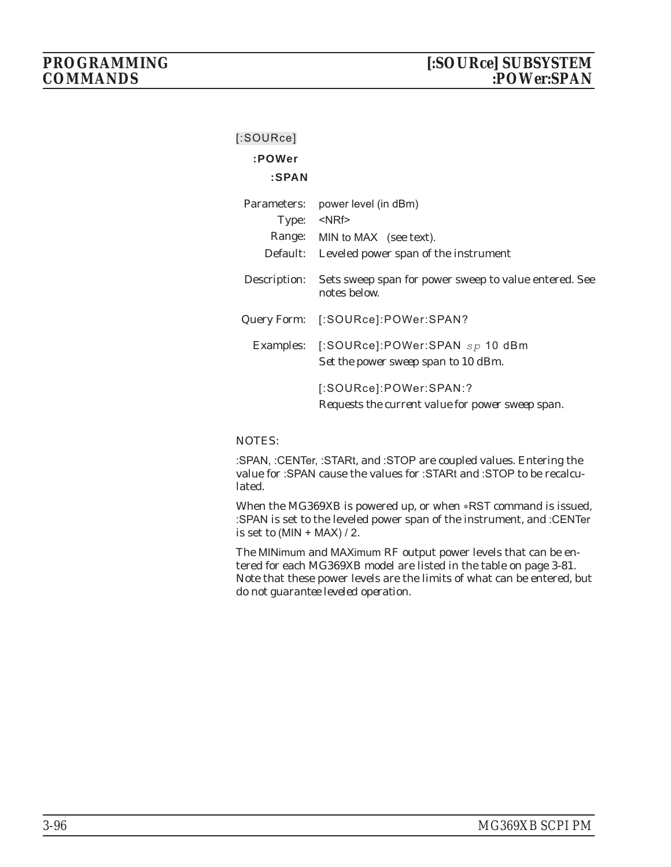# **:POWer**

## **:SPAN**

| Parameters:<br>Type: <nrf></nrf> | power level (in dBm)                                                            |
|----------------------------------|---------------------------------------------------------------------------------|
| Default:                         | Range: MIN to MAX (see text).<br>Leveled power span of the instrument           |
| Description:                     | Sets sweep span for power sweep to value entered. See<br>notes below.           |
| Query Form:                      | [:SOURce]:POWer:SPAN?                                                           |
|                                  | Examples: [:SOURce]:POWer:SPAN sp 10 dBm<br>Set the power sweep span to 10 dBm. |
|                                  | [:SOURce]:POWer:SPAN:?<br>Requests the current value for power sweep span.      |

## NOTES:

:SPAN, :CENTer, :STARt, and :STOP are coupled values. Entering the value for :SPAN cause the values for :STARt and :STOP to be recalculated.

When the MG369XB is powered up, or when \*RST command is issued, :SPAN is set to the leveled power span of the instrument, and :CENTer is set to  $(MIN + MAX) / 2$ .

The MINimum and MAXimum RF output power levels that can be entered for each MG369XB model are listed in the table on page 3-81. Note that these power levels are the limits of what can be entered, but *do not guarantee leveled operation*.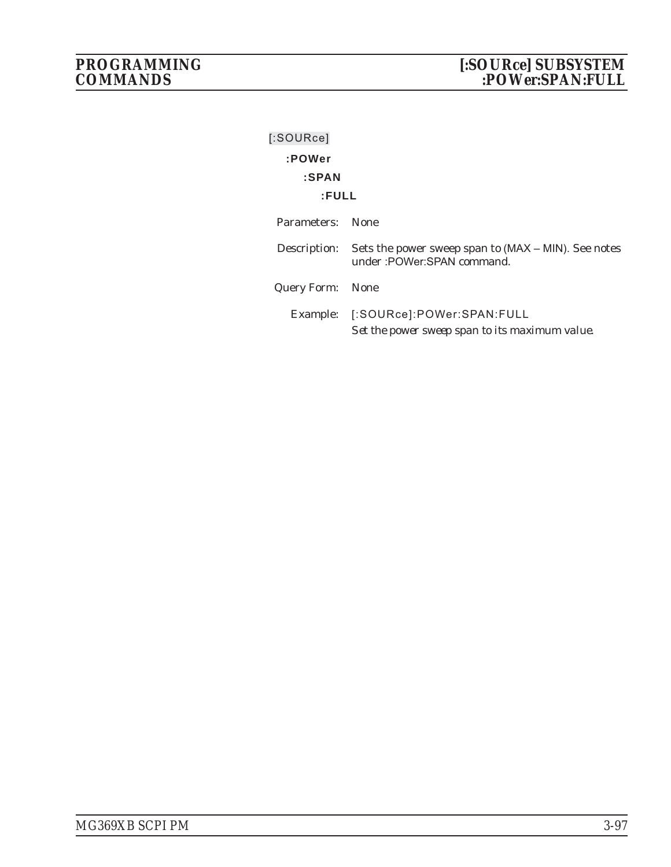| [:SOWRec]        |                                                                                                 |
|------------------|-------------------------------------------------------------------------------------------------|
| :POWer           |                                                                                                 |
| :SPAN            |                                                                                                 |
| :FULL            |                                                                                                 |
| Parameters:      | – None                                                                                          |
|                  | Description: Sets the power sweep span to (MAX – MIN). See notes<br>under: POWer: SPAN command. |
| Query Form: None |                                                                                                 |
|                  | Example: [:SOURce]:POWer:SPAN:FULL<br>Set the power sweep span to its maximum value.            |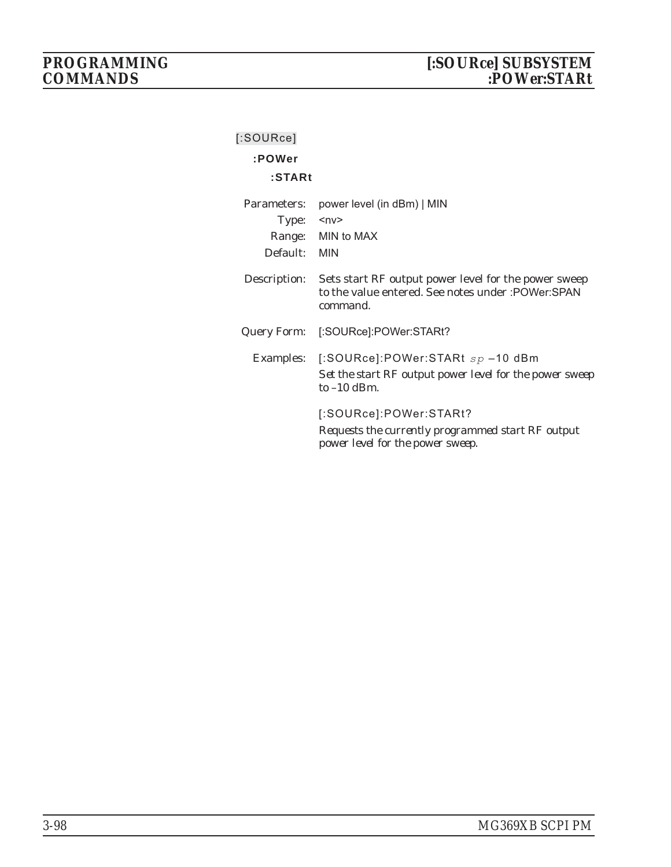| [:SOWRece]       |                                                                                                                         |
|------------------|-------------------------------------------------------------------------------------------------------------------------|
| :POWer           |                                                                                                                         |
| :STARt           |                                                                                                                         |
| Parameters:      | power level (in dBm)   MIN                                                                                              |
| Type:            | $<$ n $v$                                                                                                               |
|                  | Range: MIN to MAX                                                                                                       |
| Default:         | <b>MIN</b>                                                                                                              |
| Description:     | Sets start RF output power level for the power sweep<br>to the value entered. See notes under : POWer: SPAN<br>command. |
| Query Form:      | [:SOURce]:POWer:STARt?                                                                                                  |
| <b>Examples:</b> | [:SOURce]:POWer:STARt $sp$ –10 dBm<br>Set the start RF output power level for the power sweep<br>to $-10$ dBm.          |
|                  | [:SOURce]:POWer:STARt?<br>Requests the currently programmed start RF output<br>power level for the power sweep.         |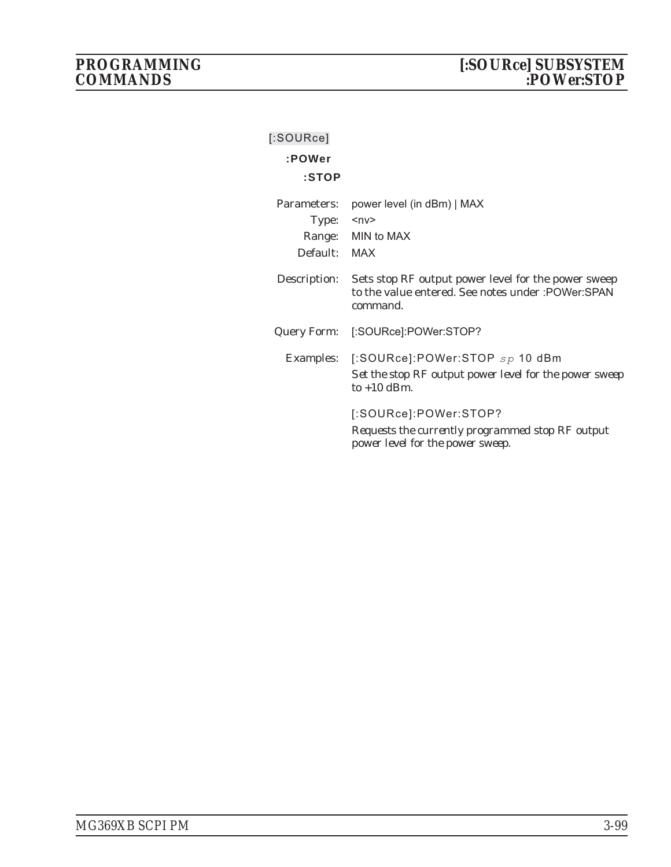| $[$ :SOURce] |                                                                                                                        |
|--------------|------------------------------------------------------------------------------------------------------------------------|
| :POWer       |                                                                                                                        |
| :STOP        |                                                                                                                        |
| Parameters:  | power level (in dBm)   MAX                                                                                             |
| Type:        | $ny$                                                                                                                   |
|              | Range: MIN to MAX                                                                                                      |
| Default:     | MAX                                                                                                                    |
| Description: | Sets stop RF output power level for the power sweep<br>to the value entered. See notes under : POWer: SPAN<br>command. |
| Query Form:  | [:SOURce]:POWer:STOP?                                                                                                  |
|              | Examples: [:SOURce]:POWer:STOP sp 10 dBm<br>Set the stop RF output power level for the power sweep<br>to $+10$ dBm.    |
|              | [:SOURce]:POWer:STOP?<br>Requests the currently programmed stop RF output<br>power level for the power sweep.          |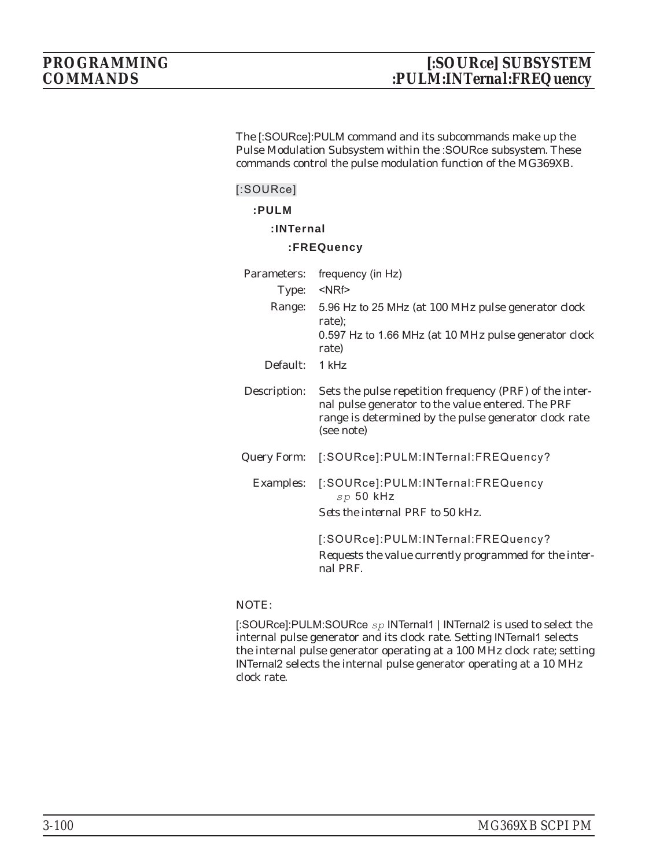The [:SOURce]:PULM command and its subcommands make up the Pulse Modulation Subsystem within the :SOURce subsystem. These commands control the pulse modulation function of the MG369XB.

**[:SOURce]**

**:PULM**

**:INTernal**

## **:FREQuency**

| Parameters:       | frequency (in Hz)                                                                                                                                                                   |
|-------------------|-------------------------------------------------------------------------------------------------------------------------------------------------------------------------------------|
| Type: <nrf></nrf> |                                                                                                                                                                                     |
|                   | Range: 5.96 Hz to 25 MHz (at 100 MHz pulse generator clock<br>rate);<br>0.597 Hz to 1.66 MHz (at 10 MHz pulse generator clock<br>rate)                                              |
| Default: 1 kHz    |                                                                                                                                                                                     |
| Description:      | Sets the pulse repetition frequency (PRF) of the inter-<br>nal pulse generator to the value entered. The PRF<br>range is determined by the pulse generator clock rate<br>(see note) |
|                   | Query Form: [:SOURce]:PULM:INTernal:FREQuency?                                                                                                                                      |
|                   | Examples: [:SOURce]:PULM:INTernal:FREQuency<br>$sp$ 50 kHz<br>Sets the internal PRF to 50 kHz.                                                                                      |
|                   | [:SOURce]:PULM:INTernal:FREQuency?<br>Requests the value currently programmed for the inter-<br>nal PRF                                                                             |

NOTE:

[:SOURce]:PULM:SOURce *sp* INTernal1 | INTernal2 is used to select the internal pulse generator and its clock rate. Setting INTernal1 selects the internal pulse generator operating at a 100 MHz clock rate; setting INTernal2 selects the internal pulse generator operating at a 10 MHz clock rate.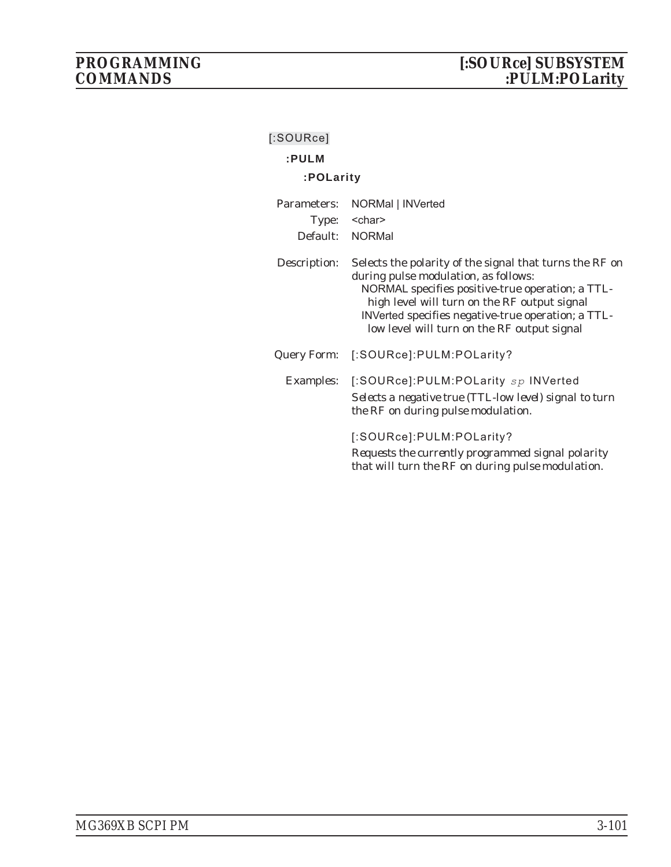| [:SOURce]        |                                                                                                                                                                                                                                                                                                          |  |
|------------------|----------------------------------------------------------------------------------------------------------------------------------------------------------------------------------------------------------------------------------------------------------------------------------------------------------|--|
| :PULM            |                                                                                                                                                                                                                                                                                                          |  |
| :POLarity        |                                                                                                                                                                                                                                                                                                          |  |
| Parameters:      | NORMal   INVerted                                                                                                                                                                                                                                                                                        |  |
| Type:            | <char></char>                                                                                                                                                                                                                                                                                            |  |
|                  | Default: NORMal                                                                                                                                                                                                                                                                                          |  |
| Description:     | Selects the polarity of the signal that turns the RF on<br>during pulse modulation, as follows:<br>NORMAL specifies positive-true operation; a TTL-<br>high level will turn on the RF output signal<br>INVerted specifies negative-true operation; a TTL-<br>low level will turn on the RF output signal |  |
| Query Form:      | [:SOURce]:PULM:POLarity?                                                                                                                                                                                                                                                                                 |  |
| <b>Examples:</b> | [:SOURce]:PULM:POLarity $sp$ INVerted<br>Selects a negative true (TTL-low level) signal to turn<br>the RF on during pulse modulation.                                                                                                                                                                    |  |
|                  | [:SOURce]:PULM:POLarity?<br>Requests the currently programmed signal polarity<br>that will turn the RF on during pulse modulation.                                                                                                                                                                       |  |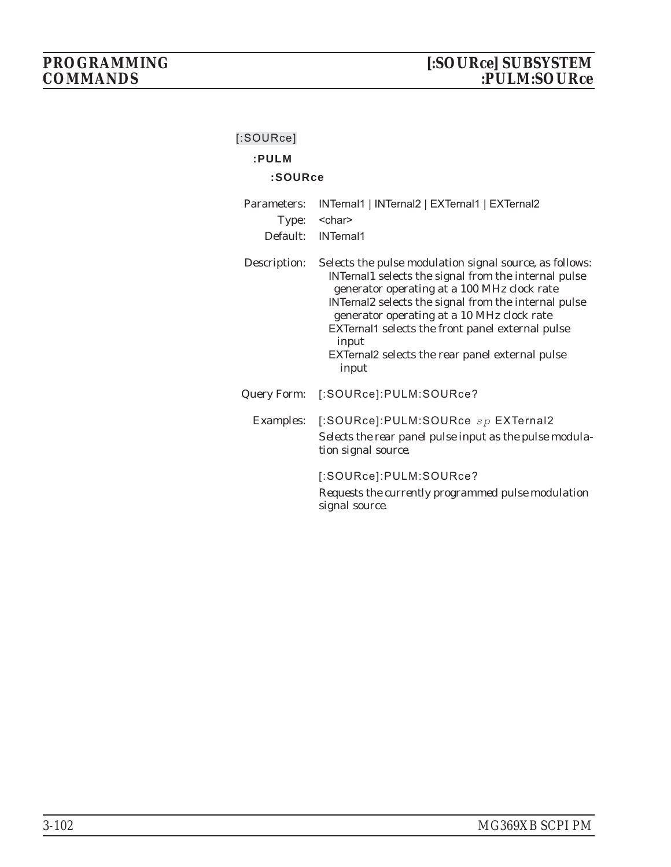|  | [:SOURce] |  |
|--|-----------|--|
|  |           |  |

# **:PULM**

## **:SOURce**

| Parameters:<br>Type:<br>Default: | INTernal1   INTernal2   EXTernal1   EXTernal2<br><char><br/><b>INTernal1</b></char>                                                                                                                                                                                                                                                                                                           |
|----------------------------------|-----------------------------------------------------------------------------------------------------------------------------------------------------------------------------------------------------------------------------------------------------------------------------------------------------------------------------------------------------------------------------------------------|
| Description:                     | Selects the pulse modulation signal source, as follows:<br>INTernal1 selects the signal from the internal pulse<br>generator operating at a 100 MHz clock rate<br>INTernal2 selects the signal from the internal pulse<br>generator operating at a 10 MHz clock rate<br>EXTernal1 selects the front panel external pulse<br>input<br>EXTernal2 selects the rear panel external pulse<br>input |
| Query Form:                      | [:SOURce]:PULM:SOURce?                                                                                                                                                                                                                                                                                                                                                                        |
|                                  | Examples: [:SOURce]:PULM:SOURce sp EXTernal2<br>Selects the rear panel pulse input as the pulse modula-<br>tion signal source.                                                                                                                                                                                                                                                                |
|                                  | [:SOURce]:PULM:SOURce?<br>Requests the currently programmed pulse modulation<br>signal source.                                                                                                                                                                                                                                                                                                |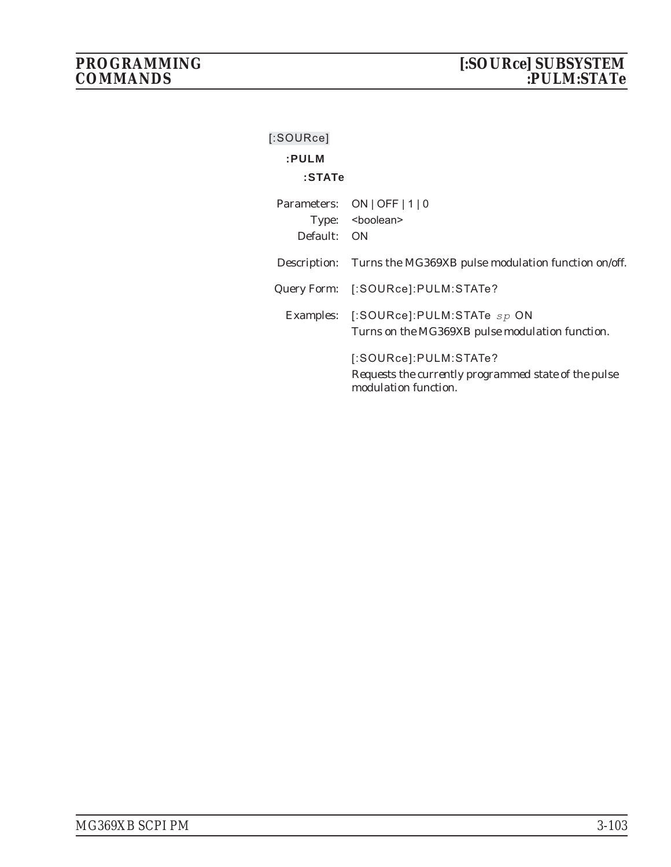| $[$ :SOURce] |                                                                                                       |
|--------------|-------------------------------------------------------------------------------------------------------|
| :PULM        |                                                                                                       |
| $:$ STAT $e$ |                                                                                                       |
|              | Parameters: ON   OFF   1   0<br>Type: <boolean></boolean>                                             |
| Default: ON  |                                                                                                       |
| Description: | Turns the MG369XB pulse modulation function on/off.                                                   |
|              | Query Form: [:SOURce]:PULM:STATe?                                                                     |
|              | Examples: [:SOURce]:PULM:STATe $sp$ ON<br>Turns on the MG369XB pulse modulation function.             |
|              | [:SOURce]:PULM:STATe?<br>Requests the currently programmed state of the pulse<br>modulation function. |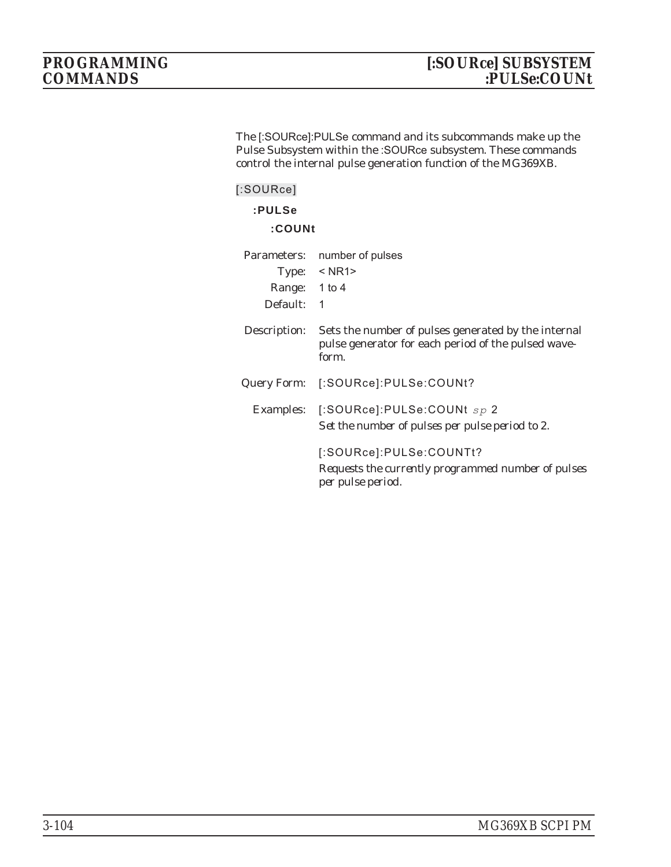The [:SOURce]:PULSe command and its subcommands make up the Pulse Subsystem within the :SOURce subsystem. These commands control the internal pulse generation function of the MG369XB.

| $[$ :SOURce]<br>:PULSe<br>:COUNt |                                                                                                                                                       |
|----------------------------------|-------------------------------------------------------------------------------------------------------------------------------------------------------|
| Range: 1 to 4<br>Default:        | Parameters: number of pulses<br>Type: $\leq$ NR1><br>1                                                                                                |
| Description:                     | Sets the number of pulses generated by the internal<br>pulse generator for each period of the pulsed wave-<br>form.                                   |
|                                  | Query Form: [:SOURce]:PULSe:COUNt?<br>Examples: [:SOURce]:PULSe:COUNt $sp 2$                                                                          |
|                                  | Set the number of pulses per pulse period to 2.<br>[:SOURce]:PULSe:COUNTt?<br>Requests the currently programmed number of pulses<br>per pulse period. |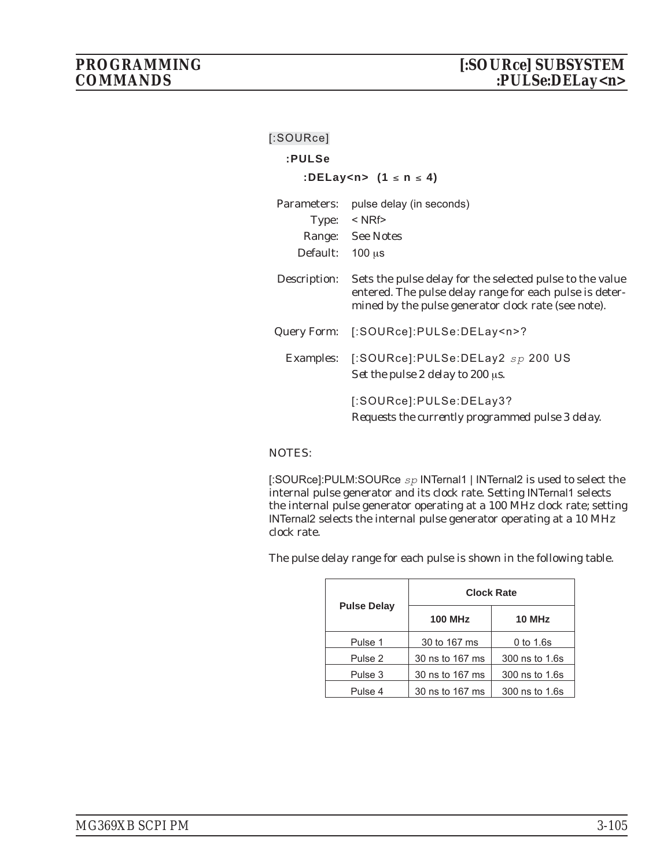| [:SOURce]       |                                                                                                                                                                            |
|-----------------|----------------------------------------------------------------------------------------------------------------------------------------------------------------------------|
| :PULSe          |                                                                                                                                                                            |
|                 | :DELay <n> <math>(1 \le n \le 4)</math></n>                                                                                                                                |
|                 | Parameters: pulse delay (in seconds)                                                                                                                                       |
|                 | Type: $\leq$ NRf>                                                                                                                                                          |
|                 | Range: See Notes                                                                                                                                                           |
| Default: 100 µs |                                                                                                                                                                            |
| Description:    | Sets the pulse delay for the selected pulse to the value<br>entered. The pulse delay range for each pulse is deter-<br>mined by the pulse generator clock rate (see note). |
| Query Form:     | [:SOURce]:PULSe:DELay <n>?</n>                                                                                                                                             |
|                 | Examples: [:SOURce]:PULSe:DELay2 sp 200 US<br>Set the pulse 2 delay to 200 µs.                                                                                             |
|                 | [:SOURce]:PULSe:DELay3?<br>Requests the currently programmed pulse 3 delay.                                                                                                |

[:SOURce]:PULM:SOURce *sp* INTernal1 | INTernal2 is used to select the internal pulse generator and its clock rate. Setting INTernal1 selects the internal pulse generator operating at a 100 MHz clock rate; setting INTernal2 selects the internal pulse generator operating at a 10 MHz clock rate.

The pulse delay range for each pulse is shown in the following table.

|                    | <b>Clock Rate</b> |                |
|--------------------|-------------------|----------------|
| <b>Pulse Delay</b> | <b>100 MHz</b>    | 10 MHz         |
| Pulse 1            | 30 to 167 ms      | 0 to 1.6s      |
| Pulse 2            | 30 ns to 167 ms   | 300 ns to 1.6s |
| Pulse 3            | 30 ns to 167 ms   | 300 ns to 1.6s |
| Pulse 4            | 30 ns to 167 ms   | 300 ns to 1.6s |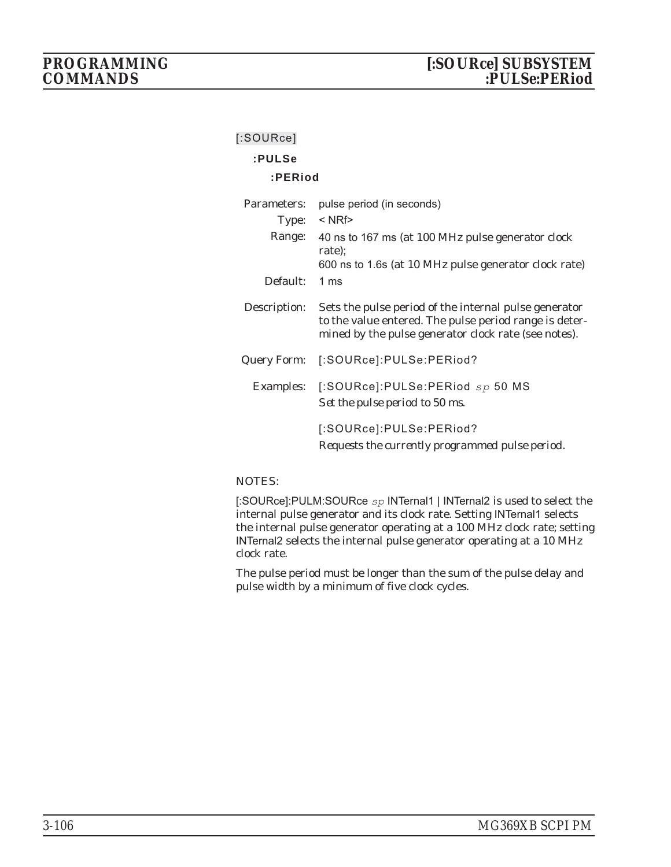### **[:SOURce]**

# **:PULSe**

#### **:PERiod**

| Parameters:  | pulse period (in seconds)                                                                                                                                               |
|--------------|-------------------------------------------------------------------------------------------------------------------------------------------------------------------------|
| Type:        | $<$ NRf $>$                                                                                                                                                             |
| Range:       | 40 ns to 167 ms (at 100 MHz pulse generator clock<br>rate);<br>600 ns to 1.6s (at 10 MHz pulse generator clock rate)                                                    |
| Default:     | 1 <sub>ms</sub>                                                                                                                                                         |
| Description: | Sets the pulse period of the internal pulse generator<br>to the value entered. The pulse period range is deter-<br>mined by the pulse generator clock rate (see notes). |
| Query Form:  | [:SOURce]:PULSe:PERiod?                                                                                                                                                 |
|              | Examples: [:SOURce]:PULSe:PERiod sp 50 MS<br>Set the pulse period to 50 ms.                                                                                             |
|              | [:SOURce]:PULSe:PERiod?<br>Requests the currently programmed pulse period.                                                                                              |

#### NOTES:

[:SOURce]:PULM:SOURce *sp* INTernal1 | INTernal2 is used to select the internal pulse generator and its clock rate. Setting INTernal1 selects the internal pulse generator operating at a 100 MHz clock rate; setting INTernal2 selects the internal pulse generator operating at a 10 MHz clock rate.

The pulse period must be longer than the sum of the pulse delay and pulse width by a minimum of five clock cycles.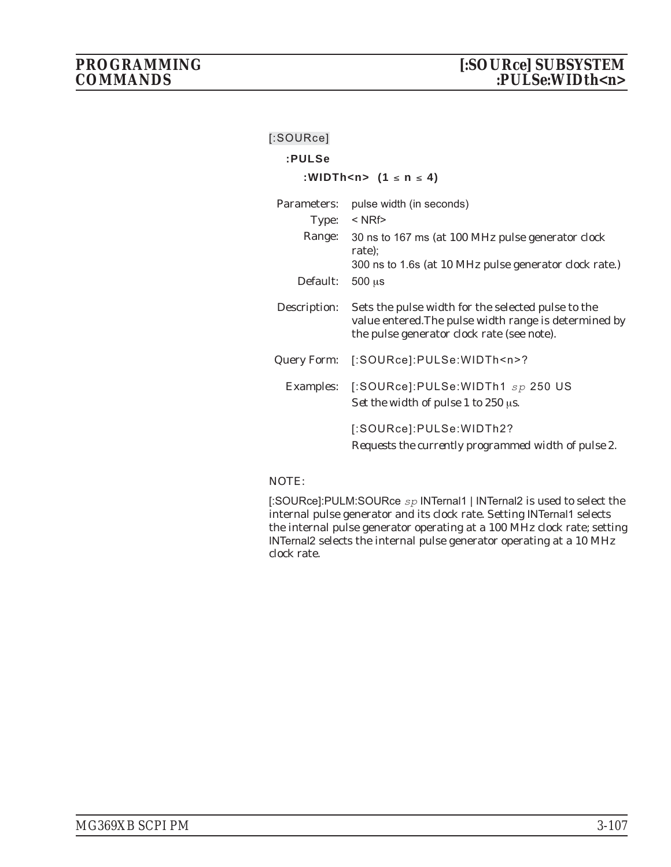| [:SOURce]    |                                                                                                                                                           |
|--------------|-----------------------------------------------------------------------------------------------------------------------------------------------------------|
| :PULSe       |                                                                                                                                                           |
|              | :WIDTh <n> <math>(1 \le n \le 4)</math></n>                                                                                                               |
| Parameters:  | pulse width (in seconds)                                                                                                                                  |
|              | Type: $\leq$ NRf>                                                                                                                                         |
|              | Range: 30 ns to 167 ms (at 100 MHz pulse generator clock<br>rate);                                                                                        |
|              | 300 ns to 1.6s (at 10 MHz pulse generator clock rate.)                                                                                                    |
| Default:     | $500 \mu s$                                                                                                                                               |
| Description: | Sets the pulse width for the selected pulse to the<br>value entered. The pulse width range is determined by<br>the pulse generator clock rate (see note). |
| Query Form:  | [:SOURce]:PULSe:WIDTh <n>?</n>                                                                                                                            |
| Examples:    | $[$ :SOURce]:PULSe:WIDTh1 $_{sp}$ 250 US<br>Set the width of pulse 1 to $250 \,\mu s$ .                                                                   |
|              | [:SOURce]:PULSe:WIDTh2?<br>Requests the currently programmed width of pulse 2.                                                                            |
|              |                                                                                                                                                           |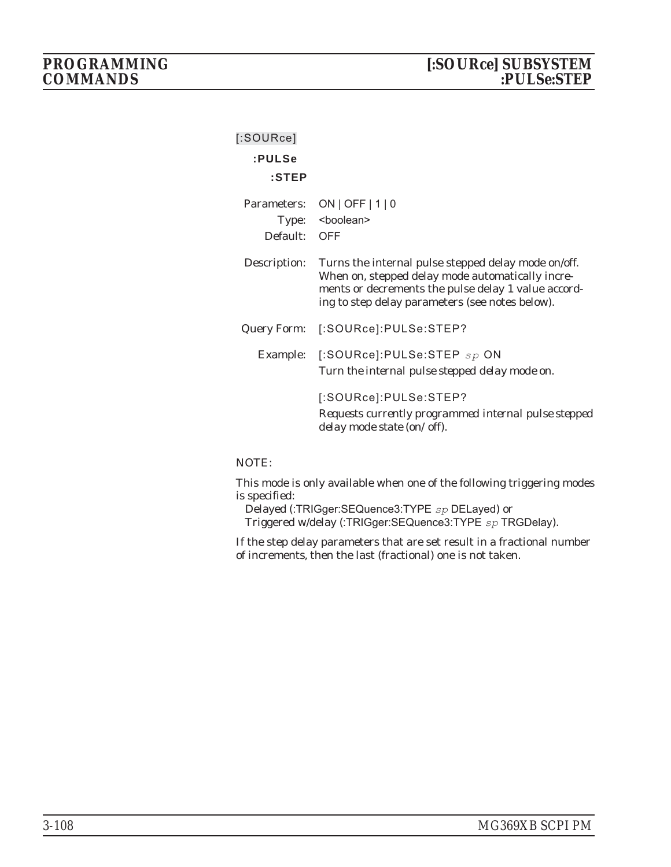| $[$ :SOURce] |                                                                                                                                                                                                                   |
|--------------|-------------------------------------------------------------------------------------------------------------------------------------------------------------------------------------------------------------------|
| :PULSe       |                                                                                                                                                                                                                   |
| $:$ STEP     |                                                                                                                                                                                                                   |
|              | Parameters: ON   OFF   1   0                                                                                                                                                                                      |
|              | Type: <boolean></boolean>                                                                                                                                                                                         |
| Default: OFF |                                                                                                                                                                                                                   |
| Description: | Turns the internal pulse stepped delay mode on/off.<br>When on, stepped delay mode automatically incre-<br>ments or decrements the pulse delay 1 value accord-<br>ing to step delay parameters (see notes below). |
|              | Query Form: [:SOURce]:PULSe:STEP?                                                                                                                                                                                 |
|              | Example: [:SOURce]:PULSe:STEP sp ON<br>Turn the internal pulse stepped delay mode on.                                                                                                                             |
|              | [:SOURce]:PULSe:STEP?<br>Requests currently programmed internal pulse stepped<br>delay mode state (on/off).                                                                                                       |

This mode is only available when one of the following triggering modes is specified:

Delayed (:TRIGger:SEQuence3:TYPE *sp* DELayed) or Triggered w/delay (:TRIGger:SEQuence3:TYPE *sp* TRGDelay).

If the step delay parameters that are set result in a fractional number of increments, then the last (fractional) one is not taken.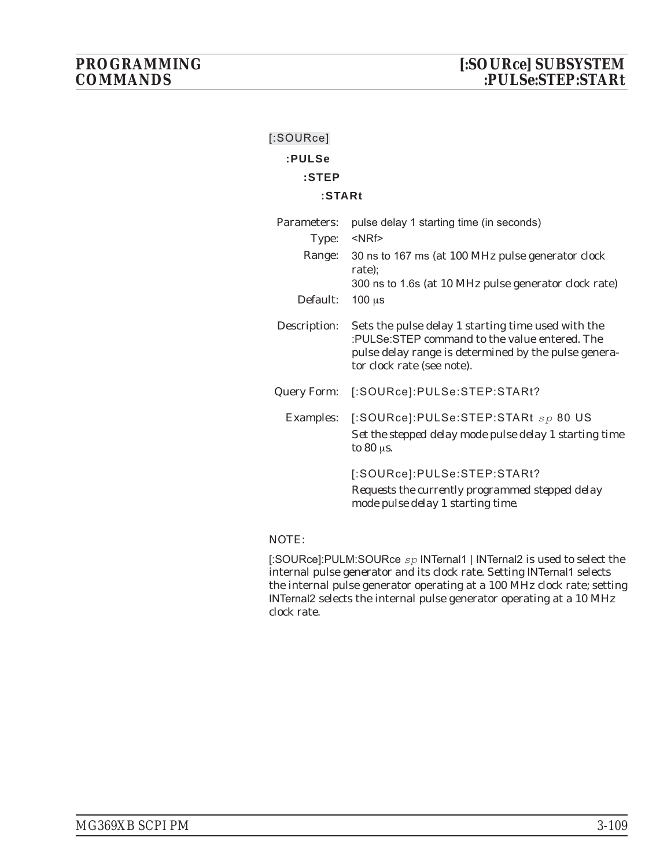| $[$ :SOURce]         |                                                                                                                                                                                           |
|----------------------|-------------------------------------------------------------------------------------------------------------------------------------------------------------------------------------------|
| :PULSe               |                                                                                                                                                                                           |
| $:$ STEP             |                                                                                                                                                                                           |
| :STARt               |                                                                                                                                                                                           |
| Parameters:<br>Type: | pulse delay 1 starting time (in seconds)<br><nrf></nrf>                                                                                                                                   |
| Range:               | 30 ns to 167 ms (at 100 MHz pulse generator clock<br>rate);                                                                                                                               |
| Default:             | 300 ns to 1.6s (at 10 MHz pulse generator clock rate)<br>$100 \mu s$                                                                                                                      |
| Description:         | Sets the pulse delay 1 starting time used with the<br>:PULSe:STEP command to the value entered. The<br>pulse delay range is determined by the pulse genera-<br>tor clock rate (see note). |
| Query Form:          | [:SOURce]:PULSe:STEP:STARt?                                                                                                                                                               |
| Examples:            | [:SOURce]:PULSe:STEP:STARt sp 80 US<br>Set the stepped delay mode pulse delay 1 starting time<br>to $80 \,\mathrm{u}$ s.                                                                  |
|                      | [:SOURce]:PULSe:STEP:STARt?<br>Requests the currently programmed stepped delay<br>mode pulse delay 1 starting time.                                                                       |
|                      |                                                                                                                                                                                           |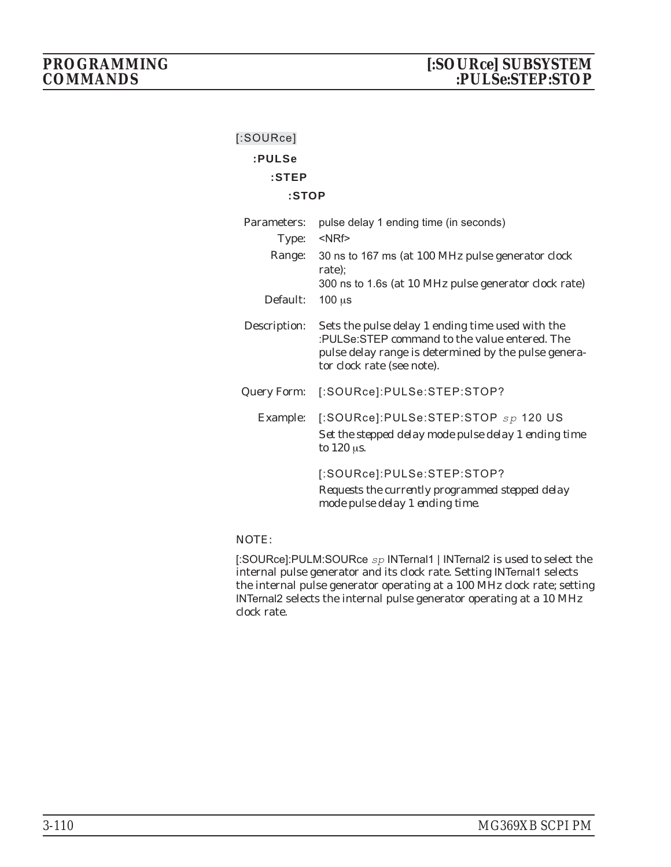| $[$ :SOURce]       |                                                                                                                                                                                         |
|--------------------|-----------------------------------------------------------------------------------------------------------------------------------------------------------------------------------------|
| :PULSe             |                                                                                                                                                                                         |
| $:$ STEP           |                                                                                                                                                                                         |
| :STOP              |                                                                                                                                                                                         |
| Parameters:        | pulse delay 1 ending time (in seconds)                                                                                                                                                  |
| Type:              | $<$ NRf $>$                                                                                                                                                                             |
|                    | Range: 30 ns to 167 ms (at 100 MHz pulse generator clock<br>rate);                                                                                                                      |
|                    | 300 ns to 1.6s (at 10 MHz pulse generator clock rate)                                                                                                                                   |
| Default:           | $100 \mu s$                                                                                                                                                                             |
| Description:       | Sets the pulse delay 1 ending time used with the<br>:PULSe:STEP command to the value entered. The<br>pulse delay range is determined by the pulse genera-<br>tor clock rate (see note). |
| <b>Query Form:</b> | [:SOURce]:PULSe:STEP:STOP?                                                                                                                                                              |
|                    | Example: [:SOURce]:PULSe:STEP:STOP sp 120 US<br>Set the stepped delay mode pulse delay 1 ending time<br>to $120 \mu s$ .                                                                |
|                    | [:SOURce]:PULSe:STEP:STOP?<br>Requests the currently programmed stepped delay<br>mode pulse delay 1 ending time.                                                                        |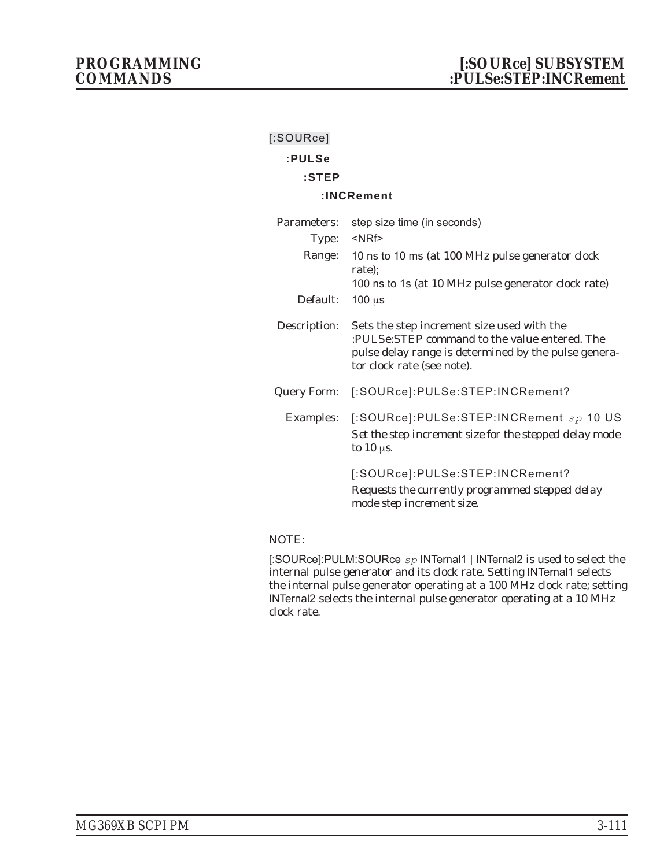| $[$ :SOURce]       |                                                                                                                                                                                   |
|--------------------|-----------------------------------------------------------------------------------------------------------------------------------------------------------------------------------|
| :PULSe             |                                                                                                                                                                                   |
| $:$ STEP           |                                                                                                                                                                                   |
|                    | :INCRement                                                                                                                                                                        |
| Parameters:        | step size time (in seconds)                                                                                                                                                       |
| Type:              | $<$ NRf $>$                                                                                                                                                                       |
| Range:             | 10 ns to 10 ms (at 100 MHz pulse generator clock<br>rate);                                                                                                                        |
|                    | 100 ns to 1s (at 10 MHz pulse generator clock rate)                                                                                                                               |
| Default:           | $100 \mu s$                                                                                                                                                                       |
| Description:       | Sets the step increment size used with the<br>:PULSe:STEP command to the value entered. The<br>pulse delay range is determined by the pulse genera-<br>tor clock rate (see note). |
| <b>Query Form:</b> | [:SOURce]:PULSe:STEP:INCRement?                                                                                                                                                   |
| <b>Examples:</b>   | [:SOURce]:PULSe:STEP:INCRement sp 10 US<br>Set the step increment size for the stepped delay mode<br>to $10$ $\mu$ s.                                                             |
|                    | [:SOURce]:PULSe:STEP:INCRement?<br>Requests the currently programmed stepped delay<br>mode step increment size.                                                                   |
|                    |                                                                                                                                                                                   |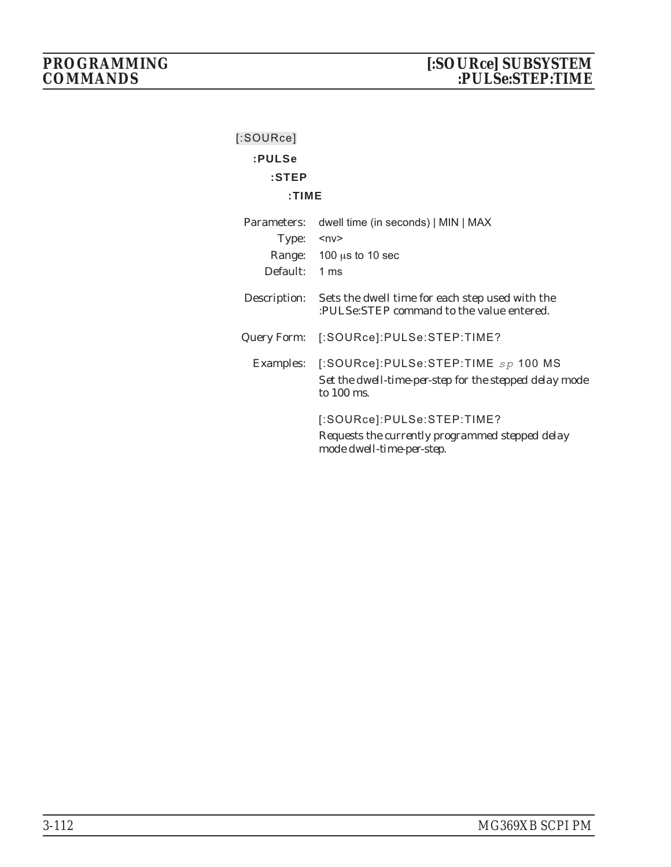| $[$ :SOURce]  |                                                                                                                       |
|---------------|-----------------------------------------------------------------------------------------------------------------------|
| :PULSe        |                                                                                                                       |
| $:$ STEP      |                                                                                                                       |
| : TIME        |                                                                                                                       |
| Parameters:   | dwell time (in seconds)   MIN   MAX                                                                                   |
| Type:         | $ny$                                                                                                                  |
|               | Range: $100 \mu s$ to 10 sec                                                                                          |
| Default: 1 ms |                                                                                                                       |
| Description:  | Sets the dwell time for each step used with the<br>:PULSe:STEP command to the value entered.                          |
|               | Query Form: [:SOURce]:PULSe:STEP:TIME?                                                                                |
|               | Examples: [:SOURce]:PULSe:STEP:TIME sp 100 MS<br>Set the dwell-time-per-step for the stepped delay mode<br>to 100 ms. |
|               | [:SOURce]:PULSe:STEP:TIME?<br>Requests the currently programmed stepped delay<br>mode dwell-time-per-step.            |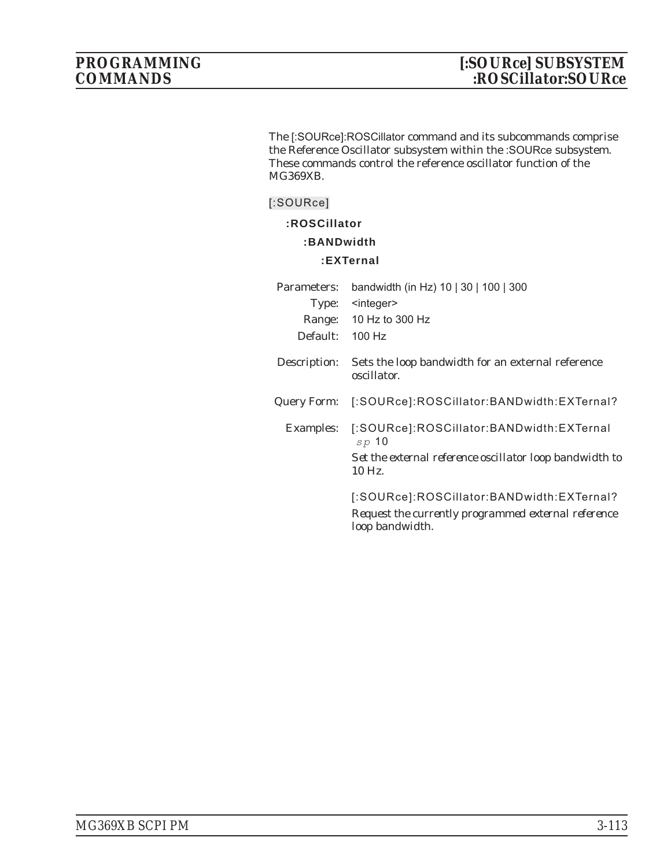The [:SOURce]:ROSCillator command and its subcommands comprise the Reference Oscillator subsystem within the :SOURce subsystem. These commands control the reference oscillator function of the MG369XB.

#### **[:SOURce]**

**:ROSCillator**

#### **:BANDwidth**

#### **:EXTernal**

| Parameters:      | bandwidth (in Hz) 10   30   100   300                                  |
|------------------|------------------------------------------------------------------------|
|                  | Type: <integer></integer>                                              |
|                  | Range: 10 Hz to 300 Hz                                                 |
| Default:         | $100$ Hz                                                               |
| Description:     | Sets the loop bandwidth for an external reference<br>oscillator.       |
| Query Form:      | [:SOURce]:ROSCillator:BANDwidth:EXTernal?                              |
| <b>Examples:</b> | [:SOURce]:ROSCillator:BANDwidth:EXTernal<br>sp <sub>10</sub>           |
|                  | Set the external reference oscillator loop bandwidth to<br>$10$ Hz.    |
|                  | [:SOURce]:ROSCillator:BANDwidth:EXTernal?                              |
|                  | Request the currently programmed external reference<br>loop bandwidth. |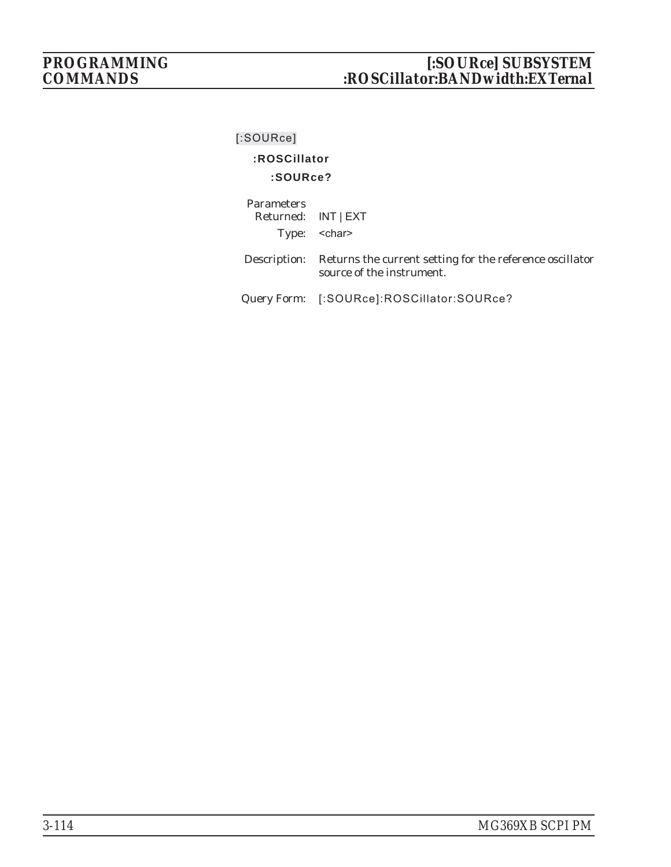# *PROGRAMMING [:SOURce] SUBSYSTEM COMMANDS :ROSCillator:BANDwidth:EXTernal*

# **[:SOURce]**

# **:ROSCillator**

#### **:SOURce?**

| <b>Parameters</b><br>Returned: INT   EXT | Type: <char></char>                                                                                |
|------------------------------------------|----------------------------------------------------------------------------------------------------|
|                                          | Description: Returns the current setting for the reference oscillator<br>source of the instrument. |
|                                          | Query Form: [:SOURce]:ROSCillator:SOURce?                                                          |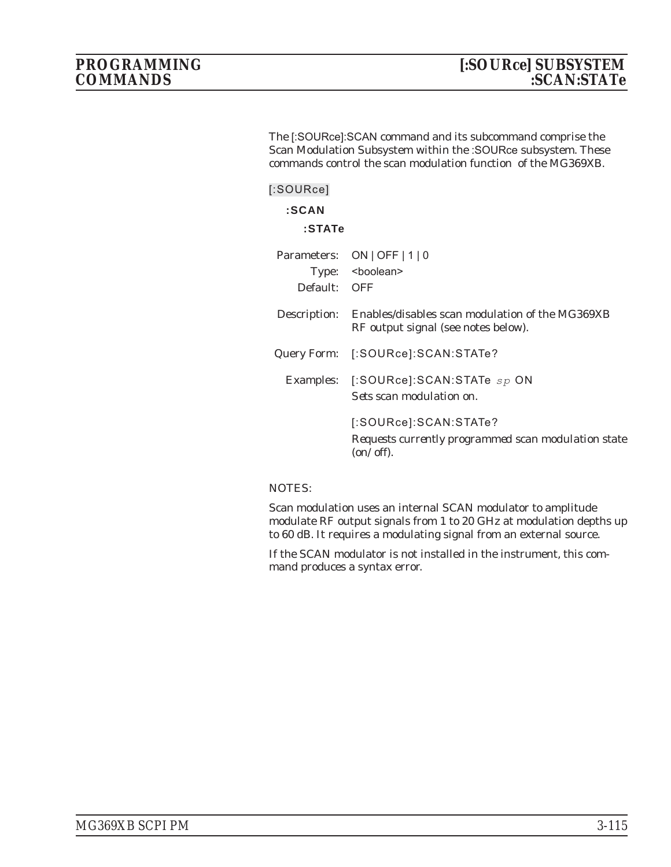The [:SOURce]:SCAN command and its subcommand comprise the Scan Modulation Subsystem within the :SOURce subsystem. These commands control the scan modulation function of the MG369XB.

| [:SOWRece]   |                                                                                                           |
|--------------|-----------------------------------------------------------------------------------------------------------|
| :SCAN        |                                                                                                           |
| :STATe       |                                                                                                           |
|              | Parameters: ON   OFF   1   0                                                                              |
|              | Type: <boolean></boolean>                                                                                 |
| Default: OFF |                                                                                                           |
|              | Description: Enables/disables scan modulation of the MG369XB<br>RF output signal (see notes below).       |
|              | Query Form: [:SOURce]:SCAN:STATe?                                                                         |
|              | Examples: [:SOURce]:SCAN:STATe sp ON<br>Sets scan modulation on.                                          |
|              | [:SOURce]:SCAN:STATe?<br>Requests currently programmed scan modulation state<br>$\frac{on\sqrt{off}}{on}$ |

#### NOTES:

Scan modulation uses an internal SCAN modulator to amplitude modulate RF output signals from 1 to 20 GHz at modulation depths up to 60 dB. It requires a modulating signal from an external source.

If the SCAN modulator is not installed in the instrument, this command produces a syntax error.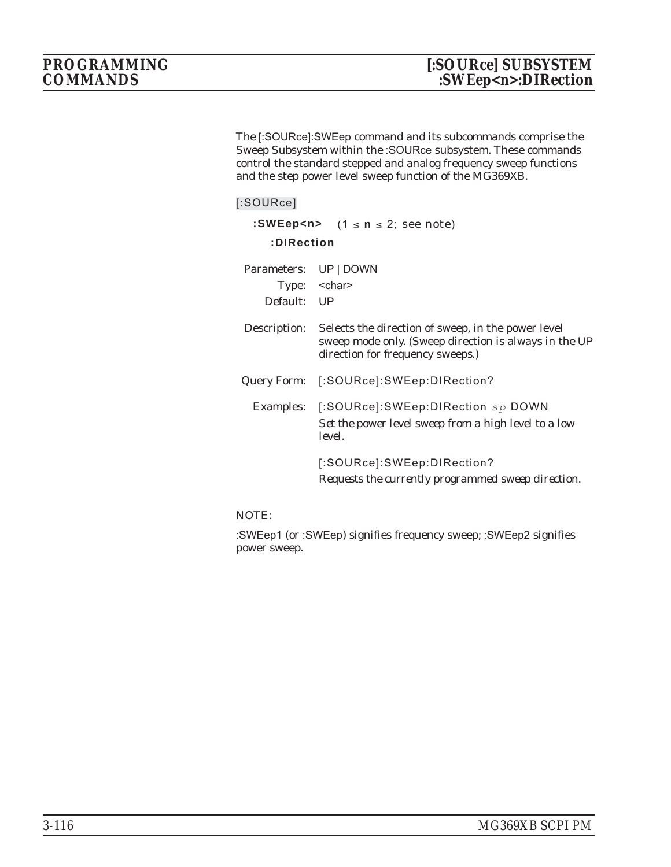The [:SOURce]:SWEep command and its subcommands comprise the Sweep Subsystem within the :SOURce subsystem. These commands control the standard stepped and analog frequency sweep functions and the step power level sweep function of the MG369XB.

#### **[:SOURce]**

| :SWEep <n> <math>(1 \le n \le 2;</math> see note)<br/>:DIRection</n> |                                                                                                                                                 |  |
|----------------------------------------------------------------------|-------------------------------------------------------------------------------------------------------------------------------------------------|--|
| Parameters:<br>Default: UP                                           | UP   DOWN<br>Type: < char>                                                                                                                      |  |
| Description:                                                         | Selects the direction of sweep, in the power level<br>sweep mode only. (Sweep direction is always in the UP<br>direction for frequency sweeps.) |  |
| Query Form:                                                          | [:SOURce]:SWEep:DIRection?                                                                                                                      |  |
|                                                                      | Examples: [:SOURce]:SWEep:DIRection sp DOWN<br>Set the power level sweep from a high level to a low<br>level.                                   |  |
|                                                                      | [:SOURce]:SWEep:DIRection?<br>Requests the currently programmed sweep direction.                                                                |  |

### NOTE:

:SWEep1 (or :SWEep) signifies frequency sweep; :SWEep2 signifies power sweep.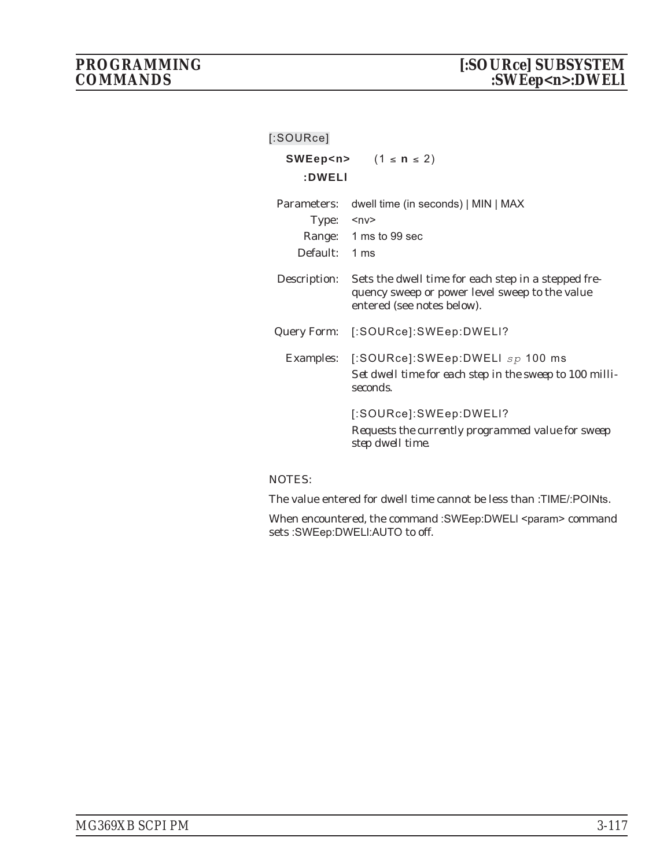| $[$ :SOURce]                     |                                                                                                                                     |
|----------------------------------|-------------------------------------------------------------------------------------------------------------------------------------|
| :DWELI                           | SWEep <n> <math>(1 \le n \le 2)</math></n>                                                                                          |
| Parameters:<br>Type:<br>Default: | dwell time (in seconds)   MIN   MAX<br>∽nv><br>Range: 1 ms to 99 sec<br>1 ms                                                        |
| Description:                     | Sets the dwell time for each step in a stepped fre-<br>quency sweep or power level sweep to the value<br>entered (see notes below). |
|                                  | Query Form: [:SOURce]:SWEep:DWELI?                                                                                                  |
|                                  | Examples: [:SOURce]:SWEep:DWELI sp 100 ms<br>Set dwell time for each step in the sweep to 100 milli-<br>seconds.                    |
|                                  | [:SOURce]:SWEep:DWELI?<br>Requests the currently programmed value for sweep<br>step dwell time.                                     |

The value entered for dwell time cannot be less than :TIME/:POINts.

When encountered, the command :SWEep:DWELI <param> command sets :SWEep:DWELl:AUTO to off.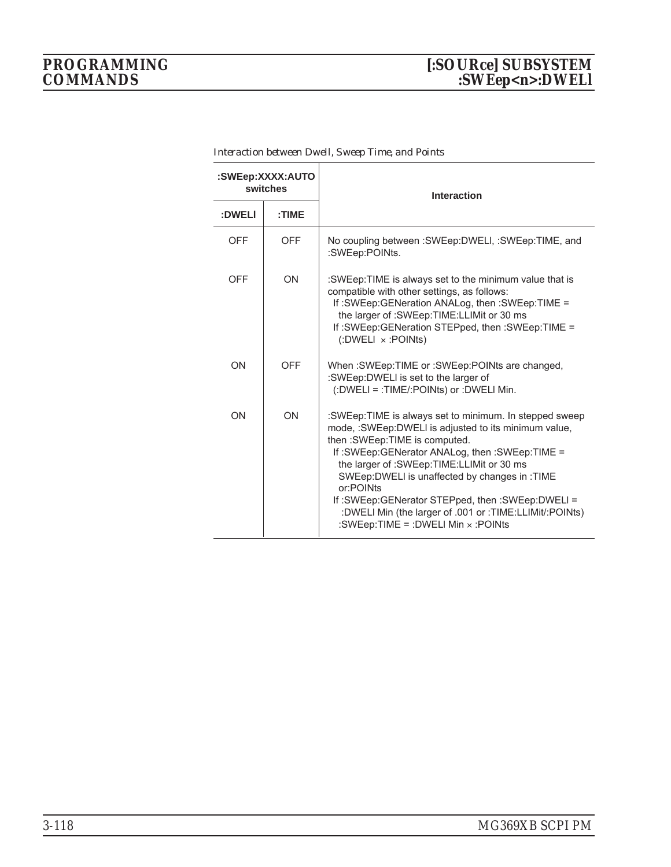# *PROGRAMMING [:SOURce] SUBSYSTEM COMMANDS :SWEep<n>:DWELl*

| :SWEep:XXXX:AUTO<br>switches |            | Interaction                                                                                                                                                                                                                                                                                                                                                                                                                                                         |
|------------------------------|------------|---------------------------------------------------------------------------------------------------------------------------------------------------------------------------------------------------------------------------------------------------------------------------------------------------------------------------------------------------------------------------------------------------------------------------------------------------------------------|
| :DWELI                       | :TIME      |                                                                                                                                                                                                                                                                                                                                                                                                                                                                     |
| <b>OFF</b>                   | <b>OFF</b> | No coupling between : SWEep: DWELI, : SWEep: TIME, and<br>:SWEep:POINts.                                                                                                                                                                                                                                                                                                                                                                                            |
| OFF                          | ON         | :SWEep:TIME is always set to the minimum value that is<br>compatible with other settings, as follows:<br>If :SWEep:GENeration ANALog, then :SWEep:TIME =<br>the larger of :SWEep:TIME:LLIMit or 30 ms<br>If :SWEep:GENeration STEPped, then :SWEep:TIME =<br>$($ :DWELI $\times$ :POINts)                                                                                                                                                                           |
| ON                           | <b>OFF</b> | When :SWEep:TIME or :SWEep:POINts are changed,<br>:SWEep:DWELI is set to the larger of<br>(:DWELI = :TIME/:POINts) or :DWELI Min.                                                                                                                                                                                                                                                                                                                                   |
| ON                           | ON         | :SWEep:TIME is always set to minimum. In stepped sweep<br>mode, :SWEep:DWELI is adjusted to its minimum value,<br>then : SWEep: TIME is computed.<br>If :SWEep:GENerator ANALog, then :SWEep:TIME =<br>the larger of :SWEep:TIME:LLIMit or 30 ms<br>SWEep:DWELI is unaffected by changes in :TIME<br>or:POINts<br>If :SWEep:GENerator STEPped, then :SWEep:DWELI =<br>:DWELI Min (the larger of .001 or :TIME:LLIMit/:POINts)<br>:SWEep:TIME = :DWELI Min x :POINts |

*Interaction between Dwell, Sweep Time, and Points*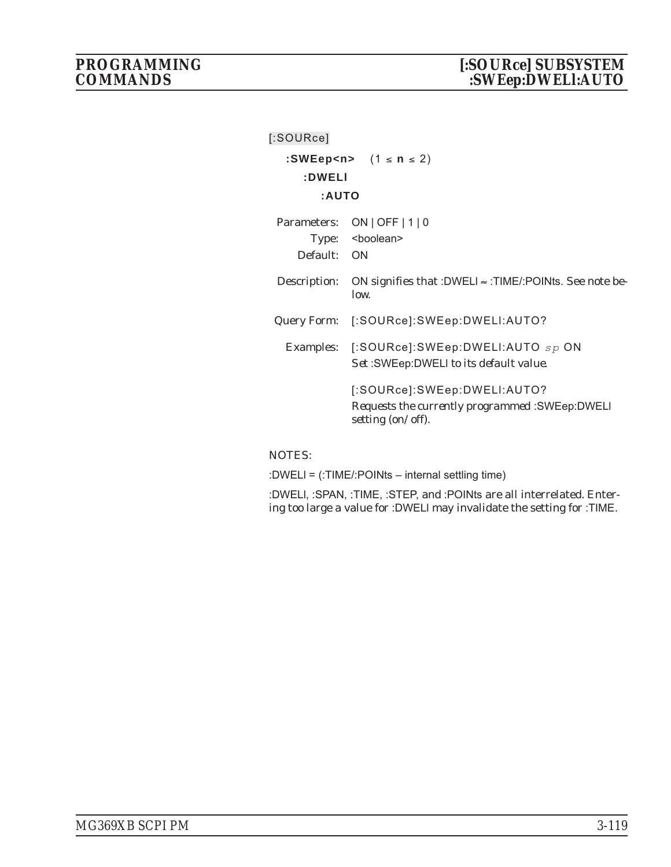| [:SOURce]    |                                                                        |  |  |
|--------------|------------------------------------------------------------------------|--|--|
|              | :SWEep <n> <math>(1 \le n \le 2)</math></n>                            |  |  |
| :DWELI       |                                                                        |  |  |
| :AUTO        |                                                                        |  |  |
|              | Parameters: ON   OFF   1   0                                           |  |  |
|              | Type: <boolean></boolean>                                              |  |  |
| Default: ON  |                                                                        |  |  |
| Description: | ON signifies that :DWELI $\approx$ :TIME/:POINts. See note be-<br>low. |  |  |
|              | Query Form: [:SOURce]:SWEep:DWELI:AUTO?                                |  |  |
|              | Examples: [:SOURce]:SWEep:DWELI:AUTO sp ON                             |  |  |
|              | Set:SWEep:DWELI to its default value.                                  |  |  |
|              | [:SOURce]:SWEep:DWELI:AUTO?                                            |  |  |
|              | Requests the currently programmed: SWEep: DWELI<br>setting (on/off).   |  |  |
|              |                                                                        |  |  |

:DWELl = (:TIME/:POINts – internal settling time)

:DWELl, :SPAN, :TIME, :STEP, and :POINts are all interrelated. Entering too large a value for :DWELl may invalidate the setting for :TIME.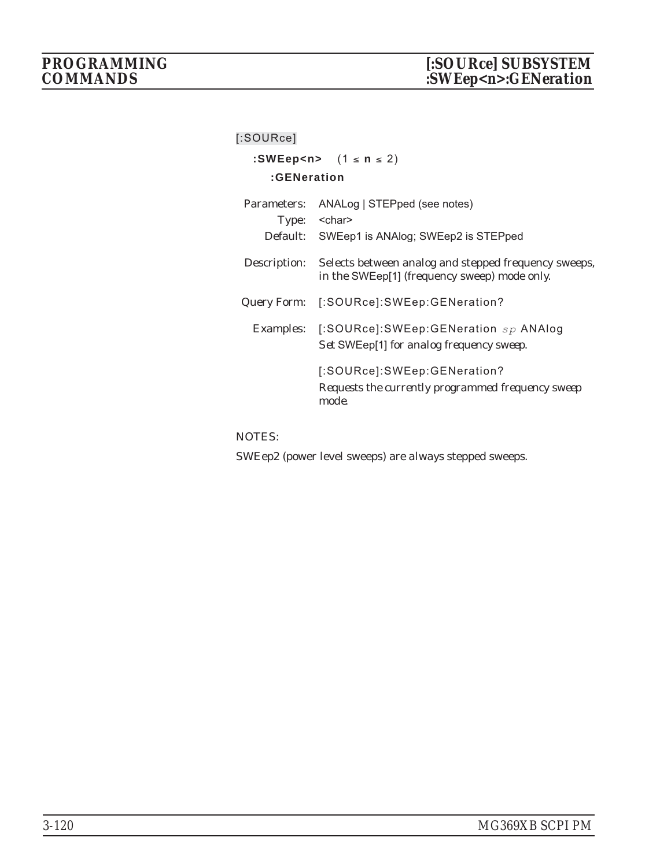### **[:SOURce]**

| :SWEep <n> <math>(1 \le n \le 2)</math></n> |                                                                                                      |  |
|---------------------------------------------|------------------------------------------------------------------------------------------------------|--|
| :GENeration                                 |                                                                                                      |  |
| Parameters:                                 | ANALog   STEPped (see notes)<br>Type: <char><br/>Default: SWEep1 is ANAlog; SWEep2 is STEPped</char> |  |
| Description:                                | Selects between analog and stepped frequency sweeps,<br>in the SWEep[1] (frequency sweep) mode only. |  |
| Query Form:                                 | [:SOURce]:SWEep:GENeration?                                                                          |  |
|                                             | Examples: [:SOURce]:SWEep:GENeration sp ANAlog<br>Set SWEep[1] for analog frequency sweep.           |  |
|                                             | [:SOURce]:SWEep:GENeration?<br>Requests the currently programmed frequency sweep<br>mode.            |  |

NOTES:

SWEep2 (power level sweeps) are *always* stepped sweeps.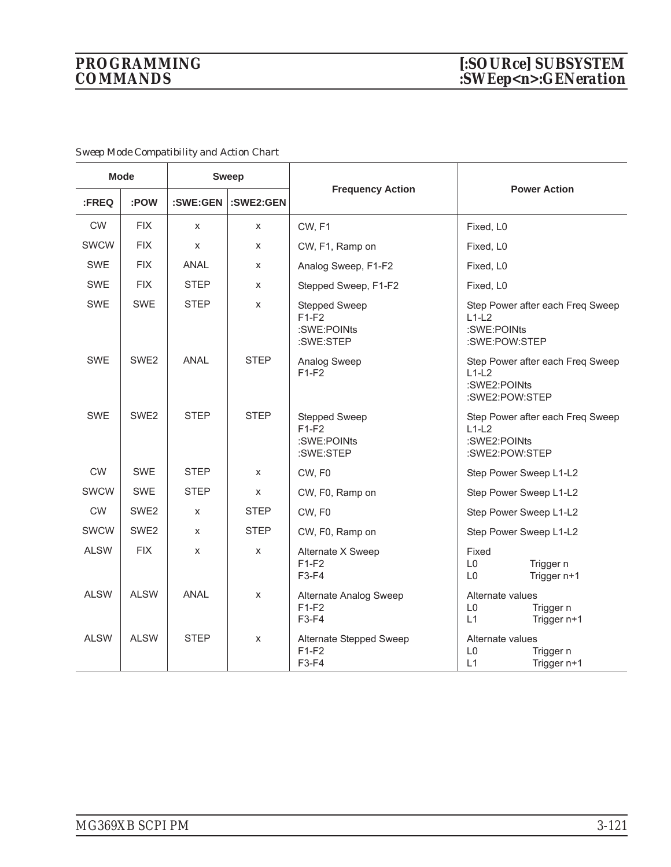| <b>Mode</b> |                  | <b>Sweep</b> |             |                                                      |                                                                               |
|-------------|------------------|--------------|-------------|------------------------------------------------------|-------------------------------------------------------------------------------|
| :FREQ       | :POW             | :SWE:GEN     | :SWE2:GEN   | <b>Frequency Action</b>                              | <b>Power Action</b>                                                           |
| <b>CW</b>   | <b>FIX</b>       | X            | X           | CW, F1                                               | Fixed, L0                                                                     |
| SWCW        | <b>FIX</b>       | X            | X           | CW, F1, Ramp on                                      | Fixed, L0                                                                     |
| <b>SWE</b>  | <b>FIX</b>       | <b>ANAL</b>  | X           | Analog Sweep, F1-F2                                  | Fixed, L0                                                                     |
| <b>SWE</b>  | <b>FIX</b>       | <b>STEP</b>  | X           | Stepped Sweep, F1-F2                                 | Fixed, L0                                                                     |
| <b>SWE</b>  | <b>SWE</b>       | <b>STEP</b>  | X           | Stepped Sweep<br>$F1-F2$<br>:SWE:POINts<br>:SWE:STEP | Step Power after each Freq Sweep<br>$L1-L2$<br>:SWE:POINts<br>:SWE:POW:STEP   |
| <b>SWE</b>  | SWE <sub>2</sub> | <b>ANAL</b>  | <b>STEP</b> | Analog Sweep<br>$F1-F2$                              | Step Power after each Freq Sweep<br>$L1-L2$<br>:SWE2:POINts<br>:SWE2:POW:STEP |
| <b>SWE</b>  | SWE <sub>2</sub> | STEP         | <b>STEP</b> | Stepped Sweep<br>$F1-F2$<br>:SWE:POINts<br>:SWE:STEP | Step Power after each Freq Sweep<br>$L1-L2$<br>:SWE2:POINts<br>:SWE2:POW:STEP |
| <b>CW</b>   | <b>SWE</b>       | <b>STEP</b>  | X           | CW, F0                                               | Step Power Sweep L1-L2                                                        |
| <b>SWCW</b> | <b>SWE</b>       | <b>STEP</b>  | X           | CW, F0, Ramp on                                      | Step Power Sweep L1-L2                                                        |
| <b>CW</b>   | SWE <sub>2</sub> | X            | <b>STEP</b> | CW, F0                                               | Step Power Sweep L1-L2                                                        |
| <b>SWCW</b> | SWE <sub>2</sub> | X            | <b>STEP</b> | CW, F0, Ramp on                                      | Step Power Sweep L1-L2                                                        |
| <b>ALSW</b> | <b>FIX</b>       | X            | X           | Alternate X Sweep<br>$F1-F2$<br>F3-F4                | Fixed<br>L <sub>0</sub><br>Trigger n<br>Trigger n+1<br>L <sub>0</sub>         |
| <b>ALSW</b> | <b>ALSW</b>      | <b>ANAL</b>  | X           | Alternate Analog Sweep<br>$F1-F2$<br>F3-F4           | Alternate values<br>L <sub>0</sub><br>Trigger n<br>L1<br>Trigger n+1          |
| <b>ALSW</b> | <b>ALSW</b>      | <b>STEP</b>  | X           | Alternate Stepped Sweep<br>$F1-F2$<br>F3-F4          | Alternate values<br>L <sub>0</sub><br>Trigger n<br>L1<br>Trigger n+1          |

*Sweep Mode Compatibility and Action Chart*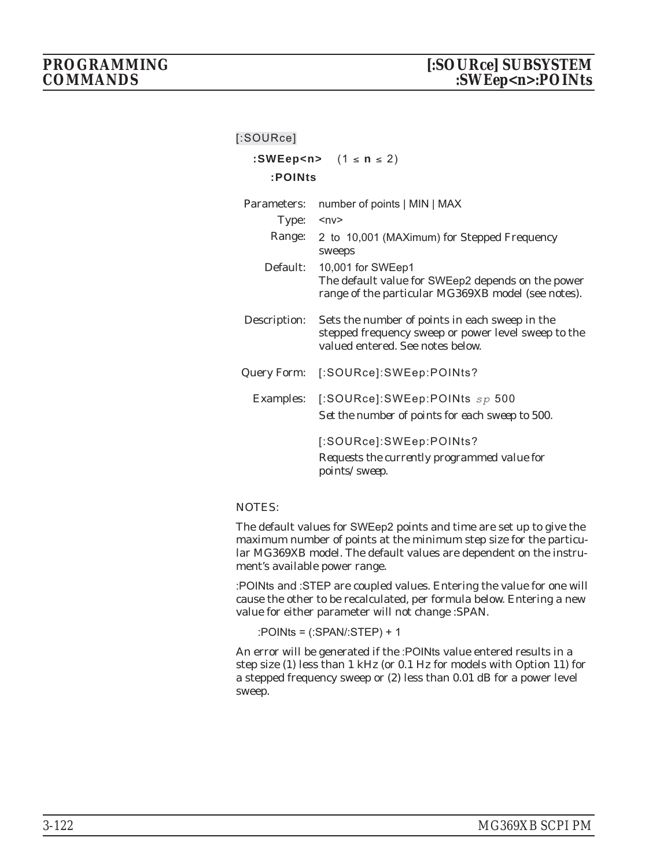### **[:SOURce] :SWEep<n>** (1 **n** 2)

|                  | :SWEEP <n> <math>(1 \leq n \leq 2)</math></n>                                                                                             |
|------------------|-------------------------------------------------------------------------------------------------------------------------------------------|
| :POINts          |                                                                                                                                           |
|                  |                                                                                                                                           |
| Parameters:      | number of points   MIN   MAX                                                                                                              |
| Type:            | $<\nup$ n $v$                                                                                                                             |
|                  | Range: 2 to 10,001 (MAXimum) for Stepped Frequency<br>sweeps                                                                              |
|                  | Default: 10,001 for SWEep1<br>The default value for SWEep2 depends on the power<br>range of the particular MG369XB model (see notes).     |
| Description:     | Sets the number of points in each sweep in the<br>stepped frequency sweep or power level sweep to the<br>valued entered. See notes below. |
| Query Form:      | [:SOURce]:SWEep:POINts?                                                                                                                   |
| <b>Examples:</b> | [:SOURce]:SWEep:POINts $sp$ 500<br>Set the number of points for each sweep to 500.                                                        |
|                  | [:SOURce]:SWEep:POINts?<br>Requests the currently programmed value for<br>points/sweep.                                                   |

#### NOTES:

The default values for SWEep2 points and time are set up to give the maximum number of points at the minimum step size for the particular MG369XB model. The default values are dependent on the instrument's available power range.

:POINts and :STEP are coupled values. Entering the value for one will cause the other to be recalculated, per formula below. Entering a new value for either parameter will not change :SPAN.

:POINts = (:SPAN/:STEP) + 1

An error will be generated if the :POINts value entered results in a step size (1) less than 1 kHz (or 0.1 Hz for models with Option 11) for a stepped frequency sweep or (2) less than 0.01 dB for a power level sweep.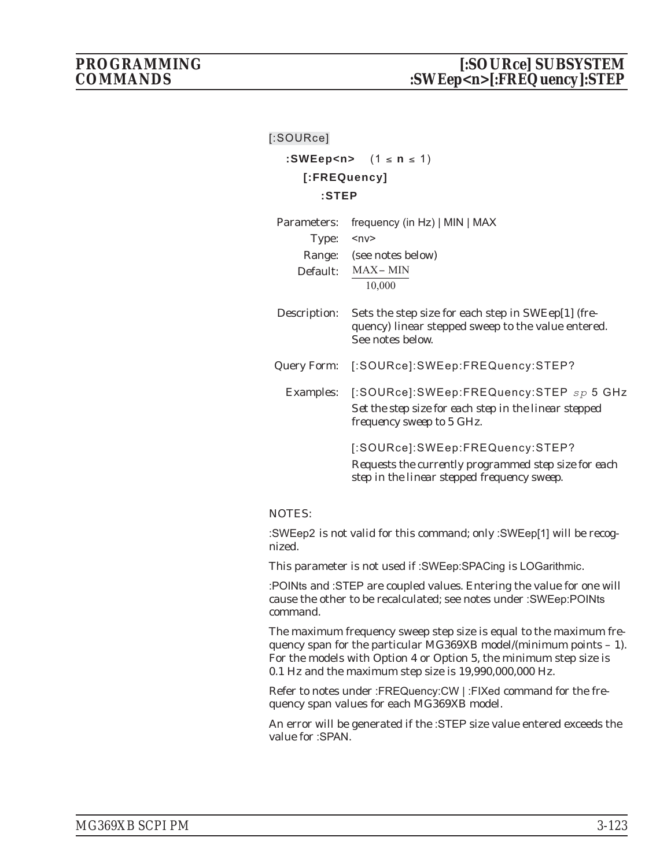#### **[:SOURce]**

**:SWEep<n>** (1 ≤ **n** ≤ 1) **[:FREQuency] :STEP**

| Parameters:  | frequency (in Hz)   MIN   MAX                                                                                                          |  |  |
|--------------|----------------------------------------------------------------------------------------------------------------------------------------|--|--|
| Type:        | $ny$                                                                                                                                   |  |  |
| Range:       | (see notes below)                                                                                                                      |  |  |
| Default:     | MAX-MIN<br>10,000                                                                                                                      |  |  |
| Description: | Sets the step size for each step in SWEep[1] (fre-<br>quency) linear stepped sweep to the value entered.<br>See notes below.           |  |  |
| Query Form:  | [:SOURce]:SWEep:FREQuency:STEP?                                                                                                        |  |  |
| Examples:    | [:SOURce]:SWEep:FREQuency:STEP sp 5 GHz<br>Set the step size for each step in the linear stepped<br>frequency sweep to 5 GHz.          |  |  |
|              | [:SOURce]:SWEep:FREQuency:STEP?<br>Requests the currently programmed step size for each<br>step in the linear stepped frequency sweep. |  |  |

#### NOTES:

:SWEep2 is not valid for this command; only :SWEep[1] will be recognized.

This parameter is not used if :SWEep:SPACing is LOGarithmic.

:POINts and :STEP are coupled values. Entering the value for one will cause the other to be recalculated; see notes under :SWEep:POINts command.

The maximum frequency sweep step size is equal to the maximum frequency span for the particular MG369XB model/(minimum points – 1). For the models with Option 4 or Option 5, the minimum step size is 0.1 Hz and the maximum step size is 19,990,000,000 Hz.

Refer to notes under :FREQuency:CW | :FIXed command for the frequency span values for each MG369XB model.

An error will be generated if the :STEP size value entered exceeds the value for :SPAN.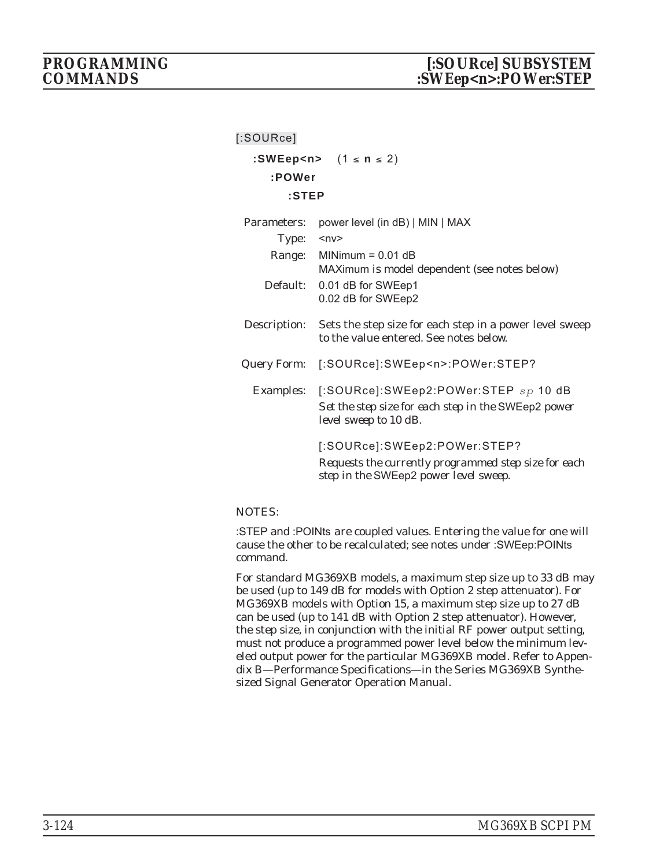| [:SOURce]    |                                                                                                                                |
|--------------|--------------------------------------------------------------------------------------------------------------------------------|
|              | :SWEep <n> <math>(1 \le n \le 2)</math></n>                                                                                    |
| :POWer       |                                                                                                                                |
| :STEP        |                                                                                                                                |
| Parameters:  | power level (in dB)   MIN   MAX                                                                                                |
| Type:        | $ny$                                                                                                                           |
|              | Range: MINimum = 0.01 dB<br>MAXimum is model dependent (see notes below)                                                       |
|              | Default: 0.01 dB for SWEep1<br>0.02 dB for SWEep2                                                                              |
| Description: | Sets the step size for each step in a power level sweep<br>to the value entered. See notes below.                              |
|              | Query Form: [:SOURce]:SWEep <n>:POWer:STEP?</n>                                                                                |
|              | Examples: [:SOURce]:SWEep2:POWer:STEP sp 10 dB<br>Set the step size for each step in the SWEep2 power<br>level sweep to 10 dB. |
|              | [:SOURce]:SWEep2:POWer:STEP?                                                                                                   |
|              | Requests the currently programmed step size for each<br>step in the SWEep2 power level sweep.                                  |

:STEP and :POINts are coupled values. Entering the value for one will cause the other to be recalculated; see notes under :SWEep:POINts command.

For standard MG369XB models, a maximum step size up to 33 dB may be used (up to 149 dB for models with Option 2 step attenuator). For MG369XB models with Option 15, a maximum step size up to 27 dB can be used (up to 141 dB with Option 2 step attenuator). However, the step size, in conjunction with the initial RF power output setting, must not produce a programmed power level below the minimum leveled output power for the particular MG369XB model. Refer to Appendix B—Performance Specifications—in the Series MG369XB Synthesized Signal Generator Operation Manual.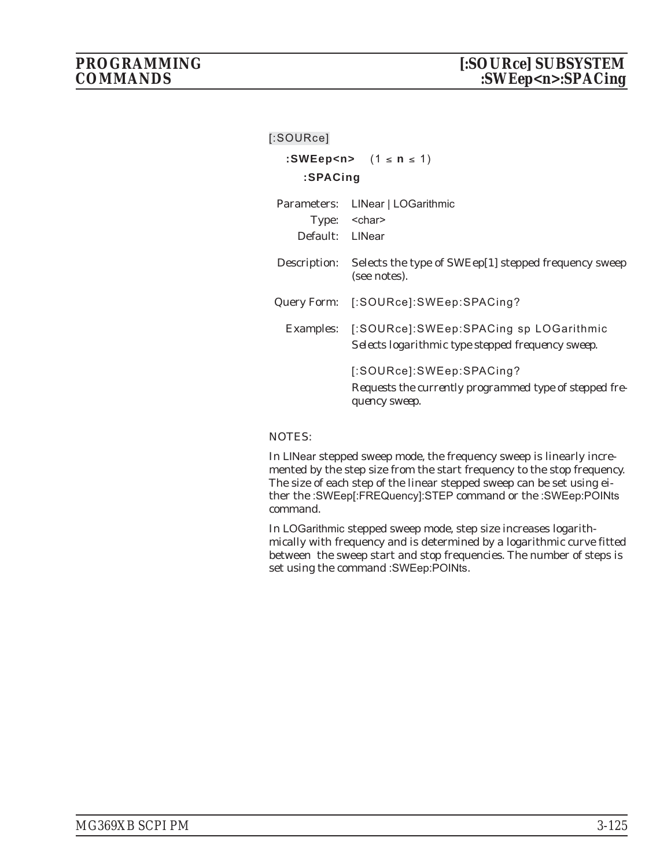| [:SOURce]       |                                                                                                       |  |
|-----------------|-------------------------------------------------------------------------------------------------------|--|
|                 | :SWEep <n> <math>(1 \le n \le 1)</math></n>                                                           |  |
| :SPACing        |                                                                                                       |  |
| Default: LINear | Parameters: LINear   LOGarithmic<br>Type: < char>                                                     |  |
| Description:    | Selects the type of SWEep[1] stepped frequency sweep<br>(see notes).                                  |  |
|                 | Query Form: [:SOURce]:SWEep:SPACing?                                                                  |  |
|                 | Examples: [:SOURce]:SWEep:SPACing sp LOGarithmic<br>Selects logarithmic type stepped frequency sweep. |  |
|                 | [:SOURce]:SWEep:SPACing?<br>Requests the currently programmed type of stepped fre-<br>quency sweep.   |  |

In LINear stepped sweep mode, the frequency sweep is linearly incremented by the step size from the start frequency to the stop frequency. The size of each step of the linear stepped sweep can be set using either the :SWEep[:FREQuency]:STEP command or the :SWEep:POINts command.

In LOGarithmic stepped sweep mode, step size increases logarithmically with frequency and is determined by a logarithmic curve fitted between the sweep start and stop frequencies. The number of steps is set using the command :SWEep:POINts.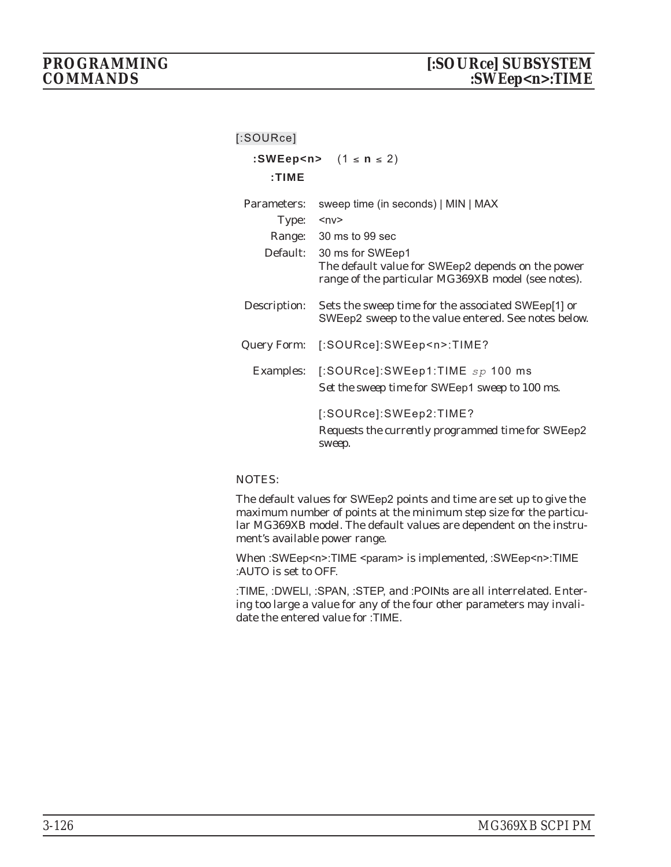| $[$ :SOURce] |                                                                                                                                      |
|--------------|--------------------------------------------------------------------------------------------------------------------------------------|
|              | :SWEep <n> <math>(1 \le n \le 2)</math></n>                                                                                          |
| $:$ TIME     |                                                                                                                                      |
| Parameters:  | sweep time (in seconds)   MIN   MAX                                                                                                  |
| Type:        | $<\nup$ n $v$                                                                                                                        |
|              | Range: 30 ms to 99 sec                                                                                                               |
|              | Default: 30 ms for SWEep1<br>The default value for SWEep2 depends on the power<br>range of the particular MG369XB model (see notes). |
| Description: | Sets the sweep time for the associated SWEep[1] or<br>SWEep2 sweep to the value entered. See notes below.                            |
|              | Query Form: [:SOURce]:SWEep <n>:TIME?</n>                                                                                            |
|              | Examples: [:SOURce]:SWEep1:TIME $sp$ 100 ms<br>Set the sweep time for SWEep1 sweep to 100 ms.                                        |
|              | [:SOURce]:SWEep2:TIME?<br>Requests the currently programmed time for SWEep2<br>sweep.                                                |

The default values for SWEep2 points and time are set up to give the maximum number of points at the minimum step size for the particular MG369XB model. The default values are dependent on the instrument's available power range.

When :SWEep<n>:TIME <param> is implemented, :SWEep<n>:TIME :AUTO is set to OFF.

:TIME, :DWELl, :SPAN, :STEP, and :POINts are all interrelated. Entering too large a value for any of the four other parameters may invalidate the entered value for :TIME.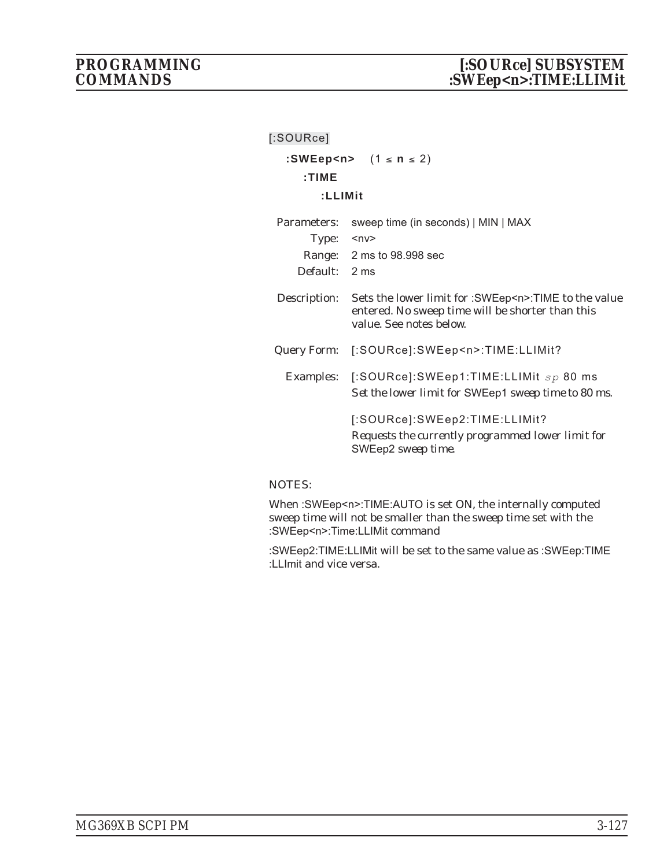| $[$ :SOURce]  |                                                                                                                                            |  |
|---------------|--------------------------------------------------------------------------------------------------------------------------------------------|--|
|               | :SWEep <n> <math>(1 \le n \le 2)</math></n>                                                                                                |  |
| : TIME        |                                                                                                                                            |  |
| :LLIMit       |                                                                                                                                            |  |
| Parameters:   | sweep time (in seconds)   MIN   MAX                                                                                                        |  |
| Type:         | ∽nv>                                                                                                                                       |  |
|               | Range: 2 ms to 98.998 sec                                                                                                                  |  |
| Default: 2 ms |                                                                                                                                            |  |
| Description:  | Sets the lower limit for :SWEep <n>:TIME to the value<br/>entered. No sweep time will be shorter than this<br/>value. See notes below.</n> |  |
|               | Query Form: [:SOURce]:SWEep <n>:TIME:LLIMit?</n>                                                                                           |  |
|               | Examples: [:SOURce]:SWEep1:TIME:LLIMit $sp 80$ ms<br>Set the lower limit for SWEep1 sweep time to 80 ms.                                   |  |
|               | [:SOURce]:SWEep2:TIME:LLIMit?<br>Requests the currently programmed lower limit for<br>SWEep2 sweep time.                                   |  |

When :SWEep<n>:TIME:AUTO is set ON, the internally computed sweep time will not be smaller than the sweep time set with the :SWEep<n>:Time:LLIMit command

:SWEep2:TIME:LLIMit will be set to the same value as :SWEep:TIME :LLImit and vice versa.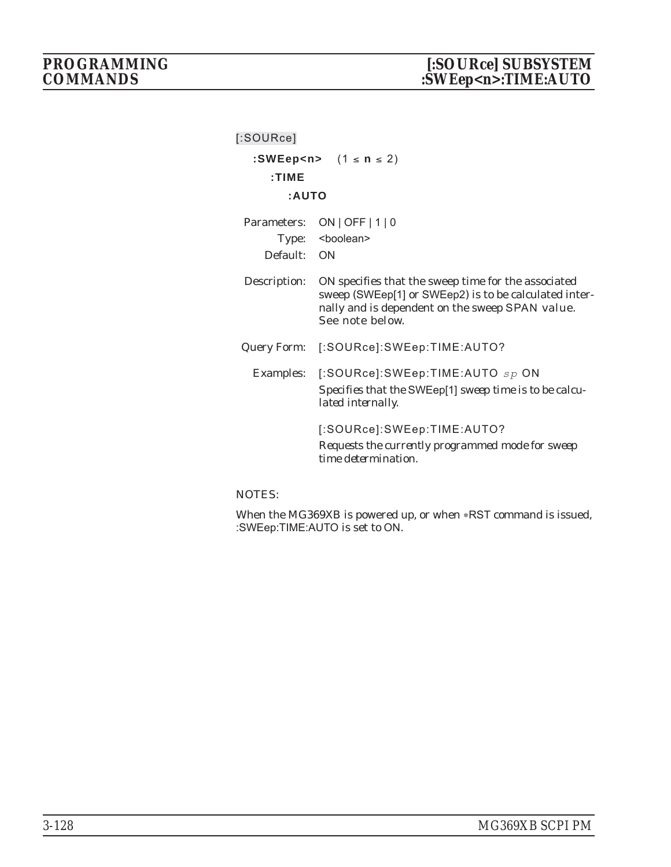| [:SOURce]                           |                                                                                                                                                                                    |
|-------------------------------------|------------------------------------------------------------------------------------------------------------------------------------------------------------------------------------|
| : TIME                              | :SWEep <n> <math>(1 \le n \le 2)</math></n>                                                                                                                                        |
| :AUTO                               |                                                                                                                                                                                    |
| Parameters:<br>Type:<br>Default: ON | ON   OFF   $1$   0<br><boolean></boolean>                                                                                                                                          |
| Description:                        | ON specifies that the sweep time for the associated<br>sweep (SWEep[1] or SWEep2) is to be calculated inter-<br>nally and is dependent on the sweep SPAN value.<br>See note below. |
|                                     | Query Form: [:SOURce]:SWEep:TIME:AUTO?                                                                                                                                             |
| <b>Examples:</b>                    | $[$ :SOURce]:SWEep:TIME:AUTO $_{SP}$ ON<br>Specifies that the SWEep[1] sweep time is to be calcu-<br>lated internally.                                                             |
|                                     | [:SOURce]:SWEep:TIME:AUTO?<br>Requests the currently programmed mode for sweep<br>time determination                                                                               |

When the MG369XB is powered up, or when \*RST command is issued, :SWEep:TIME:AUTO is set to ON.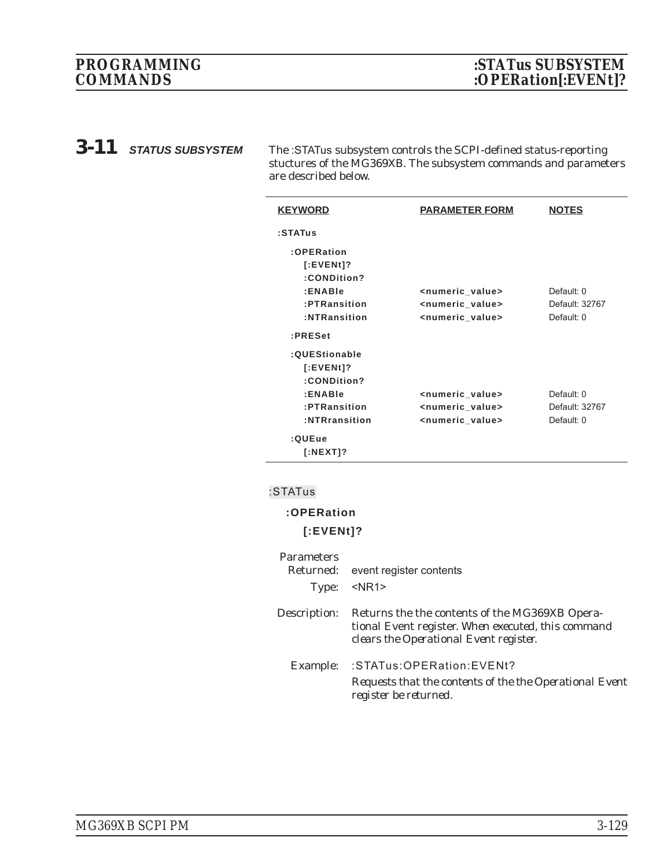*3-11 STATUS SUBSYSTEM* The :STATus subsystem controls the SCPI-defined status-reporting stuctures of the MG369XB. The subsystem commands and parameters are described below.

| <b>KEYWORD</b> | <b>PARAMETER FORM</b>           | <b>NOTES</b>   |
|----------------|---------------------------------|----------------|
| :STATus        |                                 |                |
| :OPERation     |                                 |                |
| $[:EVENt]$ ?   |                                 |                |
| :CONDition?    |                                 |                |
| :ENABle        | <numeric value=""></numeric>    | Default: 0     |
| :PTRansition   | <numeric_value></numeric_value> | Default: 32767 |
| :NTRansition   | <numeric value=""></numeric>    | Default: 0     |
| :PRESet        |                                 |                |
| :QUEStionable  |                                 |                |
| $[:EVENt]$ ?   |                                 |                |
| :CONDition?    |                                 |                |
| :ENABle        | <numeric_value></numeric_value> | Default: 0     |
| :PTRansition   | <numeric_value></numeric_value> | Default: 32767 |
| :NTRransition  | <numeric value=""></numeric>    | Default: 0     |
| :QUEue         |                                 |                |
| $[$ :NEXT]?    |                                 |                |

#### **:STATus**

# **:OPERation [:EVENt]?**

| <b>Parameters</b><br>Type: | Returned: event register contents<br>$<$ NR1 $>$                                                                                               |
|----------------------------|------------------------------------------------------------------------------------------------------------------------------------------------|
| Description:               | Returns the the contents of the MG369XB Opera-<br>tional Event register. When executed, this command<br>clears the Operational Event register. |
| Example:                   | :STATus:OPERation:EVENt?<br>Requests that the contents of the the Operational Event<br>register be returned.                                   |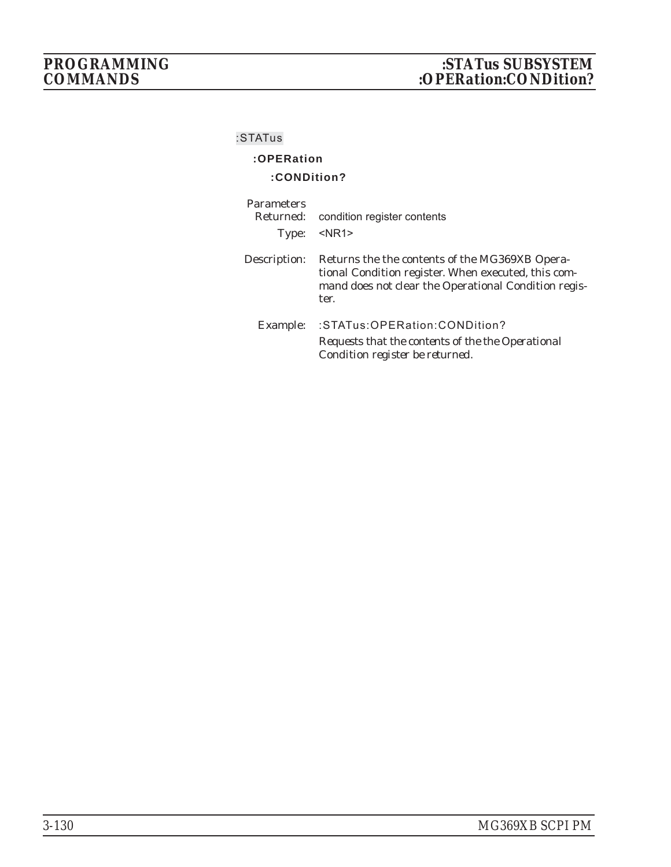# **:OPERation**

### **:CONDition?**

| <b>Parameters</b><br>Returned:<br>Type: | condition register contents<br>$<$ NR1 $>$                                                                                                                            |
|-----------------------------------------|-----------------------------------------------------------------------------------------------------------------------------------------------------------------------|
| Description:                            | Returns the the contents of the MG369XB Opera-<br>tional Condition register. When executed, this com-<br>mand does not clear the Operational Condition regis-<br>ter. |
| Example:                                | :STATus:OPERation:CONDition?<br>Requests that the contents of the the Operational<br>Condition register be returned.                                                  |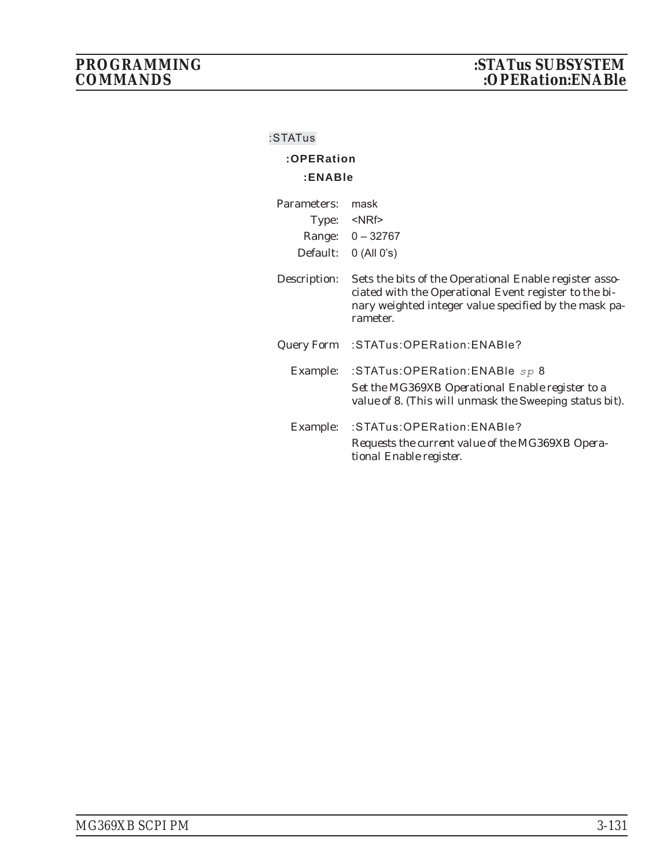# **:OPERation :ENABle**

| Parameters:  | mask                                                                                                                                                                                 |
|--------------|--------------------------------------------------------------------------------------------------------------------------------------------------------------------------------------|
| Type:        | $<$ NRf $>$                                                                                                                                                                          |
|              | Range: 0 - 32767                                                                                                                                                                     |
| Default:     | $0$ (All $0's$ )                                                                                                                                                                     |
| Description: | Sets the bits of the Operational Enable register asso-<br>ciated with the Operational Event register to the bi-<br>nary weighted integer value specified by the mask pa-<br>rameter. |
| Query Form   | :STATus:OPERation:ENABle?                                                                                                                                                            |
| Example:     | :STATus:OPERation:ENABle $sp 8$<br>Set the MG369XB Operational Enable register to a                                                                                                  |
|              | value of 8. (This will unmask the Sweeping status bit).                                                                                                                              |
| Example:     | :STATus:OPERation:ENABle?                                                                                                                                                            |
|              | Requests the current value of the MG369XB Opera-<br>tional Enable register.                                                                                                          |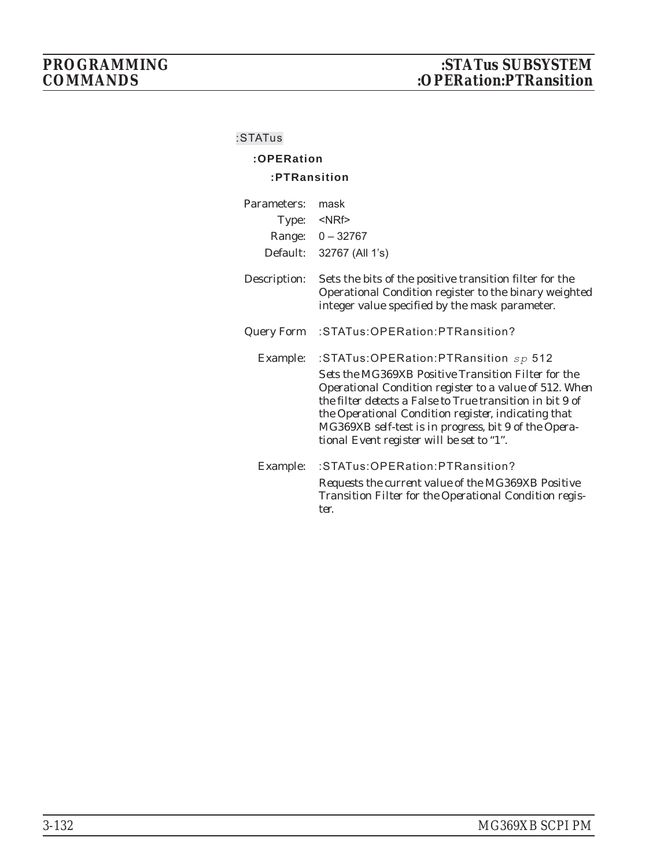# **:OPERation**

#### **:PTRansition**

| Parameters:<br>Type:<br>Range:<br>Default: | mask<br>$<$ NRf $>$<br>$0 - 32767$<br>32767 (All 1's)                                                                                                                                                                                                                                                                                                                             |
|--------------------------------------------|-----------------------------------------------------------------------------------------------------------------------------------------------------------------------------------------------------------------------------------------------------------------------------------------------------------------------------------------------------------------------------------|
| Description:                               | Sets the bits of the positive transition filter for the<br>Operational Condition register to the binary weighted<br>integer value specified by the mask parameter.                                                                                                                                                                                                                |
| Query Form                                 | :STATus:OPERation:PTRansition?                                                                                                                                                                                                                                                                                                                                                    |
| Example:                                   | :STATus:OPERation:PTRansition $sp$ 512<br>Sets the MG369XB Positive Transition Filter for the<br>Operational Condition register to a value of 512. When<br>the filter detects a False to True transition in bit 9 of<br>the Operational Condition register, indicating that<br>MG369XB self-test is in progress, bit 9 of the Opera-<br>tional Event register will be set to "1". |
| Example:                                   | :STATus:OPERation:PTRansition?<br>Requests the current value of the MG369XB Positive<br>Transition Filter for the Operational Condition regis-<br>ter.                                                                                                                                                                                                                            |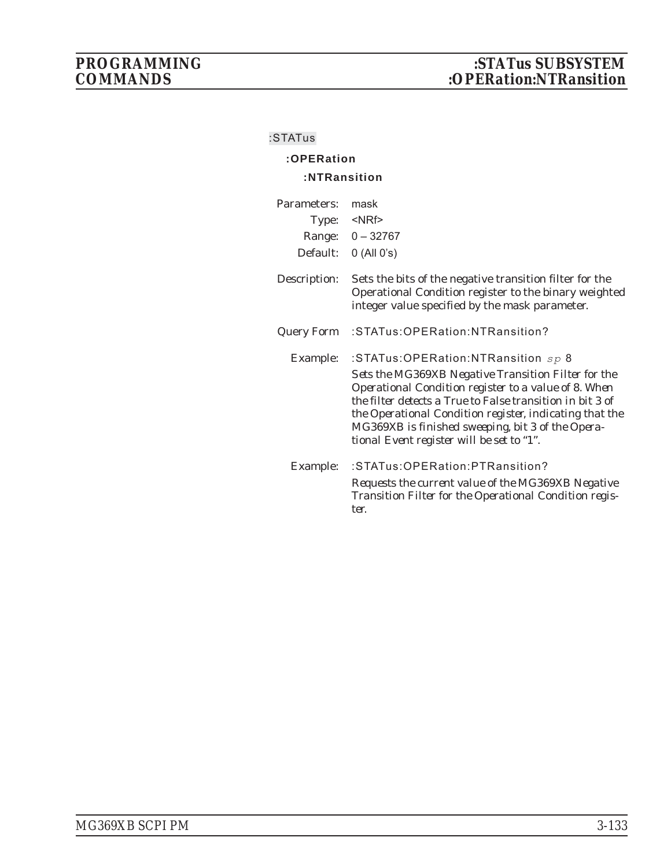# **:OPERation :NTRansition**

| Parameters:<br>Type:<br>Range:<br>Default: | mask<br>$<$ NRf $>$<br>$0 - 32767$<br>$0$ (All $0's$ )                                                                                                                                                                                                                                                                                                                      |
|--------------------------------------------|-----------------------------------------------------------------------------------------------------------------------------------------------------------------------------------------------------------------------------------------------------------------------------------------------------------------------------------------------------------------------------|
| Description:                               | Sets the bits of the negative transition filter for the<br>Operational Condition register to the binary weighted<br>integer value specified by the mask parameter.                                                                                                                                                                                                          |
| Query Form                                 | :STATus:OPERation:NTRansition?                                                                                                                                                                                                                                                                                                                                              |
| Example:                                   | :STATus:OPERation:NTRansition sp 8<br>Sets the MG369XB Negative Transition Filter for the<br>Operational Condition register to a value of 8. When<br>the filter detects a True to False transition in bit 3 of<br>the Operational Condition register, indicating that the<br>MG369XB is finished sweeping, bit 3 of the Opera-<br>tional Event register will be set to "1". |
| Example:                                   | :STATus:OPERation:PTRansition?<br>Requests the current value of the MG369XB Negative<br>Transition Filter for the Operational Condition regis-<br>ter.                                                                                                                                                                                                                      |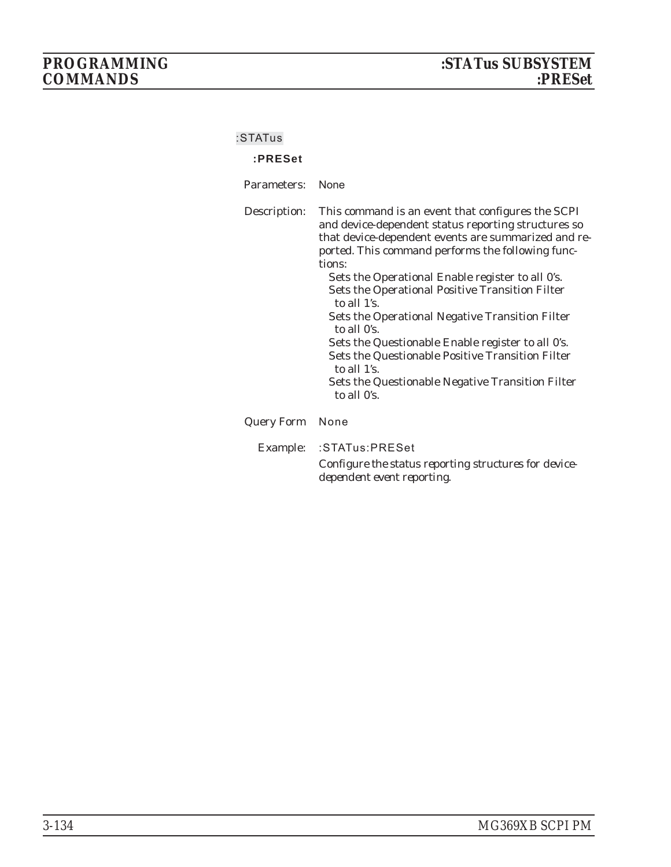# $COMMANDS$

#### **:STATus**

#### **:PRESet**

Parameters: None

Description: This command is an event that configures the SCPI and device-dependent status reporting structures so that device-dependent events are summarized and reported. This command performs the following functions: Sets the Operational Enable register to all 0's.

Sets the Operational Positive Transition Filter to all 1's.

Sets the Operational Negative Transition Filter to all 0's.

Sets the Questionable Enable register to all 0's. Sets the Questionable Positive Transition Filter to all 1's.

Sets the Questionable Negative Transition Filter to all 0's.

#### Query Form None

Example: :STATus:PRESet

*Configure the status reporting structures for devicedependent event reporting.*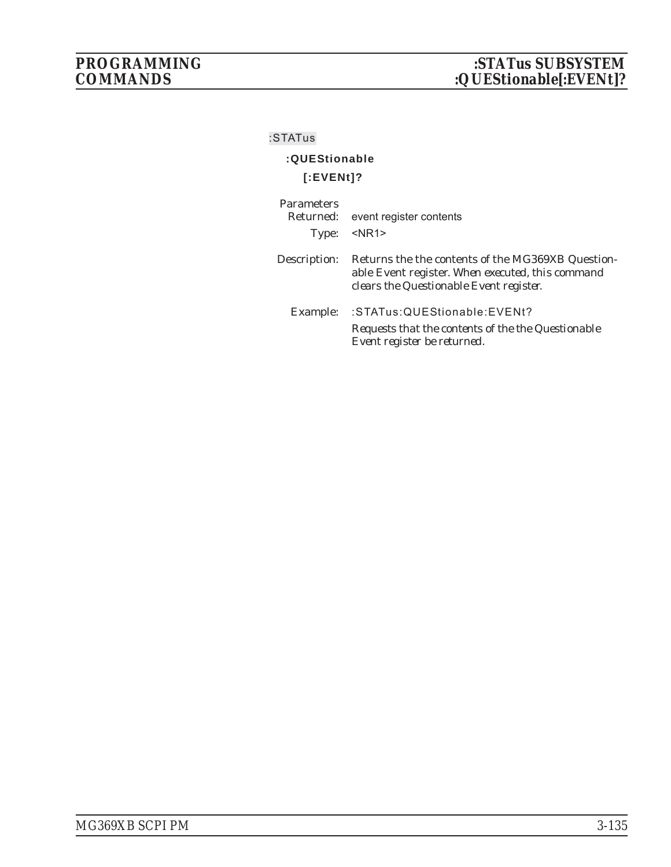# **:QUEStionable [:EVENt]?**

| <b>Parameters</b><br>Type: | Returned: event register contents<br>$<$ NR1>                                                                                                    |
|----------------------------|--------------------------------------------------------------------------------------------------------------------------------------------------|
| Description:               | Returns the the contents of the MG369XB Question-<br>able Event register. When executed, this command<br>clears the Questionable Event register. |
| Example:                   | :STATus:QUEStionable:EVENt?<br>Requests that the contents of the the Questionable<br>Event register be returned.                                 |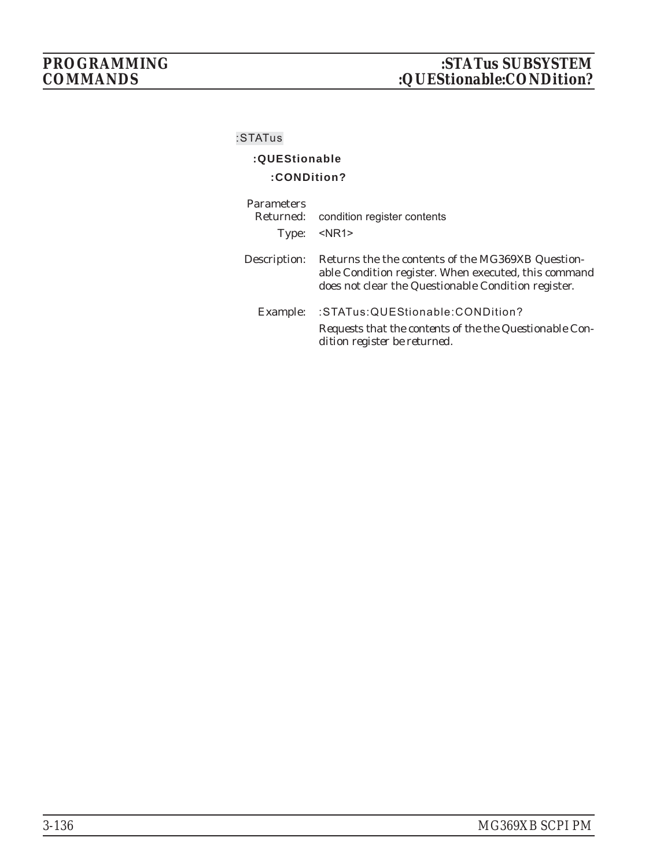# **:QUEStionable**

#### **:CONDition?**

| <b>Parameters</b><br>Type: | Returned: condition register contents<br>$<$ NR1 $>$                                                                                                                    |
|----------------------------|-------------------------------------------------------------------------------------------------------------------------------------------------------------------------|
| Description:               | Returns the the contents of the MG369XB Question-<br>able Condition register. When executed, this command<br>does <i>not</i> clear the Questionable Condition register. |
| Example:                   | :STATus:QUEStionable:CONDition?<br>Requests that the contents of the the Questionable Con-<br>dition register be returned.                                              |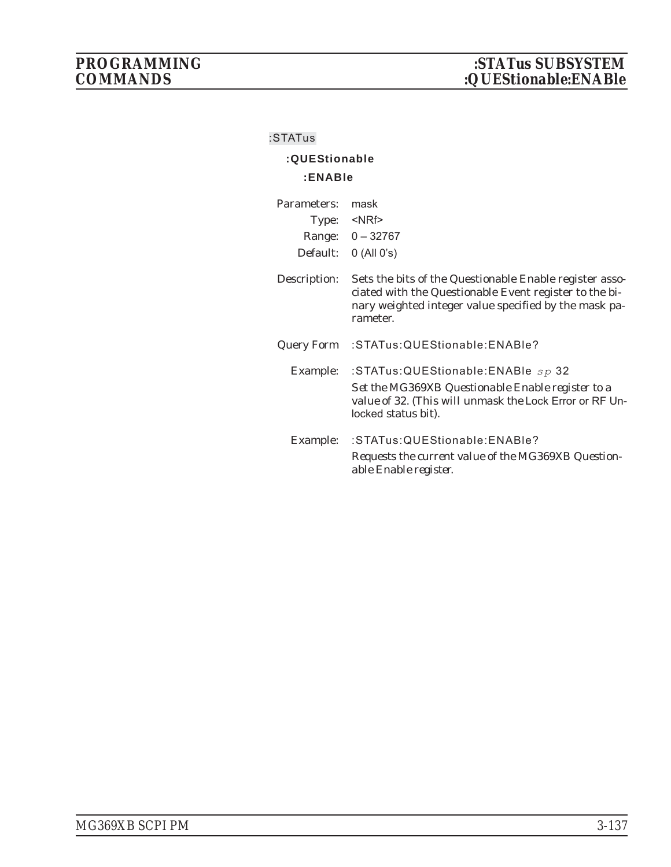# **:QUEStionable :ENABle**

| Parameters:<br>Type:<br>Default: | mask<br><nrf><br/>Range: 0 - 32767<br/><math>0</math> (All <math>0's</math>)</nrf>                                                                                                     |
|----------------------------------|----------------------------------------------------------------------------------------------------------------------------------------------------------------------------------------|
| Description:                     | Sets the bits of the Questionable Enable register asso-<br>ciated with the Questionable Event register to the bi-<br>nary weighted integer value specified by the mask pa-<br>rameter. |
| Query Form                       | :STATus:QUEStionable:ENABle?                                                                                                                                                           |
| Example:                         | :STATus:QUEStionable:ENABle sp 32<br>Set the MG369XB Questionable Enable register to a<br>value of 32. (This will unmask the Lock Error or RF Un-<br>locked <i>status bit)</i> .       |
| Example:                         | :STATus:QUEStionable:ENABle?<br>Requests the current value of the MG369XB Question-<br>able Enable register.                                                                           |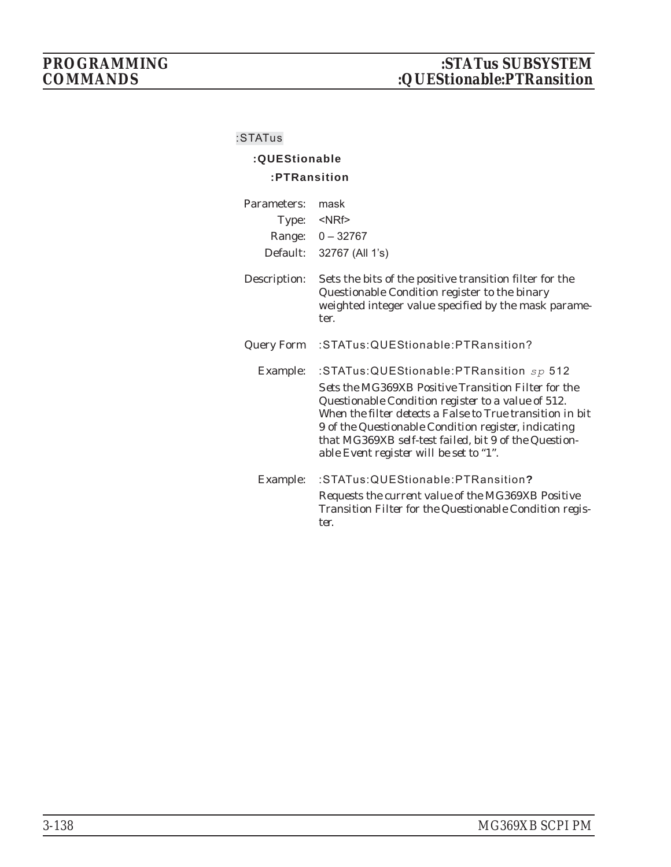# **:QUEStionable :PTRansition**

| Parameters:<br>Type: | mask<br>$<$ NRf $>$<br>Range: 0 - 32767<br>Default: 32767 (All 1's)                                                                                                                                                                                                                                                                                                           |
|----------------------|-------------------------------------------------------------------------------------------------------------------------------------------------------------------------------------------------------------------------------------------------------------------------------------------------------------------------------------------------------------------------------|
| Description:         | Sets the bits of the positive transition filter for the<br>Questionable Condition register to the binary<br>weighted integer value specified by the mask parame-<br>ter.                                                                                                                                                                                                      |
| <b>Query Form</b>    | :STATus:QUEStionable:PTRansition?                                                                                                                                                                                                                                                                                                                                             |
| Example:             | :STATus:QUEStionable:PTRansition sp 512<br>Sets the MG369XB Positive Transition Filter for the<br>Questionable Condition register to a value of 512.<br>When the filter detects a False to True transition in bit<br>9 of the Questionable Condition register, indicating<br>that MG369XB self-test failed, bit 9 of the Question-<br>able Event register will be set to "1". |
| Example:             | :STATus:QUEStionable:PTRansition?<br>Requests the current value of the MG369XB Positive<br>Transition Filter for the Questionable Condition regis-<br>ter.                                                                                                                                                                                                                    |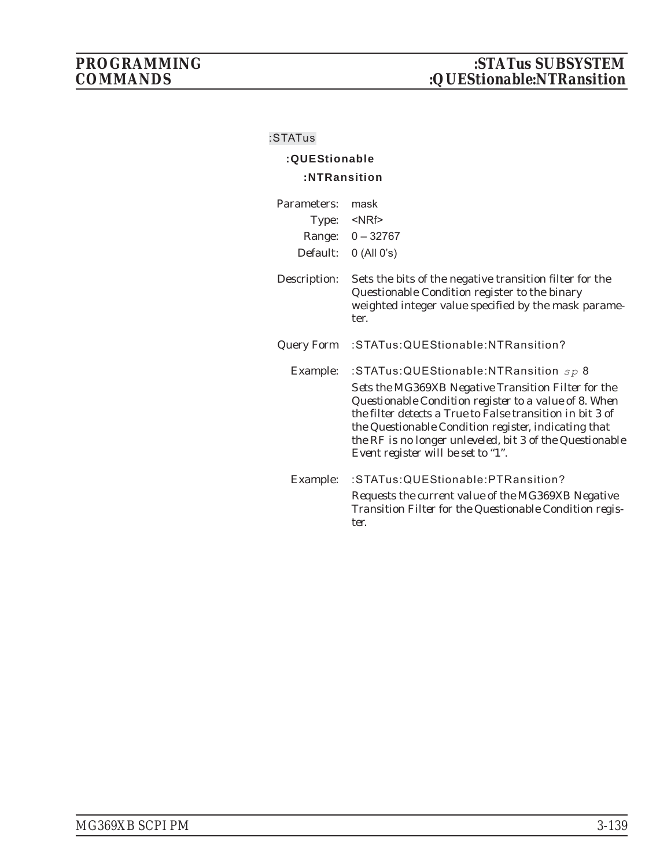### **:STATus**

## **:QUEStionable :NTRansition**

| Parameters:<br>Type:<br>Default: | mask<br>$<$ NRf $>$<br>Range: 0 - 32767<br>$0$ (All $0's$ )                                                                                                                                                                                                                                                                                                                    |
|----------------------------------|--------------------------------------------------------------------------------------------------------------------------------------------------------------------------------------------------------------------------------------------------------------------------------------------------------------------------------------------------------------------------------|
| Description:                     | Sets the bits of the negative transition filter for the<br>Questionable Condition register to the binary<br>weighted integer value specified by the mask parame-<br>ter.                                                                                                                                                                                                       |
| <b>Query Form</b>                | :STATus:QUEStionable:NTRansition?                                                                                                                                                                                                                                                                                                                                              |
| Example:                         | :STATus:QUEStionable:NTRansition $sp 8$<br>Sets the MG369XB Negative Transition Filter for the<br>Questionable Condition register to a value of 8. When<br>the filter detects a True to False transition in bit 3 of<br>the Questionable Condition register, indicating that<br>the RF is no longer unleveled, bit 3 of the Questionable<br>Event register will be set to "1". |
| Example:                         | :STATus:QUEStionable:PTRansition?<br>Requests the current value of the MG369XB Negative<br>Transition Filter for the Questionable Condition regis-<br>ter.                                                                                                                                                                                                                     |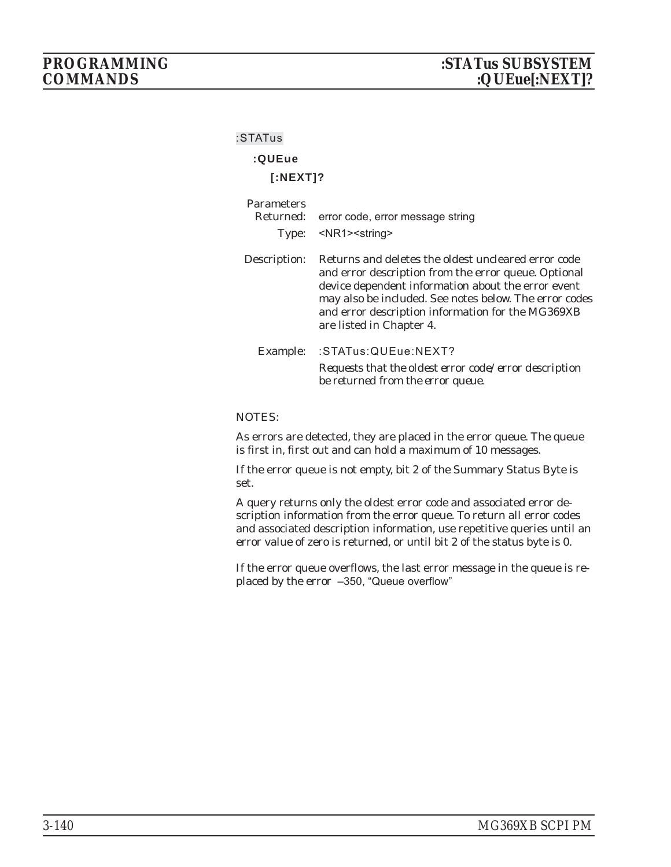#### **:STATus**

## **:QUEue**

### **[:NEXT]?**

| <b>Parameters</b><br>Returned:<br>Type: | error code, error message string<br><nr1> &lt; string &gt;</nr1>                                                                                                                                                                                                                                             |
|-----------------------------------------|--------------------------------------------------------------------------------------------------------------------------------------------------------------------------------------------------------------------------------------------------------------------------------------------------------------|
| Description:                            | Returns and deletes the oldest uncleared error code<br>and error description from the error queue. Optional<br>device dependent information about the error event<br>may also be included. See notes below. The error codes<br>and error description information for the MG369XB<br>are listed in Chapter 4. |
| Example:                                | :STATus:QUEue:NEXT?<br>Requests that the oldest error code/error description<br>be returned from the error queue.                                                                                                                                                                                            |

#### NOTES:

As errors are detected, they are placed in the error queue. The queue is first in, first out and can hold a maximum of 10 messages.

If the error queue is not empty, bit 2 of the Summary Status Byte is set.

A query returns only the oldest error code and associated error description information from the error queue. To return all error codes and associated description information, use repetitive queries until an error value of zero is returned, or until bit 2 of the status byte is 0.

If the error queue overflows, the last error message in the queue is replaced by the error –350, "Queue overflow"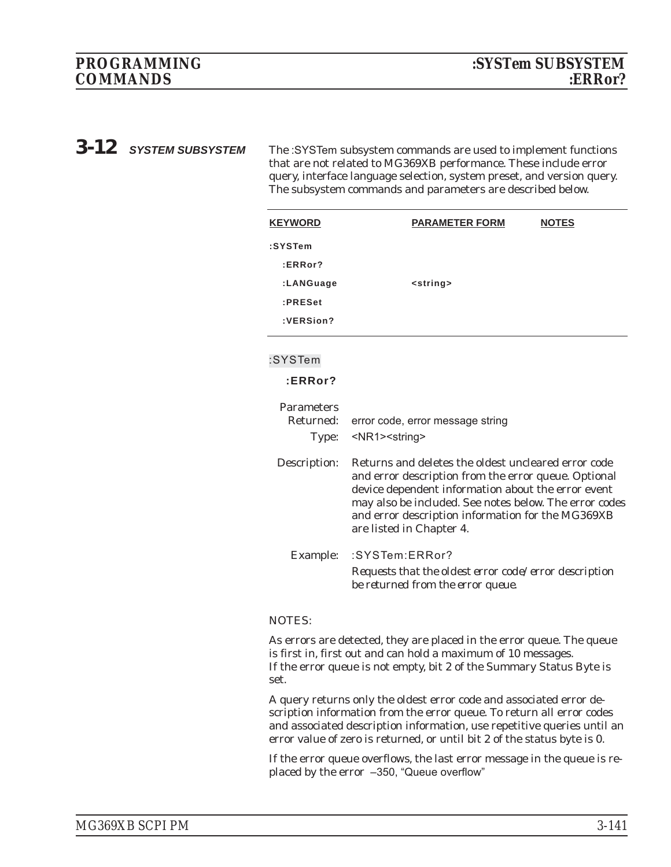**3-12** SYSTEM SUBSYSTEM The :SYSTem subsystem commands are used to implement functions that are not related to MG369XB performance. These include error query, interface language selection, system preset, and version query. The subsystem commands and parameters are described below.

| <b>KEYWORD</b>    | <b>PARAMETER FORM</b><br><b>NOTES</b>                                                                                                                                                                                                                                                                        |  |
|-------------------|--------------------------------------------------------------------------------------------------------------------------------------------------------------------------------------------------------------------------------------------------------------------------------------------------------------|--|
| :SYSTem           |                                                                                                                                                                                                                                                                                                              |  |
| :ERRor?           |                                                                                                                                                                                                                                                                                                              |  |
| :LANGuage         | <string></string>                                                                                                                                                                                                                                                                                            |  |
| :PRESet           |                                                                                                                                                                                                                                                                                                              |  |
| :VERSion?         |                                                                                                                                                                                                                                                                                                              |  |
| :SYSTem           |                                                                                                                                                                                                                                                                                                              |  |
| :ERRor?           |                                                                                                                                                                                                                                                                                                              |  |
|                   |                                                                                                                                                                                                                                                                                                              |  |
| <b>Parameters</b> |                                                                                                                                                                                                                                                                                                              |  |
| Returned:         | error code, error message string                                                                                                                                                                                                                                                                             |  |
| Type:             | <nr1><string></string></nr1>                                                                                                                                                                                                                                                                                 |  |
| Description:      | Returns and deletes the oldest uncleared error code<br>and error description from the error queue. Optional<br>device dependent information about the error event<br>may also be included. See notes below. The error codes<br>and error description information for the MG369XB<br>are listed in Chapter 4. |  |
| Example:          | :SYSTem:ERRor?                                                                                                                                                                                                                                                                                               |  |
|                   | Requests that the oldest error code/error description<br>be returned from the error queue.                                                                                                                                                                                                                   |  |
| NIATEA            |                                                                                                                                                                                                                                                                                                              |  |

### NOTES:

As errors are detected, they are placed in the error queue. The queue is first in, first out and can hold a maximum of 10 messages. If the error queue is not empty, bit 2 of the Summary Status Byte is set.

A query returns only the oldest error code and associated error description information from the error queue. To return all error codes and associated description information, use repetitive queries until an error value of zero is returned, or until bit 2 of the status byte is 0.

If the error queue overflows, the last error message in the queue is replaced by the error –350, "Queue overflow"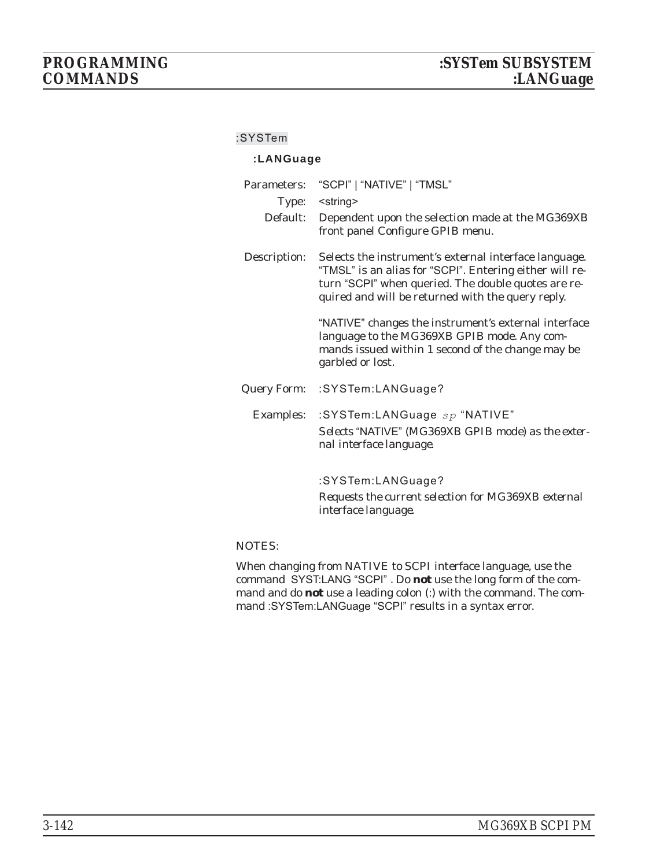#### **:SYSTem**

### **:LANGuage**

| Parameters:  | "SCPI"   "NATIVE"   "TMSL"                                                                                                                                                                                                   |  |  |
|--------------|------------------------------------------------------------------------------------------------------------------------------------------------------------------------------------------------------------------------------|--|--|
| Type:        | <string></string>                                                                                                                                                                                                            |  |  |
| Default:     | Dependent upon the selection made at the MG369XB<br>front panel Configure GPIB menu.                                                                                                                                         |  |  |
| Description: | Selects the instrument's external interface language.<br>"TMSL" is an alias for "SCPI". Entering either will re-<br>turn "SCPI" when queried. The double quotes are re-<br>quired and will be returned with the query reply. |  |  |
|              | "NATIVE" changes the instrument's external interface<br>language to the MG369XB GPIB mode. Any com-<br>mands issued within 1 second of the change may be<br>garbled or lost.                                                 |  |  |
| Query Form:  | :SYSTem:LANGuage?                                                                                                                                                                                                            |  |  |
| Examples:    | :SYSTem:LANGuage sp "NATIVE"<br>Selects "NATIVE" (MG369XB GPIB mode) as the exter-<br>nal interface language.                                                                                                                |  |  |
|              | :SYSTem:LANGuage?                                                                                                                                                                                                            |  |  |
|              | Requests the current selection for MG369XB external                                                                                                                                                                          |  |  |

#### NOTES:

When changing from NATIVE to SCPI interface language, use the command SYST:LANG "SCPI" . Do *not* use the long form of the command and do *not* use a leading colon (:) with the command. The command :SYSTem:LANGuage "SCPI" results in a syntax error.

*interface language.*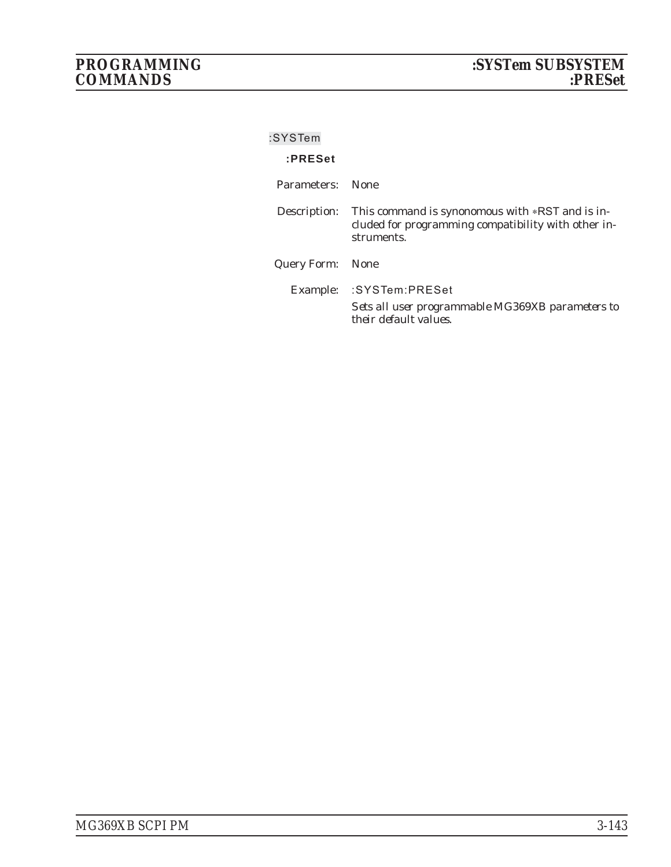| :SYSTem     |                                                                                                                                   |
|-------------|-----------------------------------------------------------------------------------------------------------------------------------|
| :PRESet     |                                                                                                                                   |
| Parameters: | – None                                                                                                                            |
|             | Description: This command is synonomous with *RST and is in-<br>cluded for programming compatibility with other in-<br>struments. |
|             | <b>Query Form:</b> None                                                                                                           |
|             | Example: : SYSTem: PRESet                                                                                                         |
|             | Sets all user programmable MG369XB parameters to<br>their default values.                                                         |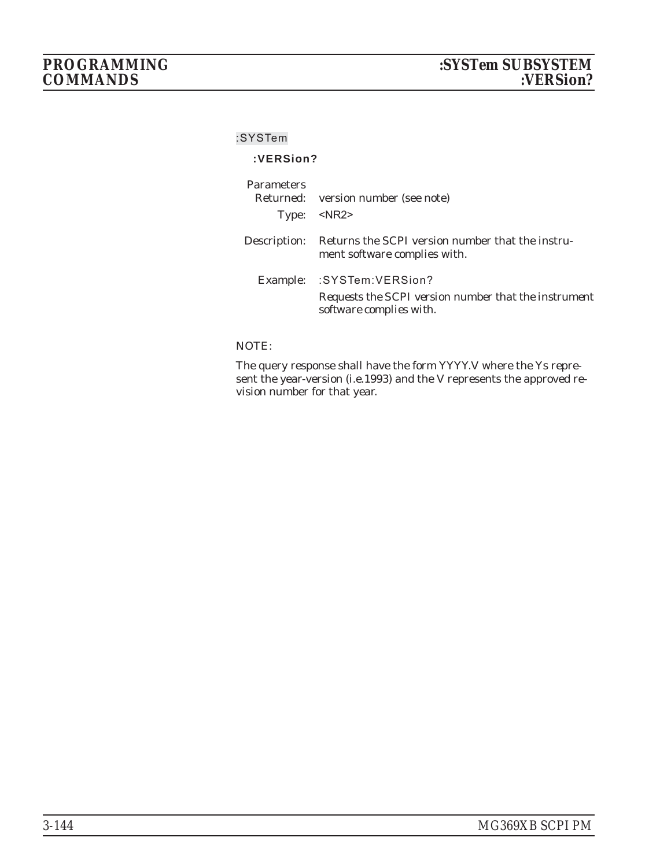#### **:SYSTem**

### **:VERSion?**

| <b>Parameters</b> | Returned: version number (see note)<br>Type: <nr2></nr2>                                                       |
|-------------------|----------------------------------------------------------------------------------------------------------------|
|                   | Description: Returns the SCPI version number that the instru-<br>ment software complies with.                  |
|                   | Example: : SYSTem: VERSion?<br>Requests the SCPI version number that the instrument<br>software complies with. |

### NOTE:

The query response shall have the form *YYYY.V* where the *Y*s represent the year-version (i.e.1993) and the *V* represents the approved revision number for that year.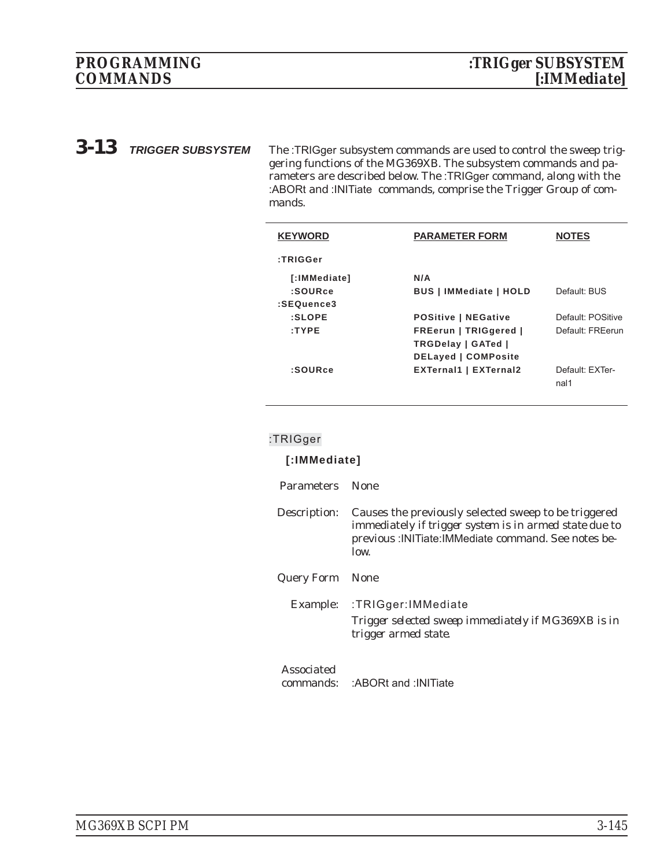*3-13 TRIGGER SUBSYSTEM* The :TRIGger subsystem commands are used to control the sweep triggering functions of the MG369XB. The subsystem commands and parameters are described below. The :TRIGger command, along with the :ABORt and :INITiate commands, comprise the Trigger Group of commands.

| <b>KEYWORD</b>     | <b>PARAMETER FORM</b>         | <b>NOTES</b>      |
|--------------------|-------------------------------|-------------------|
| :TRIGGer           |                               |                   |
| [:IMMediate]       | N/A                           |                   |
| :SOURce            | <b>BUS   IMMediate   HOLD</b> | Default: BUS      |
| :SEQuence3         |                               |                   |
| $: \mathsf{SLOPE}$ | <b>POSitive   NEGative</b>    | Default: POSitive |
| :TYPE              | FREerun   TRIGgered           | Default: FRFerun  |
|                    | TRGDelay   GATed              |                   |
|                    | <b>DELayed   COMPosite</b>    |                   |
| :SOURce            | <b>EXTernal1   EXTernal2</b>  | Default: EXTer-   |
|                    |                               | nal1              |
|                    |                               |                   |

#### **:TRIGger**

| [:IMMediate]            |                                                                                                                                                                                 |
|-------------------------|---------------------------------------------------------------------------------------------------------------------------------------------------------------------------------|
| <b>Parameters</b>       | <b>None</b>                                                                                                                                                                     |
| Description:            | Causes the previously selected sweep to be triggered<br>immediately if trigger system is in armed state due to<br>previous : INITiate: IMMediate command. See notes be-<br>low. |
| Query Form              | <b>None</b>                                                                                                                                                                     |
|                         | Example: :TRIGger:IMMediate<br>Trigger selected sweep immediately if MG369XB is in<br>trigger armed state.                                                                      |
| Associated<br>commands: | :ABORt and : INITiate                                                                                                                                                           |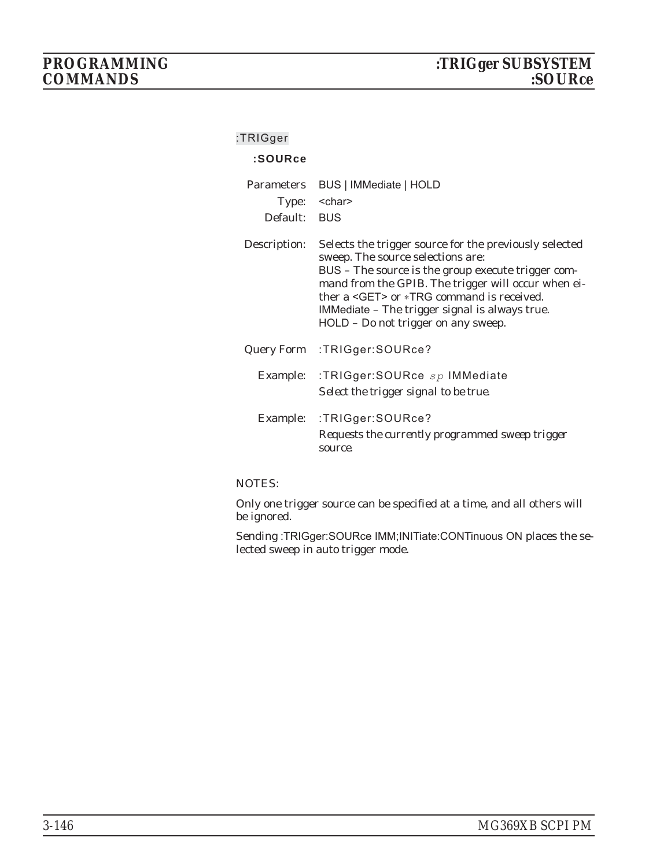### **:TRIGger**

### **:SOURce**

| Parameters<br>Default: | BUS   IMMediate   HOLD<br>Type: < char><br><b>BUS</b>                                                                                                                                                                                                                                                                                                  |
|------------------------|--------------------------------------------------------------------------------------------------------------------------------------------------------------------------------------------------------------------------------------------------------------------------------------------------------------------------------------------------------|
| Description:           | Selects the trigger source for the previously selected<br>sweep. The source selections are:<br>BUS – The source is the group execute trigger com-<br>mand from the GPIB. The trigger will occur when ei-<br>ther a <get> or *TRG command is received.<br/>IMMediate – The trigger signal is always true.<br/>HOLD - Do not trigger on any sweep.</get> |
|                        | Query Form : TRIGger: SOURce?                                                                                                                                                                                                                                                                                                                          |
|                        | Example: :TRIGger:SOURce sp IMMediate<br>Select the trigger signal to be true.                                                                                                                                                                                                                                                                         |
| Example:               | :TRIGger:SOURce?<br>Requests the currently programmed sweep trigger<br>source.                                                                                                                                                                                                                                                                         |

#### NOTES:

Only one trigger source can be specified at a time, and all others will be ignored.

Sending :TRIGger:SOURce IMM;INITiate:CONTinuous ON places the selected sweep in auto trigger mode.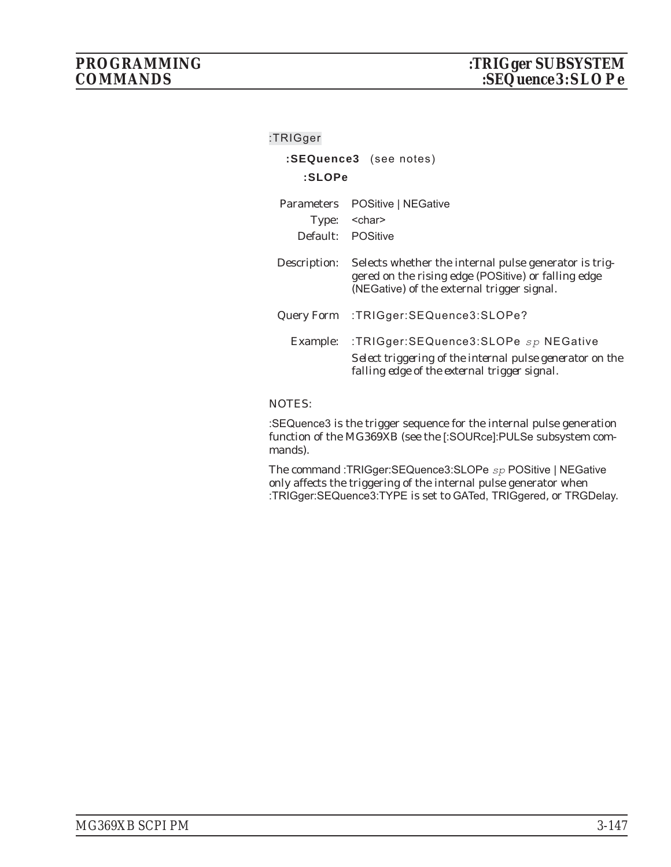| :TRIGger          |                                                                                                                                                            |  |
|-------------------|------------------------------------------------------------------------------------------------------------------------------------------------------------|--|
|                   | :SEQuence3 (see notes)                                                                                                                                     |  |
| :SLOPe            |                                                                                                                                                            |  |
| <b>Parameters</b> | POSitive   NEGative                                                                                                                                        |  |
|                   | Type: <char></char>                                                                                                                                        |  |
|                   | Default: POSitive                                                                                                                                          |  |
| Description:      | Selects whether the internal pulse generator is trig-<br>gered on the rising edge (POSitive) or falling edge<br>(NEGative) of the external trigger signal. |  |
|                   | Query Form : TRIGger: SEQuence 3: SLOPe?                                                                                                                   |  |
|                   | Example: :TRIGger:SEQuence3:SLOPe sp NEGative<br>Select triggering of the internal pulse generator on the<br>falling edge of the external trigger signal.  |  |

### NOTES:

:SEQuence3 is the trigger sequence for the internal pulse generation function of the MG369XB (see the [:SOURce]:PULSe subsystem commands).

The command :TRIGger:SEQuence3:SLOPe *sp* POSitive | NEGative only affects the triggering of the internal pulse generator when :TRIGger:SEQuence3:TYPE is set to GATed, TRIGgered, or TRGDelay.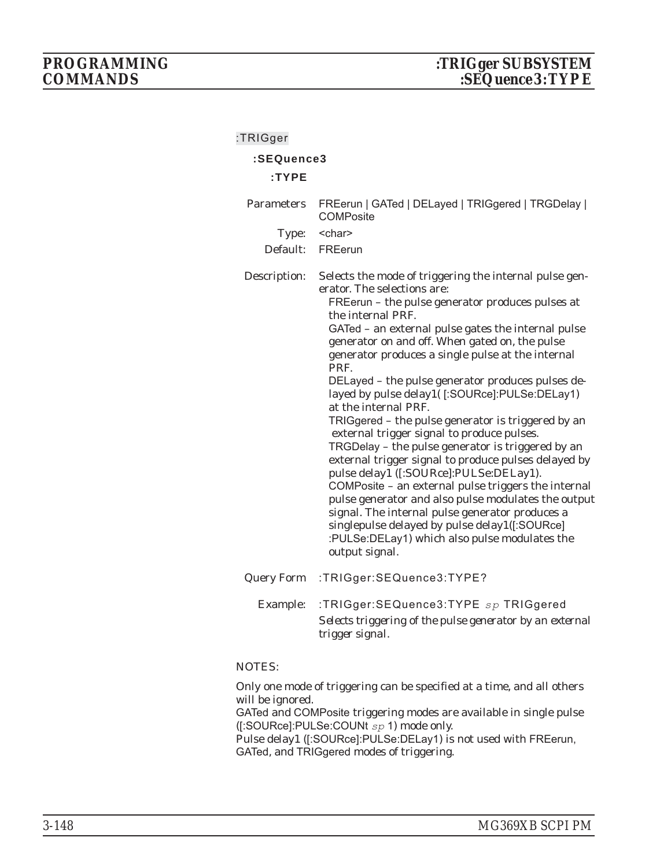## **:TRIGger :SEQuence3 :TYPE** Parameters FREerun | GATed | DELayed | TRIGgered | TRGDelay | **COMPosite** Type: < char> Default: FREerun Description: Selects the mode of triggering the internal pulse generator. The selections are: FREerun – the pulse generator produces pulses at the internal PRF. GATed – an external pulse gates the internal pulse generator on and off. When gated on, the pulse generator produces a single pulse at the internal PRF. DELayed – the pulse generator produces pulses delayed by pulse delay1( [:SOURce]:PULSe:DELay1) at the internal PRF. TRIGgered – the pulse generator is triggered by an external trigger signal to produce pulses. TRGDelay – the pulse generator is triggered by an external trigger signal to produce pulses delayed by pulse delay1 ([:SOURce]:PULSe:DELay1). COMPosite – an external pulse triggers the internal pulse generator and also pulse modulates the output signal. The internal pulse generator produces a singlepulse delayed by pulse delay1([:SOURce] :PULSe:DELay1) which also pulse modulates the output signal. Query Form :TRIGger:SEQuence3:TYPE? Example: :TRIGger:SEQuence3:TYPE *sp* TRIGgered *Selects triggering of the pulse generator by an external trigger signal.*

#### NOTES:

Only one mode of triggering can be specified at a time, and all others will be ignored.

GATed and COMPosite triggering modes are available in single pulse ([:SOURce]:PULSe:COUNt *sp* 1) mode only.

Pulse delay1 ([:SOURce]:PULSe:DELay1) is not used with FREerun, GATed, and TRIGgered modes of triggering.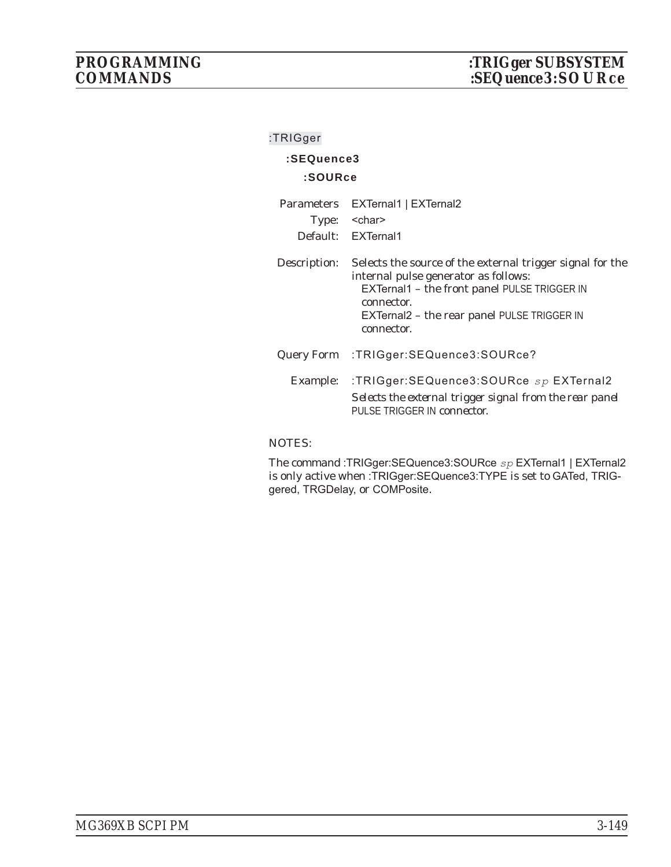| :TRIGger          |                                                                                                                                                                                                                              |
|-------------------|------------------------------------------------------------------------------------------------------------------------------------------------------------------------------------------------------------------------------|
| :SEQuence3        |                                                                                                                                                                                                                              |
| :SOURce           |                                                                                                                                                                                                                              |
| <b>Parameters</b> | EXTernal1   EXTernal2                                                                                                                                                                                                        |
| Type:             | <char></char>                                                                                                                                                                                                                |
|                   | Default: EXTernal1                                                                                                                                                                                                           |
| Description:      | Selects the source of the external trigger signal for the<br>internal pulse generator as follows:<br>EXTernal1 - the front panel PULSE TRIGGER IN<br>connector.<br>EXTernal2 - the rear panel PULSE TRIGGER IN<br>connector. |
|                   | Query Form : TRIGger: SEQuence 3: SOURce?                                                                                                                                                                                    |
| Example:          | :TRIGger:SEQuence3:SOURce $sp$ EXTernal2<br>Selects the external trigger signal from the rear panel<br>PULSE TRIGGER IN <i>connector</i> :                                                                                   |

#### NOTES:

The command :TRIGger:SEQuence3:SOURce *sp* EXTernal1 | EXTernal2 is only active when :TRIGger:SEQuence3:TYPE is set to GATed, TRIGgered, TRGDelay, or COMPosite.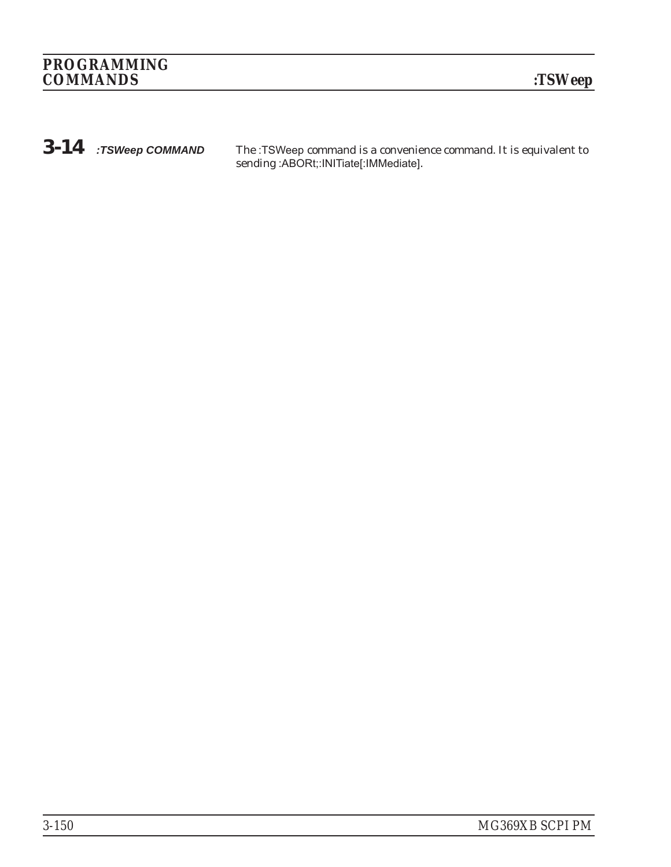*3-14 :TSWeep COMMAND* The :TSWeep command is a convenience command. It is equivalent to sending :ABORt;:INITiate[:IMMediate].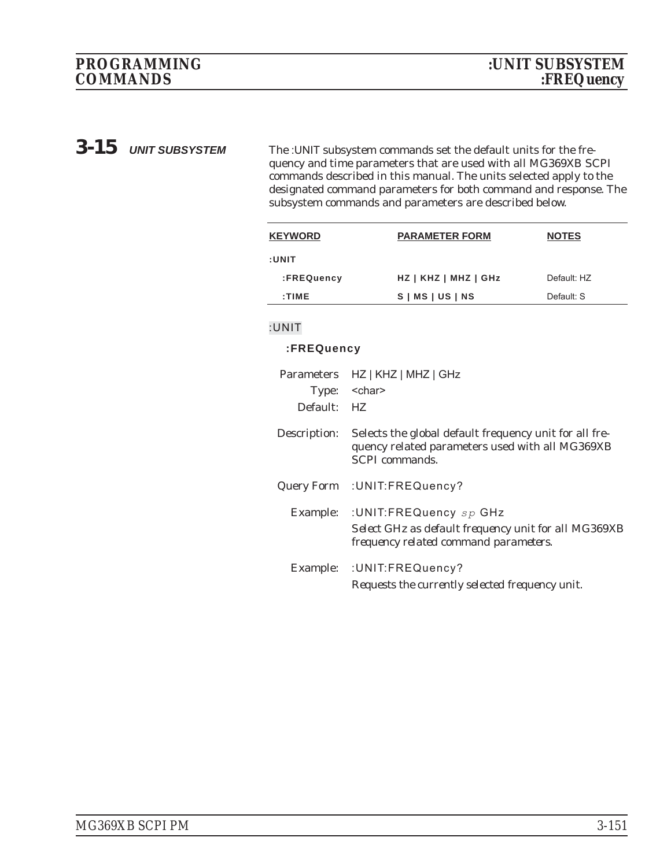**3-15** *UNIT SUBSYSTEM* The :UNIT subsystem commands set the default units for the frequency and time parameters that are used with all MG369XB SCPI commands described in this manual. The units selected apply to the designated command parameters for both command and response. The subsystem commands and parameters are described below.

| <b>KEYWORD</b> | <b>PARAMETER FORM</b>  | <b>NOTES</b> |
|----------------|------------------------|--------------|
| :UNIT          |                        |              |
| :FREQuency     | $HZ$   KHZ   MHZ   GHz | Default: HZ  |
| :TIME          | $S$   MS   US   NS     | Default: S   |
|                |                        |              |

### **:UNIT**

#### **:FREQuency**

| Type:<br>Default: | Parameters HZ   KHZ   MHZ   GHz<br><char><br/>HZ</char>                                                                            |
|-------------------|------------------------------------------------------------------------------------------------------------------------------------|
|                   |                                                                                                                                    |
| Description:      | Selects the global default frequency unit for all fre-<br>quency related parameters used with all MG369XB<br><b>SCPI</b> commands. |
|                   | Query Form : UNIT: FREQuency?                                                                                                      |
| Example:          | :UNIT:FREQuency sp GHz<br>Select GHz as default frequency unit for all MG369XB<br>frequency related command parameters.            |
| Example:          | : UNIT: FREQuency?<br>Requests the currently selected frequency unit.                                                              |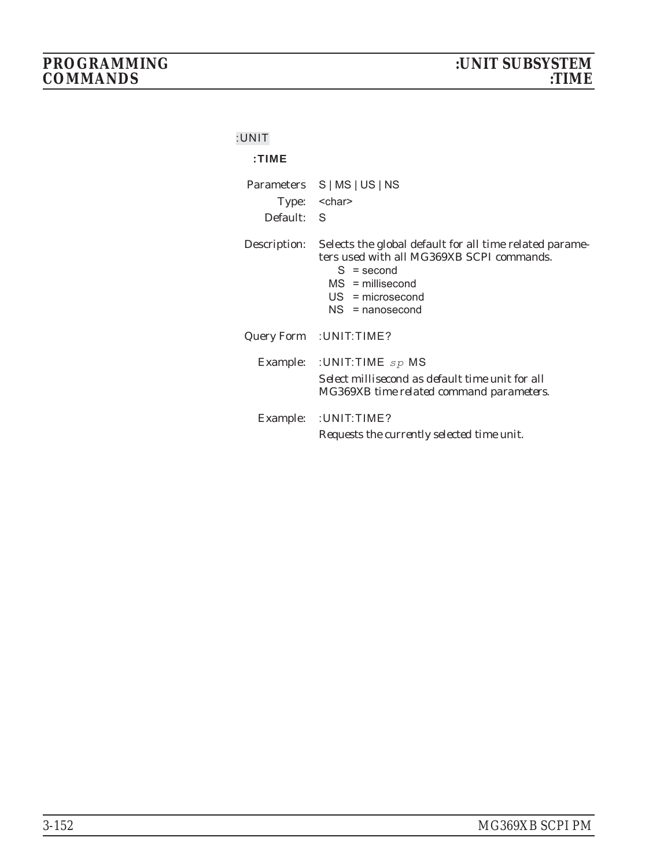### **:UNIT**

## **:TIME**

| Default: S   | Parameters S   MS   US   NS<br>Type: < char>                                                                                                                                          |
|--------------|---------------------------------------------------------------------------------------------------------------------------------------------------------------------------------------|
| Description: | Selects the global default for all time related parame-<br>ters used with all MG369XB SCPI commands.<br>$S =$ second<br>$MS =$ millisecond<br>$US = microsecond$<br>$NS = nanosecond$ |
|              | Query Form : UNIT: TIME?                                                                                                                                                              |
|              | Example: : UNIT: TIME $sp$ MS<br>Select millisecond as default time unit for all<br>MG369XB time related command parameters.                                                          |
|              | Example: : UNIT: TIME?<br>Requests the currently selected time unit.                                                                                                                  |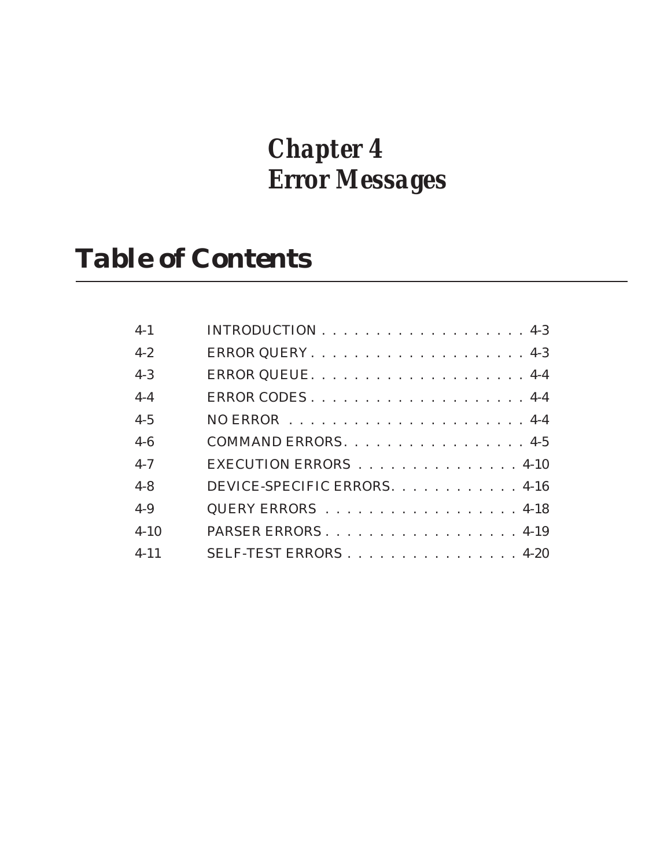# *Chapter 4 Error Messages*

# *Table of Contents*

| $4 - 1$  |                              |
|----------|------------------------------|
| $4 - 2$  |                              |
| $4 - 3$  |                              |
| $4 - 4$  |                              |
| $4 - 5$  |                              |
| $4 - 6$  | COMMAND ERRORS. 4-5          |
| $4 - 7$  | EXECUTION ERRORS 4-10        |
| $4 - 8$  | DEVICE-SPECIFIC ERRORS. 4-16 |
| $4 - 9$  | QUERY ERRORS 4-18            |
| $4 - 10$ | PARSER ERRORS. 4-19          |
| $4 - 11$ | SELF-TEST ERRORS4-20         |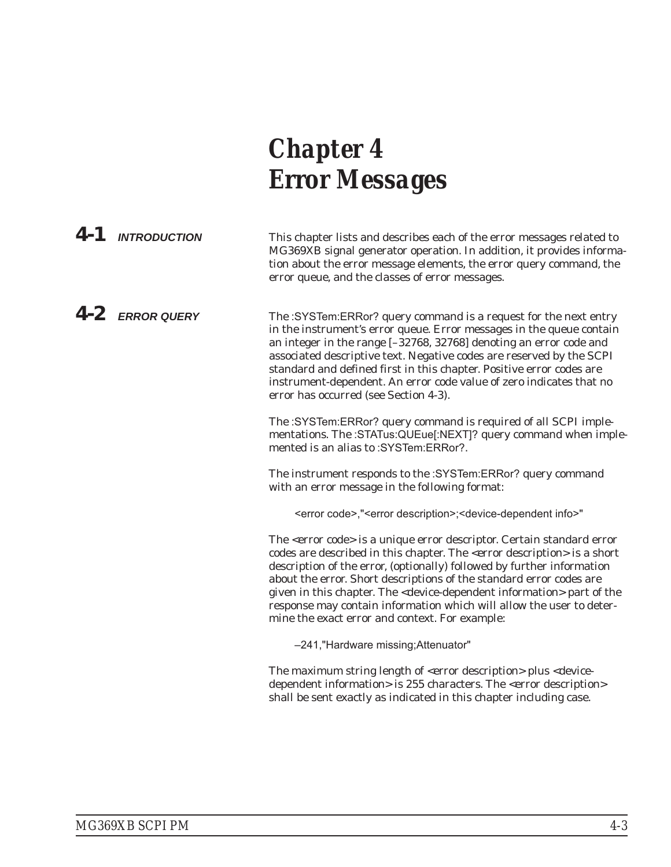# *Chapter 4 Error Messages*

| 4-1 INTRODUCTION  | This chapter lists and describes each of the error messages related to<br>MG369XB signal generator operation. In addition, it provides informa-<br>tion about the error message elements, the error query command, the<br>error queue, and the classes of error messages.                                                                                                                                                                                                                                                                              |
|-------------------|--------------------------------------------------------------------------------------------------------------------------------------------------------------------------------------------------------------------------------------------------------------------------------------------------------------------------------------------------------------------------------------------------------------------------------------------------------------------------------------------------------------------------------------------------------|
| $4-2$ ERROR QUERY | The :SYSTem:ERRor? query command is a request for the next entry<br>in the instrument's error queue. Error messages in the queue contain<br>an integer in the range [-32768, 32768] denoting an error code and<br>associated descriptive text. Negative codes are reserved by the SCPI<br>standard and defined first in this chapter. Positive error codes are<br>instrument-dependent. An error code value of zero indicates that no<br>error has occurred (see Section 4-3).                                                                         |
|                   | The :SYSTem:ERRor? query command is required of all SCPI imple-<br>mentations. The :STATus:QUEue[:NEXT]? query command when imple-<br>mented is an alias to :SYSTem:ERRor?.                                                                                                                                                                                                                                                                                                                                                                            |
|                   | The instrument responds to the :SYSTem:ERRor? query command<br>with an error message in the following format:                                                                                                                                                                                                                                                                                                                                                                                                                                          |
|                   | <error code="">,"<error description="">;<device-dependent info="">"</device-dependent></error></error>                                                                                                                                                                                                                                                                                                                                                                                                                                                 |
|                   | The <error code=""> is a unique error descriptor. Certain standard error<br/>codes are described in this chapter. The <error description=""> is a short<br/>description of the error, (optionally) followed by further information<br/>about the error. Short descriptions of the standard error codes are<br/>given in this chapter. The <device-dependent information=""> part of the<br/>response may contain information which will allow the user to deter-<br/>mine the exact error and context. For example:</device-dependent></error></error> |
|                   | -241, "Hardware missing; Attenuator"                                                                                                                                                                                                                                                                                                                                                                                                                                                                                                                   |
|                   | The maximum string length of <error description=""> plus <device-<br>dependent information&gt; is 255 characters. The <error description=""><br/>shall be sent exactly as indicated in this chapter including case.</error></device-<br></error>                                                                                                                                                                                                                                                                                                       |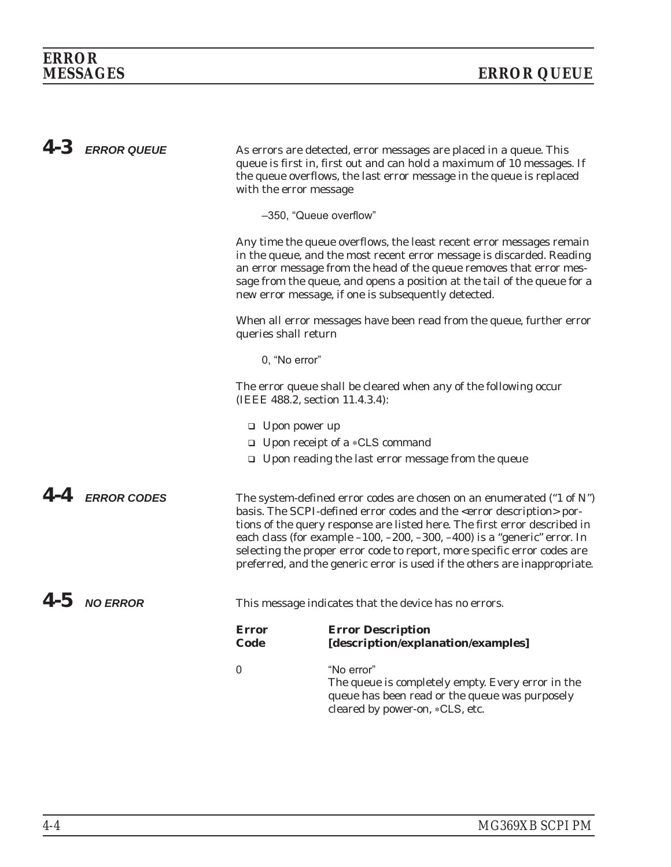| $4-3$ ERROR QUEUE | As errors are detected, error messages are placed in a queue. This<br>queue is first in, first out and can hold a maximum of 10 messages. If<br>the queue overflows, the last error message in the queue is replaced<br>with the error message |                                                                                                                                                                                                                                                                                                                                                                                                                                                                                                                                      |  |
|-------------------|------------------------------------------------------------------------------------------------------------------------------------------------------------------------------------------------------------------------------------------------|--------------------------------------------------------------------------------------------------------------------------------------------------------------------------------------------------------------------------------------------------------------------------------------------------------------------------------------------------------------------------------------------------------------------------------------------------------------------------------------------------------------------------------------|--|
|                   | -350, "Queue overflow"                                                                                                                                                                                                                         |                                                                                                                                                                                                                                                                                                                                                                                                                                                                                                                                      |  |
|                   |                                                                                                                                                                                                                                                | Any time the queue overflows, the least recent error messages remain<br>in the queue, and the most recent error message is discarded. Reading<br>an error message from the head of the queue removes that error mes-<br>sage from the queue, and opens a position at the tail of the queue for a<br>new error message, if one is subsequently detected.                                                                                                                                                                              |  |
|                   | queries shall return                                                                                                                                                                                                                           | When all error messages have been read from the queue, further error                                                                                                                                                                                                                                                                                                                                                                                                                                                                 |  |
|                   | 0, "No error"                                                                                                                                                                                                                                  |                                                                                                                                                                                                                                                                                                                                                                                                                                                                                                                                      |  |
|                   | (IEEE 488.2, section 11.4.3.4):                                                                                                                                                                                                                | The error queue shall be cleared when any of the following occur                                                                                                                                                                                                                                                                                                                                                                                                                                                                     |  |
|                   | $\Box$ Upon power up                                                                                                                                                                                                                           |                                                                                                                                                                                                                                                                                                                                                                                                                                                                                                                                      |  |
|                   |                                                                                                                                                                                                                                                | □ Upon receipt of a *CLS command                                                                                                                                                                                                                                                                                                                                                                                                                                                                                                     |  |
|                   |                                                                                                                                                                                                                                                | $\Box$ Upon reading the last error message from the queue                                                                                                                                                                                                                                                                                                                                                                                                                                                                            |  |
| $4-4$ ERROR CODES |                                                                                                                                                                                                                                                | The system-defined error codes are chosen on an enumerated $("1 of N")$<br>basis. The SCPI-defined error codes and the <error description=""> por-<br/>tions of the query response are listed here. The first error described in<br/>each class (for example <math>-100</math>, <math>-200</math>, <math>-300</math>, <math>-400</math>) is a "generic" error. In<br/>selecting the proper error code to report, more specific error codes are<br/>preferred, and the generic error is used if the others are inappropriate.</error> |  |
| $4-5$ NO ERROR    |                                                                                                                                                                                                                                                | This message indicates that the device has no errors.                                                                                                                                                                                                                                                                                                                                                                                                                                                                                |  |
|                   | <b>Error</b><br>Code                                                                                                                                                                                                                           | <b>Error Description</b><br>[description/explanation/examples]                                                                                                                                                                                                                                                                                                                                                                                                                                                                       |  |
|                   | $\mathbf 0$                                                                                                                                                                                                                                    | "No error"<br>The queue is completely empty. Every error in the<br>queue has been read or the queue was purposely<br>cleared by power-on, *CLS, etc.                                                                                                                                                                                                                                                                                                                                                                                 |  |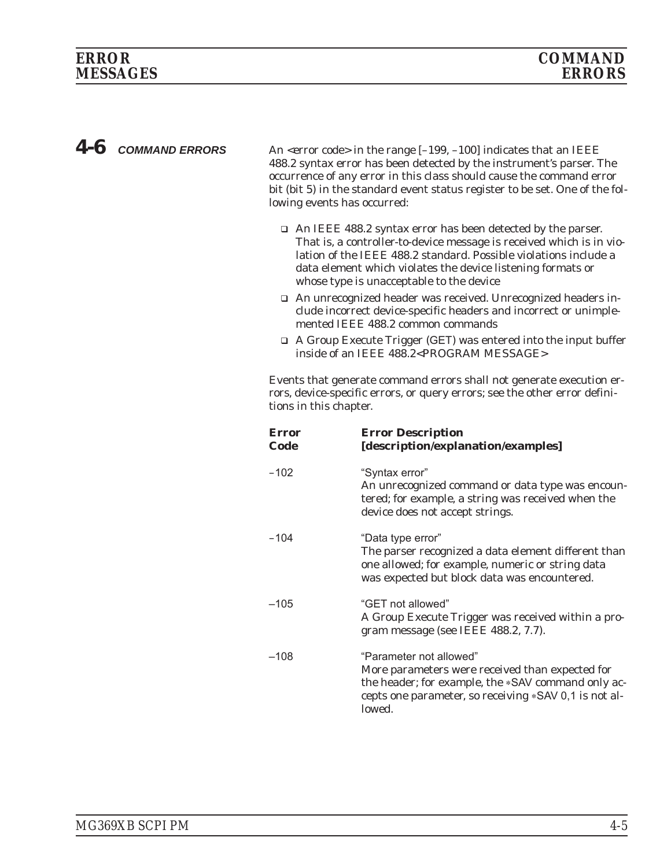4-6 *COMMAND ERRORS* An <error code> in the range [-199, -100] indicates that an IEEE 488.2 syntax error has been detected by the instrument's parser. The occurrence of any error in this class should cause the command error bit (bit 5) in the standard event status register to be set. One of the following events has occurred:

- □ An IEEE 488.2 syntax error has been detected by the parser. That is, a controller-to-device message is received which is in violation of the IEEE 488.2 standard. Possible violations include a data element which violates the device listening formats or whose type is unacceptable to the device
- □ An unrecognized header was received. Unrecognized headers include incorrect device-specific headers and incorrect or unimplemented IEEE 488.2 common commands
- □ A Group Execute Trigger (GET) was entered into the input buffer inside of an IEEE 488.2<PROGRAM MESSAGE>

Events that generate command errors shall not generate execution errors, device-specific errors, or query errors; see the other error definitions in this chapter.

| <b>Error</b><br>Code | <b>Error Description</b><br>[description/explanation/examples]                                                                                                                                      |
|----------------------|-----------------------------------------------------------------------------------------------------------------------------------------------------------------------------------------------------|
| $-102$               | "Syntax error"<br>An unrecognized command or data type was encoun-<br>tered; for example, a string was received when the<br>device does not accept strings.                                         |
| $-104$               | "Data type error"<br>The parser recognized a data element different than<br>one allowed; for example, numeric or string data<br>was expected but block data was encountered.                        |
| $-105$               | "GET not allowed"<br>A Group Execute Trigger was received within a pro-<br>gram message (see IEEE 488.2, 7.7).                                                                                      |
| $-108$               | "Parameter not allowed"<br>More parameters were received than expected for<br>the header; for example, the *SAV command only ac-<br>cepts one parameter, so receiving *SAV 0,1 is not al-<br>lowed. |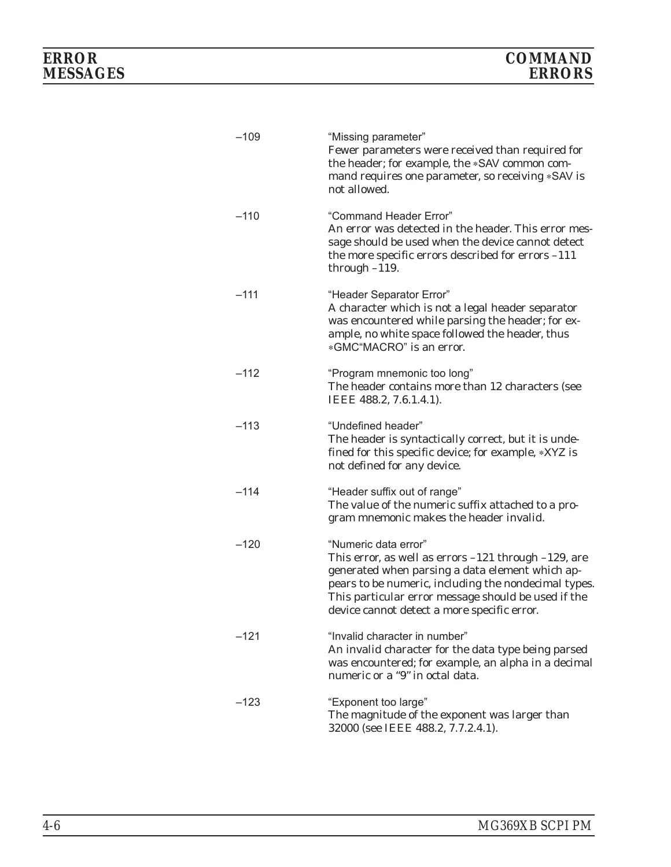| $-109$ | "Missing parameter"<br>Fewer parameters were received than required for<br>the header; for example, the *SAV common com-<br>mand requires one parameter, so receiving *SAV is<br>not allowed.                                                                                                      |
|--------|----------------------------------------------------------------------------------------------------------------------------------------------------------------------------------------------------------------------------------------------------------------------------------------------------|
| $-110$ | "Command Header Error"<br>An error was detected in the header. This error mes-<br>sage should be used when the device cannot detect<br>the more specific errors described for errors -111<br>through $-119$ .                                                                                      |
| $-111$ | "Header Separator Error"<br>A character which is not a legal header separator<br>was encountered while parsing the header; for ex-<br>ample, no white space followed the header, thus<br>*GMC"MACRO" is an error.                                                                                  |
| $-112$ | "Program mnemonic too long"<br>The header contains more than 12 characters (see<br>IEEE 488.2, 7.6.1.4.1).                                                                                                                                                                                         |
| $-113$ | "Undefined header"<br>The header is syntactically correct, but it is unde-<br>fined for this specific device; for example, *XYZ is<br>not defined for any device.                                                                                                                                  |
| $-114$ | "Header suffix out of range"<br>The value of the numeric suffix attached to a pro-<br>gram mnemonic makes the header invalid.                                                                                                                                                                      |
| $-120$ | "Numeric data error"<br>This error, as well as errors $-121$ through $-129$ , are<br>generated when parsing a data element which ap-<br>pears to be numeric, including the nondecimal types.<br>This particular error message should be used if the<br>device cannot detect a more specific error. |
| $-121$ | "Invalid character in number"<br>An invalid character for the data type being parsed<br>was encountered; for example, an alpha in a decimal<br>numeric or a "9" in octal data.                                                                                                                     |
| $-123$ | "Exponent too large"<br>The magnitude of the exponent was larger than<br>32000 (see IEEE 488.2, 7.7.2.4.1).                                                                                                                                                                                        |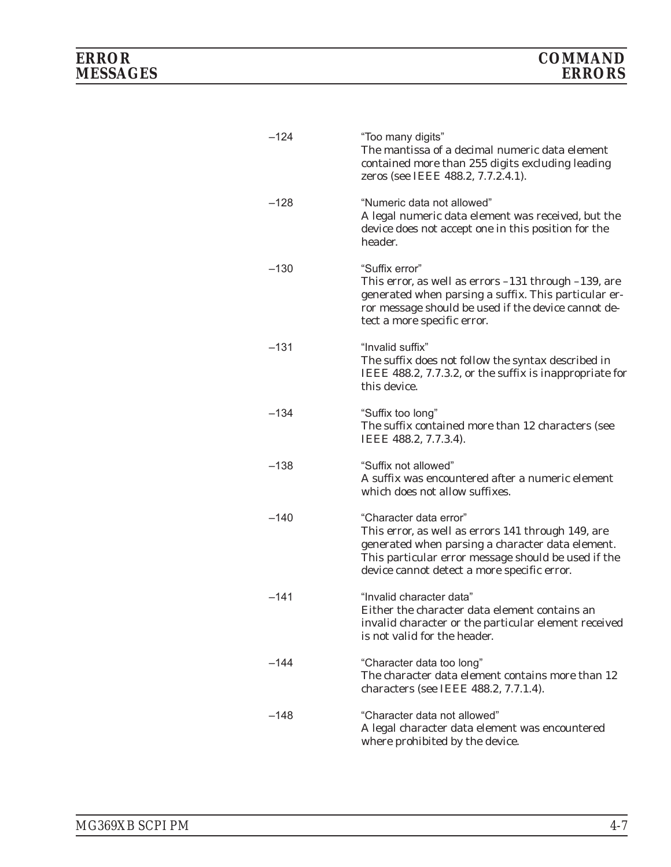| $-124$ | "Too many digits"<br>The mantissa of a decimal numeric data element<br>contained more than 255 digits excluding leading<br>zeros (see IEEE 488.2, 7.7.2.4.1).                                                                          |
|--------|----------------------------------------------------------------------------------------------------------------------------------------------------------------------------------------------------------------------------------------|
| $-128$ | "Numeric data not allowed"<br>A legal numeric data element was received, but the<br>device does not accept one in this position for the<br>header.                                                                                     |
| $-130$ | "Suffix error"<br>This error, as well as errors $-131$ through $-139$ , are<br>generated when parsing a suffix. This particular er-<br>ror message should be used if the device cannot de-<br>tect a more specific error.              |
| $-131$ | "Invalid suffix"<br>The suffix does not follow the syntax described in<br>IEEE 488.2, 7.7.3.2, or the suffix is inappropriate for<br>this device.                                                                                      |
| $-134$ | "Suffix too long"<br>The suffix contained more than 12 characters (see<br>IEEE 488.2, 7.7.3.4).                                                                                                                                        |
| $-138$ | "Suffix not allowed"<br>A suffix was encountered after a numeric element<br>which does not allow suffixes.                                                                                                                             |
| $-140$ | "Character data error"<br>This error, as well as errors 141 through 149, are<br>generated when parsing a character data element.<br>This particular error message should be used if the<br>device cannot detect a more specific error. |
| –141   | "Invalid character data"<br>Either the character data element contains an<br>invalid character or the particular element received<br>is not valid for the header.                                                                      |
| $-144$ | "Character data too long"<br>The character data element contains more than 12<br>characters (see IEEE 488.2, 7.7.1.4).                                                                                                                 |
| –148   | "Character data not allowed"<br>A legal character data element was encountered<br>where prohibited by the device.                                                                                                                      |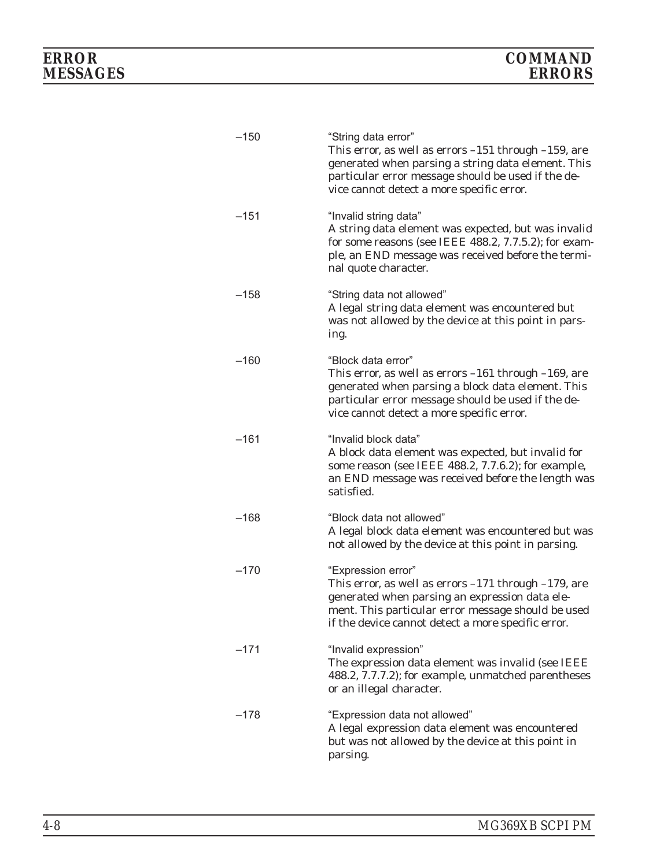| $-150$ | "String data error"<br>This error, as well as errors $-151$ through $-159$ , are<br>generated when parsing a string data element. This<br>particular error message should be used if the de-<br>vice cannot detect a more specific error.     |
|--------|-----------------------------------------------------------------------------------------------------------------------------------------------------------------------------------------------------------------------------------------------|
| $-151$ | "Invalid string data"<br>A string data element was expected, but was invalid<br>for some reasons (see IEEE 488.2, 7.7.5.2); for exam-<br>ple, an END message was received before the termi-<br>nal quote character.                           |
| $-158$ | "String data not allowed"<br>A legal string data element was encountered but<br>was not allowed by the device at this point in pars-<br>ing.                                                                                                  |
| $-160$ | "Block data error"<br>This error, as well as errors $-161$ through $-169$ , are<br>generated when parsing a block data element. This<br>particular error message should be used if the de-<br>vice cannot detect a more specific error.       |
| $-161$ | "Invalid block data"<br>A block data element was expected, but invalid for<br>some reason (see IEEE 488.2, 7.7.6.2); for example,<br>an END message was received before the length was<br>satisfied.                                          |
| $-168$ | "Block data not allowed"<br>A legal block data element was encountered but was<br>not allowed by the device at this point in parsing.                                                                                                         |
| $-170$ | "Expression error"<br>This error, as well as errors $-171$ through $-179$ , are<br>generated when parsing an expression data ele-<br>ment. This particular error message should be used<br>if the device cannot detect a more specific error. |
| $-171$ | "Invalid expression"<br>The expression data element was invalid (see IEEE<br>488.2, 7.7.7.2); for example, unmatched parentheses<br>or an illegal character.                                                                                  |
| $-178$ | "Expression data not allowed"<br>A legal expression data element was encountered<br>but was not allowed by the device at this point in<br>parsing.                                                                                            |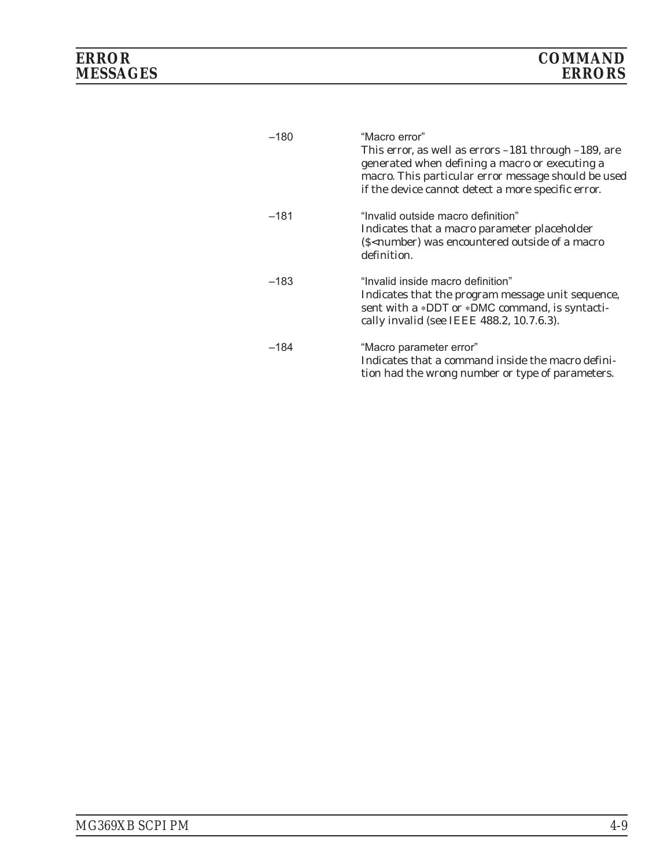| $-180$ | "Macro error"<br>This error, as well as errors $-181$ through $-189$ , are<br>generated when defining a macro or executing a<br>macro. This particular error message should be used<br>if the device cannot detect a more specific error. |
|--------|-------------------------------------------------------------------------------------------------------------------------------------------------------------------------------------------------------------------------------------------|
| $-181$ | "Invalid outside macro definition"<br>Indicates that a macro parameter placeholder<br>(\$ <number) a="" encountered="" macro<br="" of="" outside="" was="">definition.</number)>                                                          |
| $-183$ | "Invalid inside macro definition"<br>Indicates that the program message unit sequence,<br>sent with a *DDT or *DMC command, is syntacti-<br>cally invalid (see IEEE 488.2, 10.7.6.3).                                                     |
| $-184$ | "Macro parameter error"<br>Indicates that a command inside the macro defini-<br>tion had the wrong number or type of parameters.                                                                                                          |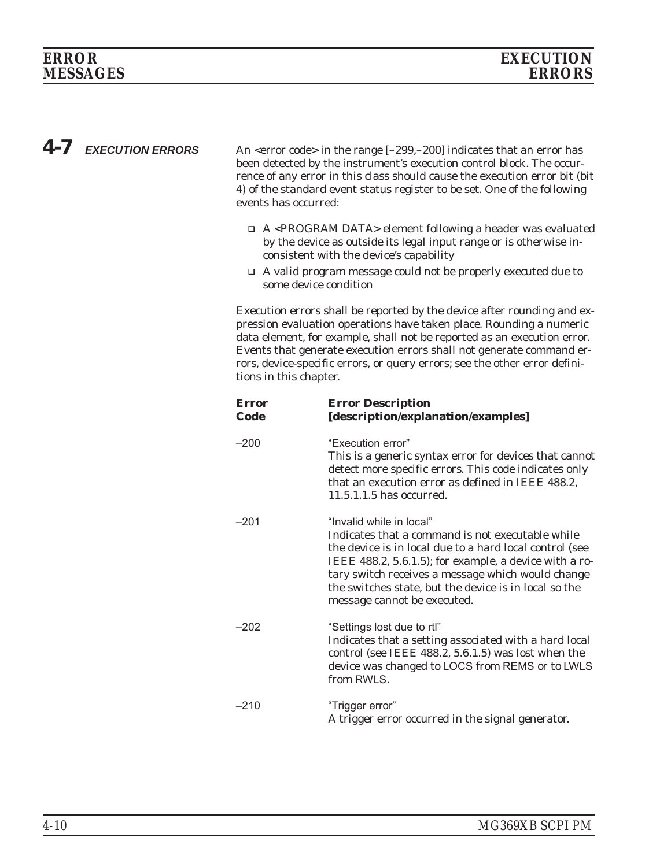*4-7 EXECUTION ERRORS* An <error code> in the range [–299,–200] indicates that an error has been detected by the instrument's execution control block. The occurrence of any error in this class should cause the execution error bit (bit 4) of the standard event status register to be set. One of the following events has occurred:

- □ A <PROGRAM DATA> element following a header was evaluated by the device as outside its legal input range or is otherwise inconsistent with the device's capability
- □ A valid program message could not be properly executed due to some device condition

Execution errors shall be reported by the device after rounding and expression evaluation operations have taken place. Rounding a numeric data element, for example, shall not be reported as an execution error. Events that generate execution errors shall not generate command errors, device-specific errors, or query errors; see the other error definitions in this chapter.

| <b>Error</b><br>Code | <b>Error Description</b><br>[description/explanation/examples]                                                                                                                                                                                                                                                                                 |
|----------------------|------------------------------------------------------------------------------------------------------------------------------------------------------------------------------------------------------------------------------------------------------------------------------------------------------------------------------------------------|
| $-200$               | "Execution error"<br>This is a generic syntax error for devices that cannot<br>detect more specific errors. This code indicates only<br>that an execution error as defined in IEEE 488.2,<br>11.5.1.1.5 has occurred.                                                                                                                          |
| $-201$               | "Invalid while in local"<br>Indicates that a command is not executable while<br>the device is in local due to a hard local control (see<br>IEEE 488.2, 5.6.1.5); for example, a device with a ro-<br>tary switch receives a message which would change<br>the switches state, but the device is in local so the<br>message cannot be executed. |
| $-202$               | "Settings lost due to rtl"<br>Indicates that a setting associated with a hard local<br>control (see IEEE 488.2, 5.6.1.5) was lost when the<br>device was changed to LOCS from REMS or to LWLS<br>from RWLS.                                                                                                                                    |
| $-210$               | "Trigger error"<br>A trigger error occurred in the signal generator.                                                                                                                                                                                                                                                                           |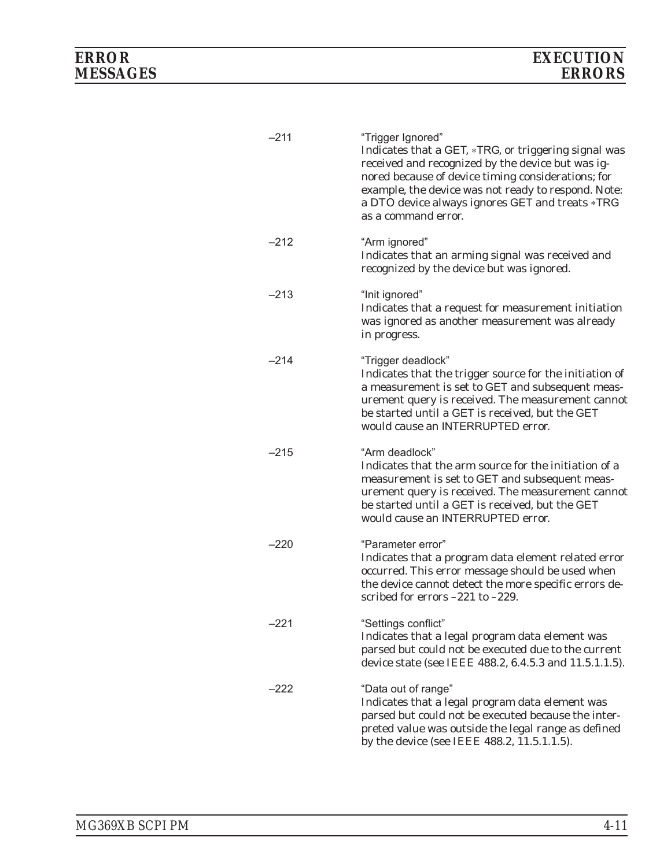| $-211$ | "Trigger Ignored"<br>Indicates that a GET, *TRG, or triggering signal was<br>received and recognized by the device but was ig-<br>nored because of device timing considerations; for<br>example, the device was not ready to respond. Note:<br>a DTO device always ignores GET and treats *TRG<br>as a command error. |
|--------|-----------------------------------------------------------------------------------------------------------------------------------------------------------------------------------------------------------------------------------------------------------------------------------------------------------------------|
| $-212$ | "Arm ignored"<br>Indicates that an arming signal was received and<br>recognized by the device but was ignored.                                                                                                                                                                                                        |
| $-213$ | "Init ignored"<br>Indicates that a request for measurement initiation<br>was ignored as another measurement was already<br>in progress.                                                                                                                                                                               |
| $-214$ | "Trigger deadlock"<br>Indicates that the trigger source for the initiation of<br>a measurement is set to GET and subsequent meas-<br>urement query is received. The measurement cannot<br>be started until a GET is received, but the GET<br>would cause an INTERRUPTED error.                                        |
| $-215$ | "Arm deadlock"<br>Indicates that the arm source for the initiation of a<br>measurement is set to GET and subsequent meas-<br>urement query is received. The measurement cannot<br>be started until a GET is received, but the GET<br>would cause an INTERRUPTED error.                                                |
| –220   | "Parameter error"<br>Indicates that a program data element related error<br>occurred. This error message should be used when<br>the device cannot detect the more specific errors de-<br>scribed for errors $-221$ to $-229$ .                                                                                        |
| -221   | "Settings conflict"<br>Indicates that a legal program data element was<br>parsed but could not be executed due to the current<br>device state (see IEEE 488.2, 6.4.5.3 and 11.5.1.1.5).                                                                                                                               |
| $-222$ | "Data out of range"<br>Indicates that a legal program data element was<br>parsed but could not be executed because the inter-<br>preted value was outside the legal range as defined<br>by the device (see IEEE 488.2, 11.5.1.1.5).                                                                                   |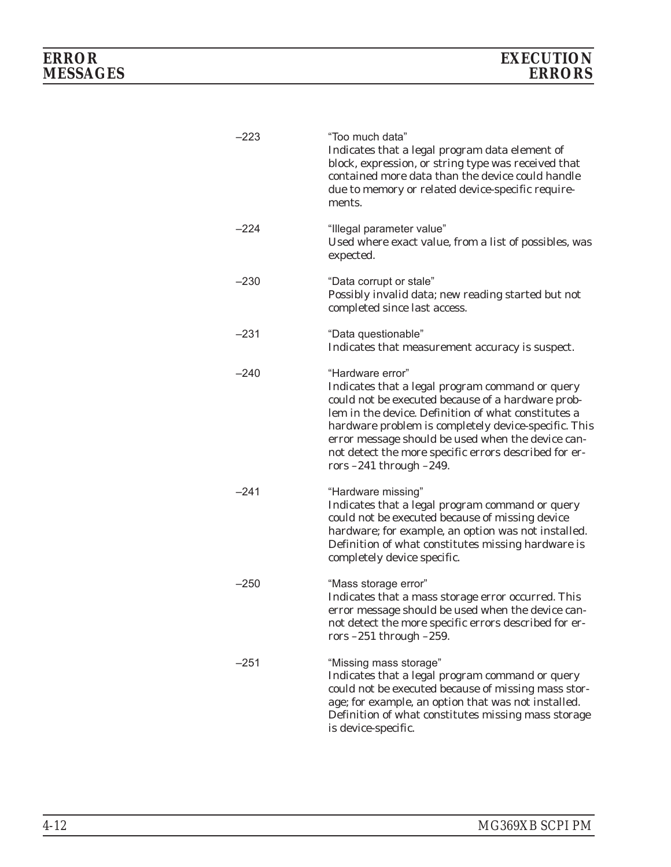| –223   | "Too much data"<br>Indicates that a legal program data element of<br>block, expression, or string type was received that<br>contained more data than the device could handle<br>due to memory or related device-specific require-<br>ments.                                                                                                                                           |
|--------|---------------------------------------------------------------------------------------------------------------------------------------------------------------------------------------------------------------------------------------------------------------------------------------------------------------------------------------------------------------------------------------|
| –224   | "Illegal parameter value"<br>Used where exact value, from a list of possibles, was<br>expected.                                                                                                                                                                                                                                                                                       |
| $-230$ | "Data corrupt or stale"<br>Possibly invalid data; new reading started but not<br>completed since last access.                                                                                                                                                                                                                                                                         |
| $-231$ | "Data questionable"<br>Indicates that measurement accuracy is suspect.                                                                                                                                                                                                                                                                                                                |
| $-240$ | "Hardware error"<br>Indicates that a legal program command or query<br>could not be executed because of a hardware prob-<br>lem in the device. Definition of what constitutes a<br>hardware problem is completely device-specific. This<br>error message should be used when the device can-<br>not detect the more specific errors described for er-<br>rors $-241$ through $-249$ . |
| $-241$ | "Hardware missing"<br>Indicates that a legal program command or query<br>could not be executed because of missing device<br>hardware; for example, an option was not installed.<br>Definition of what constitutes missing hardware is<br>completely device specific.                                                                                                                  |
| $-250$ | "Mass storage error"<br>Indicates that a mass storage error occurred. This<br>error message should be used when the device can-<br>not detect the more specific errors described for er-<br>rors $-251$ through $-259$ .                                                                                                                                                              |
| $-251$ | "Missing mass storage"<br>Indicates that a legal program command or query<br>could not be executed because of missing mass stor-<br>age; for example, an option that was not installed.<br>Definition of what constitutes missing mass storage<br>is device-specific.                                                                                                                 |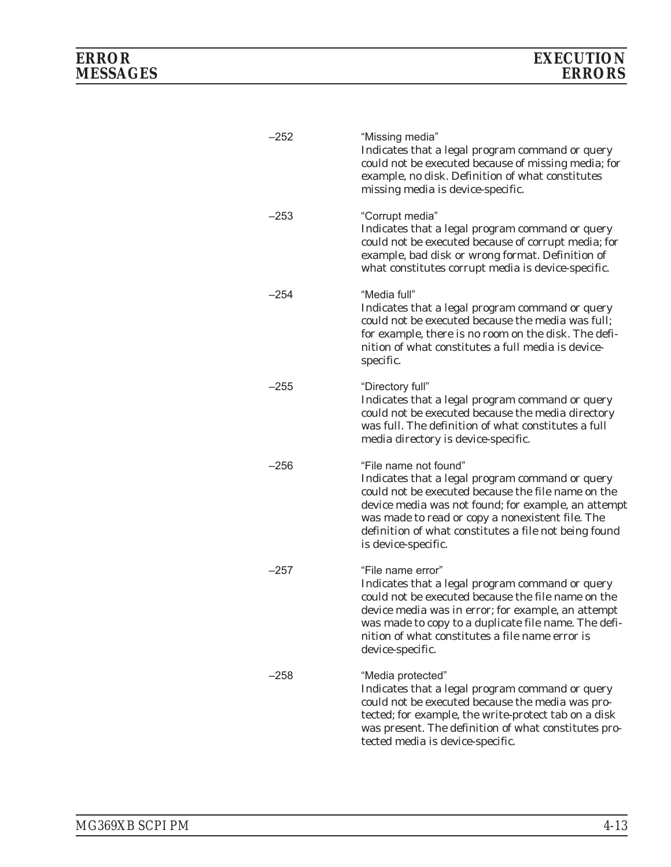| $-252$ | "Missing media"<br>Indicates that a legal program command or query<br>could not be executed because of missing media; for<br>example, no disk. Definition of what constitutes<br>missing media is device-specific.                                                                                                        |
|--------|---------------------------------------------------------------------------------------------------------------------------------------------------------------------------------------------------------------------------------------------------------------------------------------------------------------------------|
| –253   | "Corrupt media"<br>Indicates that a legal program command or query<br>could not be executed because of corrupt media; for<br>example, bad disk or wrong format. Definition of<br>what constitutes corrupt media is device-specific.                                                                                       |
| –254   | "Media full"<br>Indicates that a legal program command or query<br>could not be executed because the media was full;<br>for example, there is no room on the disk. The defi-<br>nition of what constitutes a full media is device-<br>specific.                                                                           |
| $-255$ | "Directory full"<br>Indicates that a legal program command or query<br>could not be executed because the media directory<br>was full. The definition of what constitutes a full<br>media directory is device-specific.                                                                                                    |
| –256   | "File name not found"<br>Indicates that a legal program command or query<br>could not be executed because the file name on the<br>device media was not found; for example, an attempt<br>was made to read or copy a nonexistent file. The<br>definition of what constitutes a file not being found<br>is device-specific. |
| $-257$ | "File name error"<br>Indicates that a legal program command or query<br>could not be executed because the file name on the<br>device media was in error; for example, an attempt<br>was made to copy to a duplicate file name. The defi-<br>nition of what constitutes a file name error is<br>device-specific.           |
| $-258$ | "Media protected"<br>Indicates that a legal program command or query<br>could not be executed because the media was pro-<br>tected; for example, the write-protect tab on a disk<br>was present. The definition of what constitutes pro-<br>tected media is device-specific.                                              |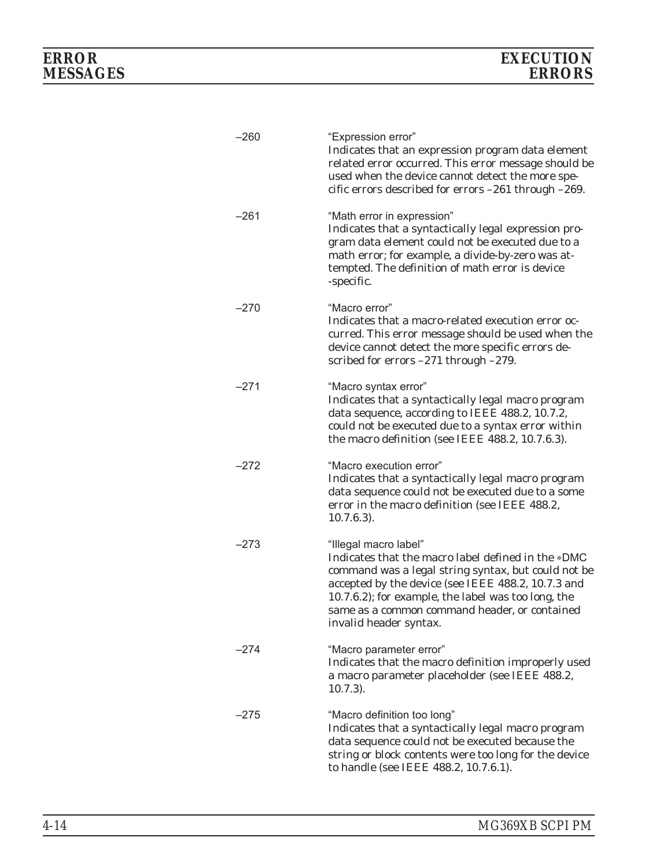| $-260$ | "Expression error"<br>Indicates that an expression program data element<br>related error occurred. This error message should be<br>used when the device cannot detect the more spe-<br>cific errors described for errors -261 through -269.                                                                                |
|--------|----------------------------------------------------------------------------------------------------------------------------------------------------------------------------------------------------------------------------------------------------------------------------------------------------------------------------|
| $-261$ | "Math error in expression"<br>Indicates that a syntactically legal expression pro-<br>gram data element could not be executed due to a<br>math error; for example, a divide-by-zero was at-<br>tempted. The definition of math error is device<br>-specific.                                                               |
| –270   | "Macro error"<br>Indicates that a macro-related execution error oc-<br>curred. This error message should be used when the<br>device cannot detect the more specific errors de-<br>scribed for errors -271 through -279.                                                                                                    |
| $-271$ | "Macro syntax error"<br>Indicates that a syntactically legal macro program<br>data sequence, according to IEEE 488.2, 10.7.2,<br>could not be executed due to a syntax error within<br>the macro definition (see IEEE 488.2, 10.7.6.3).                                                                                    |
| –272   | "Macro execution error"<br>Indicates that a syntactically legal macro program<br>data sequence could not be executed due to a some<br>error in the macro definition (see IEEE 488.2,<br>$10.7.6.3$ ).                                                                                                                      |
| –273   | "Illegal macro label"<br>Indicates that the macro label defined in the *DMC<br>command was a legal string syntax, but could not be<br>accepted by the device (see IEEE 488.2, 10.7.3 and<br>10.7.6.2); for example, the label was too long, the<br>same as a common command header, or contained<br>invalid header syntax. |
| –274   | "Macro parameter error"<br>Indicates that the macro definition improperly used<br>a macro parameter placeholder (see IEEE 488.2,<br>$10.7.3$ ).                                                                                                                                                                            |
| –275   | "Macro definition too long"<br>Indicates that a syntactically legal macro program<br>data sequence could not be executed because the<br>string or block contents were too long for the device<br>to handle (see IEEE 488.2, 10.7.6.1).                                                                                     |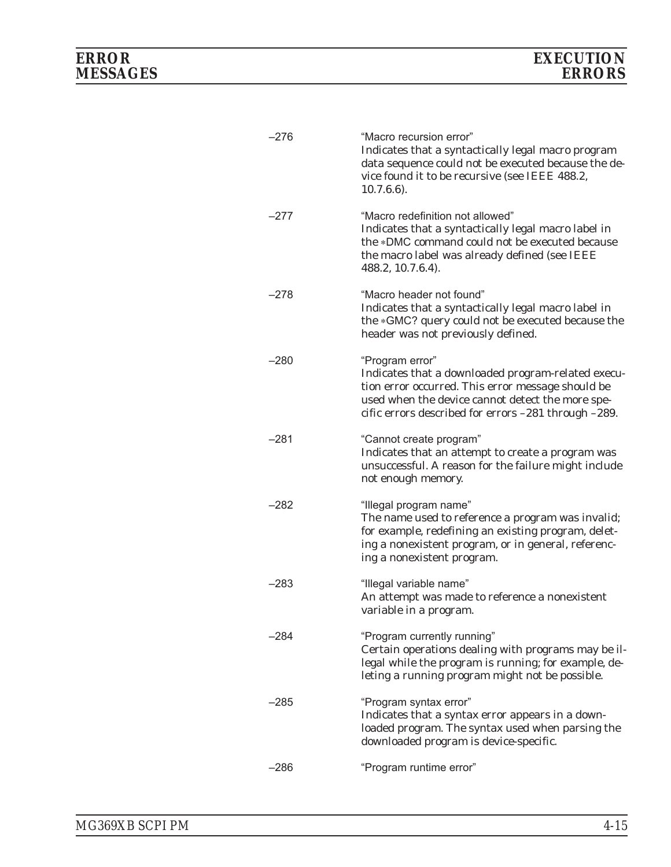| $-276$ | "Macro recursion error"<br>Indicates that a syntactically legal macro program<br>data sequence could not be executed because the de-<br>vice found it to be recursive (see IEEE 488.2,<br>$10.7.6.6$ ).                                |
|--------|----------------------------------------------------------------------------------------------------------------------------------------------------------------------------------------------------------------------------------------|
| –277   | "Macro redefinition not allowed"<br>Indicates that a syntactically legal macro label in<br>the *DMC command could not be executed because<br>the macro label was already defined (see IEEE<br>488.2, 10.7.6.4).                        |
| –278   | "Macro header not found"<br>Indicates that a syntactically legal macro label in<br>the *GMC? query could not be executed because the<br>header was not previously defined.                                                             |
| –280   | "Program error"<br>Indicates that a downloaded program-related execu-<br>tion error occurred. This error message should be<br>used when the device cannot detect the more spe-<br>cific errors described for errors -281 through -289. |
| –281   | "Cannot create program"<br>Indicates that an attempt to create a program was<br>unsuccessful. A reason for the failure might include<br>not enough memory.                                                                             |
| –282   | "Illegal program name"<br>The name used to reference a program was invalid;<br>for example, redefining an existing program, delet-<br>ing a nonexistent program, or in general, referenc-<br>ing a nonexistent program.                |
| –283   | "Illegal variable name"<br>An attempt was made to reference a nonexistent<br>variable in a program.                                                                                                                                    |
| –284   | "Program currently running"<br>Certain operations dealing with programs may be il-<br>legal while the program is running; for example, de-<br>leting a running program might not be possible.                                          |
| –285   | "Program syntax error"<br>Indicates that a syntax error appears in a down-<br>loaded program. The syntax used when parsing the<br>downloaded program is device-specific.                                                               |
| $-286$ | "Program runtime error"                                                                                                                                                                                                                |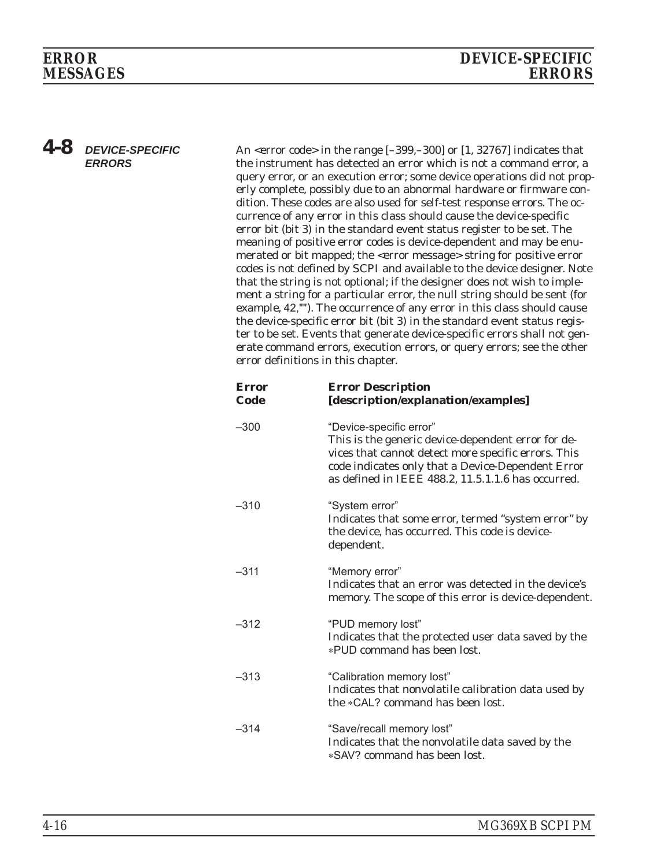# **MESSAGES**

*4-8 DEVICE-SPECIFIC ERRORS*

An <error code> in the range [–399,–300] or [1, 32767] indicates that the instrument has detected an error which is not a command error, a query error, or an execution error; some device operations did not properly complete, possibly due to an abnormal hardware or firmware condition. These codes are also used for self-test response errors. The occurrence of any error in this class should cause the device-specific error bit (bit 3) in the standard event status register to be set. The meaning of positive error codes is device-dependent and may be enumerated or bit mapped; the <error message> string for positive error codes is not defined by SCPI and available to the device designer. Note that the string is not optional; if the designer does not wish to implement a string for a particular error, the null string should be sent (for example, 42,""). The occurrence of any error in this class should cause the device-specific error bit (bit 3) in the standard event status register to be set. Events that generate device-specific errors shall not generate command errors, execution errors, or query errors; see the other error definitions in this chapter.

| <b>Error</b><br>Code | <b>Error Description</b><br>[description/explanation/examples]                                                                                                                                                                                  |
|----------------------|-------------------------------------------------------------------------------------------------------------------------------------------------------------------------------------------------------------------------------------------------|
| $-300$               | "Device-specific error"<br>This is the generic device-dependent error for de-<br>vices that cannot detect more specific errors. This<br>code indicates only that a Device-Dependent Error<br>as defined in IEEE 488.2, 11.5.1.1.6 has occurred. |
| $-310$               | "System error"<br>Indicates that some error, termed "system error" by<br>the device, has occurred. This code is device-<br>dependent.                                                                                                           |
| $-311$               | "Memory error"<br>Indicates that an error was detected in the device's<br>memory. The scope of this error is device-dependent.                                                                                                                  |
| $-312$               | "PUD memory lost"<br>Indicates that the protected user data saved by the<br>*PUD command has been lost.                                                                                                                                         |
| $-313$               | "Calibration memory lost"<br>Indicates that nonvolatile calibration data used by<br>the *CAL? command has been lost.                                                                                                                            |
| $-314$               | "Save/recall memory lost"<br>Indicates that the nonvolatile data saved by the<br>*SAV? command has been lost.                                                                                                                                   |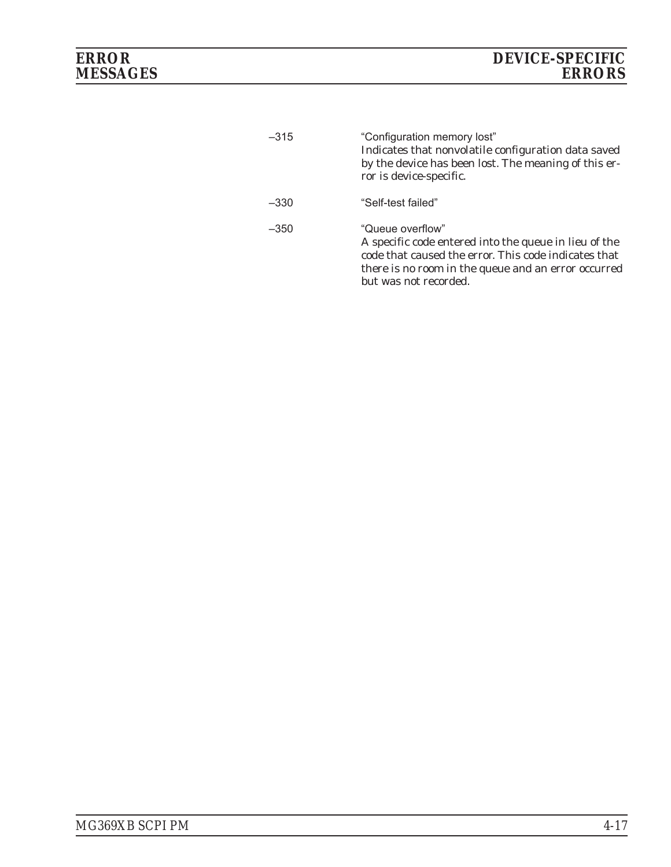| $-315$ | "Configuration memory lost"<br>Indicates that nonvolatile configuration data saved<br>by the device has been lost. The meaning of this er-<br>ror is device-specific.                                             |
|--------|-------------------------------------------------------------------------------------------------------------------------------------------------------------------------------------------------------------------|
| $-330$ | "Self-test failed"                                                                                                                                                                                                |
| $-350$ | "Queue overflow"<br>A specific code entered into the queue in lieu of the<br>code that caused the error. This code indicates that<br>there is no room in the queue and an error occurred<br>but was not recorded. |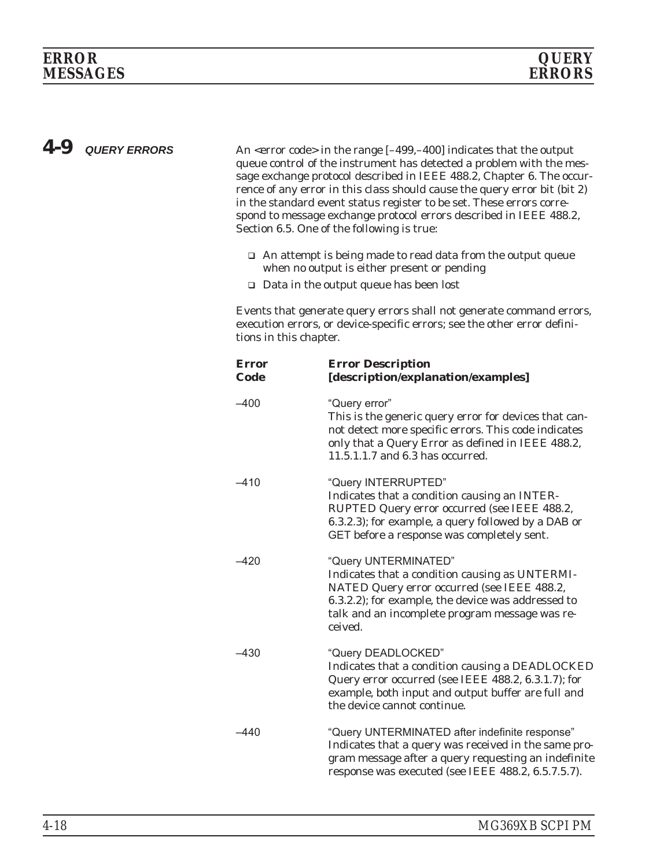*4-9 QUERY ERRORS* An <error code> in the range [–499,–400] indicates that the output queue control of the instrument has detected a problem with the message exchange protocol described in IEEE 488.2, Chapter 6. The occurrence of any error in this class should cause the query error bit (bit 2) in the standard event status register to be set. These errors correspond to message exchange protocol errors described in IEEE 488.2, Section 6.5. One of the following is true:

- □ An attempt is being made to read data from the output queue when no output is either present or pending
- □ Data in the output queue has been lost

Events that generate query errors shall not generate command errors, execution errors, or device-specific errors; see the other error definitions in this chapter.

| <b>Error</b><br>Code | <b>Error Description</b><br>[description/explanation/examples]                                                                                                                                                                           |
|----------------------|------------------------------------------------------------------------------------------------------------------------------------------------------------------------------------------------------------------------------------------|
| $-400$               | "Query error"<br>This is the generic query error for devices that can-<br>not detect more specific errors. This code indicates<br>only that a Query Error as defined in IEEE 488.2,<br>11.5.1.1.7 and 6.3 has occurred.                  |
| $-410$               | "Query INTERRUPTED"<br>Indicates that a condition causing an INTER-<br>RUPTED Query error occurred (see IEEE 488.2,<br>6.3.2.3); for example, a query followed by a DAB or<br>GET before a response was completely sent.                 |
| $-420$               | "Query UNTERMINATED"<br>Indicates that a condition causing as UNTERMI-<br>NATED Query error occurred (see IEEE 488.2,<br>6.3.2.2); for example, the device was addressed to<br>talk and an incomplete program message was re-<br>ceived. |
| -430                 | "Query DEADLOCKED"<br>Indicates that a condition causing a DEADLOCKED<br>Query error occurred (see IEEE 488.2, 6.3.1.7); for<br>example, both input and output buffer are full and<br>the device cannot continue.                        |
| -440                 | "Query UNTERMINATED after indefinite response"<br>Indicates that a query was received in the same pro-<br>gram message after a query requesting an indefinite<br>response was executed (see IEEE 488.2, 6.5.7.5.7).                      |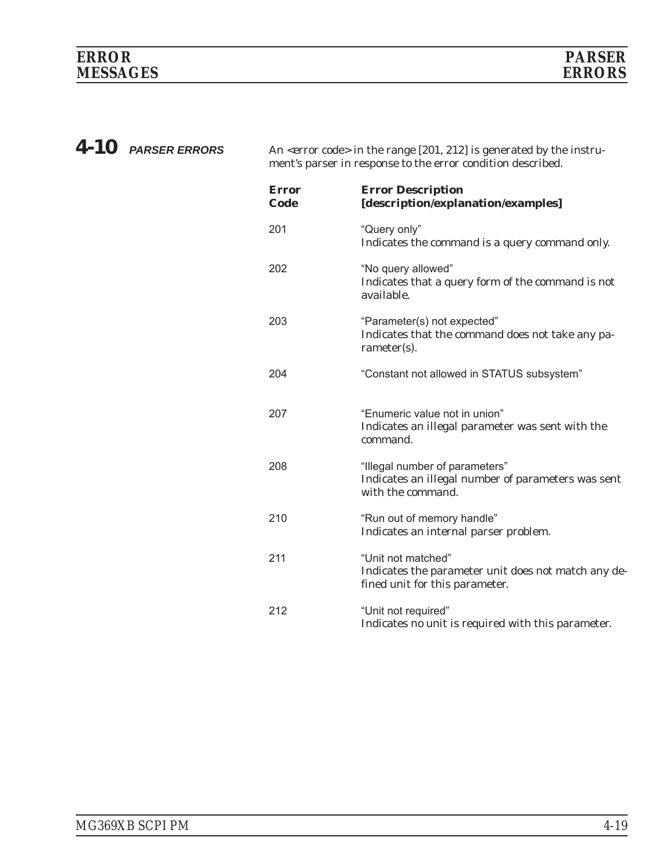*4-10 PARSER ERRORS* An <error code> in the range [201, 212] is generated by the instrument's parser in response to the error condition described.

| <b>Error</b><br>Code | <b>Error Description</b><br>[description/explanation/examples]                                              |
|----------------------|-------------------------------------------------------------------------------------------------------------|
| 201                  | "Query only"<br>Indicates the command is a query command only.                                              |
| 202                  | "No query allowed"<br>Indicates that a query form of the command is not<br>available.                       |
| 203                  | "Parameter(s) not expected"<br>Indicates that the command does not take any pa-<br>rameter(s).              |
| 204                  | "Constant not allowed in STATUS subsystem"                                                                  |
| 207                  | "Enumeric value not in union"<br>Indicates an illegal parameter was sent with the<br>command.               |
| 208                  | "Illegal number of parameters"<br>Indicates an illegal number of parameters was sent<br>with the command.   |
| 210                  | "Run out of memory handle"<br>Indicates an internal parser problem.                                         |
| 211                  | "Unit not matched"<br>Indicates the parameter unit does not match any de-<br>fined unit for this parameter. |
| 212                  | "Unit not required"<br>Indicates no unit is required with this parameter.                                   |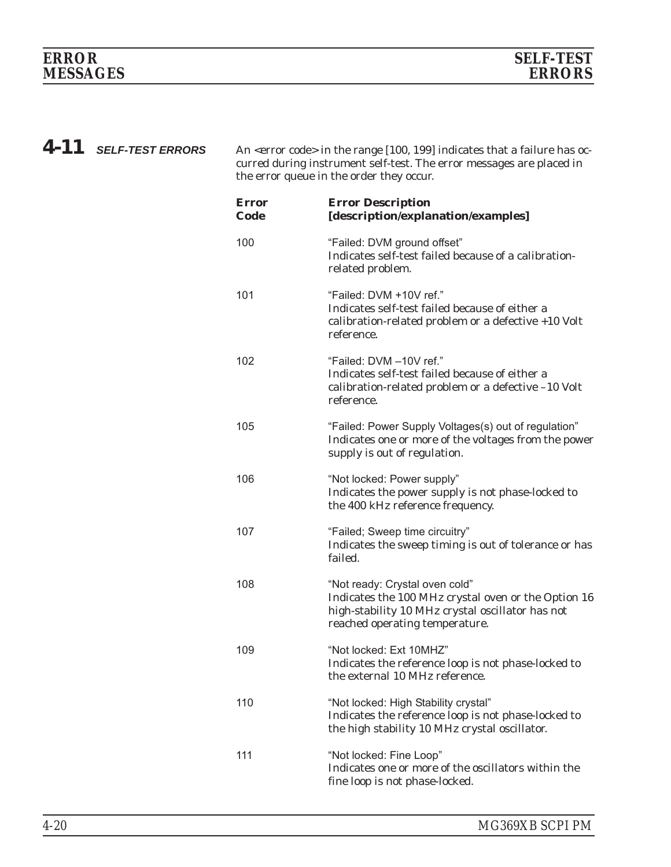*4-11 SELF-TEST ERRORS* An <error code> in the range [100, 199] indicates that a failure has occurred during instrument self-test. The error messages are placed in the error queue in the order they occur.

| <b>Error</b><br>Code | <b>Error Description</b><br>[description/explanation/examples]                                                                                                              |
|----------------------|-----------------------------------------------------------------------------------------------------------------------------------------------------------------------------|
| 100                  | "Failed: DVM ground offset"<br>Indicates self-test failed because of a calibration-<br>related problem.                                                                     |
| 101                  | "Failed: DVM +10V ref."<br>Indicates self-test failed because of either a<br>calibration-related problem or a defective +10 Volt<br>reference.                              |
| 102                  | "Failed: DVM -10V ref."<br>Indicates self-test failed because of either a<br>calibration-related problem or a defective -10 Volt<br>reference.                              |
| 105                  | "Failed: Power Supply Voltages(s) out of regulation"<br>Indicates one or more of the voltages from the power<br>supply is out of regulation.                                |
| 106                  | "Not locked: Power supply"<br>Indicates the power supply is not phase-locked to<br>the 400 kHz reference frequency.                                                         |
| 107                  | "Failed; Sweep time circuitry"<br>Indicates the sweep timing is out of tolerance or has<br>failed.                                                                          |
| 108                  | "Not ready: Crystal oven cold"<br>Indicates the 100 MHz crystal oven or the Option 16<br>high-stability 10 MHz crystal oscillator has not<br>reached operating temperature. |
| 109                  | "Not locked: Ext 10MHZ"<br>Indicates the reference loop is not phase-locked to<br>the external 10 MHz reference.                                                            |
| 110                  | "Not locked: High Stability crystal"<br>Indicates the reference loop is not phase-locked to<br>the high stability 10 MHz crystal oscillator.                                |
| 111                  | "Not locked: Fine Loop"<br>Indicates one or more of the oscillators within the<br>fine loop is not phase-locked.                                                            |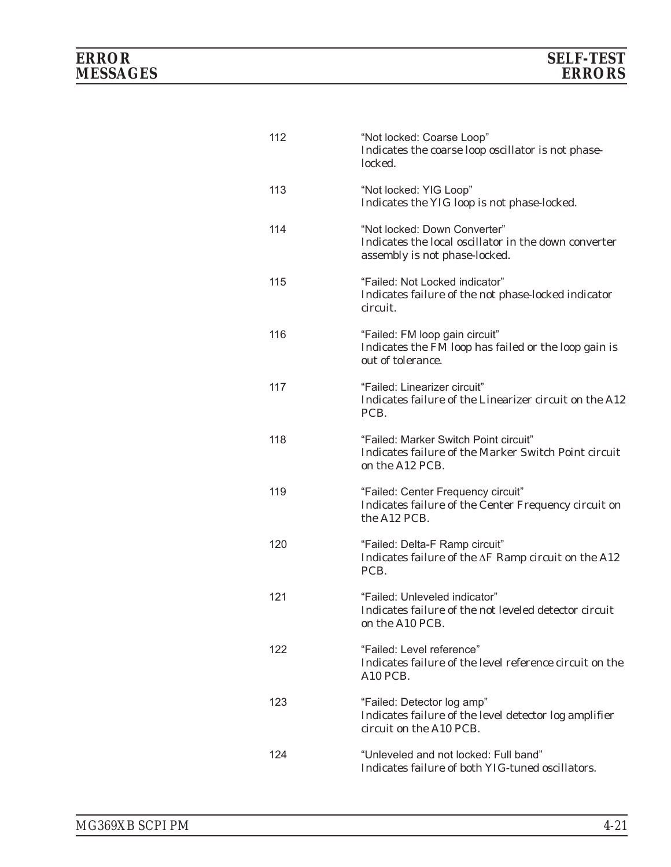# *ERROR SELF-TEST MESSAGES ERRORS*

| 112 | "Not locked: Coarse Loop"<br>Indicates the coarse loop oscillator is not phase-<br>locked.                            |
|-----|-----------------------------------------------------------------------------------------------------------------------|
| 113 | "Not locked: YIG Loop"<br>Indicates the YIG loop is not phase-locked.                                                 |
| 114 | "Not locked: Down Converter"<br>Indicates the local oscillator in the down converter<br>assembly is not phase-locked. |
| 115 | "Failed: Not Locked indicator"<br>Indicates failure of the not phase-locked indicator<br>circuit.                     |
| 116 | "Failed: FM loop gain circuit"<br>Indicates the FM loop has failed or the loop gain is<br>out of tolerance.           |
| 117 | "Failed: Linearizer circuit"<br>Indicates failure of the Linearizer circuit on the A12<br>PCB.                        |
| 118 | "Failed: Marker Switch Point circuit"<br>Indicates failure of the Marker Switch Point circuit<br>on the A12 PCB.      |
| 119 | "Failed: Center Frequency circuit"<br>Indicates failure of the Center Frequency circuit on<br>the A12 PCB.            |
| 120 | "Failed: Delta-F Ramp circuit"<br>Indicates failure of the $\Delta F$ Ramp circuit on the A12<br>PCB.                 |
| 121 | "Failed: Unleveled indicator"<br>Indicates failure of the not leveled detector circuit<br>on the A10 PCB.             |
| 122 | "Failed: Level reference"<br>Indicates failure of the level reference circuit on the<br>A10 PCB.                      |
| 123 | "Failed: Detector log amp"<br>Indicates failure of the level detector log amplifier<br>circuit on the A10 PCB.        |
| 124 | "Unleveled and not locked: Full band"<br>Indicates failure of both YIG-tuned oscillators.                             |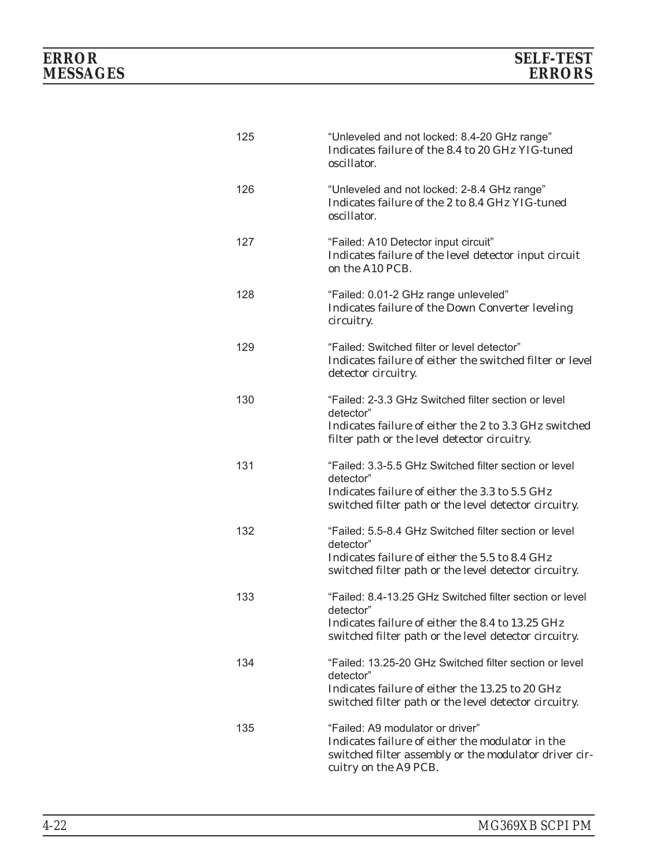| 125 | "Unleveled and not locked: 8.4-20 GHz range"<br>Indicates failure of the 8.4 to 20 GHz YIG-tuned<br>oscillator.                                                                   |
|-----|-----------------------------------------------------------------------------------------------------------------------------------------------------------------------------------|
| 126 | "Unleveled and not locked: 2-8.4 GHz range"<br>Indicates failure of the 2 to 8.4 GHz YIG-tuned<br>oscillator.                                                                     |
| 127 | "Failed: A10 Detector input circuit"<br>Indicates failure of the level detector input circuit<br>on the A10 PCB.                                                                  |
| 128 | "Failed: 0.01-2 GHz range unleveled"<br>Indicates failure of the Down Converter leveling<br>circuitry.                                                                            |
| 129 | "Failed: Switched filter or level detector"<br>Indicates failure of either the switched filter or level<br>detector circuitry.                                                    |
| 130 | "Failed: 2-3.3 GHz Switched filter section or level<br>detector"<br>Indicates failure of either the 2 to 3.3 GHz switched<br>filter path or the level detector circuitry.         |
| 131 | "Failed: 3.3-5.5 GHz Switched filter section or level<br>detector"<br>Indicates failure of either the 3.3 to 5.5 GHz<br>switched filter path or the level detector circuitry.     |
| 132 | "Failed: 5.5-8.4 GHz Switched filter section or level<br>detector"<br>Indicates failure of either the 5.5 to 8.4 GHz<br>switched filter path or the level detector circuitry.     |
| 133 | "Failed: 8.4-13.25 GHz Switched filter section or level<br>detector"<br>Indicates failure of either the 8.4 to 13.25 GHz<br>switched filter path or the level detector circuitry. |
| 134 | "Failed: 13.25-20 GHz Switched filter section or level<br>detector"<br>Indicates failure of either the 13.25 to 20 GHz<br>switched filter path or the level detector circuitry.   |
| 135 | "Failed: A9 modulator or driver"<br>Indicates failure of either the modulator in the<br>switched filter assembly or the modulator driver cir-<br>cuitry on the A9 PCB.            |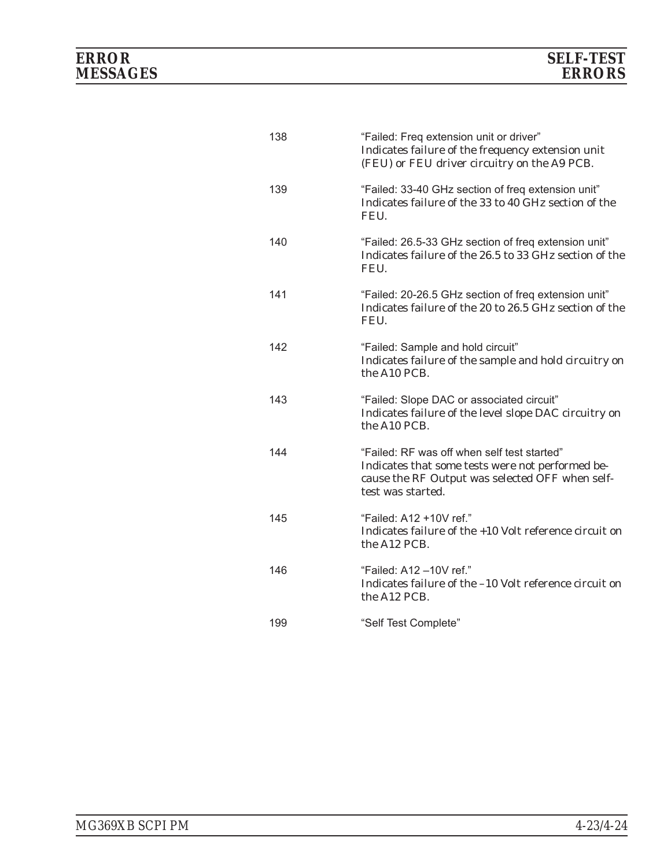| 138 | "Failed: Freq extension unit or driver"<br>Indicates failure of the frequency extension unit<br>(FEU) or FEU driver circuitry on the A9 PCB.                            |
|-----|-------------------------------------------------------------------------------------------------------------------------------------------------------------------------|
| 139 | "Failed: 33-40 GHz section of freq extension unit"<br>Indicates failure of the 33 to 40 GHz section of the<br>FEU.                                                      |
| 140 | "Failed: 26.5-33 GHz section of freq extension unit"<br>Indicates failure of the 26.5 to 33 GHz section of the<br>FEU.                                                  |
| 141 | "Failed: 20-26.5 GHz section of freq extension unit"<br>Indicates failure of the 20 to 26.5 GHz section of the<br>FEU.                                                  |
| 142 | "Failed: Sample and hold circuit"<br>Indicates failure of the sample and hold circuitry on<br>the A10 PCB.                                                              |
| 143 | "Failed: Slope DAC or associated circuit"<br>Indicates failure of the level slope DAC circuitry on<br>the A10 PCB.                                                      |
| 144 | "Failed: RF was off when self test started"<br>Indicates that some tests were not performed be-<br>cause the RF Output was selected OFF when self-<br>test was started. |
| 145 | "Failed: A12 +10V ref."<br>Indicates failure of the +10 Volt reference circuit on<br>the A12 PCB.                                                                       |
| 146 | "Failed: A12-10V ref."<br>Indicates failure of the -10 Volt reference circuit on<br>the A12 PCB.                                                                        |
| 199 | "Self Test Complete"                                                                                                                                                    |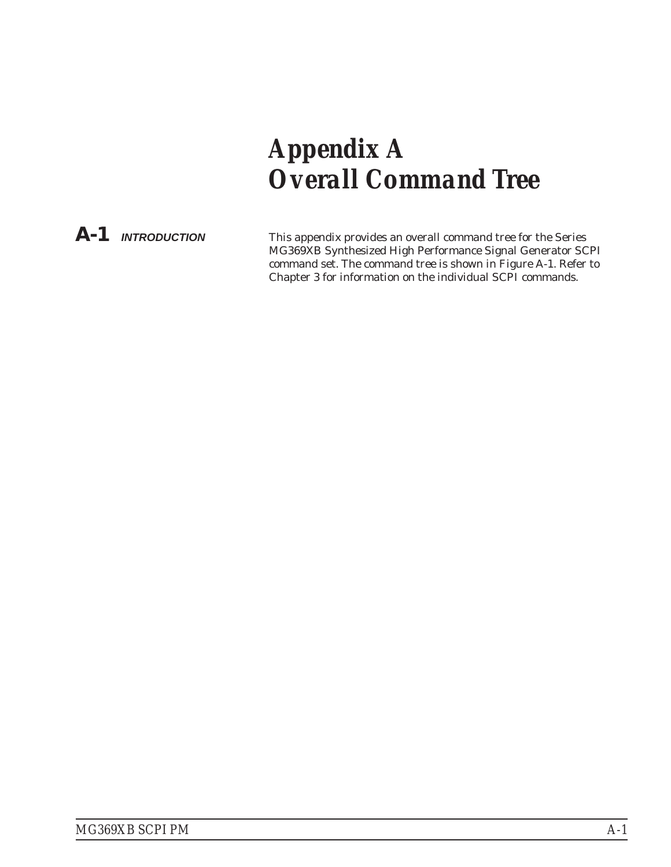# <span id="page-218-0"></span>*Appendix A Overall Command Tree*

*A-1 INTRODUCTION* This appendix provides an overall command tree for the Series MG369XB Synthesized High Performance Signal Generator SCPI command set. The command tree is shown in Figure A-1. Refer to Chapter 3 for information on the individual SCPI commands.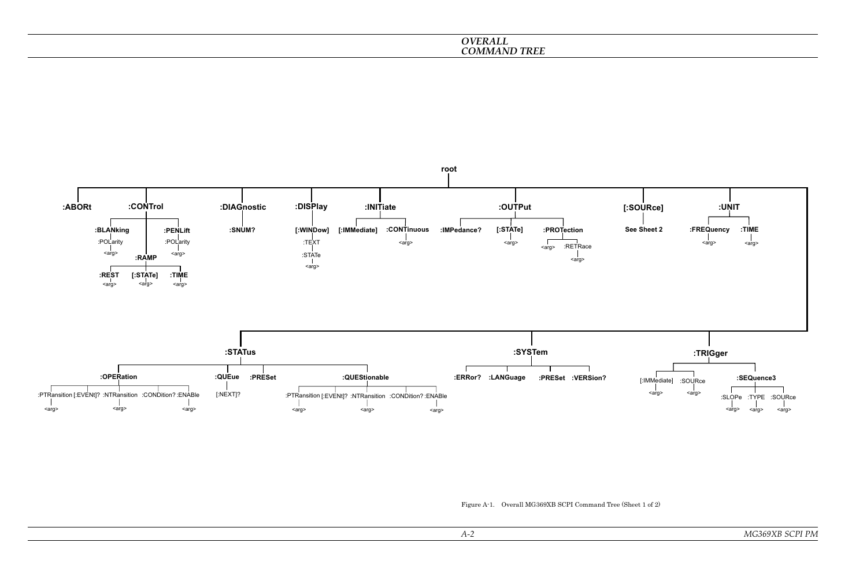*Figure A-1. Overall MG369XB SCPI Command Tree (Sheet <sup>1</sup> of 2)*



#### *OVERALL COMMAND TREE*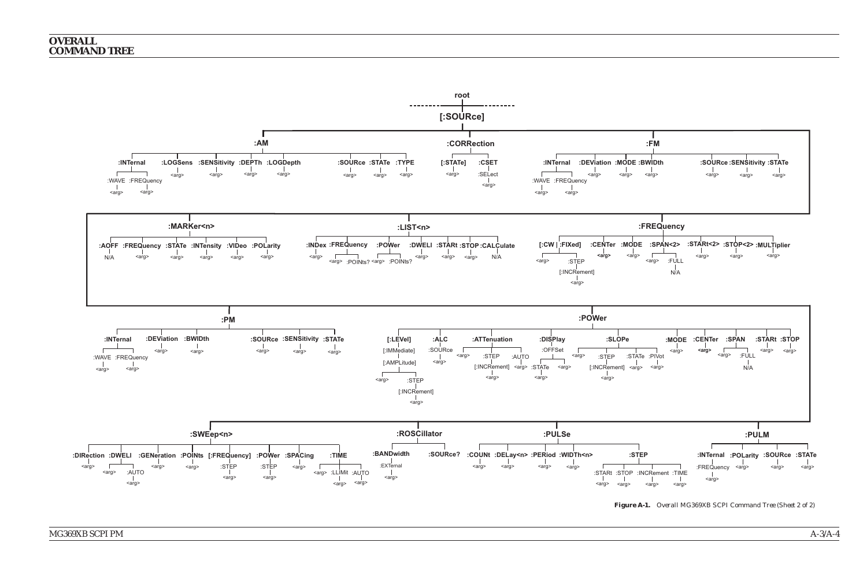

*Figure A-1. Overall MG369XB SCPI Command Tree (Sheet 2 of 2)*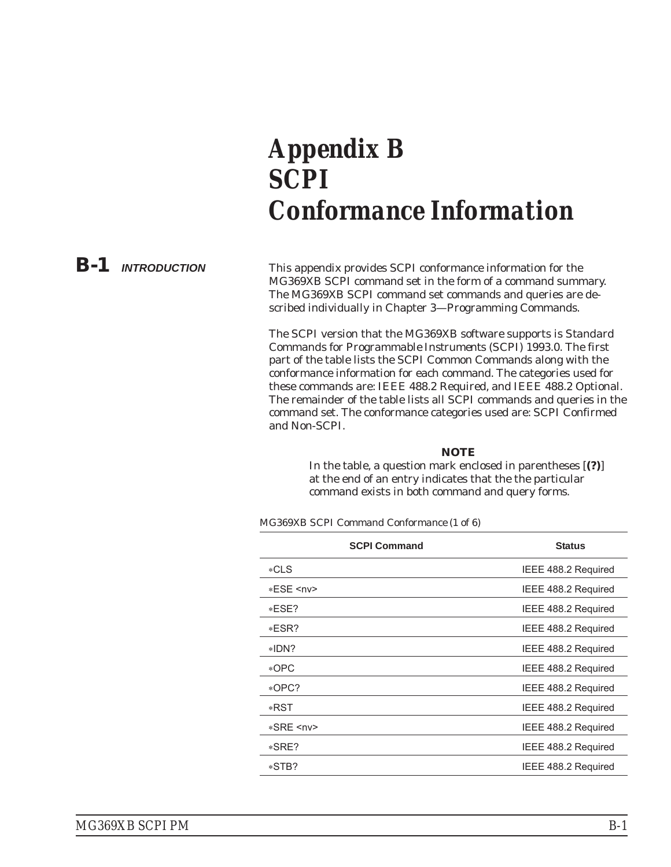## <span id="page-222-0"></span>*Appendix B SCPI Conformance Information*

*B-1 INTRODUCTION* This appendix provides SCPI conformance information for the MG369XB SCPI command set in the form of a command summary. The MG369XB SCPI command set commands and queries are described individually in Chapter 3—Programming Commands.

> The SCPI version that the MG369XB software supports is *Standard Commands for Programmable Instruments (SCPI) 1993.0*. The first part of the table lists the SCPI Common Commands along with the conformance information for each command. The categories used for these commands are: IEEE 488.2 Required, and IEEE 488.2 Optional. The remainder of the table lists all SCPI commands and queries in the command set. The conformance categories used are: SCPI Confirmed and Non-SCPI.

#### *NOTE*

In the table, a question mark enclosed in parentheses [**(?)**] at the end of an entry indicates that the the particular command exists in both command and query forms.

*MG369XB SCPI Command Conformance (1 of 6)*

| <b>SCPI Command</b> | <b>Status</b>       |
|---------------------|---------------------|
| $*CLS$              | IEEE 488.2 Required |
| *ESE <nv></nv>      | IEEE 488.2 Required |
| $*ESE?$             | IEEE 488.2 Required |
| $*ESR?$             | IEEE 488.2 Required |
| $*IDN?$             | IEEE 488.2 Required |
| *OPC                | IEEE 488.2 Required |
| *OPC?               | IEEE 488.2 Required |
| *RST                | IEEE 488.2 Required |
| *SRE <nv></nv>      | IEEE 488.2 Required |
| $*SRE?$             | IEEE 488.2 Required |
| *STB?               | IEEE 488.2 Required |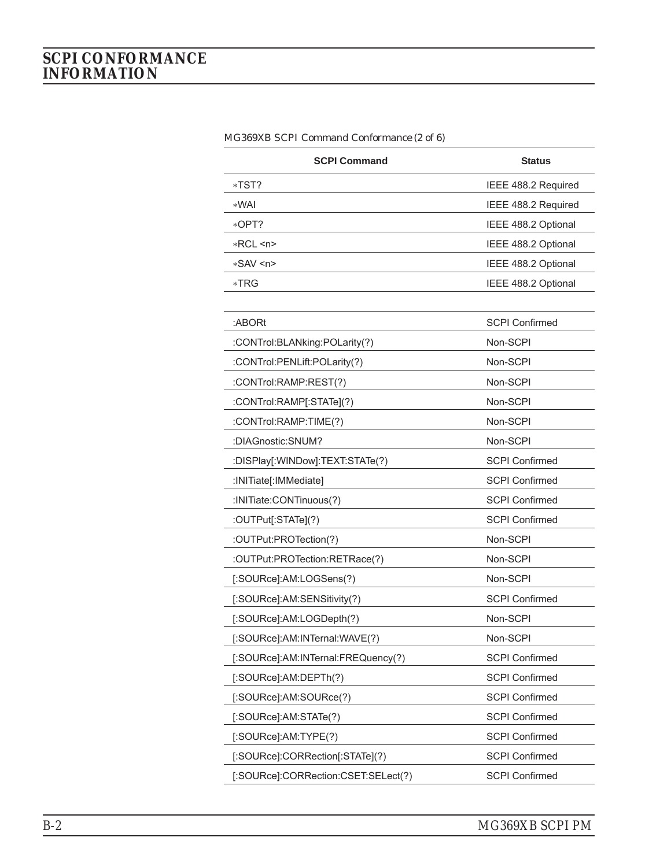| <b>SCPI Command</b>                 | <b>Status</b>         |
|-------------------------------------|-----------------------|
| *TST?                               | IEEE 488.2 Required   |
| *WAI                                | IEEE 488.2 Required   |
| *OPT?                               | IEEE 488.2 Optional   |
| $*RCL < n$                          | IEEE 488.2 Optional   |
| *SAV <n></n>                        | IEEE 488.2 Optional   |
| *TRG                                | IEEE 488.2 Optional   |
|                                     |                       |
| :ABORt                              | <b>SCPI Confirmed</b> |
| :CONTrol:BLANking:POLarity(?)       | Non-SCPI              |
| :CONTrol:PENLift:POLarity(?)        | Non-SCPI              |
| :CONTrol:RAMP:REST(?)               | Non-SCPI              |
| :CONTrol:RAMP[:STATe](?)            | Non-SCPI              |
| :CONTrol:RAMP:TIME(?)               | Non-SCPI              |
| :DIAGnostic:SNUM?                   | Non-SCPI              |
| :DISPlay[:WINDow]:TEXT:STATe(?)     | <b>SCPI Confirmed</b> |
| :INITiate[:IMMediate]               | <b>SCPI Confirmed</b> |
| :INITiate:CONTinuous(?)             | <b>SCPI Confirmed</b> |
| :OUTPut[:STATe](?)                  | <b>SCPI Confirmed</b> |
| :OUTPut:PROTection(?)               | Non-SCPI              |
| :OUTPut:PROTection:RETRace(?)       | Non-SCPI              |
| [:SOURce]:AM:LOGSens(?)             | Non-SCPI              |
| [:SOURce]:AM:SENSitivity(?)         | <b>SCPI Confirmed</b> |
| [:SOURce]:AM:LOGDepth(?)            | Non-SCPI              |
| [:SOURce]:AM:INTernal:WAVE(?)       | Non-SCPI              |
| [:SOURce]:AM:INTernal:FREQuency(?)  | <b>SCPI Confirmed</b> |
| [:SOURce]:AM:DEPTh(?)               | <b>SCPI Confirmed</b> |
| [:SOURce]:AM:SOURce(?)              | <b>SCPI Confirmed</b> |
| [:SOURce]:AM:STATe(?)               | <b>SCPI Confirmed</b> |
| [:SOURce]:AM:TYPE(?)                | <b>SCPI Confirmed</b> |
| [:SOURce]:CORRection[:STATe](?)     | <b>SCPI Confirmed</b> |
| [:SOURce]:CORRection:CSET:SELect(?) | <b>SCPI Confirmed</b> |

*MG369XB SCPI Command Conformance (2 of 6)*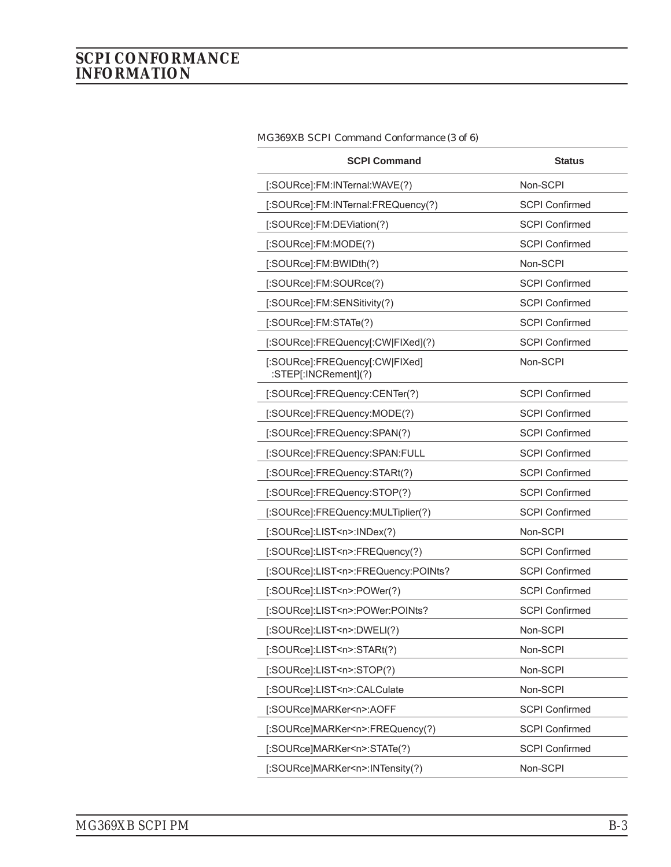| <b>SCPI Command</b>                                    | <b>Status</b>         |
|--------------------------------------------------------|-----------------------|
| [:SOURce]:FM:INTernal:WAVE(?)                          | Non-SCPI              |
| [:SOURce]:FM:INTernal:FREQuency(?)                     | <b>SCPI Confirmed</b> |
| [:SOURce]:FM:DEViation(?)                              | <b>SCPI Confirmed</b> |
| [:SOURce]:FM:MODE(?)                                   | <b>SCPI Confirmed</b> |
| [:SOURce]:FM:BWIDth(?)                                 | Non-SCPI              |
| [:SOURce]:FM:SOURce(?)                                 | <b>SCPI Confirmed</b> |
| [:SOURce]:FM:SENSitivity(?)                            | <b>SCPI Confirmed</b> |
| [:SOURce]:FM:STATe(?)                                  | <b>SCPI Confirmed</b> |
| [:SOURce]:FREQuency[:CW FIXed](?)                      | <b>SCPI Confirmed</b> |
| [:SOURce]:FREQuency[:CW FIXed]<br>:STEP[:INCRement](?) | Non-SCPI              |
| [:SOURce]:FREQuency:CENTer(?)                          | <b>SCPI Confirmed</b> |
| [:SOURce]:FREQuency:MODE(?)                            | <b>SCPI Confirmed</b> |
| [:SOURce]:FREQuency:SPAN(?)                            | <b>SCPI Confirmed</b> |
| [:SOURce]:FREQuency:SPAN:FULL                          | <b>SCPI Confirmed</b> |
| [:SOURce]:FREQuency:STARt(?)                           | <b>SCPI Confirmed</b> |
| [:SOURce]:FREQuency:STOP(?)                            | <b>SCPI Confirmed</b> |
| [:SOURce]:FREQuency:MULTiplier(?)                      | <b>SCPI Confirmed</b> |
| [:SOURce]:LIST <n>:INDex(?)</n>                        | Non-SCPI              |
| [:SOURce]:LIST <n>:FREQuency(?)</n>                    | <b>SCPI Confirmed</b> |
| [:SOURce]:LIST <n>:FREQuency:POINts?</n>               | <b>SCPI Confirmed</b> |
| [:SOURce]:LIST <n>:POWer(?)</n>                        | <b>SCPI Confirmed</b> |
| [:SOURce]:LIST <n>:POWer:POINts?</n>                   | <b>SCPI Confirmed</b> |
| [:SOURce]:LIST <n>:DWELI(?)</n>                        | Non-SCPI              |
| [:SOURce]:LIST <n>:STARt(?)</n>                        | Non-SCPI              |
| [:SOURce]:LIST <n>:STOP(?)</n>                         | Non-SCPI              |
| [:SOURce]:LIST <n>:CALCulate</n>                       | Non-SCPI              |
| [:SOURce]MARKer <n>:AOFF</n>                           | <b>SCPI Confirmed</b> |
| [:SOURce]MARKer <n>:FREQuency(?)</n>                   | <b>SCPI Confirmed</b> |
| [:SOURce]MARKer <n>:STATe(?)</n>                       | <b>SCPI Confirmed</b> |
| [:SOURce]MARKer <n>:INTensity(?)</n>                   | Non-SCPI              |

| MG369XB SCPI Command Conformance (3 of 6) |  |  |  |  |  |  |
|-------------------------------------------|--|--|--|--|--|--|
|-------------------------------------------|--|--|--|--|--|--|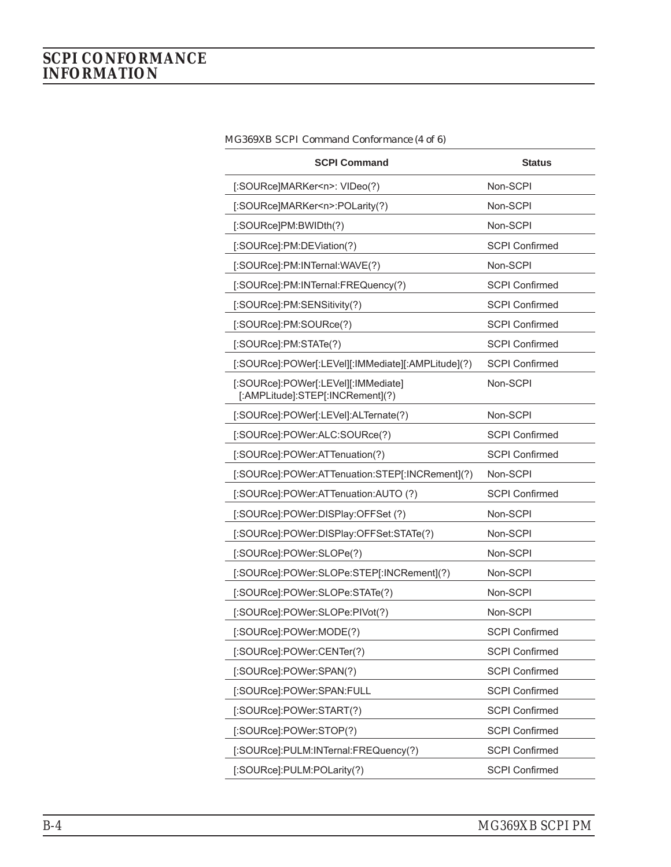| <b>SCPI Command</b>                                                     | <b>Status</b>         |
|-------------------------------------------------------------------------|-----------------------|
| [:SOURce]MARKer <n>: VIDeo(?)</n>                                       | Non-SCPI              |
| [:SOURce]MARKer <n>:POLarity(?)</n>                                     | Non-SCPI              |
| [:SOURce]PM:BWIDth(?)                                                   | Non-SCPI              |
| [:SOURce]:PM:DEViation(?)                                               | <b>SCPI Confirmed</b> |
| [:SOURce]:PM:INTernal:WAVE(?)                                           | Non-SCPI              |
| [:SOURce]:PM:INTernal:FREQuency(?)                                      | <b>SCPI Confirmed</b> |
| [:SOURce]:PM:SENSitivity(?)                                             | <b>SCPI Confirmed</b> |
| [:SOURce]:PM:SOURce(?)                                                  | <b>SCPI Confirmed</b> |
| [:SOURce]:PM:STATe(?)                                                   | <b>SCPI Confirmed</b> |
| [:SOURce]:POWer[:LEVel][:IMMediate][:AMPLitude](?)                      | <b>SCPI Confirmed</b> |
| [:SOURce]:POWer[:LEVel][:IMMediate]<br>[:AMPLitude]:STEP[:INCRement](?) | Non-SCPI              |
| [:SOURce]:POWer[:LEVel]:ALTernate(?)                                    | Non-SCPI              |
| [:SOURce]:POWer:ALC:SOURce(?)                                           | <b>SCPI Confirmed</b> |
| [:SOURce]:POWer:ATTenuation(?)                                          | <b>SCPI Confirmed</b> |
| [:SOURce]:POWer:ATTenuation:STEP[:INCRement](?)                         | Non-SCPI              |
| [:SOURce]:POWer:ATTenuation:AUTO (?)                                    | <b>SCPI Confirmed</b> |
| [:SOURce]:POWer:DISPlay:OFFSet (?)                                      | Non-SCPI              |
| [:SOURce]:POWer:DISPlay:OFFSet:STATe(?)                                 | Non-SCPI              |
| [:SOURce]:POWer:SLOPe(?)                                                | Non-SCPI              |
| [:SOURce]:POWer:SLOPe:STEP[:INCRement](?)                               | Non-SCPI              |
| [:SOURce]:POWer:SLOPe:STATe(?)                                          | Non-SCPI              |
| [:SOURce]:POWer:SLOPe:PIVot(?)                                          | Non-SCPI              |
| [:SOURce]:POWer:MODE(?)                                                 | <b>SCPI Confirmed</b> |
| [:SOURce]:POWer:CENTer(?)                                               | <b>SCPI Confirmed</b> |
| [:SOURce]:POWer:SPAN(?)                                                 | <b>SCPI Confirmed</b> |
| [:SOURce]:POWer:SPAN:FULL                                               | <b>SCPI Confirmed</b> |
| [:SOURce]:POWer:START(?)                                                | <b>SCPI Confirmed</b> |
| [:SOURce]:POWer:STOP(?)                                                 | <b>SCPI Confirmed</b> |
| [:SOURce]:PULM:INTernal:FREQuency(?)                                    | <b>SCPI Confirmed</b> |
| [:SOURce]:PULM:POLarity(?)                                              | <b>SCPI Confirmed</b> |

*MG369XB SCPI Command Conformance (4 of 6)*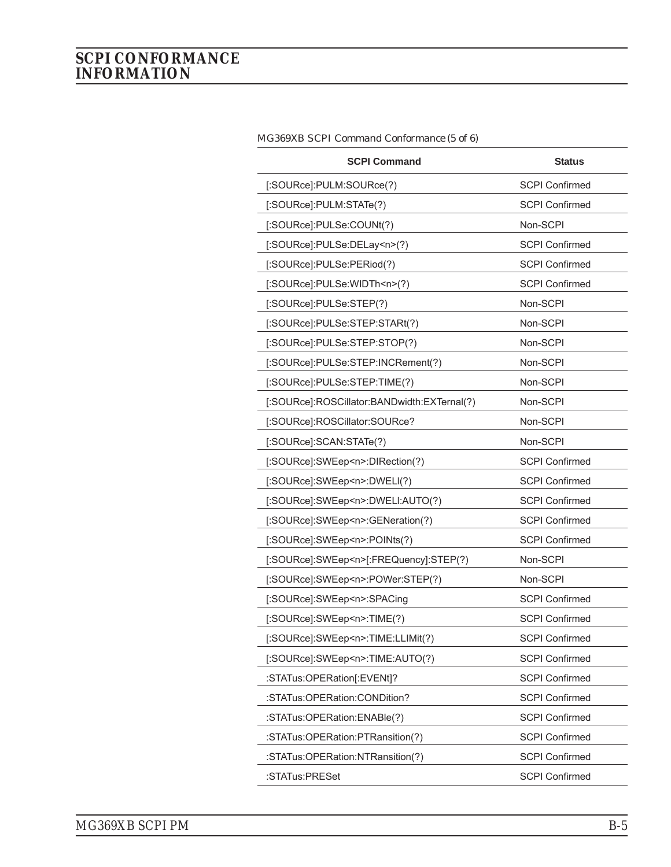| <b>SCPI Command</b>                         | <b>Status</b>         |
|---------------------------------------------|-----------------------|
| [:SOURce]:PULM:SOURce(?)                    | <b>SCPI Confirmed</b> |
| [:SOURce]:PULM:STATe(?)                     | <b>SCPI Confirmed</b> |
| [:SOURce]:PULSe:COUNt(?)                    | Non-SCPI              |
| [:SOURce]:PULSe:DELay <n>(?)</n>            | <b>SCPI Confirmed</b> |
| [:SOURce]:PULSe:PERiod(?)                   | <b>SCPI Confirmed</b> |
| [:SOURce]:PULSe:WIDTh <n>(?)</n>            | <b>SCPI Confirmed</b> |
| [:SOURce]:PULSe:STEP(?)                     | Non-SCPI              |
| [:SOURce]:PULSe:STEP:STARt(?)               | Non-SCPI              |
| [:SOURce]:PULSe:STEP:STOP(?)                | Non-SCPI              |
| [:SOURce]:PULSe:STEP:INCRement(?)           | Non-SCPI              |
| [:SOURce]:PULSe:STEP:TIME(?)                | Non-SCPI              |
| [:SOURce]:ROSCillator:BANDwidth:EXTernal(?) | Non-SCPI              |
| [:SOURce]:ROSCillator:SOURce?               | Non-SCPI              |
| [:SOURce]:SCAN:STATe(?)                     | Non-SCPI              |
| [:SOURce]:SWEep <n>:DIRection(?)</n>        | <b>SCPI Confirmed</b> |
| [:SOURce]:SWEep <n>:DWELI(?)</n>            | <b>SCPI Confirmed</b> |
| [:SOURce]:SWEep <n>:DWELI:AUTO(?)</n>       | <b>SCPI Confirmed</b> |
| [:SOURce]:SWEep <n>:GENeration(?)</n>       | <b>SCPI Confirmed</b> |
| [:SOURce]:SWEep <n>:POINts(?)</n>           | <b>SCPI Confirmed</b> |
| [:SOURce]:SWEep <n>[:FREQuency]:STEP(?)</n> | Non-SCPI              |
| [:SOURce]:SWEep <n>:POWer:STEP(?)</n>       | Non-SCPI              |
| [:SOURce]:SWEep <n>:SPACing</n>             | <b>SCPI Confirmed</b> |
| [:SOURce]:SWEep <n>:TIME(?)</n>             | <b>SCPI Confirmed</b> |
| [:SOURce]:SWEep <n>:TIME:LLIMit(?)</n>      | <b>SCPI Confirmed</b> |
| [:SOURce]:SWEep <n>:TIME:AUTO(?)</n>        | <b>SCPI Confirmed</b> |
| :STATus:OPERation[:EVENt]?                  | <b>SCPI Confirmed</b> |
| :STATus:OPERation:CONDition?                | <b>SCPI Confirmed</b> |
| :STATus:OPERation:ENABle(?)                 | <b>SCPI Confirmed</b> |
| :STATus:OPERation:PTRansition(?)            | <b>SCPI Confirmed</b> |
| :STATus:OPERation:NTRansition(?)            | <b>SCPI Confirmed</b> |
| :STATus:PRESet                              | <b>SCPI Confirmed</b> |

*MG369XB SCPI Command Conformance (5 of 6)*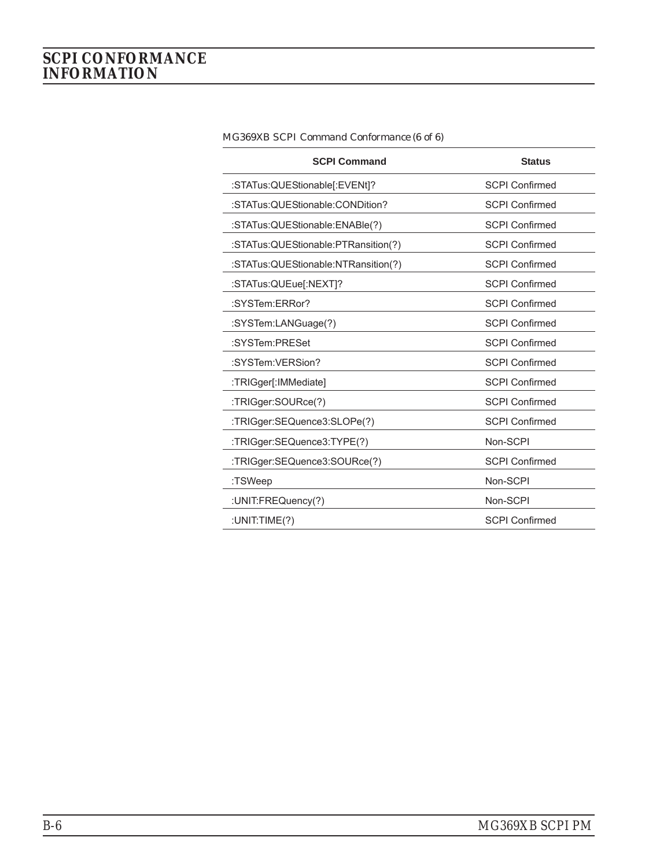| <b>SCPI Command</b>                 | <b>Status</b>         |
|-------------------------------------|-----------------------|
| :STATus:QUEStionable[:EVENt]?       | <b>SCPI Confirmed</b> |
| :STATus:QUEStionable:CONDition?     | <b>SCPI Confirmed</b> |
| :STATus:QUEStionable:ENABle(?)      | <b>SCPI Confirmed</b> |
| :STATus:QUEStionable:PTRansition(?) | <b>SCPI Confirmed</b> |
| :STATus:QUEStionable:NTRansition(?) | <b>SCPI Confirmed</b> |
| :STATus:QUEue[:NEXT]?               | <b>SCPI Confirmed</b> |
| :SYSTem:FRRor?                      | <b>SCPI Confirmed</b> |
| :SYSTem:LANGuage(?)                 | <b>SCPI Confirmed</b> |
| :SYSTem:PRESet                      | <b>SCPI Confirmed</b> |
| :SYSTem:VERSion?                    | <b>SCPI Confirmed</b> |
| :TRIGger[:IMMediate]                | <b>SCPI Confirmed</b> |
| :TRIGger:SOURce(?)                  | <b>SCPI Confirmed</b> |
| :TRIGger:SEQuence3:SLOPe(?)         | <b>SCPI Confirmed</b> |
| :TRIGger:SEQuence3:TYPE(?)          | Non-SCPI              |
| :TRIGger:SEQuence3:SOURce(?)        | <b>SCPI Confirmed</b> |
| :TSWeep                             | Non-SCPI              |
| :UNIT:FREQuency(?)                  | Non-SCPI              |
| :UNIT:TIME(?)                       | <b>SCPI Confirmed</b> |

*MG369XB SCPI Command Conformance (6 of 6)*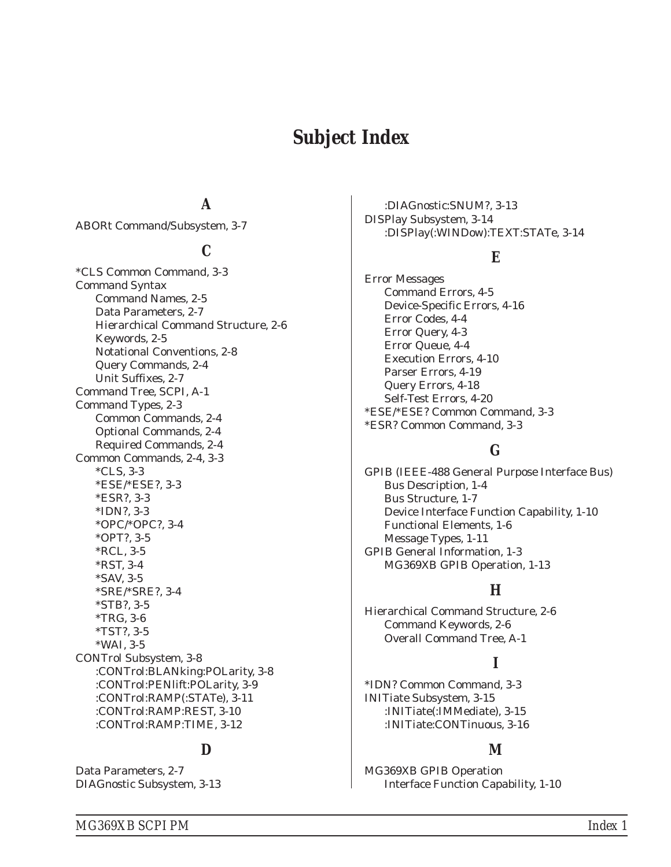### *Subject Index*

#### *A*

[ABORt Command/Subsystem, 3-7](#page-48-0)

#### *C*

[\\*CLS Common Command, 3-3](#page-44-0) Command Syntax [Command Names, 2-5](#page-26-0) [Data Parameters, 2-7](#page-28-0) [Hierarchical Command Structure, 2-6](#page-27-0) [Keywords, 2-5](#page-26-0) [Notational Conventions, 2-8](#page-29-0) [Query Commands, 2-4](#page-25-0) [Unit Suffixes, 2-7](#page-28-0) [Command Tree, SCPI, A-1](#page-218-0) [Command Types, 2-3](#page-24-0) [Common Commands, 2-4](#page-25-0) [Optional Commands, 2-4](#page-25-0) [Required Commands, 2-4](#page-25-0) [Common Commands, 2-4](#page-25-0), [3-3](#page-44-0) [\\*CLS, 3-3](#page-44-0) [\\*ESE/\\*ESE?, 3-3](#page-44-0) [\\*ESR?, 3-3](#page-44-0) [\\*IDN?, 3-3](#page-44-0) [\\*OPC/\\*OPC?, 3-4](#page-45-0) [\\*OPT?, 3-5](#page-46-0) [\\*RCL, 3-5](#page-46-0) [\\*RST, 3-4](#page-45-0) [\\*SAV, 3-5](#page-46-0) [\\*SRE/\\*SRE?, 3-4](#page-45-0) [\\*STB?, 3-5](#page-46-0) [\\*TRG, 3-6](#page-47-0) [\\*TST?, 3-5](#page-46-0) [\\*WAI, 3-5](#page-46-0) [CONTrol Subsystem, 3-8](#page-49-0) [:CONTrol:BLANking:POLarity, 3-8](#page-49-0) [:CONTrol:PENlift:POLarity, 3-9](#page-50-0) [:CONTrol:RAMP\(:STATe\), 3-11](#page-52-0) [:CONTrol:RAMP:REST, 3-10](#page-51-0) [:CONTrol:RAMP:TIME, 3-12](#page-53-0)

#### *D*

[Data Parameters, 2-7](#page-28-0) [DIAGnostic Subsystem, 3-13](#page-54-0)

[:DIAGnostic:SNUM?, 3-13](#page-54-0) [DISPlay Subsystem, 3-14](#page-55-0) [:DISPlay\(:WINDow\):TEXT:STATe, 3-14](#page-55-0)

#### *E*

Error Messages [Command Errors, 4-5](#page-198-0) [Device-Specific Errors, 4-16](#page-209-0) [Error Codes, 4-4](#page-197-0) [Error Query, 4-3](#page-196-0) [Error Queue, 4-4](#page-197-0) [Execution Errors, 4-10](#page-203-0) [Parser Errors, 4-19](#page-212-0) [Query Errors, 4-18](#page-211-0) [Self-Test Errors, 4-20](#page-213-0) [\\*ESE/\\*ESE? Common Command, 3-3](#page-44-0) [\\*ESR? Common Command, 3-3](#page-44-0)

#### *G*

GPIB (IEEE-488 General Purpose Interface Bus) [Bus Description, 1-4](#page-11-0) [Bus Structure, 1-7](#page-14-0) [Device Interface Function Capability, 1-10](#page-17-0) [Functional Elements, 1-6](#page-13-0) [Message Types, 1-11](#page-18-0) [GPIB General Information, 1-3](#page-10-0) [MG369XB GPIB Operation, 1-13](#page-20-0)

#### *H*

[Hierarchical Command Structure, 2-6](#page-27-0) [Command Keywords, 2-6](#page-27-0) [Overall Command Tree, A-1](#page-218-0)

#### *I*

[\\*IDN? Common Command, 3-3](#page-44-0) [INITiate Subsystem, 3-15](#page-56-0) [:INITiate\(:IMMediate\), 3-15](#page-56-0) [:INITiate:CONTinuous, 3-16](#page-57-0)

#### *M*

MG369XB GPIB Operation [Interface Function Capability, 1-10](#page-17-0)

*MG369XB SCPI PM Index 1*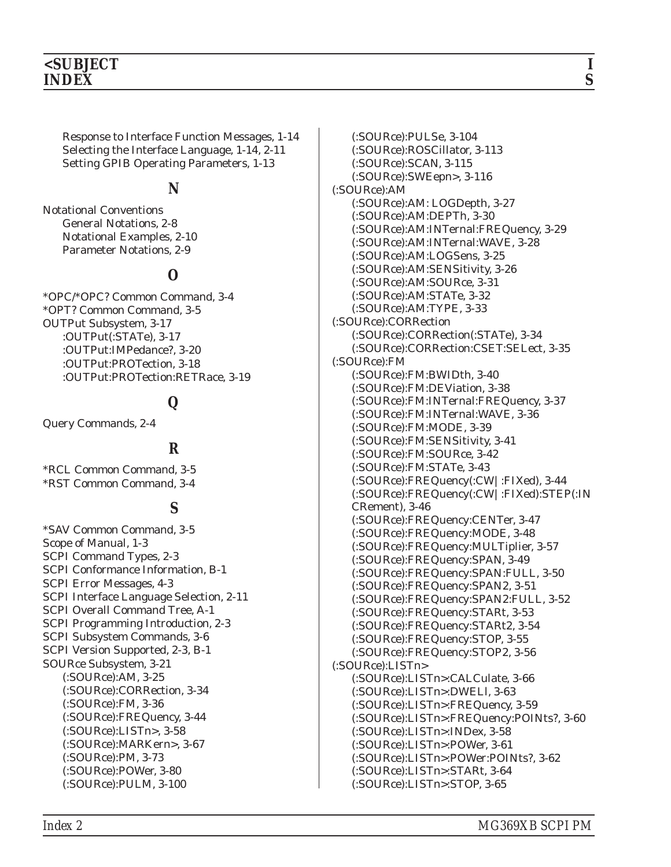[Response to Interface Function Messages, 1-14](#page-21-0) [Selecting the Interface Language, 1-14](#page-21-0), [2-11](#page-32-0) [Setting GPIB Operating Parameters, 1-13](#page-20-0)

#### *N*

Notational Conventions [General Notations, 2-8](#page-29-0) [Notational Examples, 2-10](#page-31-0) [Parameter Notations, 2-9](#page-30-0)

#### *O*

[\\*OPC/\\*OPC? Common Command, 3-4](#page-45-0) [\\*OPT? Common Command, 3-5](#page-46-0) [OUTPut Subsystem, 3-17](#page-58-0) [:OUTPut\(:STATe\), 3-17](#page-58-0) [:OUTPut:IMPedance?, 3-20](#page-61-0) [:OUTPut:PROTection, 3-18](#page-59-0) [:OUTPut:PROTection:RETRace, 3-19](#page-60-0)

#### *Q*

[Query Commands, 2-4](#page-25-0)

#### *R*

[\\*RCL Common Command, 3-5](#page-46-0) [\\*RST Common Command, 3-4](#page-45-0)

#### *S*

[\\*SAV Common Command, 3-5](#page-46-0) [Scope of Manual, 1-3](#page-10-0) [SCPI Command Types, 2-3](#page-24-0) [SCPI Conformance Information, B-1](#page-222-0) [SCPI Error Messages, 4-3](#page-196-0) [SCPI Interface Language Selection, 2-11](#page-32-0) [SCPI Overall Command Tree, A-1](#page-218-0) [SCPI Programming Introduction, 2-3](#page-24-0) [SCPI Subsystem Commands, 3-6](#page-47-0) [SCPI Version Supported, 2-3](#page-24-0), [B-1](#page-222-0) [SOURce Subsystem, 3-21](#page-62-0) [\(:SOURce\):AM, 3-25](#page-66-0) [\(:SOURce\):CORRection, 3-34](#page-75-0) [\(:SOURce\):FM, 3-36](#page-77-0) [\(:SOURce\):FREQuency, 3-44](#page-85-0) [\(:SOURce\):LISTn>, 3-58](#page-99-0) [\(:SOURce\):MARKern>, 3-67](#page-108-0) [\(:SOURce\):PM, 3-73](#page-114-0) [\(:SOURce\):POWer, 3-80](#page-121-0) [\(:SOURce\):PULM, 3-100](#page-141-0)

[\(:SOURce\):PULSe, 3-104](#page-145-0) [\(:SOURce\):ROSCillator, 3-113](#page-154-0) [\(:SOURce\):SCAN, 3-115](#page-156-0) [\(:SOURce\):SWEepn>, 3-116](#page-157-0) (:SOURce):AM [\(:SOURce\):AM: LOGDepth, 3-27](#page-68-0) [\(:SOURce\):AM:DEPTh, 3-30](#page-71-0) [\(:SOURce\):AM:INTernal:FREQuency, 3-29](#page-70-0) [\(:SOURce\):AM:INTernal:WAVE, 3-28](#page-69-0) [\(:SOURce\):AM:LOGSens, 3-25](#page-66-0) [\(:SOURce\):AM:SENSitivity, 3-26](#page-67-0) [\(:SOURce\):AM:SOURce, 3-31](#page-72-0) [\(:SOURce\):AM:STATe, 3-32](#page-73-0) [\(:SOURce\):AM:TYPE, 3-33](#page-74-0) (:SOURce):CORRection [\(:SOURce\):CORRection\(:STATe\), 3-34](#page-75-0) [\(:SOURce\):CORRection:CSET:SELect, 3-35](#page-76-0) (:SOURce):FM [\(:SOURce\):FM:BWIDth, 3-40](#page-81-0) [\(:SOURce\):FM:DEViation, 3-38](#page-79-0) [\(:SOURce\):FM:INTernal:FREQuency, 3-37](#page-78-0) [\(:SOURce\):FM:INTernal:WAVE, 3-36](#page-77-0) [\(:SOURce\):FM:MODE, 3-39](#page-80-0) [\(:SOURce\):FM:SENSitivity, 3-41](#page-82-0) [\(:SOURce\):FM:SOURce, 3-42](#page-83-0) [\(:SOURce\):FM:STATe, 3-43](#page-84-0) [\(:SOURce\):FREQuency\(:CW|:FIXed\), 3-44](#page-85-0) [\(:SOURce\):FREQuency\(:CW|:FIXed\):STEP\(:IN](#page-87-0) [CRement\), 3-46](#page-87-0) [\(:SOURce\):FREQuency:CENTer, 3-47](#page-88-0) [\(:SOURce\):FREQuency:MODE, 3-48](#page-89-0) [\(:SOURce\):FREQuency:MULTiplier, 3-57](#page-98-0) [\(:SOURce\):FREQuency:SPAN, 3-49](#page-90-0) [\(:SOURce\):FREQuency:SPAN:FULL, 3-50](#page-91-0) [\(:SOURce\):FREQuency:SPAN2, 3-51](#page-92-0) [\(:SOURce\):FREQuency:SPAN2:FULL, 3-52](#page-93-0) [\(:SOURce\):FREQuency:STARt, 3-53](#page-94-0) [\(:SOURce\):FREQuency:STARt2, 3-54](#page-95-0) [\(:SOURce\):FREQuency:STOP, 3-55](#page-96-0) [\(:SOURce\):FREQuency:STOP2, 3-56](#page-97-0) (:SOURce):LISTn> [\(:SOURce\):LISTn>:CALCulate, 3-66](#page-107-0) [\(:SOURce\):LISTn>:DWELl, 3-63](#page-104-0) [\(:SOURce\):LISTn>:FREQuency, 3-59](#page-100-0) [\(:SOURce\):LISTn>:FREQuency:POINts?, 3-60](#page-101-0) [\(:SOURce\):LISTn>:INDex, 3-58](#page-99-0) [\(:SOURce\):LISTn>:POWer, 3-61](#page-102-0) [\(:SOURce\):LISTn>:POWer:POINts?, 3-62](#page-103-0) [\(:SOURce\):LISTn>:STARt, 3-64](#page-105-0) [\(:SOURce\):LISTn>:STOP, 3-65](#page-106-0)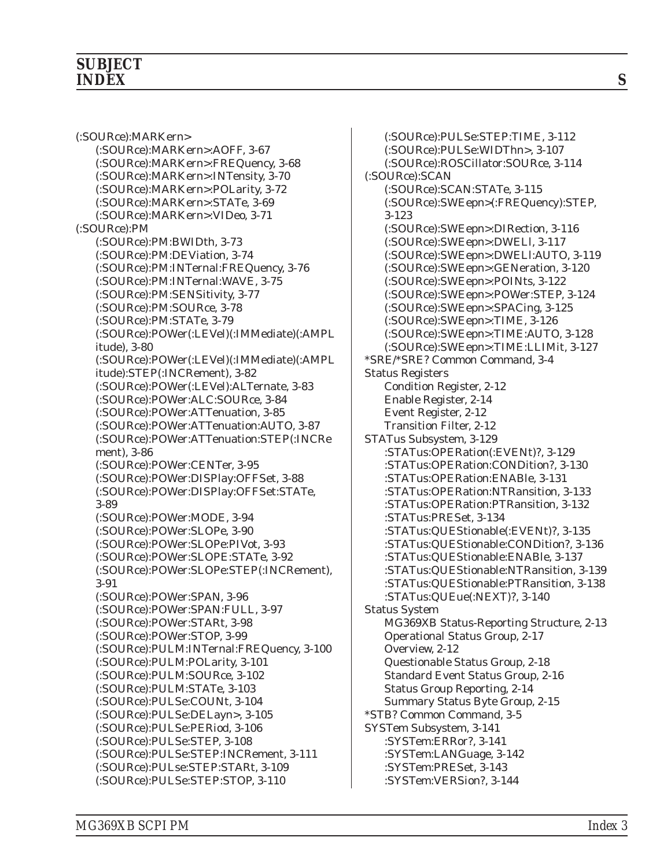#### *SUBJECT INDEX S*

(:SOURce):MARKern> [\(:SOURce\):MARKern>:AOFF, 3-67](#page-108-0) [\(:SOURce\):MARKern>:FREQuency, 3-68](#page-109-0) [\(:SOURce\):MARKern>:INTensity, 3-70](#page-111-0) [\(:SOURce\):MARKern>:POLarity, 3-72](#page-113-0) [\(:SOURce\):MARKern>:STATe, 3-69](#page-110-0) [\(:SOURce\):MARKern>:VIDeo, 3-71](#page-112-0) (:SOURce):PM [\(:SOURce\):PM:BWIDth, 3-73](#page-114-0) [\(:SOURce\):PM:DEViation, 3-74](#page-115-0) [\(:SOURce\):PM:INTernal:FREQuency, 3-76](#page-117-0) [\(:SOURce\):PM:INTernal:WAVE, 3-75](#page-116-0) [\(:SOURce\):PM:SENSitivity, 3-77](#page-118-0) [\(:SOURce\):PM:SOURce, 3-78](#page-119-0) [\(:SOURce\):PM:STATe, 3-79](#page-120-0) [\(:SOURce\):POWer\(:LEVel\)\(:IMMediate\)\(:AMPL](#page-121-0) [itude\), 3-80](#page-121-0) [\(:SOURce\):POWer\(:LEVel\)\(:IMMediate\)\(:AMPL](#page-123-0) [itude\):STEP\(:INCRement\), 3-82](#page-123-0) [\(:SOURce\):POWer\(:LEVel\):ALTernate, 3-83](#page-124-0) [\(:SOURce\):POWer:ALC:SOURce, 3-84](#page-125-0) [\(:SOURce\):POWer:ATTenuation, 3-85](#page-126-0) [\(:SOURce\):POWer:ATTenuation:AUTO, 3-87](#page-128-0) [\(:SOURce\):POWer:ATTenuation:STEP\(:INCRe](#page-127-0) [ment\), 3-86](#page-127-0) [\(:SOURce\):POWer:CENTer, 3-95](#page-136-0) [\(:SOURce\):POWer:DISPlay:OFFSet, 3-88](#page-129-0) [\(:SOURce\):POWer:DISPlay:OFFSet:STATe,](#page-130-0) [3-89](#page-130-0) [\(:SOURce\):POWer:MODE, 3-94](#page-135-0) [\(:SOURce\):POWer:SLOPe, 3-90](#page-131-0) [\(:SOURce\):POWer:SLOPe:PIVot, 3-93](#page-134-0) [\(:SOURce\):POWer:SLOPE:STATe, 3-92](#page-133-0) [\(:SOURce\):POWer:SLOPe:STEP\(:INCRement\),](#page-132-0) [3-91](#page-132-0) [\(:SOURce\):POWer:SPAN, 3-96](#page-137-0) [\(:SOURce\):POWer:SPAN:FULL, 3-97](#page-138-0) [\(:SOURce\):POWer:STARt, 3-98](#page-139-0) [\(:SOURce\):POWer:STOP, 3-99](#page-140-0) [\(:SOURce\):PULM:INTernal:FREQuency, 3-100](#page-141-0) [\(:SOURce\):PULM:POLarity, 3-101](#page-142-0) [\(:SOURce\):PULM:SOURce, 3-102](#page-143-0) [\(:SOURce\):PULM:STATe, 3-103](#page-144-0) [\(:SOURce\):PULSe:COUNt, 3-104](#page-145-0) [\(:SOURce\):PULSe:DELayn>, 3-105](#page-146-0) [\(:SOURce\):PULSe:PERiod, 3-106](#page-147-0) [\(:SOURce\):PULSe:STEP, 3-108](#page-149-0) [\(:SOURce\):PULSe:STEP:INCRement, 3-111](#page-152-0) [\(:SOURce\):PULse:STEP:STARt, 3-109](#page-150-0) [\(:SOURce\):PULSe:STEP:STOP, 3-110](#page-151-0)

[\(:SOURce\):PULSe:STEP:TIME, 3-112](#page-153-0) [\(:SOURce\):PULSe:WIDThn>, 3-107](#page-148-0) [\(:SOURce\):ROSCillator:SOURce, 3-114](#page-155-0) (:SOURce):SCAN [\(:SOURce\):SCAN:STATe, 3-115](#page-156-0) [\(:SOURce\):SWEepn>\(:FREQuency\):STEP,](#page-164-0) [3-123](#page-164-0) [\(:SOURce\):SWEepn>:DIRection, 3-116](#page-157-0) [\(:SOURce\):SWEepn>:DWELl, 3-117](#page-158-0) [\(:SOURce\):SWEepn>:DWELl:AUTO, 3-119](#page-160-0) [\(:SOURce\):SWEepn>:GENeration, 3-120](#page-161-0) [\(:SOURce\):SWEepn>:POINts, 3-122](#page-163-0) [\(:SOURce\):SWEepn>:POWer:STEP, 3-124](#page-165-0) [\(:SOURce\):SWEepn>:SPACing, 3-125](#page-166-0) [\(:SOURce\):SWEepn>:TIME, 3-126](#page-167-0) [\(:SOURce\):SWEepn>:TIME:AUTO, 3-128](#page-169-0) [\(:SOURce\):SWEepn>:TIME:LLIMit, 3-127](#page-168-0) [\\*SRE/\\*SRE? Common Command, 3-4](#page-45-0) Status Registers [Condition Register, 2-12](#page-33-0) [Enable Register, 2-14](#page-35-0) [Event Register, 2-12](#page-33-0) [Transition Filter, 2-12](#page-33-0) [STATus Subsystem, 3-129](#page-170-0) [:STATus:OPERation\(:EVENt\)?, 3-129](#page-170-0) [:STATus:OPERation:CONDition?, 3-130](#page-171-0) [:STATus:OPERation:ENABle, 3-131](#page-172-0) [:STATus:OPERation:NTRansition, 3-133](#page-174-0) [:STATus:OPERation:PTRansition, 3-132](#page-173-0) [:STATus:PRESet, 3-134](#page-175-0) [:STATus:QUEStionable\(:EVENt\)?, 3-135](#page-176-0) [:STATus:QUEStionable:CONDition?, 3-136](#page-177-0) [:STATus:QUEStionable:ENABle, 3-137](#page-178-0) [:STATus:QUEStionable:NTRansition, 3-139](#page-180-0) [:STATus:QUEStionable:PTRansition, 3-138](#page-179-0) [:STATus:QUEue\(:NEXT\)?, 3-140](#page-181-0) Status System [MG369XB Status-Reporting Structure, 2-13](#page-34-0) [Operational Status Group, 2-17](#page-38-0) [Overview, 2-12](#page-33-0) [Questionable Status Group, 2-18](#page-39-0) [Standard Event Status Group, 2-16](#page-37-0) [Status Group Reporting, 2-14](#page-35-0) [Summary Status Byte Group, 2-15](#page-36-0) [\\*STB? Common Command, 3-5](#page-46-0) [SYSTem Subsystem, 3-141](#page-182-0) [:SYSTem:ERRor?, 3-141](#page-182-0) [:SYSTem:LANGuage, 3-142](#page-183-0) [:SYSTem:PRESet, 3-143](#page-184-0) [:SYSTem:VERSion?, 3-144](#page-185-0)